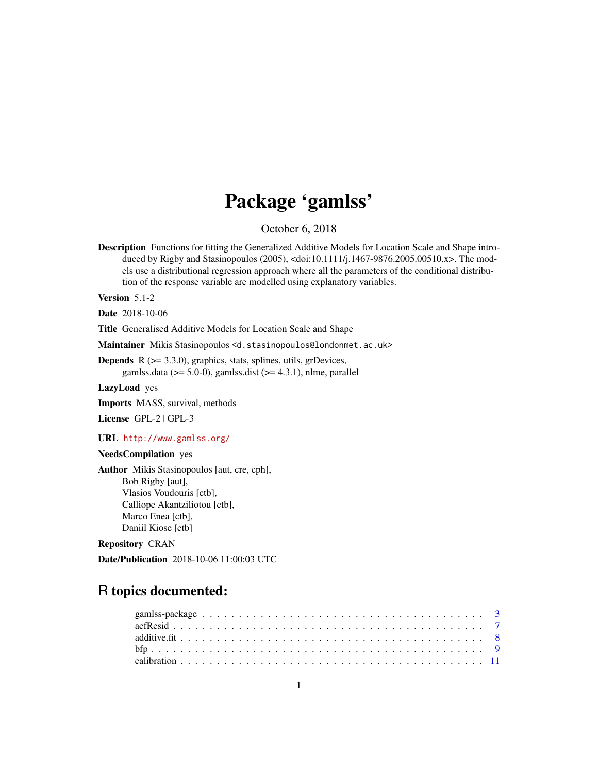# Package 'gamlss'

October 6, 2018

<span id="page-0-0"></span>Description Functions for fitting the Generalized Additive Models for Location Scale and Shape introduced by Rigby and Stasinopoulos (2005), <doi:10.1111/j.1467-9876.2005.00510.x>. The models use a distributional regression approach where all the parameters of the conditional distribution of the response variable are modelled using explanatory variables.

Version 5.1-2

Date 2018-10-06

Title Generalised Additive Models for Location Scale and Shape

Maintainer Mikis Stasinopoulos <d.stasinopoulos@londonmet.ac.uk>

**Depends** R  $(>= 3.3.0)$ , graphics, stats, splines, utils, grDevices, gamlss.data ( $> = 5.0-0$ ), gamlss.dist ( $> = 4.3.1$ ), nlme, parallel

LazyLoad yes

Imports MASS, survival, methods

License GPL-2 | GPL-3

URL <http://www.gamlss.org/>

### NeedsCompilation yes

Author Mikis Stasinopoulos [aut, cre, cph], Bob Rigby [aut], Vlasios Voudouris [ctb], Calliope Akantziliotou [ctb], Marco Enea [ctb], Daniil Kiose [ctb]

### Repository CRAN

Date/Publication 2018-10-06 11:00:03 UTC

## R topics documented: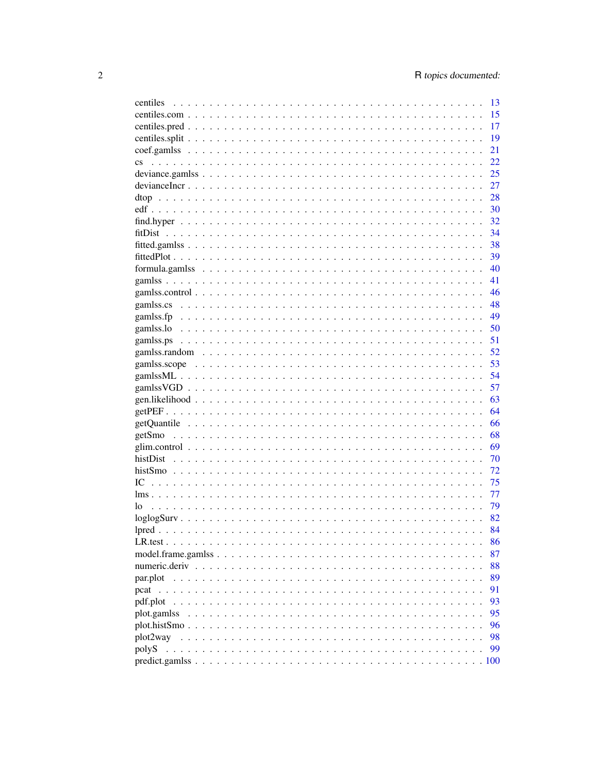| centiles               | 13 |
|------------------------|----|
|                        | 15 |
|                        | 17 |
|                        | 19 |
|                        | 21 |
| $\mathbf{c}\mathbf{s}$ | 22 |
|                        | 25 |
|                        | 27 |
|                        | 28 |
|                        | 30 |
|                        | 32 |
|                        | 34 |
|                        |    |
|                        | 38 |
|                        | 39 |
|                        | 40 |
|                        | 41 |
|                        | 46 |
|                        | 48 |
|                        | 49 |
|                        | 50 |
|                        | 51 |
|                        | 52 |
|                        | 53 |
|                        | 54 |
|                        | 57 |
|                        | 63 |
|                        | 64 |
|                        | 66 |
|                        | 68 |
|                        | 69 |
|                        | 70 |
|                        | 72 |
| IC                     |    |
|                        | 75 |
|                        | 77 |
| lo                     | 79 |
|                        | 82 |
|                        | 84 |
|                        | 86 |
|                        | 87 |
|                        | 88 |
| par.plot               | 89 |
| pcat                   | 91 |
| pdf.plot               | 93 |
| plot.gamlss            | 95 |
|                        | 96 |
| plot2way               | 98 |
| polyS                  | 99 |
|                        |    |
|                        |    |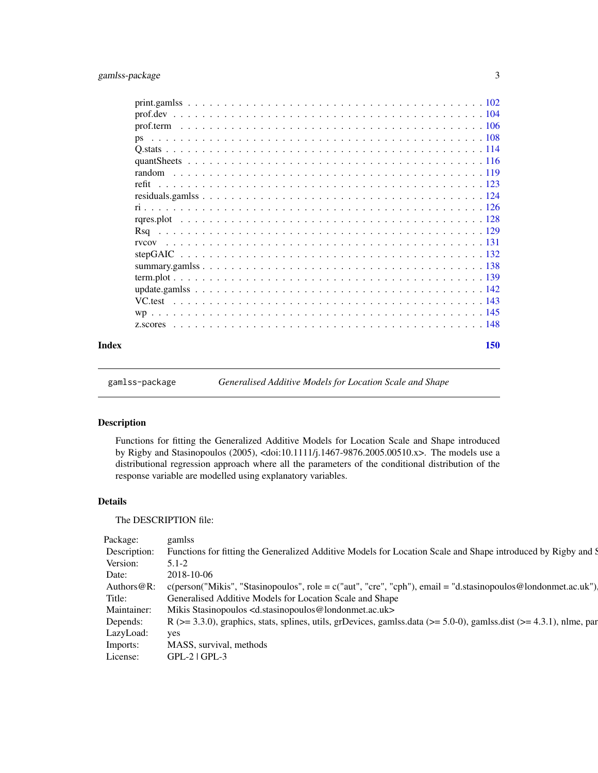<span id="page-2-0"></span>

| Index | 150 |
|-------|-----|
|       |     |
|       |     |
|       |     |
|       |     |
|       |     |
|       |     |
|       |     |
|       |     |
|       |     |
|       |     |
|       |     |
|       |     |
|       |     |
|       |     |
|       |     |
|       |     |
|       |     |
|       |     |
|       |     |
|       |     |

gamlss-package *Generalised Additive Models for Location Scale and Shape*

### Description

Functions for fitting the Generalized Additive Models for Location Scale and Shape introduced by Rigby and Stasinopoulos (2005), <doi:10.1111/j.1467-9876.2005.00510.x>. The models use a distributional regression approach where all the parameters of the conditional distribution of the response variable are modelled using explanatory variables.

### Details

The DESCRIPTION file:

| Package:     | gamiss                                                                                                                          |
|--------------|---------------------------------------------------------------------------------------------------------------------------------|
| Description: | Functions for fitting the Generalized Additive Models for Location Scale and Shape introduced by Rigby and S                    |
| Version:     | $5.1 - 2$                                                                                                                       |
| Date:        | 2018-10-06                                                                                                                      |
|              | Authors @R: c(person("Mikis", "Stasinopoulos", role = c("aut", "cre", "cph"), email = "d.stasinopoulos @londonmet.ac.uk").      |
| Title:       | Generalised Additive Models for Location Scale and Shape                                                                        |
| Maintainer:  | Mikis Stasinopoulos <d.stasinopoulos@londonmet.ac.uk></d.stasinopoulos@londonmet.ac.uk>                                         |
| Depends:     | R ( $>= 3.3.0$ ), graphics, stats, splines, utils, grDevices, gamlss.data ( $>= 5.0-0$ ), gamlss.dist ( $>= 4.3.1$ ), nlme, par |
| LazyLoad:    | yes                                                                                                                             |
| Imports:     | MASS, survival, methods                                                                                                         |
| License:     | $GPL-2$   $GPL-3$                                                                                                               |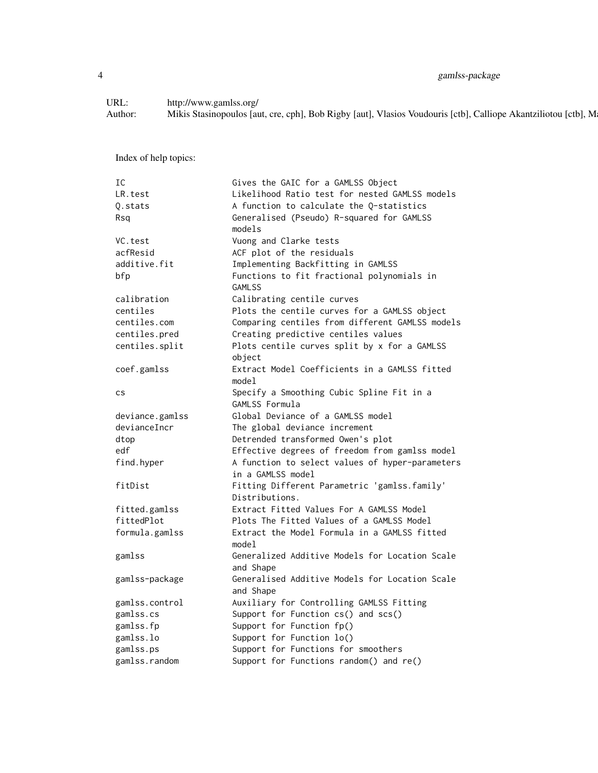4 gamlss-package

URL: http://www.gamlss.org/<br>Author: Mikis Stasinopoulos [au Mikis Stasinopoulos [aut, cre, cph], Bob Rigby [aut], Vlasios Voudouris [ctb], Calliope Akantziliotou [ctb], M

Index of help topics:

| IC              | Gives the GAIC for a GAMLSS Object              |
|-----------------|-------------------------------------------------|
| LR.test         | Likelihood Ratio test for nested GAMLSS models  |
| Q.stats         | A function to calculate the Q-statistics        |
| Rsa             | Generalised (Pseudo) R-squared for GAMLSS       |
|                 | models                                          |
| VC.test         | Vuong and Clarke tests                          |
| acfResid        | ACF plot of the residuals                       |
| additive.fit    | Implementing Backfitting in GAMLSS              |
| bfp             | Functions to fit fractional polynomials in      |
|                 | <b>GAMLSS</b>                                   |
| calibration     | Calibrating centile curves                      |
| centiles        | Plots the centile curves for a GAMLSS object    |
| centiles.com    | Comparing centiles from different GAMLSS models |
| centiles.pred   | Creating predictive centiles values             |
| centiles.split  | Plots centile curves split by x for a GAMLSS    |
|                 | object                                          |
| coef.gamlss     | Extract Model Coefficients in a GAMLSS fitted   |
|                 | model                                           |
| <b>CS</b>       | Specify a Smoothing Cubic Spline Fit in a       |
|                 | GAMLSS Formula                                  |
| deviance.gamlss | Global Deviance of a GAMLSS model               |
| devianceIncr    | The global deviance increment                   |
| dtop            | Detrended transformed Owen's plot               |
| edf             | Effective degrees of freedom from gamlss model  |
| find.hyper      | A function to select values of hyper-parameters |
|                 | in a GAMLSS model                               |
| fitDist         | Fitting Different Parametric 'gamlss.family'    |
|                 | Distributions.                                  |
| fitted.gamlss   | Extract Fitted Values For A GAMLSS Model        |
| fittedPlot      | Plots The Fitted Values of a GAMLSS Model       |
| formula.gamlss  | Extract the Model Formula in a GAMLSS fitted    |
|                 | model                                           |
| gamlss          | Generalized Additive Models for Location Scale  |
|                 | and Shape                                       |
| gamlss-package  | Generalised Additive Models for Location Scale  |
|                 | and Shape                                       |
| gamlss.control  | Auxiliary for Controlling GAMLSS Fitting        |
| gamlss.cs       | Support for Function cs() and scs()             |
| gamlss.fp       | Support for Function fp()                       |
| gamlss.lo       | Support for Function lo()                       |
| gamlss.ps       | Support for Functions for smoothers             |
| gamlss.random   | Support for Functions random() and re()         |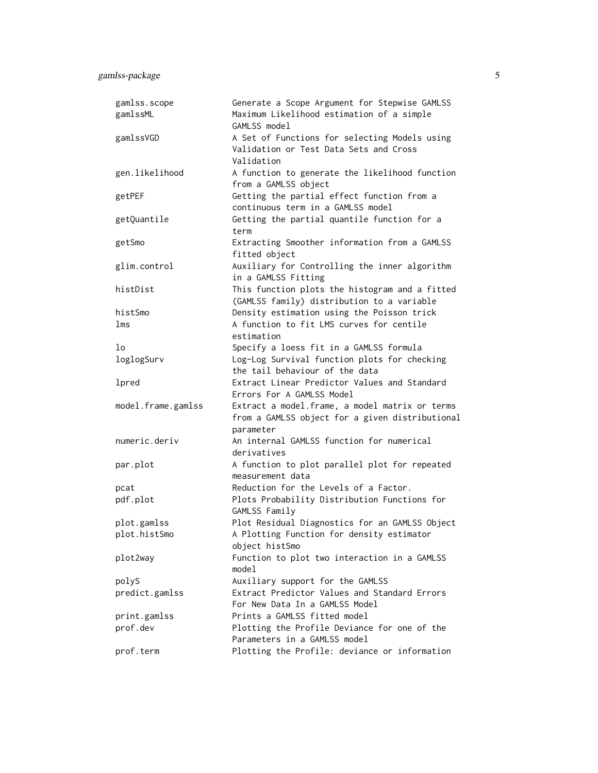| gamlss.scope<br>gamlssML | Generate a Scope Argument for Stepwise GAMLSS<br>Maximum Likelihood estimation of a simple            |
|--------------------------|-------------------------------------------------------------------------------------------------------|
|                          | GAMLSS model                                                                                          |
| gamlssVGD                | A Set of Functions for selecting Models using<br>Validation or Test Data Sets and Cross<br>Validation |
| gen.likelihood           | A function to generate the likelihood function<br>from a GAMLSS object                                |
| getPEF                   | Getting the partial effect function from a<br>continuous term in a GAMLSS model                       |
| getQuantile              | Getting the partial quantile function for a<br>term                                                   |
| getSmo                   | Extracting Smoother information from a GAMLSS<br>fitted object                                        |
| glim.control             | Auxiliary for Controlling the inner algorithm<br>in a GAMLSS Fitting                                  |
| histDist                 | This function plots the histogram and a fitted<br>(GAMLSS family) distribution to a variable          |
| histSmo                  | Density estimation using the Poisson trick                                                            |
| lms                      | A function to fit LMS curves for centile<br>estimation                                                |
| lo                       | Specify a loess fit in a GAMLSS formula                                                               |
| loglogSurv               | Log-Log Survival function plots for checking                                                          |
|                          | the tail behaviour of the data                                                                        |
| lpred                    | Extract Linear Predictor Values and Standard<br>Errors For A GAMLSS Model                             |
| model.frame.gamlss       | Extract a model.frame, a model matrix or terms<br>from a GAMLSS object for a given distributional     |
|                          | parameter                                                                                             |
| numeric.deriv            | An internal GAMLSS function for numerical<br>derivatives                                              |
| par.plot                 | A function to plot parallel plot for repeated<br>measurement data                                     |
| pcat                     | Reduction for the Levels of a Factor.                                                                 |
| pdf.plot                 | Plots Probability Distribution Functions for<br>GAMLSS Family                                         |
| plot.gamlss              | Plot Residual Diagnostics for an GAMLSS Object                                                        |
| plot.histSmo             | A Plotting Function for density estimator<br>object histSmo                                           |
| plot2way                 | Function to plot two interaction in a GAMLSS<br>model                                                 |
| polyS                    | Auxiliary support for the GAMLSS                                                                      |
| predict.gamlss           | Extract Predictor Values and Standard Errors<br>For New Data In a GAMLSS Model                        |
| print.gamlss             | Prints a GAMLSS fitted model                                                                          |
| prof.dev                 | Plotting the Profile Deviance for one of the<br>Parameters in a GAMLSS model                          |
| prof.term                | Plotting the Profile: deviance or information                                                         |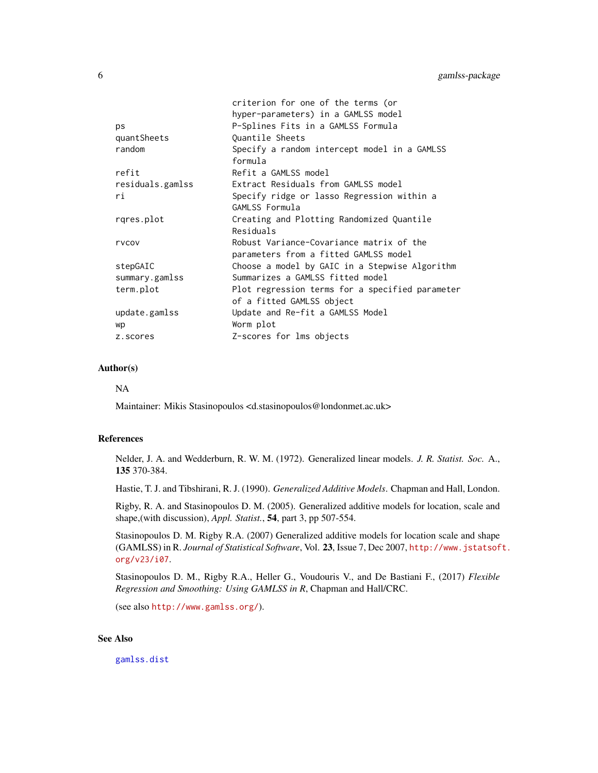|                  | criterion for one of the terms (or              |
|------------------|-------------------------------------------------|
|                  | hyper-parameters) in a GAMLSS model             |
| ps               | P-Splines Fits in a GAMLSS Formula              |
| quantSheets      | Ouantile Sheets                                 |
| random           | Specify a random intercept model in a GAMLSS    |
|                  | formula                                         |
| refit            | Refit a GAMLSS model                            |
| residuals.gamlss | Extract Residuals from GAMLSS model             |
| ri               | Specify ridge or lasso Regression within a      |
|                  | GAMLSS Formula                                  |
| rgres.plot       | Creating and Plotting Randomized Quantile       |
|                  | Residuals                                       |
| rvcov            | Robust Variance-Covariance matrix of the        |
|                  | parameters from a fitted GAMLSS model           |
| stepGAIC         | Choose a model by GAIC in a Stepwise Algorithm  |
| summary.gamlss   | Summarizes a GAMLSS fitted model                |
| term.plot        | Plot regression terms for a specified parameter |
|                  | of a fitted GAMLSS object                       |
| update.gamlss    | Update and Re-fit a GAMLSS Model                |
| wp               | Worm plot                                       |
| z.scores         | Z-scores for lms objects                        |

### Author(s)

NA

Maintainer: Mikis Stasinopoulos <d.stasinopoulos@londonmet.ac.uk>

#### References

Nelder, J. A. and Wedderburn, R. W. M. (1972). Generalized linear models. *J. R. Statist. Soc.* A., 135 370-384.

Hastie, T. J. and Tibshirani, R. J. (1990). *Generalized Additive Models*. Chapman and Hall, London.

Rigby, R. A. and Stasinopoulos D. M. (2005). Generalized additive models for location, scale and shape,(with discussion), *Appl. Statist.*, 54, part 3, pp 507-554.

Stasinopoulos D. M. Rigby R.A. (2007) Generalized additive models for location scale and shape (GAMLSS) in R. *Journal of Statistical Software*, Vol. 23, Issue 7, Dec 2007, [http://www.jstatsof](http://www.jstatsoft.org/v23/i07)t. [org/v23/i07](http://www.jstatsoft.org/v23/i07).

Stasinopoulos D. M., Rigby R.A., Heller G., Voudouris V., and De Bastiani F., (2017) *Flexible Regression and Smoothing: Using GAMLSS in R*, Chapman and Hall/CRC.

(see also <http://www.gamlss.org/>).

### See Also

[gamlss.dist](#page-0-0)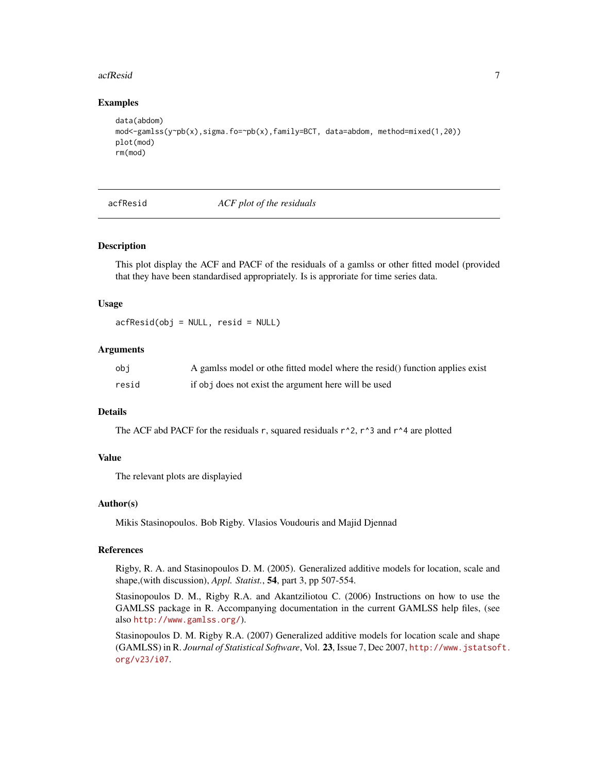#### <span id="page-6-0"></span>acfResid 7 **7**

### Examples

```
data(abdom)
mod<-gamlss(y~pb(x),sigma.fo=~pb(x),family=BCT, data=abdom, method=mixed(1,20))
plot(mod)
rm(mod)
```
#### acfResid *ACF plot of the residuals*

#### Description

This plot display the ACF and PACF of the residuals of a gamlss or other fitted model (provided that they have been standardised appropriately. Is is approriate for time series data.

#### Usage

acfResid(obj = NULL, resid = NULL)

#### Arguments

| obj   | A gamlss model or othe fitted model where the resid() function applies exist |
|-------|------------------------------------------------------------------------------|
| resid | if obj does not exist the argument here will be used                         |

### Details

The ACF abd PACF for the residuals r, squared residuals  $r^2$ , r<sup> $3$ </sup> and r<sup> $4$ </sup> are plotted

### Value

The relevant plots are displayied

### Author(s)

Mikis Stasinopoulos. Bob Rigby. Vlasios Voudouris and Majid Djennad

#### References

Rigby, R. A. and Stasinopoulos D. M. (2005). Generalized additive models for location, scale and shape,(with discussion), *Appl. Statist.*, 54, part 3, pp 507-554.

Stasinopoulos D. M., Rigby R.A. and Akantziliotou C. (2006) Instructions on how to use the GAMLSS package in R. Accompanying documentation in the current GAMLSS help files, (see also <http://www.gamlss.org/>).

Stasinopoulos D. M. Rigby R.A. (2007) Generalized additive models for location scale and shape (GAMLSS) in R. *Journal of Statistical Software*, Vol. 23, Issue 7, Dec 2007, [http://www.jstatsof](http://www.jstatsoft.org/v23/i07)t. [org/v23/i07](http://www.jstatsoft.org/v23/i07).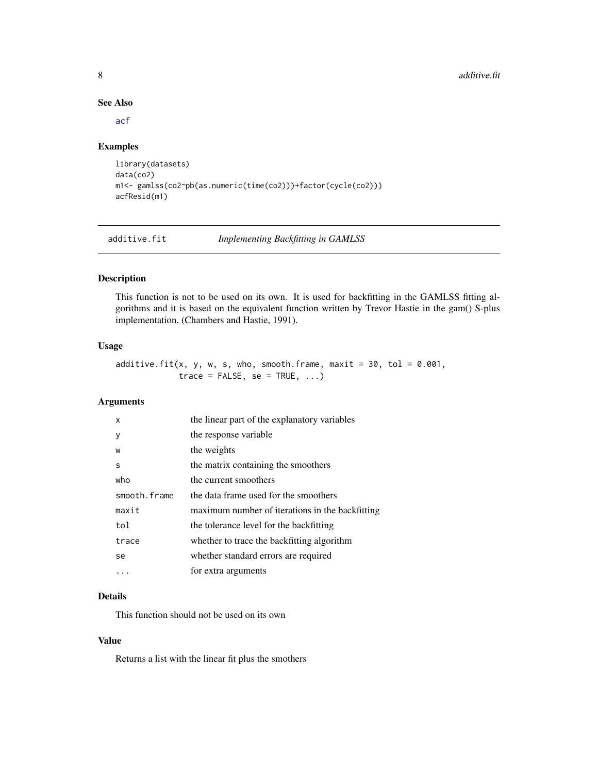### See Also

[acf](#page-0-0)

#### Examples

```
library(datasets)
data(co2)
m1<- gamlss(co2~pb(as.numeric(time(co2)))+factor(cycle(co2)))
acfResid(m1)
```
<span id="page-7-1"></span>additive.fit *Implementing Backfitting in GAMLSS*

### Description

This function is not to be used on its own. It is used for backfitting in the GAMLSS fitting algorithms and it is based on the equivalent function written by Trevor Hastie in the gam() S-plus implementation, (Chambers and Hastie, 1991).

#### Usage

additive.fit(x, y, w, s, who, smooth.frame, maxit =  $30$ , tol =  $0.001$ ,  $trace = FALSE, se = TRUE, ...)$ 

### Arguments

| X            | the linear part of the explanatory variables    |
|--------------|-------------------------------------------------|
| y            | the response variable                           |
| W            | the weights                                     |
| S            | the matrix containing the smoothers             |
| who          | the current smoothers                           |
| smooth.frame | the data frame used for the smoothers           |
| maxit        | maximum number of iterations in the backfitting |
| tol          | the tolerance level for the backfitting         |
| trace        | whether to trace the backfitting algorithm      |
| se           | whether standard errors are required            |
| .            | for extra arguments                             |

### Details

This function should not be used on its own

### Value

Returns a list with the linear fit plus the smothers

<span id="page-7-0"></span>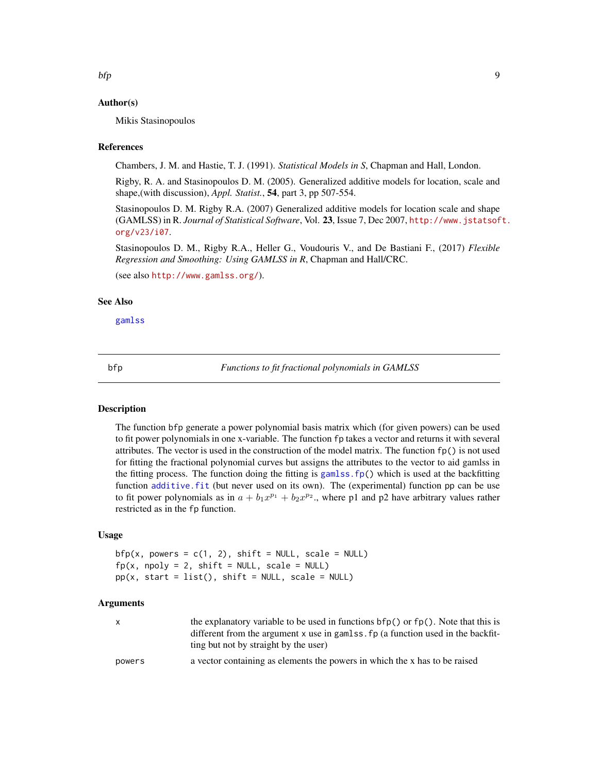### <span id="page-8-0"></span>Author(s)

Mikis Stasinopoulos

#### References

Chambers, J. M. and Hastie, T. J. (1991). *Statistical Models in S*, Chapman and Hall, London.

Rigby, R. A. and Stasinopoulos D. M. (2005). Generalized additive models for location, scale and shape,(with discussion), *Appl. Statist.*, 54, part 3, pp 507-554.

Stasinopoulos D. M. Rigby R.A. (2007) Generalized additive models for location scale and shape (GAMLSS) in R. *Journal of Statistical Software*, Vol. 23, Issue 7, Dec 2007, [http://www.jstatsof](http://www.jstatsoft.org/v23/i07)t. [org/v23/i07](http://www.jstatsoft.org/v23/i07).

Stasinopoulos D. M., Rigby R.A., Heller G., Voudouris V., and De Bastiani F., (2017) *Flexible Regression and Smoothing: Using GAMLSS in R*, Chapman and Hall/CRC.

(see also <http://www.gamlss.org/>).

#### See Also

[gamlss](#page-40-1)

bfp *Functions to fit fractional polynomials in GAMLSS*

### **Description**

The function bfp generate a power polynomial basis matrix which (for given powers) can be used to fit power polynomials in one x-variable. The function fp takes a vector and returns it with several attributes. The vector is used in the construction of the model matrix. The function  $fp()$  is not used for fitting the fractional polynomial curves but assigns the attributes to the vector to aid gamlss in the fitting process. The function doing the fitting is gamlss.  $fp()$  which is used at the backfitting function [additive.fit](#page-7-1) (but never used on its own). The (experimental) function pp can be use to fit power polynomials as in  $a + b_1 x^{p_1} + b_2 x^{p_2}$ , where p1 and p2 have arbitrary values rather restricted as in the fp function.

### Usage

 $bfp(x, powers = c(1, 2), shift = NULL, scale = NULL)$  $fp(x, npoly = 2, shift = NULL, scale = NULL)$  $pp(x, start = list(), shift = NULL, scale = NULL)$ 

### Arguments

| X      | the explanatory variable to be used in functions $bfp()$ or $fp()$ . Note that this is |
|--------|----------------------------------------------------------------------------------------|
|        | different from the argument x use in gamlss, fp (a function used in the backfit-       |
|        | ting but not by straight by the user)                                                  |
| powers | a vector containing as elements the powers in which the x has to be raised             |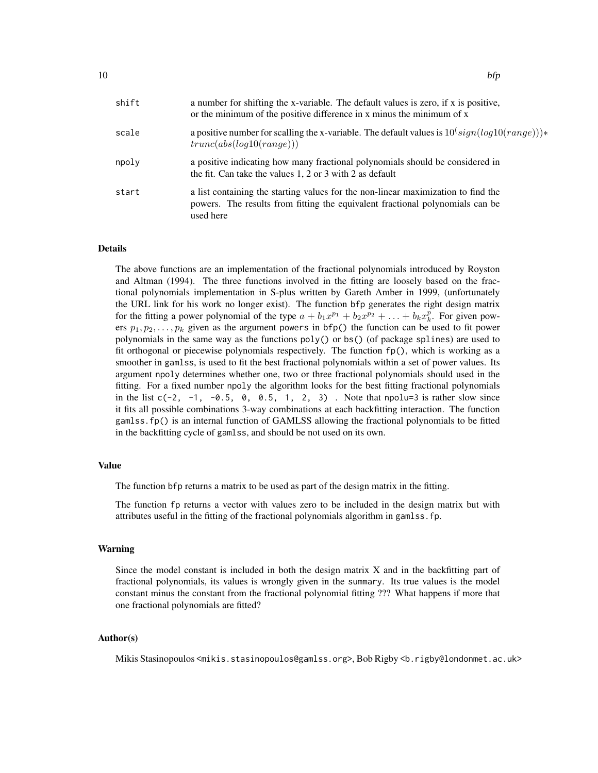| shift | a number for shifting the x-variable. The default values is zero, if x is positive,<br>or the minimum of the positive difference in x minus the minimum of x                    |
|-------|---------------------------------------------------------------------------------------------------------------------------------------------------------------------------------|
| scale | a positive number for scalling the x-variable. The default values is $10$ <sup>(sign(log10(range)))*</sup><br>trunc(abs(log10(range)))                                          |
| npoly | a positive indicating how many fractional polynomials should be considered in<br>the fit. Can take the values $1, 2$ or $3$ with $2$ as default                                 |
| start | a list containing the starting values for the non-linear maximization to find the<br>powers. The results from fitting the equivalent fractional polynomials can be<br>used here |

#### Details

The above functions are an implementation of the fractional polynomials introduced by Royston and Altman (1994). The three functions involved in the fitting are loosely based on the fractional polynomials implementation in S-plus written by Gareth Amber in 1999, (unfortunately the URL link for his work no longer exist). The function bfp generates the right design matrix for the fitting a power polynomial of the type  $a + b_1x^{p_1} + b_2x^{p_2} + \ldots + b_kx_k^p$ . For given powers  $p_1, p_2, \ldots, p_k$  given as the argument powers in bfp() the function can be used to fit power polynomials in the same way as the functions  $poly()$  or bs() (of package splines) are used to fit orthogonal or piecewise polynomials respectively. The function fp(), which is working as a smoother in gamlss, is used to fit the best fractional polynomials within a set of power values. Its argument npoly determines whether one, two or three fractional polynomials should used in the fitting. For a fixed number npoly the algorithm looks for the best fitting fractional polynomials in the list  $c(-2, -1, -0.5, 0, 0.5, 1, 2, 3)$ . Note that npolu=3 is rather slow since it fits all possible combinations 3-way combinations at each backfitting interaction. The function gamlss.fp() is an internal function of GAMLSS allowing the fractional polynomials to be fitted in the backfitting cycle of gamlss, and should be not used on its own.

#### Value

The function bfp returns a matrix to be used as part of the design matrix in the fitting.

The function fp returns a vector with values zero to be included in the design matrix but with attributes useful in the fitting of the fractional polynomials algorithm in gamlss.fp.

#### Warning

Since the model constant is included in both the design matrix X and in the backfitting part of fractional polynomials, its values is wrongly given in the summary. Its true values is the model constant minus the constant from the fractional polynomial fitting ??? What happens if more that one fractional polynomials are fitted?

### Author(s)

Mikis Stasinopoulos <mikis.stasinopoulos@gamlss.org>, Bob Rigby <b.rigby@londonmet.ac.uk>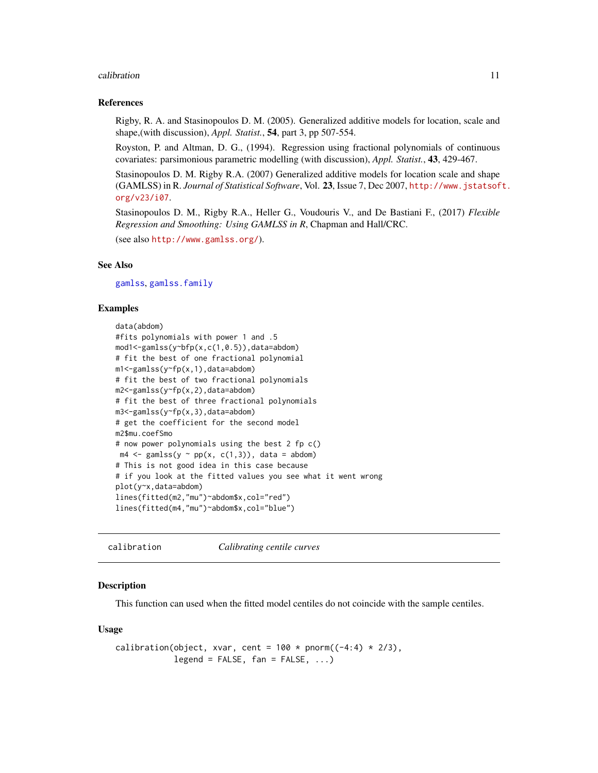#### <span id="page-10-0"></span>calibration and the contract of the contract of the contract of the contract of the contract of the contract of the contract of the contract of the contract of the contract of the contract of the contract of the contract o

#### References

Rigby, R. A. and Stasinopoulos D. M. (2005). Generalized additive models for location, scale and shape,(with discussion), *Appl. Statist.*, 54, part 3, pp 507-554.

Royston, P. and Altman, D. G., (1994). Regression using fractional polynomials of continuous covariates: parsimonious parametric modelling (with discussion), *Appl. Statist.*, 43, 429-467.

Stasinopoulos D. M. Rigby R.A. (2007) Generalized additive models for location scale and shape (GAMLSS) in R. *Journal of Statistical Software*, Vol. 23, Issue 7, Dec 2007, [http://www.jstatsof](http://www.jstatsoft.org/v23/i07)t. [org/v23/i07](http://www.jstatsoft.org/v23/i07).

Stasinopoulos D. M., Rigby R.A., Heller G., Voudouris V., and De Bastiani F., (2017) *Flexible Regression and Smoothing: Using GAMLSS in R*, Chapman and Hall/CRC.

(see also <http://www.gamlss.org/>).

#### See Also

[gamlss](#page-40-1), [gamlss.family](#page-0-0)

#### Examples

```
data(abdom)
#fits polynomials with power 1 and .5
mod1<-gamlss(y~bfp(x,c(1,0.5)),data=abdom)
# fit the best of one fractional polynomial
m1<-gamlss(y~fp(x,1),data=abdom)
# fit the best of two fractional polynomials
m2<-gamlss(y~fp(x,2),data=abdom)
# fit the best of three fractional polynomials
m3<-gamlss(y~fp(x,3),data=abdom)
# get the coefficient for the second model
m2$mu.coefSmo
# now power polynomials using the best 2 fp c()
m4 \leq gamlss(y \sim pp(x, c(1,3)), data = abdom)
# This is not good idea in this case because
# if you look at the fitted values you see what it went wrong
plot(y~x,data=abdom)
lines(fitted(m2,"mu")~abdom$x,col="red")
lines(fitted(m4,"mu")~abdom$x,col="blue")
```
calibration *Calibrating centile curves*

#### **Description**

This function can used when the fitted model centiles do not coincide with the sample centiles.

#### Usage

```
calibration(object, xvar, cent = 100 * pnorm((-4:4) * 2/3),
           legend = FALSE, fan = FALSE, ...)
```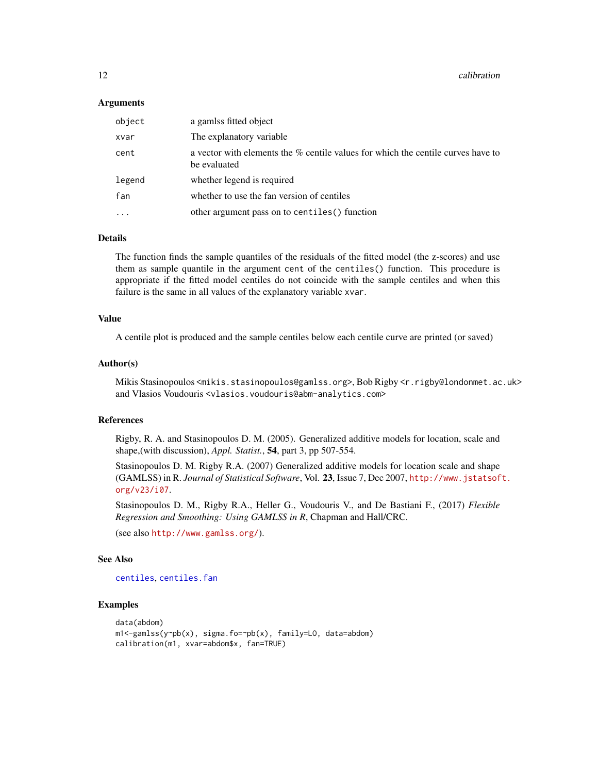12 calibration and the contract of the contract of the contract of the contract of the contract of the contract of the contract of the contract of the contract of the contract of the contract of the contract of the contrac

#### Arguments

| object  | a gamlss fitted object                                                                           |
|---------|--------------------------------------------------------------------------------------------------|
| xvar    | The explanatory variable                                                                         |
| cent    | a vector with elements the % centile values for which the centile curves have to<br>be evaluated |
| legend  | whether legend is required                                                                       |
| fan     | whether to use the fan version of centiles                                                       |
| $\cdot$ | other argument pass on to centiles () function                                                   |

### Details

The function finds the sample quantiles of the residuals of the fitted model (the z-scores) and use them as sample quantile in the argument cent of the centiles() function. This procedure is appropriate if the fitted model centiles do not coincide with the sample centiles and when this failure is the same in all values of the explanatory variable xvar.

### Value

A centile plot is produced and the sample centiles below each centile curve are printed (or saved)

#### Author(s)

Mikis Stasinopoulos <mikis.stasinopoulos@gamlss.org>, Bob Rigby <r.rigby@londonmet.ac.uk> and Vlasios Voudouris <vlasios.voudouris@abm-analytics.com>

### References

Rigby, R. A. and Stasinopoulos D. M. (2005). Generalized additive models for location, scale and shape,(with discussion), *Appl. Statist.*, 54, part 3, pp 507-554.

Stasinopoulos D. M. Rigby R.A. (2007) Generalized additive models for location scale and shape (GAMLSS) in R. *Journal of Statistical Software*, Vol. 23, Issue 7, Dec 2007, [http://www.jstatsof](http://www.jstatsoft.org/v23/i07)t. [org/v23/i07](http://www.jstatsoft.org/v23/i07).

Stasinopoulos D. M., Rigby R.A., Heller G., Voudouris V., and De Bastiani F., (2017) *Flexible Regression and Smoothing: Using GAMLSS in R*, Chapman and Hall/CRC.

(see also <http://www.gamlss.org/>).

### See Also

```
centiles, centiles.fan
```
#### Examples

```
data(abdom)
m1<-gamlss(y~pb(x), sigma.fo=~pb(x), family=LO, data=abdom)
calibration(m1, xvar=abdom$x, fan=TRUE)
```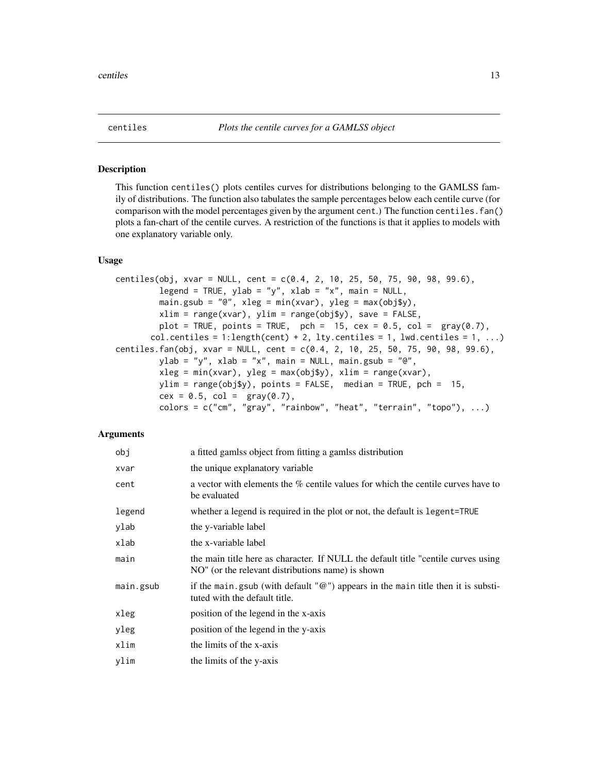<span id="page-12-1"></span><span id="page-12-0"></span>

#### <span id="page-12-2"></span>Description

This function centiles() plots centiles curves for distributions belonging to the GAMLSS family of distributions. The function also tabulates the sample percentages below each centile curve (for comparison with the model percentages given by the argument cent.) The function centiles.fan() plots a fan-chart of the centile curves. A restriction of the functions is that it applies to models with one explanatory variable only.

#### Usage

```
centiles(obj, xvar = NULL, cent = c(0.4, 2, 10, 25, 50, 75, 90, 98, 99.6),
         legend = TRUE, ylab = "y", xlab = "x", main = NULL,
         main.gsub = "@", xleg = min(xvar), yleg = max(obj$y),
         xlim = range(xvar), ylim = range(obj$y), save = FALSE,
         plot = TRUE, points = TRUE, pch = 15, cex = 0.5, col = gray(0.7),
       col.centiles = 1:length(cent) + 2, lty.centiles = 1, lwd.centiles = 1, ...)
centiles.fan(obj, xvar = NULL, cent = c(0.4, 2, 10, 25, 50, 75, 90, 98, 99.6),
         ylab = "y", xlab = "x", main = NULL, main.gsub = "@",
         xleg = min(xvar), yleg = max(objsy), xlim = range(xvar),ylim = range(obj$y), points = FALSE, median = TRUE, pch = 15,
         cex = 0.5, col = \text{gray}(0.7),
         colors = c("cm", "gray", "rainbow", "heat", "ternain", "topo"), ...
```
### Arguments

| obj       | a fitted gamlss object from fitting a gamlss distribution                                                                              |
|-----------|----------------------------------------------------------------------------------------------------------------------------------------|
| xvar      | the unique explanatory variable                                                                                                        |
| cent      | a vector with elements the % centile values for which the centile curves have to<br>be evaluated                                       |
| legend    | whether a legend is required in the plot or not, the default is legent=TRUE                                                            |
| ylab      | the y-variable label                                                                                                                   |
| xlab      | the x-variable label                                                                                                                   |
| main      | the main title here as character. If NULL the default title "centile curves using<br>NO" (or the relevant distributions name) is shown |
| main.gsub | if the main.gsub (with default $\mathcal{O}(w)$ ) appears in the main title then it is substi-<br>tuted with the default title.        |
| xleg      | position of the legend in the x-axis                                                                                                   |
| yleg      | position of the legend in the y-axis                                                                                                   |
| xlim      | the limits of the x-axis                                                                                                               |
| ylim      | the limits of the y-axis                                                                                                               |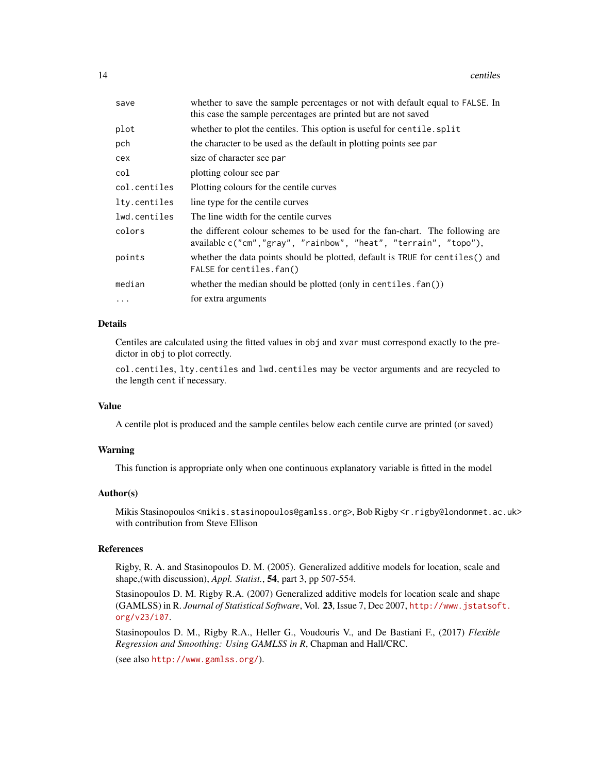| save         | whether to save the sample percentages or not with default equal to FALSE. In<br>this case the sample percentages are printed but are not saved |
|--------------|-------------------------------------------------------------------------------------------------------------------------------------------------|
| plot         | whether to plot the centiles. This option is useful for centile. split                                                                          |
| pch          | the character to be used as the default in plotting points see par                                                                              |
| cex          | size of character see par                                                                                                                       |
| col          | plotting colour see par                                                                                                                         |
| col.centiles | Plotting colours for the centile curves                                                                                                         |
| lty.centiles | line type for the centile curves                                                                                                                |
| lwd.centiles | The line width for the centile curves                                                                                                           |
| colors       | the different colour schemes to be used for the fan-chart. The following are<br>available c("cm","gray", "rainbow", "heat", "terrain", "topo"), |
| points       | whether the data points should be plotted, default is TRUE for centiles () and<br>FALSE for centiles.fan()                                      |
| median       | whether the median should be plotted (only in centiles. $fan()$ )                                                                               |
| $\ddots$ .   | for extra arguments                                                                                                                             |

### Details

Centiles are calculated using the fitted values in obj and xvar must correspond exactly to the predictor in obj to plot correctly.

col.centiles, lty.centiles and lwd.centiles may be vector arguments and are recycled to the length cent if necessary.

#### Value

A centile plot is produced and the sample centiles below each centile curve are printed (or saved)

#### Warning

This function is appropriate only when one continuous explanatory variable is fitted in the model

#### Author(s)

Mikis Stasinopoulos <mikis.stasinopoulos@gamlss.org>, Bob Rigby <r.rigby@londonmet.ac.uk> with contribution from Steve Ellison

#### References

Rigby, R. A. and Stasinopoulos D. M. (2005). Generalized additive models for location, scale and shape,(with discussion), *Appl. Statist.*, 54, part 3, pp 507-554.

Stasinopoulos D. M. Rigby R.A. (2007) Generalized additive models for location scale and shape (GAMLSS) in R. *Journal of Statistical Software*, Vol. 23, Issue 7, Dec 2007, [http://www.jstatsof](http://www.jstatsoft.org/v23/i07)t. [org/v23/i07](http://www.jstatsoft.org/v23/i07).

Stasinopoulos D. M., Rigby R.A., Heller G., Voudouris V., and De Bastiani F., (2017) *Flexible Regression and Smoothing: Using GAMLSS in R*, Chapman and Hall/CRC.

(see also <http://www.gamlss.org/>).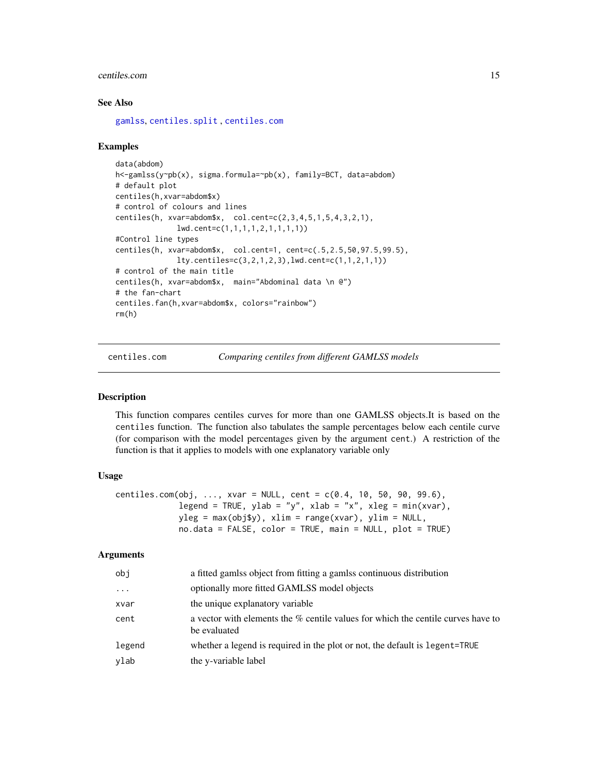#### <span id="page-14-0"></span>centiles.com and the control of the control of the control of the control of the control of the control of the control of the control of the control of the control of the control of the control of the control of the contro

#### See Also

[gamlss](#page-40-1), [centiles.split](#page-18-1) , [centiles.com](#page-14-1)

### Examples

```
data(abdom)
h<-gamlss(y~pb(x), sigma.formula=~pb(x), family=BCT, data=abdom)
# default plot
centiles(h,xvar=abdom$x)
# control of colours and lines
centiles(h, xvar=abdom$x, col.cent=c(2,3,4,5,1,5,4,3,2,1),
              lwd.cent=c(1,1,1,1,2,1,1,1,1))
#Control line types
centiles(h, xvar=abdom$x, col.cent=1, cent=c(.5,2.5,50,97.5,99.5),
              lty.centiles=c(3,2,1,2,3),lwd.cent=c(1,1,2,1,1))
# control of the main title
centiles(h, xvar=abdom$x, main="Abdominal data \n @")
# the fan-chart
centiles.fan(h,xvar=abdom$x, colors="rainbow")
rm(h)
```
<span id="page-14-1"></span>centiles.com *Comparing centiles from different GAMLSS models*

### Description

This function compares centiles curves for more than one GAMLSS objects.It is based on the centiles function. The function also tabulates the sample percentages below each centile curve (for comparison with the model percentages given by the argument cent.) A restriction of the function is that it applies to models with one explanatory variable only

### Usage

```
centiles.com(obj, ..., xvar = NULL, cent = c(0.4, 10, 50, 90, 99.6),
             legend = TRUE, ylab = "y", xlab = "x", xleg = min(xvar),
             vleg = max(obj$v), xlim = range(xvar), ylim = NULL,
             no.data = FALSE, color = TRUE, main = NULL, plot = TRUE)
```
#### **Arguments**

| obj      | a fitted gamlss object from fitting a gamlss continuous distribution                             |
|----------|--------------------------------------------------------------------------------------------------|
| $\cdots$ | optionally more fitted GAMLSS model objects                                                      |
| xvar     | the unique explanatory variable                                                                  |
| cent     | a vector with elements the % centile values for which the centile curves have to<br>be evaluated |
| legend   | whether a legend is required in the plot or not, the default is legent=TRUE                      |
| ylab     | the y-variable label                                                                             |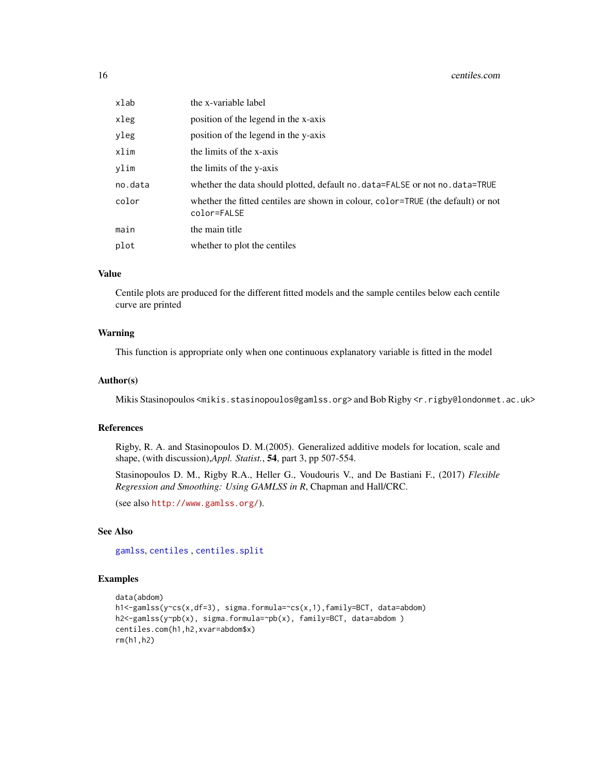| xlab    | the x-variable label                                                                            |
|---------|-------------------------------------------------------------------------------------------------|
| xleg    | position of the legend in the x-axis                                                            |
| yleg    | position of the legend in the y-axis                                                            |
| xlim    | the limits of the x-axis                                                                        |
| ylim    | the limits of the y-axis                                                                        |
| no.data | whether the data should plotted, default no. data=FALSE or not no. data=TRUE                    |
| color   | whether the fitted centiles are shown in colour, color=TRUE (the default) or not<br>color=FALSE |
| main    | the main title                                                                                  |
| plot    | whether to plot the centiles                                                                    |

### Value

Centile plots are produced for the different fitted models and the sample centiles below each centile curve are printed

### Warning

This function is appropriate only when one continuous explanatory variable is fitted in the model

#### Author(s)

Mikis Stasinopoulos <mikis.stasinopoulos@gamlss.org> and Bob Rigby <r.rigby@londonmet.ac.uk>

#### References

Rigby, R. A. and Stasinopoulos D. M.(2005). Generalized additive models for location, scale and shape, (with discussion),*Appl. Statist.*, 54, part 3, pp 507-554.

Stasinopoulos D. M., Rigby R.A., Heller G., Voudouris V., and De Bastiani F., (2017) *Flexible Regression and Smoothing: Using GAMLSS in R*, Chapman and Hall/CRC.

(see also <http://www.gamlss.org/>).

### See Also

[gamlss](#page-40-1), [centiles](#page-12-1) , [centiles.split](#page-18-1)

### Examples

```
data(abdom)
h1<-gamlss(y~cs(x,df=3), sigma.formula=~cs(x,1),family=BCT, data=abdom)
h2<-gamlss(y~pb(x), sigma.formula=~pb(x), family=BCT, data=abdom )
centiles.com(h1,h2,xvar=abdom$x)
rm(h1,h2)
```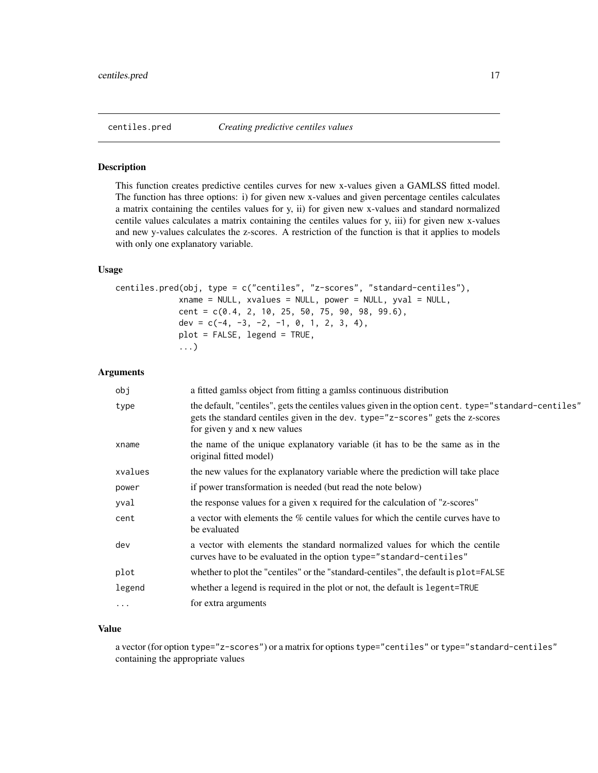<span id="page-16-0"></span>

#### Description

This function creates predictive centiles curves for new x-values given a GAMLSS fitted model. The function has three options: i) for given new x-values and given percentage centiles calculates a matrix containing the centiles values for y, ii) for given new x-values and standard normalized centile values calculates a matrix containing the centiles values for y, iii) for given new x-values and new y-values calculates the z-scores. A restriction of the function is that it applies to models with only one explanatory variable.

#### Usage

```
centiles.pred(obj, type = c("centiles", "z-scores", "standard-centiles"),
             xname = NULL, xvalues = NULL, power = NULL, yval = NULL,
             cent = c(0.4, 2, 10, 25, 50, 75, 90, 98, 99.6),
            dev = c(-4, -3, -2, -1, 0, 1, 2, 3, 4),
             plot = FALSE, legend = TRUE,
             ...)
```
### Arguments

| obj      | a fitted gamlss object from fitting a gamlss continuous distribution                                                                                                                                                   |
|----------|------------------------------------------------------------------------------------------------------------------------------------------------------------------------------------------------------------------------|
| type     | the default, "centiles", gets the centiles values given in the option cent. type="standard-centiles"<br>gets the standard centiles given in the dev. type="z-scores" gets the z-scores<br>for given y and x new values |
| xname    | the name of the unique explanatory variable (it has to be the same as in the<br>original fitted model)                                                                                                                 |
| xvalues  | the new values for the explanatory variable where the prediction will take place                                                                                                                                       |
| power    | if power transformation is needed (but read the note below)                                                                                                                                                            |
| yval     | the response values for a given x required for the calculation of "z-scores"                                                                                                                                           |
| cent     | a vector with elements the % centile values for which the centile curves have to<br>be evaluated                                                                                                                       |
| dev      | a vector with elements the standard normalized values for which the centile<br>curves have to be evaluated in the option type="standard-centiles"                                                                      |
| plot     | whether to plot the "centiles" or the "standard-centiles", the default is plot=FALSE                                                                                                                                   |
| legend   | whether a legend is required in the plot or not, the default is legent=TRUE                                                                                                                                            |
| $\cdots$ | for extra arguments                                                                                                                                                                                                    |

### Value

a vector (for option type="z-scores") or a matrix for options type="centiles" or type="standard-centiles" containing the appropriate values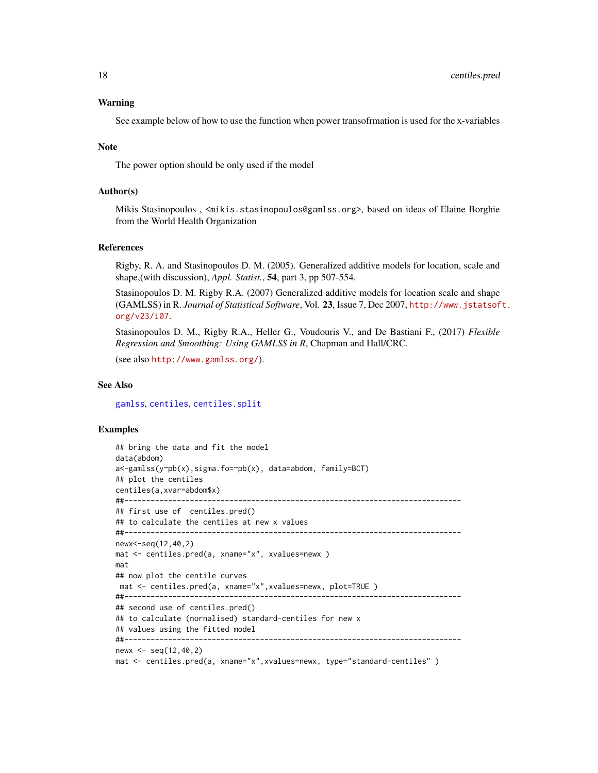### Warning

See example below of how to use the function when power transofrmation is used for the x-variables

#### **Note**

The power option should be only used if the model

### Author(s)

Mikis Stasinopoulos , <mikis.stasinopoulos@gamlss.org>, based on ideas of Elaine Borghie from the World Health Organization

#### References

Rigby, R. A. and Stasinopoulos D. M. (2005). Generalized additive models for location, scale and shape,(with discussion), *Appl. Statist.*, 54, part 3, pp 507-554.

Stasinopoulos D. M. Rigby R.A. (2007) Generalized additive models for location scale and shape (GAMLSS) in R. *Journal of Statistical Software*, Vol. 23, Issue 7, Dec 2007, [http://www.jstatsof](http://www.jstatsoft.org/v23/i07)t. [org/v23/i07](http://www.jstatsoft.org/v23/i07).

Stasinopoulos D. M., Rigby R.A., Heller G., Voudouris V., and De Bastiani F., (2017) *Flexible Regression and Smoothing: Using GAMLSS in R*, Chapman and Hall/CRC.

(see also <http://www.gamlss.org/>).

#### See Also

[gamlss](#page-40-1), [centiles](#page-12-1), [centiles.split](#page-18-1)

#### Examples

```
## bring the data and fit the model
data(abdom)
a<-gamlss(y~pb(x),sigma.fo=~pb(x), data=abdom, family=BCT)
## plot the centiles
centiles(a,xvar=abdom$x)
##-----------------------------------------------------------------------------
## first use of centiles.pred()
## to calculate the centiles at new x values
##-----------------------------------------------------------------------------
newx<-seq(12,40,2)
mat <- centiles.pred(a, xname="x", xvalues=newx )
mat
## now plot the centile curves
mat <- centiles.pred(a, xname="x",xvalues=newx, plot=TRUE )
##-----------------------------------------------------------------------------
## second use of centiles.pred()
## to calculate (nornalised) standard-centiles for new x
## values using the fitted model
##-----------------------------------------------------------------------------
newx <- seq(12,40,2)
mat <- centiles.pred(a, xname="x",xvalues=newx, type="standard-centiles" )
```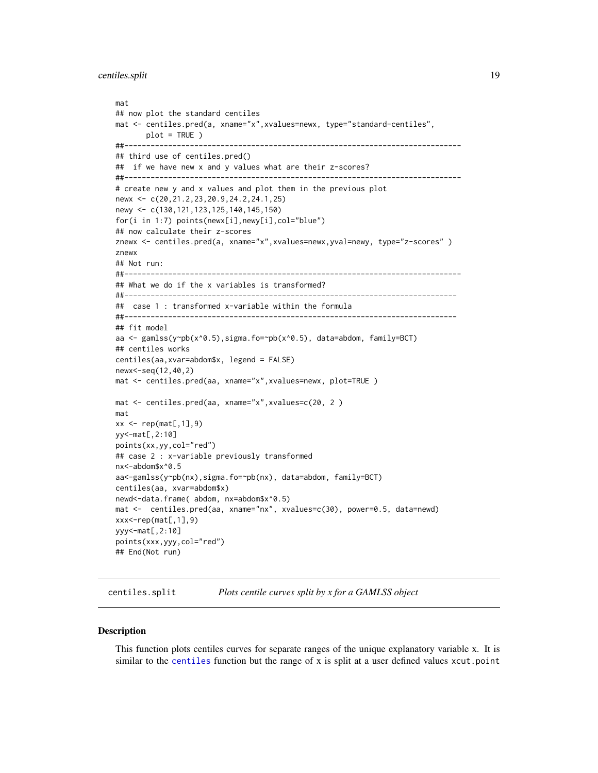```
mat
## now plot the standard centiles
mat <- centiles.pred(a, xname="x",xvalues=newx, type="standard-centiles",
       plot = TRUE )
##-----------------------------------------------------------------------------
## third use of centiles.pred()
## if we have new x and y values what are their z-scores?
##-----------------------------------------------------------------------------
# create new y and x values and plot them in the previous plot
newx <- c(20,21.2,23,20.9,24.2,24.1,25)
newy <- c(130,121,123,125,140,145,150)
for(i in 1:7) points(newx[i],newy[i],col="blue")
## now calculate their z-scores
znewx <- centiles.pred(a, xname="x",xvalues=newx,yval=newy, type="z-scores" )
znewx
## Not run:
##-----------------------------------------------------------------------------
## What we do if the x variables is transformed?
##----------------------------------------------------------------------------
## case 1 : transformed x-variable within the formula
##----------------------------------------------------------------------------
## fit model
aa <- gamlss(y~pb(x^0.5),sigma.fo=~pb(x^0.5), data=abdom, family=BCT)
## centiles works
centiles(aa,xvar=abdom$x, legend = FALSE)
newx<-seq(12,40,2)
mat <- centiles.pred(aa, xname="x",xvalues=newx, plot=TRUE )
mat <- centiles.pred(aa, xname="x",xvalues=c(20, 2 )
mat
xx \leq -\text{rep}(\text{mat}[, 1], 9)yy<-mat[,2:10]
points(xx,yy,col="red")
## case 2 : x-variable previously transformed
nx<-abdom$x^0.5
aa<-gamlss(y~pb(nx),sigma.fo=~pb(nx), data=abdom, family=BCT)
centiles(aa, xvar=abdom$x)
newd<-data.frame( abdom, nx=abdom$x^0.5)
mat <- centiles.pred(aa, xname="nx", xvalues=c(30), power=0.5, data=newd)
xxx < -rep(mat[, 1], 9)yyy<-mat[,2:10]
points(xxx,yyy,col="red")
## End(Not run)
```
<span id="page-18-1"></span>centiles.split *Plots centile curves split by x for a GAMLSS object*

#### Description

This function plots centiles curves for separate ranges of the unique explanatory variable x. It is similar to the [centiles](#page-12-1) function but the range of x is split at a user defined values xcut.point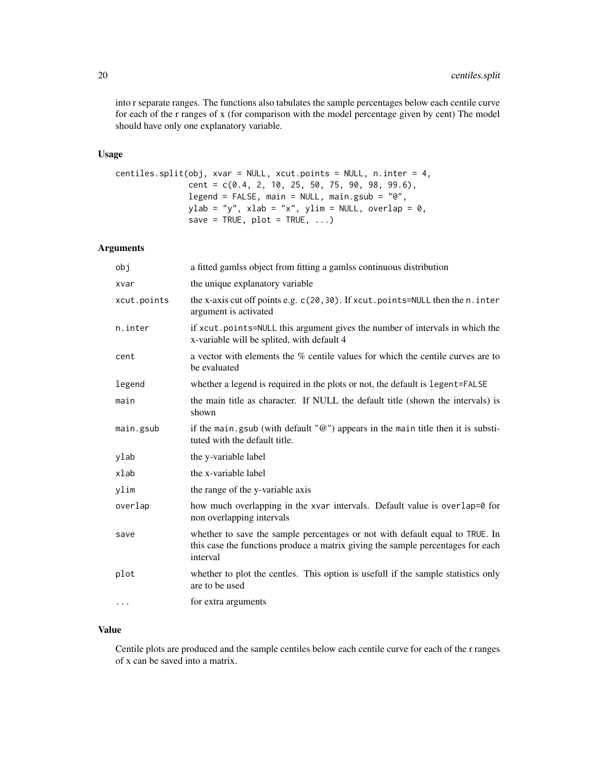into r separate ranges. The functions also tabulates the sample percentages below each centile curve for each of the r ranges of x (for comparison with the model percentage given by cent) The model should have only one explanatory variable.

#### Usage

```
centiles.split(obj, xvar = NULL, xcut.points = NULL, n.inter = 4,
              cent = c(0.4, 2, 10, 25, 50, 75, 90, 98, 99.6),
              legend = FALSE, main = NULL, main.gsub = "@",
              ylab = "y", xlab = "x", ylim = NULL, overlap = 0,
               save = TRUE, plot = TRUE, ...
```
### Arguments

| obj         | a fitted gamlss object from fitting a gamlss continuous distribution                                                                                                        |
|-------------|-----------------------------------------------------------------------------------------------------------------------------------------------------------------------------|
| xvar        | the unique explanatory variable                                                                                                                                             |
| xcut.points | the x-axis cut off points e.g. c(20,30). If xcut.points=NULL then the n.inter<br>argument is activated                                                                      |
| n.inter     | if xcut, points=NULL this argument gives the number of intervals in which the<br>x-variable will be splited, with default 4                                                 |
| cent        | a vector with elements the % centile values for which the centile curves are to<br>be evaluated                                                                             |
| legend      | whether a legend is required in the plots or not, the default is legent=FALSE                                                                                               |
| main        | the main title as character. If NULL the default title (shown the intervals) is<br>shown                                                                                    |
| main.gsub   | if the main.gsub (with default " $@$ ") appears in the main title then it is substi-<br>tuted with the default title.                                                       |
| ylab        | the y-variable label                                                                                                                                                        |
| xlab        | the x-variable label                                                                                                                                                        |
| ylim        | the range of the y-variable axis                                                                                                                                            |
| overlap     | how much overlapping in the xvar intervals. Default value is overlap=0 for<br>non overlapping intervals                                                                     |
| save        | whether to save the sample percentages or not with default equal to TRUE. In<br>this case the functions produce a matrix giving the sample percentages for each<br>interval |
| plot        | whether to plot the centles. This option is usefull if the sample statistics only<br>are to be used                                                                         |
| $\cdots$    | for extra arguments                                                                                                                                                         |
|             |                                                                                                                                                                             |

### Value

Centile plots are produced and the sample centiles below each centile curve for each of the r ranges of x can be saved into a matrix.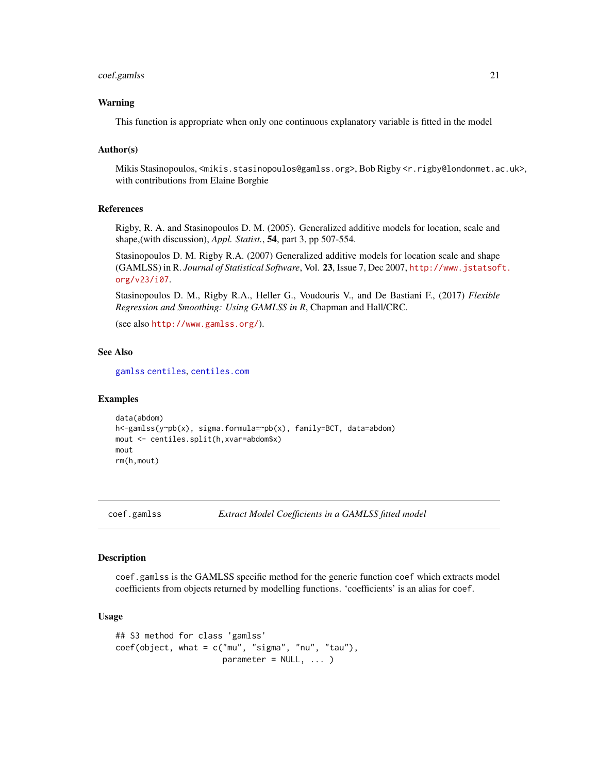#### <span id="page-20-0"></span>coef.gamlss 21

#### Warning

This function is appropriate when only one continuous explanatory variable is fitted in the model

#### Author(s)

Mikis Stasinopoulos, <mikis.stasinopoulos@gamlss.org>, Bob Rigby <r.rigby@londonmet.ac.uk>, with contributions from Elaine Borghie

### References

Rigby, R. A. and Stasinopoulos D. M. (2005). Generalized additive models for location, scale and shape,(with discussion), *Appl. Statist.*, 54, part 3, pp 507-554.

Stasinopoulos D. M. Rigby R.A. (2007) Generalized additive models for location scale and shape (GAMLSS) in R. *Journal of Statistical Software*, Vol. 23, Issue 7, Dec 2007, [http://www.jstatsof](http://www.jstatsoft.org/v23/i07)t. [org/v23/i07](http://www.jstatsoft.org/v23/i07).

Stasinopoulos D. M., Rigby R.A., Heller G., Voudouris V., and De Bastiani F., (2017) *Flexible Regression and Smoothing: Using GAMLSS in R*, Chapman and Hall/CRC.

(see also <http://www.gamlss.org/>).

#### See Also

[gamlss](#page-40-1) [centiles](#page-12-1), [centiles.com](#page-14-1)

#### Examples

```
data(abdom)
h<-gamlss(y~pb(x), sigma.formula=~pb(x), family=BCT, data=abdom)
mout <- centiles.split(h,xvar=abdom$x)
mout
rm(h,mout)
```
<span id="page-20-1"></span>coef.gamlss *Extract Model Coefficients in a GAMLSS fitted model*

### Description

coef.gamlss is the GAMLSS specific method for the generic function coef which extracts model coefficients from objects returned by modelling functions. 'coefficients' is an alias for coef.

#### Usage

```
## S3 method for class 'gamlss'
coef(object, what = c("mu", "sigma", "nu", "tau", "tau"),
                       parameter = NULL, ... )
```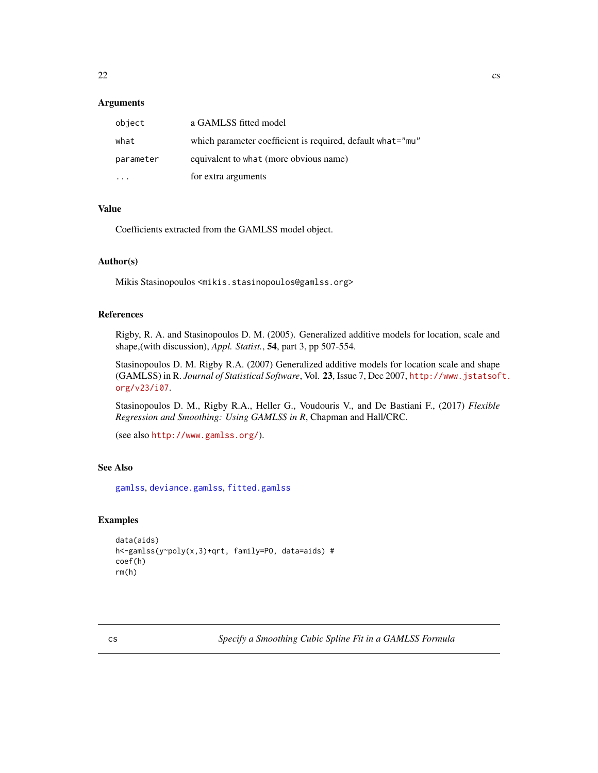### <span id="page-21-0"></span>Arguments

| object    | a GAMLSS fitted model                                      |
|-----------|------------------------------------------------------------|
| what      | which parameter coefficient is required, default what="mu" |
| parameter | equivalent to what (more obvious name)                     |
|           | for extra arguments                                        |

### Value

Coefficients extracted from the GAMLSS model object.

### Author(s)

Mikis Stasinopoulos <mikis.stasinopoulos@gamlss.org>

#### References

Rigby, R. A. and Stasinopoulos D. M. (2005). Generalized additive models for location, scale and shape,(with discussion), *Appl. Statist.*, 54, part 3, pp 507-554.

Stasinopoulos D. M. Rigby R.A. (2007) Generalized additive models for location scale and shape (GAMLSS) in R. *Journal of Statistical Software*, Vol. 23, Issue 7, Dec 2007, [http://www.jstatsof](http://www.jstatsoft.org/v23/i07)t. [org/v23/i07](http://www.jstatsoft.org/v23/i07).

Stasinopoulos D. M., Rigby R.A., Heller G., Voudouris V., and De Bastiani F., (2017) *Flexible Regression and Smoothing: Using GAMLSS in R*, Chapman and Hall/CRC.

(see also <http://www.gamlss.org/>).

### See Also

[gamlss](#page-40-1), [deviance.gamlss](#page-24-1), [fitted.gamlss](#page-37-1)

### Examples

```
data(aids)
h<-gamlss(y~poly(x,3)+qrt, family=PO, data=aids) #
coef(h)
rm(h)
```
cs *Specify a Smoothing Cubic Spline Fit in a GAMLSS Formula*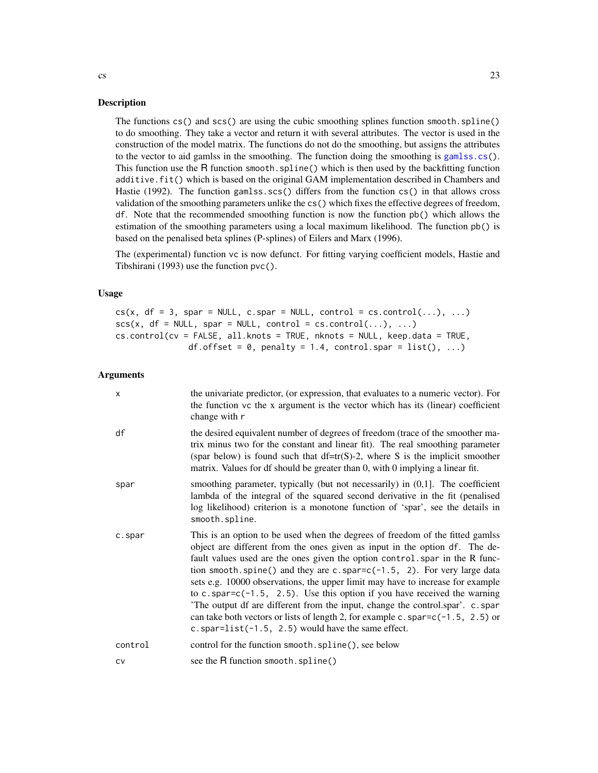#### Description

The functions cs() and scs() are using the cubic smoothing splines function smooth.spline() to do smoothing. They take a vector and return it with several attributes. The vector is used in the construction of the model matrix. The functions do not do the smoothing, but assigns the attributes to the vector to aid gamlss in the smoothing. The function doing the smoothing is [gamlss.cs\(](#page-47-1)). This function use the R function smooth.spline() which is then used by the backfitting function additive.fit() which is based on the original GAM implementation described in Chambers and Hastie (1992). The function gamlss.scs() differs from the function cs() in that allows cross validation of the smoothing parameters unlike the cs() which fixes the effective degrees of freedom, df. Note that the recommended smoothing function is now the function pb() which allows the estimation of the smoothing parameters using a local maximum likelihood. The function pb() is based on the penalised beta splines (P-splines) of Eilers and Marx (1996).

The (experimental) function vc is now defunct. For fitting varying coefficient models, Hastie and Tibshirani (1993) use the function pvc().

#### Usage

```
cs(x, df = 3, spare = NULL, c.spar = NULL, control = cs.control(...), ...scs(x, df = NULL, spare = NULL, control = cs.contrib(…), …)cs.control(cv = FALSE, all.knots = TRUE, nknots = NULL, keep.data = TRUE,
              df.offset = 0, penalty = 1.4, control.spar = list(), ...)
```
#### Arguments

| $\boldsymbol{\mathsf{x}}$ | the univariate predictor, (or expression, that evaluates to a numeric vector). For<br>the function vc the x argument is the vector which has its (linear) coefficient<br>change with r                                                                                                                                                                                                                                                                                                                                                                                                                                                                                                                                        |
|---------------------------|-------------------------------------------------------------------------------------------------------------------------------------------------------------------------------------------------------------------------------------------------------------------------------------------------------------------------------------------------------------------------------------------------------------------------------------------------------------------------------------------------------------------------------------------------------------------------------------------------------------------------------------------------------------------------------------------------------------------------------|
| df                        | the desired equivalent number of degrees of freedom (trace of the smoother ma-<br>trix minus two for the constant and linear fit). The real smoothing parameter<br>(spar below) is found such that $df = tr(S)-2$ , where S is the implicit smoother<br>matrix. Values for df should be greater than 0, with 0 implying a linear fit.                                                                                                                                                                                                                                                                                                                                                                                         |
| spar                      | smoothing parameter, typically (but not necessarily) in $(0,1]$ . The coefficient<br>lambda of the integral of the squared second derivative in the fit (penalised<br>log likelihood) criterion is a monotone function of 'spar', see the details in<br>smooth.spline.                                                                                                                                                                                                                                                                                                                                                                                                                                                        |
| c.spar                    | This is an option to be used when the degrees of freedom of the fitted gamlss<br>object are different from the ones given as input in the option df. The de-<br>fault values used are the ones given the option control. spar in the R func-<br>tion smooth.spine() and they are c.spar= $c(-1.5, 2)$ . For very large data<br>sets e.g. 10000 observations, the upper limit may have to increase for example<br>to c.spar= $c(-1.5, 2.5)$ . Use this option if you have received the warning<br>'The output df are different from the input, change the control.spar'. c.spar<br>can take both vectors or lists of length 2, for example c. spar= $c(-1.5, 2.5)$ or<br>c.spar= $list(-1.5, 2.5)$ would have the same effect. |
| control                   | control for the function smooth.spline(), see below                                                                                                                                                                                                                                                                                                                                                                                                                                                                                                                                                                                                                                                                           |
| CV                        | see the R function smooth.spline()                                                                                                                                                                                                                                                                                                                                                                                                                                                                                                                                                                                                                                                                                            |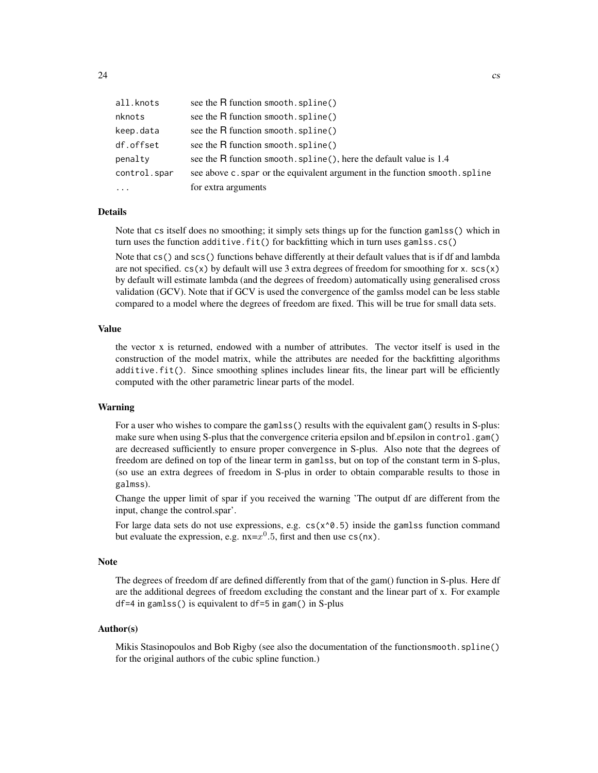| all.knots         | see the R function smooth. spline()                                       |
|-------------------|---------------------------------------------------------------------------|
| nknots            | see the R function smooth. spline()                                       |
| keep.data         | see the R function smooth.spline()                                        |
| df.offset         | see the R function smooth. spline()                                       |
| penalty           | see the R function smooth. spline(), here the default value is 1.4        |
| control.spar      | see above c.spar or the equivalent argument in the function smooth.spline |
| $\cdot\cdot\cdot$ | for extra arguments                                                       |

#### Details

Note that cs itself does no smoothing; it simply sets things up for the function gamlss() which in turn uses the function additive.fit() for backfitting which in turn uses gamlss.cs()

Note that cs() and scs() functions behave differently at their default values that is if df and lambda are not specified.  $cs(x)$  by default will use 3 extra degrees of freedom for smoothing for x.  $sc(x)$ by default will estimate lambda (and the degrees of freedom) automatically using generalised cross validation (GCV). Note that if GCV is used the convergence of the gamlss model can be less stable compared to a model where the degrees of freedom are fixed. This will be true for small data sets.

#### Value

the vector x is returned, endowed with a number of attributes. The vector itself is used in the construction of the model matrix, while the attributes are needed for the backfitting algorithms additive.fit(). Since smoothing splines includes linear fits, the linear part will be efficiently computed with the other parametric linear parts of the model.

#### Warning

For a user who wishes to compare the gamlss () results with the equivalent gam() results in S-plus: make sure when using S-plus that the convergence criteria epsilon and bf.epsilon in control.gam() are decreased sufficiently to ensure proper convergence in S-plus. Also note that the degrees of freedom are defined on top of the linear term in gamlss, but on top of the constant term in S-plus, (so use an extra degrees of freedom in S-plus in order to obtain comparable results to those in galmss).

Change the upper limit of spar if you received the warning 'The output df are different from the input, change the control.spar'.

For large data sets do not use expressions, e.g.  $cs(x \land 0.5)$  inside the gamlss function command but evaluate the expression, e.g.  $nx = x^0.5$ , first and then use cs(nx).

#### Note

The degrees of freedom df are defined differently from that of the gam() function in S-plus. Here df are the additional degrees of freedom excluding the constant and the linear part of x. For example df=4 in gamlss() is equivalent to df=5 in gam() in S-plus

#### Author(s)

Mikis Stasinopoulos and Bob Rigby (see also the documentation of the functionsmooth.spline() for the original authors of the cubic spline function.)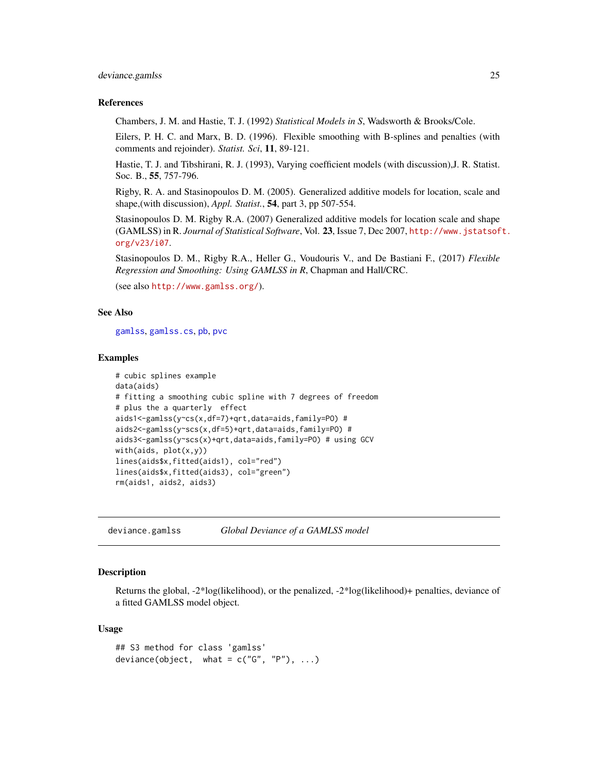#### <span id="page-24-0"></span>deviance.gamlss 25

#### References

Chambers, J. M. and Hastie, T. J. (1992) *Statistical Models in S*, Wadsworth & Brooks/Cole.

Eilers, P. H. C. and Marx, B. D. (1996). Flexible smoothing with B-splines and penalties (with comments and rejoinder). *Statist. Sci*, 11, 89-121.

Hastie, T. J. and Tibshirani, R. J. (1993), Varying coefficient models (with discussion),J. R. Statist. Soc. B., 55, 757-796.

Rigby, R. A. and Stasinopoulos D. M. (2005). Generalized additive models for location, scale and shape,(with discussion), *Appl. Statist.*, 54, part 3, pp 507-554.

Stasinopoulos D. M. Rigby R.A. (2007) Generalized additive models for location scale and shape (GAMLSS) in R. *Journal of Statistical Software*, Vol. 23, Issue 7, Dec 2007, [http://www.jstatsof](http://www.jstatsoft.org/v23/i07)t. [org/v23/i07](http://www.jstatsoft.org/v23/i07).

Stasinopoulos D. M., Rigby R.A., Heller G., Voudouris V., and De Bastiani F., (2017) *Flexible Regression and Smoothing: Using GAMLSS in R*, Chapman and Hall/CRC.

(see also <http://www.gamlss.org/>).

### See Also

[gamlss](#page-40-1), [gamlss.cs](#page-47-1), [pb](#page-107-1), [pvc](#page-107-1)

#### Examples

```
# cubic splines example
data(aids)
# fitting a smoothing cubic spline with 7 degrees of freedom
# plus the a quarterly effect
aids1<-gamlss(y~cs(x,df=7)+qrt,data=aids,family=PO) #
aids2<-gamlss(y~scs(x,df=5)+qrt,data=aids,family=PO) #
aids3<-gamlss(y~scs(x)+qrt,data=aids,family=PO) # using GCV
with(aids, plot(x,y))
lines(aids$x,fitted(aids1), col="red")
lines(aids$x,fitted(aids3), col="green")
rm(aids1, aids2, aids3)
```
<span id="page-24-1"></span>deviance.gamlss *Global Deviance of a GAMLSS model*

#### **Description**

Returns the global, -2\*log(likelihood), or the penalized, -2\*log(likelihood)+ penalties, deviance of a fitted GAMLSS model object.

#### Usage

```
## S3 method for class 'gamlss'
deviance(object, what = c("G", "P"), ...)
```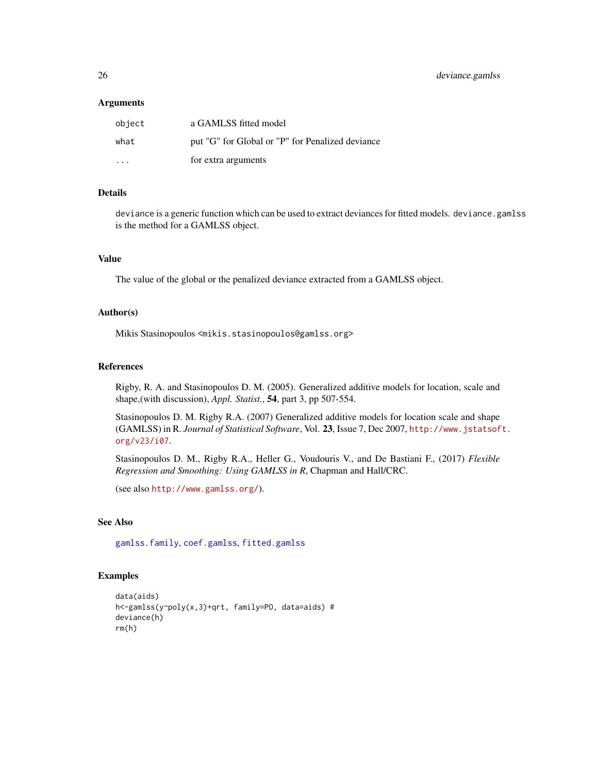#### **Arguments**

| object                  | a GAMLSS fitted model                            |
|-------------------------|--------------------------------------------------|
| what                    | put "G" for Global or "P" for Penalized deviance |
| $\cdot$ $\cdot$ $\cdot$ | for extra arguments                              |

### Details

deviance is a generic function which can be used to extract deviances for fitted models. deviance.gamlss is the method for a GAMLSS object.

### Value

The value of the global or the penalized deviance extracted from a GAMLSS object.

### Author(s)

Mikis Stasinopoulos <mikis.stasinopoulos@gamlss.org>

#### References

Rigby, R. A. and Stasinopoulos D. M. (2005). Generalized additive models for location, scale and shape,(with discussion), *Appl. Statist.*, 54, part 3, pp 507-554.

Stasinopoulos D. M. Rigby R.A. (2007) Generalized additive models for location scale and shape (GAMLSS) in R. *Journal of Statistical Software*, Vol. 23, Issue 7, Dec 2007, [http://www.jstatsof](http://www.jstatsoft.org/v23/i07)t. [org/v23/i07](http://www.jstatsoft.org/v23/i07).

Stasinopoulos D. M., Rigby R.A., Heller G., Voudouris V., and De Bastiani F., (2017) *Flexible Regression and Smoothing: Using GAMLSS in R*, Chapman and Hall/CRC.

```
(see also http://www.gamlss.org/).
```
### See Also

[gamlss.family](#page-0-0), [coef.gamlss](#page-20-1), [fitted.gamlss](#page-37-1)

### Examples

```
data(aids)
h<-gamlss(y~poly(x,3)+qrt, family=PO, data=aids) #
deviance(h)
rm(h)
```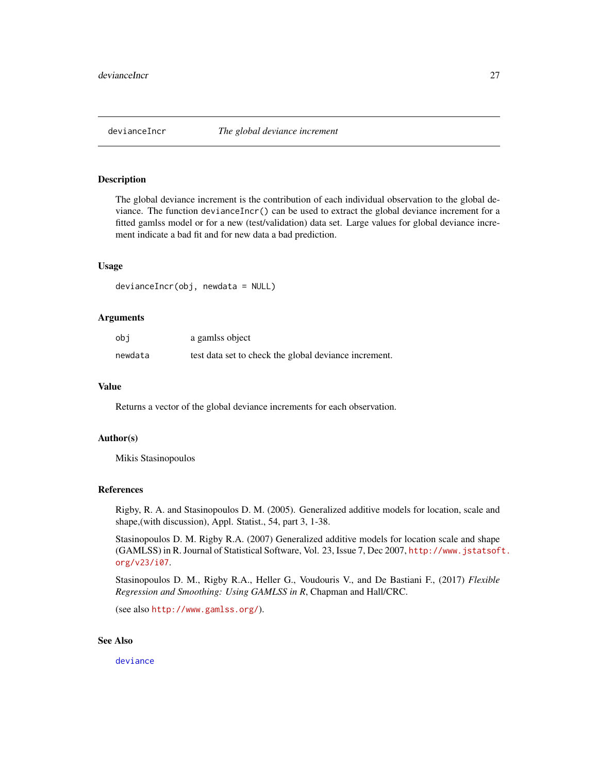<span id="page-26-0"></span>

#### Description

The global deviance increment is the contribution of each individual observation to the global deviance. The function devianceIncr() can be used to extract the global deviance increment for a fitted gamlss model or for a new (test/validation) data set. Large values for global deviance increment indicate a bad fit and for new data a bad prediction.

#### Usage

```
devianceIncr(obj, newdata = NULL)
```
### Arguments

| obi     | a gamlss object                                       |
|---------|-------------------------------------------------------|
| newdata | test data set to check the global deviance increment. |

#### Value

Returns a vector of the global deviance increments for each observation.

#### Author(s)

Mikis Stasinopoulos

#### References

Rigby, R. A. and Stasinopoulos D. M. (2005). Generalized additive models for location, scale and shape,(with discussion), Appl. Statist., 54, part 3, 1-38.

Stasinopoulos D. M. Rigby R.A. (2007) Generalized additive models for location scale and shape (GAMLSS) in R. Journal of Statistical Software, Vol. 23, Issue 7, Dec 2007, [http://www.jstatsof](http://www.jstatsoft.org/v23/i07)t. [org/v23/i07](http://www.jstatsoft.org/v23/i07).

Stasinopoulos D. M., Rigby R.A., Heller G., Voudouris V., and De Bastiani F., (2017) *Flexible Regression and Smoothing: Using GAMLSS in R*, Chapman and Hall/CRC.

(see also <http://www.gamlss.org/>).

### See Also

[deviance](#page-0-0)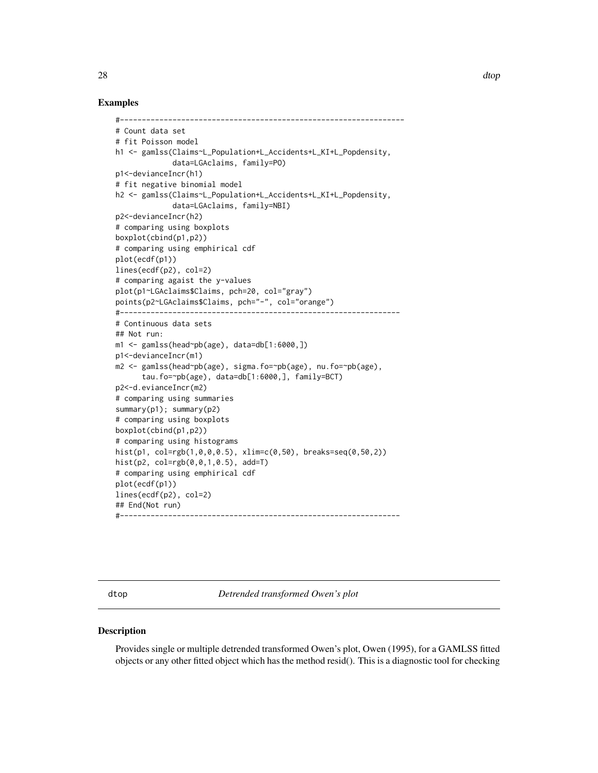### <span id="page-27-0"></span>Examples

```
#-----------------------------------------------------------------
# Count data set
# fit Poisson model
h1 <- gamlss(Claims~L_Population+L_Accidents+L_KI+L_Popdensity,
             data=LGAclaims, family=PO)
p1<-devianceIncr(h1)
# fit negative binomial model
h2 <- gamlss(Claims~L_Population+L_Accidents+L_KI+L_Popdensity,
             data=LGAclaims, family=NBI)
p2<-devianceIncr(h2)
# comparing using boxplots
boxplot(cbind(p1,p2))
# comparing using emphirical cdf
plot(ecdf(p1))
lines(ecdf(p2), col=2)
# comparing agaist the y-values
plot(p1~LGAclaims$Claims, pch=20, col="gray")
points(p2~LGAclaims$Claims, pch="-", col="orange")
#----------------------------------------------------------------
# Continuous data sets
## Not run:
m1 \leq - gamlss(head~pb(age), data=db[1:6000,])
p1<-devianceIncr(m1)
m2 <- gamlss(head~pb(age), sigma.fo=~pb(age), nu.fo=~pb(age),
      tau.fo=~pb(age), data=db[1:6000,], family=BCT)
p2<-d.evianceIncr(m2)
# comparing using summaries
summary(p1); summary(p2)
# comparing using boxplots
boxplot(cbind(p1,p2))
# comparing using histograms
hist(p1, col=rgb(1,0,0,0.5), xlim=c(0,50), breaks=seq(0,50,2))
hist(p2, col=rgb(0,0,1,0.5), add=T)
# comparing using emphirical cdf
plot(ecdf(p1))
lines(ecdf(p2), col=2)
## End(Not run)
#----------------------------------------------------------------
```
dtop *Detrended transformed Owen's plot*

#### Description

Provides single or multiple detrended transformed Owen's plot, Owen (1995), for a GAMLSS fitted objects or any other fitted object which has the method resid(). This is a diagnostic tool for checking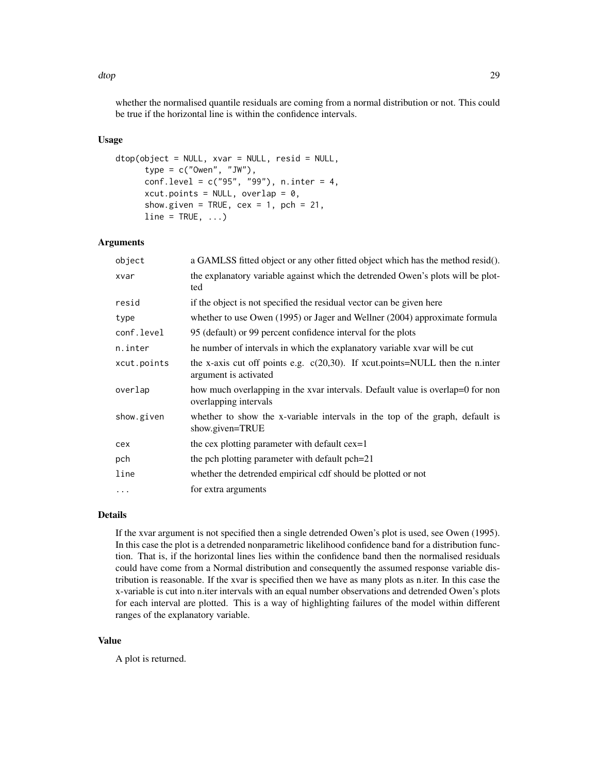dtop 29 aastal eeuw aan de gemeente wat de gemeente van de gemeente van de gemeente van de gemeente van de gem

whether the normalised quantile residuals are coming from a normal distribution or not. This could be true if the horizontal line is within the confidence intervals.

### Usage

```
dtop(object = NULL, xvar = NULL, resid = NULL,
     type = c("Owen", "JW"),
     conf.level = c("95", "99"), n.inter = 4,xcut.points = NULL, overlap = 0,
     show.given = TRUE, cex = 1, pch = 21,
     line = TRUE, ...
```
### Arguments

| object      | a GAMLSS fitted object or any other fitted object which has the method resid().                           |
|-------------|-----------------------------------------------------------------------------------------------------------|
| xvar        | the explanatory variable against which the detrended Owen's plots will be plot-<br>ted                    |
| resid       | if the object is not specified the residual vector can be given here                                      |
| type        | whether to use Owen $(1995)$ or Jager and Wellner $(2004)$ approximate formula                            |
| conf.level  | 95 (default) or 99 percent confidence interval for the plots                                              |
| n.inter     | he number of intervals in which the explanatory variable xvar will be cut                                 |
| xcut.points | the x-axis cut off points e.g. $c(20,30)$ . If xcut.points=NULL then the n.inter<br>argument is activated |
| overlap     | how much overlapping in the xvar intervals. Default value is overlap=0 for non<br>overlapping intervals   |
| show.given  | whether to show the x-variable intervals in the top of the graph, default is<br>show.given=TRUE           |
| cex         | the cex plotting parameter with default cex=1                                                             |
| pch         | the pch plotting parameter with default pch=21                                                            |
| line        | whether the detrended empirical cdf should be plotted or not                                              |
| $\cdots$    | for extra arguments                                                                                       |

### Details

If the xvar argument is not specified then a single detrended Owen's plot is used, see Owen (1995). In this case the plot is a detrended nonparametric likelihood confidence band for a distribution function. That is, if the horizontal lines lies within the confidence band then the normalised residuals could have come from a Normal distribution and consequently the assumed response variable distribution is reasonable. If the xvar is specified then we have as many plots as n.iter. In this case the x-variable is cut into n.iter intervals with an equal number observations and detrended Owen's plots for each interval are plotted. This is a way of highlighting failures of the model within different ranges of the explanatory variable.

### Value

A plot is returned.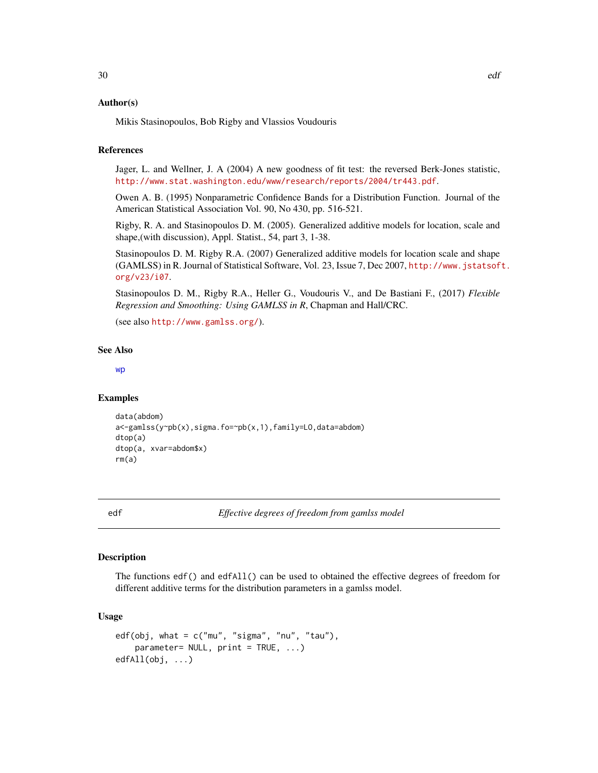### <span id="page-29-0"></span>Author(s)

Mikis Stasinopoulos, Bob Rigby and Vlassios Voudouris

### References

Jager, L. and Wellner, J. A (2004) A new goodness of fit test: the reversed Berk-Jones statistic, <http://www.stat.washington.edu/www/research/reports/2004/tr443.pdf>.

Owen A. B. (1995) Nonparametric Confidence Bands for a Distribution Function. Journal of the American Statistical Association Vol. 90, No 430, pp. 516-521.

Rigby, R. A. and Stasinopoulos D. M. (2005). Generalized additive models for location, scale and shape,(with discussion), Appl. Statist., 54, part 3, 1-38.

Stasinopoulos D. M. Rigby R.A. (2007) Generalized additive models for location scale and shape (GAMLSS) in R. Journal of Statistical Software, Vol. 23, Issue 7, Dec 2007, [http://www.jstatsof](http://www.jstatsoft.org/v23/i07)t. [org/v23/i07](http://www.jstatsoft.org/v23/i07).

Stasinopoulos D. M., Rigby R.A., Heller G., Voudouris V., and De Bastiani F., (2017) *Flexible Regression and Smoothing: Using GAMLSS in R*, Chapman and Hall/CRC.

(see also <http://www.gamlss.org/>).

#### See Also

[wp](#page-144-1)

#### Examples

```
data(abdom)
a<-gamlss(y~pb(x),sigma.fo=~pb(x,1),family=LO,data=abdom)
dtop(a)
dtop(a, xvar=abdom$x)
rm(a)
```
edf *Effective degrees of freedom from gamlss model*

### Description

The functions edf() and edfAll() can be used to obtained the effective degrees of freedom for different additive terms for the distribution parameters in a gamlss model.

### Usage

```
edf(obj, what = c("mu", "sigma", "nu", "tau"),
   parameter = NULL, print = TRUE, ...)
edfAll(obj, ...)
```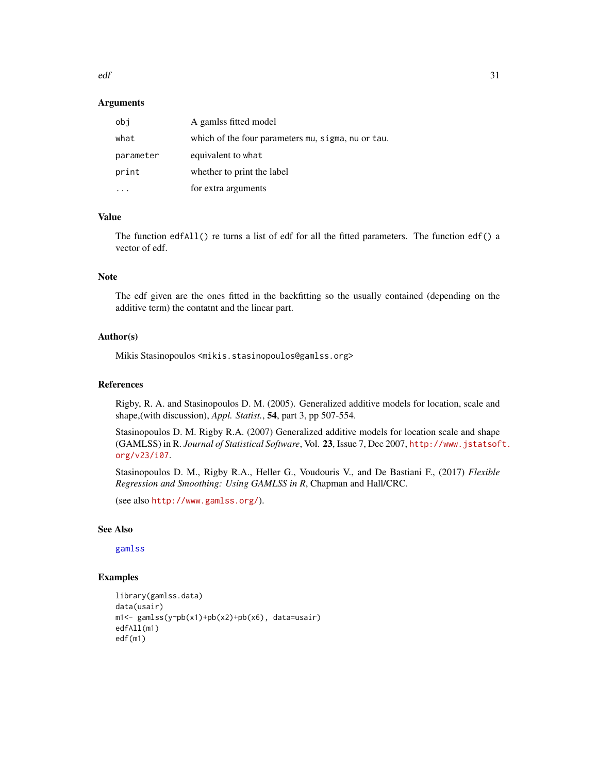$\text{ed}f$  31

#### **Arguments**

| obi       | A gamlss fitted model                              |
|-----------|----------------------------------------------------|
| what      | which of the four parameters mu, sigma, nu or tau. |
| parameter | equivalent to what                                 |
| print     | whether to print the label                         |
|           | for extra arguments                                |

### Value

The function edfAll() re turns a list of edf for all the fitted parameters. The function edf() a vector of edf.

### Note

The edf given are the ones fitted in the backfitting so the usually contained (depending on the additive term) the contatnt and the linear part.

#### Author(s)

Mikis Stasinopoulos <mikis.stasinopoulos@gamlss.org>

#### References

Rigby, R. A. and Stasinopoulos D. M. (2005). Generalized additive models for location, scale and shape,(with discussion), *Appl. Statist.*, 54, part 3, pp 507-554.

Stasinopoulos D. M. Rigby R.A. (2007) Generalized additive models for location scale and shape (GAMLSS) in R. *Journal of Statistical Software*, Vol. 23, Issue 7, Dec 2007, [http://www.jstatsof](http://www.jstatsoft.org/v23/i07)t. [org/v23/i07](http://www.jstatsoft.org/v23/i07).

Stasinopoulos D. M., Rigby R.A., Heller G., Voudouris V., and De Bastiani F., (2017) *Flexible Regression and Smoothing: Using GAMLSS in R*, Chapman and Hall/CRC.

(see also <http://www.gamlss.org/>).

### See Also

[gamlss](#page-40-1)

### Examples

```
library(gamlss.data)
data(usair)
m1<- gamlss(y~pb(x1)+pb(x2)+pb(x6), data=usair)
edfAll(m1)
edf(m1)
```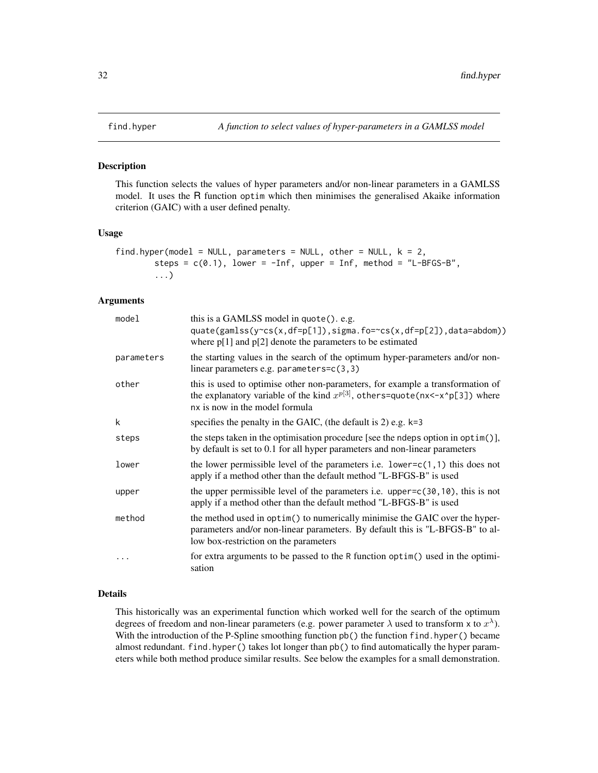<span id="page-31-0"></span>

### Description

This function selects the values of hyper parameters and/or non-linear parameters in a GAMLSS model. It uses the R function optim which then minimises the generalised Akaike information criterion (GAIC) with a user defined penalty.

#### Usage

```
find.hyper(model = NULL, parameters = NULL, other = NULL, k = 2,
       steps = c(0.1), lower = -Inf, upper = Inf, method = "L-BFGS-B",
        ...)
```
#### Arguments

| model      | this is a GAMLSS model in quote(). e.g.<br>quate(gamlss(y~cs(x,df=p[1]),sigma.fo=~cs(x,df=p[2]),data=abdom))<br>where $p[1]$ and $p[2]$ denote the parameters to be estimated                         |
|------------|-------------------------------------------------------------------------------------------------------------------------------------------------------------------------------------------------------|
| parameters | the starting values in the search of the optimum hyper-parameters and/or non-<br>linear parameters e.g. parameters= $c(3,3)$                                                                          |
| other      | this is used to optimise other non-parameters, for example a transformation of<br>the explanatory variable of the kind $x^{p[3]}$ , others=quote(nx<-x^p[3]) where<br>nx is now in the model formula  |
| k          | specifies the penalty in the GAIC, (the default is 2) e.g. $k=3$                                                                                                                                      |
| steps      | the steps taken in the optimisation procedure [see the ndeps option in optim()],<br>by default is set to 0.1 for all hyper parameters and non-linear parameters                                       |
| lower      | the lower permissible level of the parameters i.e. lower= $c(1,1)$ this does not<br>apply if a method other than the default method "L-BFGS-B" is used                                                |
| upper      | the upper permissible level of the parameters i.e. upper= $c(30, 10)$ , this is not<br>apply if a method other than the default method "L-BFGS-B" is used                                             |
| method     | the method used in optim() to numerically minimise the GAIC over the hyper-<br>parameters and/or non-linear parameters. By default this is "L-BFGS-B" to al-<br>low box-restriction on the parameters |
|            | for extra arguments to be passed to the R function optim() used in the optimi-<br>sation                                                                                                              |

#### Details

This historically was an experimental function which worked well for the search of the optimum degrees of freedom and non-linear parameters (e.g. power parameter  $\lambda$  used to transform x to  $x^{\lambda}$ ). With the introduction of the P-Spline smoothing function pb() the function find.hyper() became almost redundant. find.hyper() takes lot longer than pb() to find automatically the hyper parameters while both method produce similar results. See below the examples for a small demonstration.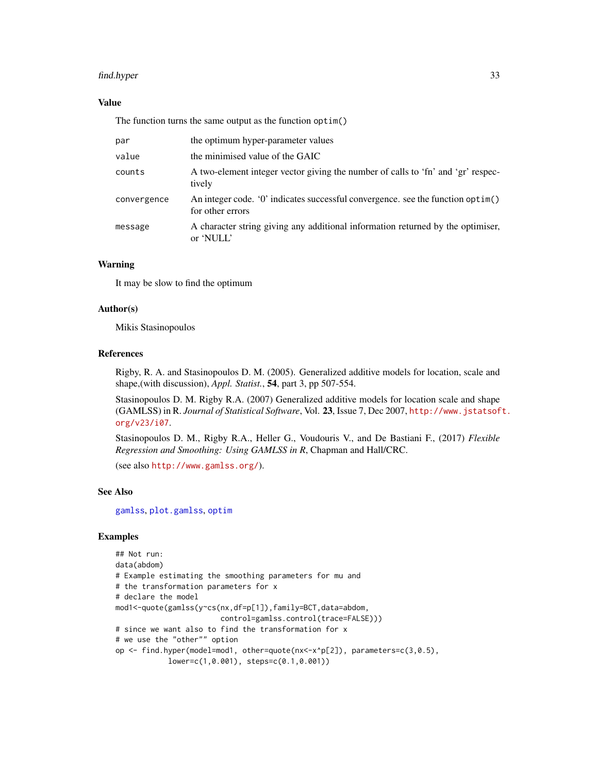#### find.hyper 33

### Value

The function turns the same output as the function optim()

|             | the optimum hyper-parameter values                                                                  |
|-------------|-----------------------------------------------------------------------------------------------------|
| par         |                                                                                                     |
| value       | the minimised value of the GAIC                                                                     |
| counts      | A two-element integer vector giving the number of calls to 'fn' and 'gr' respec-<br>tively          |
| convergence | An integer code. '0' indicates successful convergence, see the function optim()<br>for other errors |
| message     | A character string giving any additional information returned by the optimiser,<br>or 'NULL'        |

### Warning

It may be slow to find the optimum

### Author(s)

Mikis Stasinopoulos

### References

Rigby, R. A. and Stasinopoulos D. M. (2005). Generalized additive models for location, scale and shape,(with discussion), *Appl. Statist.*, 54, part 3, pp 507-554.

Stasinopoulos D. M. Rigby R.A. (2007) Generalized additive models for location scale and shape (GAMLSS) in R. *Journal of Statistical Software*, Vol. 23, Issue 7, Dec 2007, [http://www.jstatsof](http://www.jstatsoft.org/v23/i07)t. [org/v23/i07](http://www.jstatsoft.org/v23/i07).

Stasinopoulos D. M., Rigby R.A., Heller G., Voudouris V., and De Bastiani F., (2017) *Flexible Regression and Smoothing: Using GAMLSS in R*, Chapman and Hall/CRC.

(see also <http://www.gamlss.org/>).

#### See Also

[gamlss](#page-40-1), [plot.gamlss](#page-94-1), [optim](#page-0-0)

### Examples

```
## Not run:
data(abdom)
# Example estimating the smoothing parameters for mu and
# the transformation parameters for x
# declare the model
mod1<-quote(gamlss(y~cs(nx,df=p[1]),family=BCT,data=abdom,
                        control=gamlss.control(trace=FALSE)))
# since we want also to find the transformation for x
# we use the "other"" option
op <- find.hyper(model=mod1, other=quote(nx<-x^p[2]), parameters=c(3,0.5),
            lower=c(1,0.001), steps=c(0.1,0.001))
```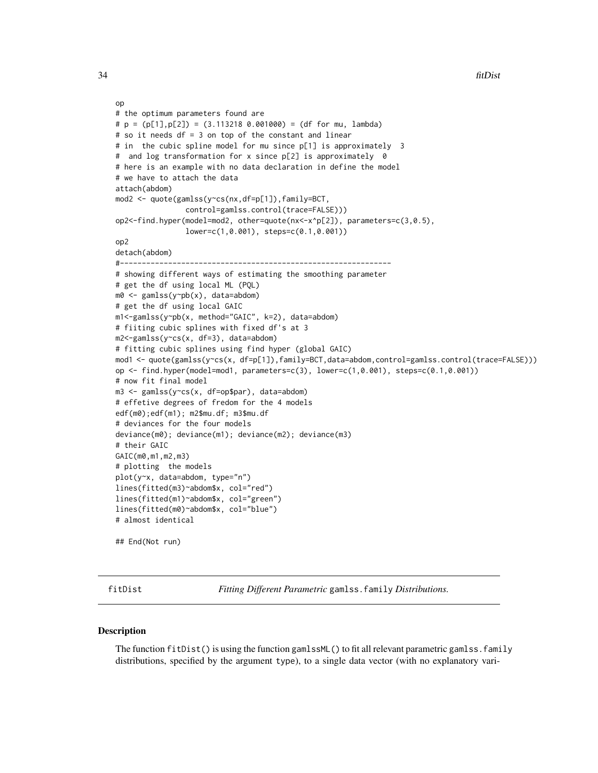```
op
# the optimum parameters found are
# p = (p[1],p[2]) = (3.113218 0.001000) = (df for mu, lambda)
# so it needs df = 3 on top of the constant and linear
# in the cubic spline model for mu since p[1] is approximately 3
# and log transformation for x since p[2] is approximately 0
# here is an example with no data declaration in define the model
# we have to attach the data
attach(abdom)
mod2 <- quote(gamlss(y~cs(nx,df=p[1]),family=BCT,
                control=gamlss.control(trace=FALSE)))
op2<-find.hyper(model=mod2, other=quote(nx<-x^p[2]), parameters=c(3,0.5),
                lower=c(1,0.001), steps=c(0.1,0.001))
op2
detach(abdom)
#--------------------------------------------------------------
# showing different ways of estimating the smoothing parameter
# get the df using local ML (PQL)
m0 <- gamlss(y~pb(x), data=abdom)
# get the df using local GAIC
m1<-gamlss(y~pb(x, method="GAIC", k=2), data=abdom)
# fiiting cubic splines with fixed df's at 3
m2<-gamlss(y~cs(x, df=3), data=abdom)
# fitting cubic splines using find hyper (global GAIC)
mod1 <- quote(gamlss(y~cs(x, df=p[1]),family=BCT,data=abdom,control=gamlss.control(trace=FALSE)))
op <- find.hyper(model=mod1, parameters=c(3), lower=c(1,0.001), steps=c(0.1,0.001))
# now fit final model
m3 <- gamlss(y~cs(x, df=op$par), data=abdom)
# effetive degrees of fredom for the 4 models
edf(m0);edf(m1); m2$mu.df; m3$mu.df
# deviances for the four models
deviance(m0); deviance(m1); deviance(m2); deviance(m3)
# their GAIC
GAIC(m0,m1,m2,m3)
# plotting the models
plot(y~x, data=abdom, type="n")
lines(fitted(m3)~abdom$x, col="red")
lines(fitted(m1)~abdom$x, col="green")
lines(fitted(m0)~abdom$x, col="blue")
# almost identical
## End(Not run)
```
fitDist *Fitting Different Parametric* gamlss.family *Distributions.*

#### **Description**

The function fitDist() is using the function gamlssML() to fit all relevant parametric gamlss. family distributions, specified by the argument type), to a single data vector (with no explanatory vari-

<span id="page-33-0"></span>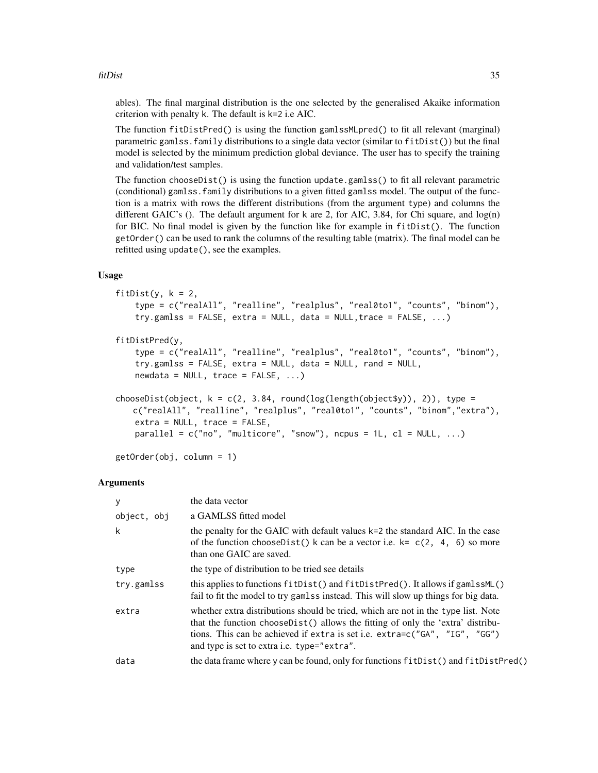#### fitDist 35

ables). The final marginal distribution is the one selected by the generalised Akaike information criterion with penalty k. The default is k=2 i.e AIC.

The function fitDistPred() is using the function gamlssMLpred() to fit all relevant (marginal) parametric gamlss.family distributions to a single data vector (similar to fitDist()) but the final model is selected by the minimum prediction global deviance. The user has to specify the training and validation/test samples.

The function chooseDist() is using the function update.gamlss() to fit all relevant parametric (conditional) gamlss.family distributions to a given fitted gamlss model. The output of the function is a matrix with rows the different distributions (from the argument type) and columns the different GAIC's (). The default argument for k are 2, for AIC, 3.84, for Chi square, and  $log(n)$ for BIC. No final model is given by the function like for example in fitDist(). The function getOrder() can be used to rank the columns of the resulting table (matrix). The final model can be refitted using update(), see the examples.

### Usage

```
fitDist(y, k = 2,
    type = c("realAll", "realline", "realplus", "real0to1", "counts", "binom"),
    try.gamlss = FALSE, extra = NULL, data = NULL, trace = FALSE, ...)fitDistPred(y,
    type = c("realAll", "realline", "realplus", "real0to1", "counts", "binom"),
    try.gamlss = FALSE, extra = NULL, data = NULL, rand = NULL,
    newdata = NULL, trace = FALSE, ...)chooseDist(object, k = c(2, 3.84, round(log(length(object $y)), 2)), type =
   c("realAll", "realline", "realplus", "real0to1", "counts", "binom","extra"),
   extra = NULL, trace = FALSE,
   parallel = c("no", "multicore", "snow"), ncpus = 1L, cl = NULL, ...)
```
getOrder(obj, column = 1)

#### Arguments

| у           | the data vector                                                                                                                                                                                                                                                                                           |
|-------------|-----------------------------------------------------------------------------------------------------------------------------------------------------------------------------------------------------------------------------------------------------------------------------------------------------------|
| object, obj | a GAMLSS fitted model                                                                                                                                                                                                                                                                                     |
| k           | the penalty for the GAIC with default values $k=2$ the standard AIC. In the case<br>of the function choose Dist() k can be a vector i.e. $k = c(2, 4, 6)$ so more<br>than one GAIC are saved.                                                                                                             |
| type        | the type of distribution to be tried see details                                                                                                                                                                                                                                                          |
| try.gamlss  | (b) this applies to functions fitDist() and fitDistPred(). It allows if gamlssML()<br>fail to fit the model to try gamlss instead. This will slow up things for big data.                                                                                                                                 |
| extra       | whether extra distributions should be tried, which are not in the type list. Note<br>that the function choose Dist() allows the fitting of only the 'extra' distribu-<br>tions. This can be achieved if extra is set i.e. extra=c("GA", "IG", "GG")<br>and type is set to extra <i>i.e.</i> type="extra". |
| data        | the data frame where y can be found, only for functions fit Dist() and fit Dist Pred()                                                                                                                                                                                                                    |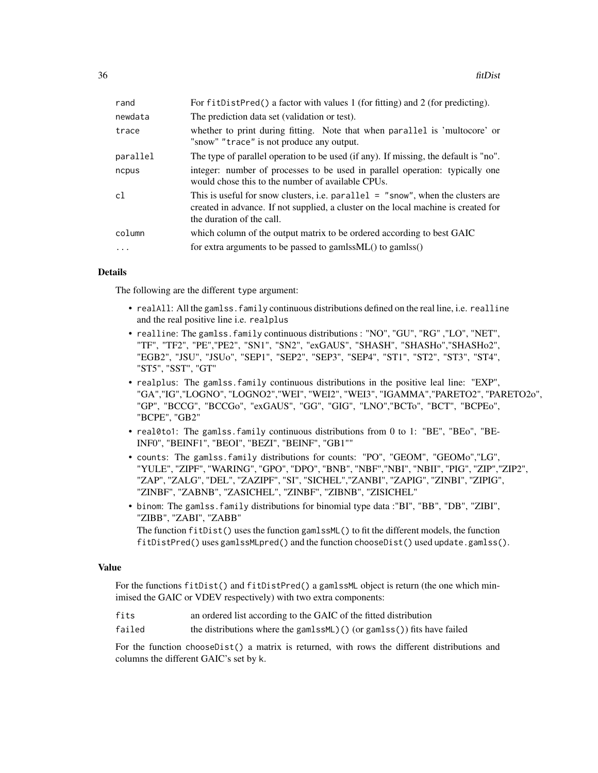| rand      | For fitDistPred() a factor with values 1 (for fitting) and 2 (for predicting).                                                                                                                     |
|-----------|----------------------------------------------------------------------------------------------------------------------------------------------------------------------------------------------------|
| newdata   | The prediction data set (validation or test).                                                                                                                                                      |
| trace     | whether to print during fitting. Note that when parallel is 'multocore' or<br>"snow" "trace" is not produce any output.                                                                            |
| parallel  | The type of parallel operation to be used (if any). If missing, the default is "no".                                                                                                               |
| ncpus     | integer: number of processes to be used in parallel operation: typically one<br>would chose this to the number of available CPUs.                                                                  |
| c1        | This is useful for snow clusters, i.e. parallel = "snow", when the clusters are<br>created in advance. If not supplied, a cluster on the local machine is created for<br>the duration of the call. |
| column    | which column of the output matrix to be ordered according to best GAIC                                                                                                                             |
| $\ddotsc$ | for extra arguments to be passed to gamlss $ML()$ to gamlss $()$                                                                                                                                   |

#### Details

The following are the different type argument:

- realAll: All the gamlss.family continuous distributions defined on the real line, i.e. realline and the real positive line i.e. realplus
- realline: The gamlss.family continuous distributions : "NO", "GU", "RG" ,"LO", "NET", "TF", "TF2", "PE","PE2", "SN1", "SN2", "exGAUS", "SHASH", "SHASHo","SHASHo2", "EGB2", "JSU", "JSUo", "SEP1", "SEP2", "SEP3", "SEP4", "ST1", "ST2", "ST3", "ST4", "ST5", "SST", "GT"
- realplus: The gamlss.family continuous distributions in the positive leal line: "EXP", "GA","IG","LOGNO", "LOGNO2","WEI", "WEI2", "WEI3", "IGAMMA","PARETO2", "PARETO2o", "GP", "BCCG", "BCCGo", "exGAUS", "GG", "GIG", "LNO","BCTo", "BCT", "BCPEo", "BCPE", "GB2"
- real0to1: The gamlss. family continuous distributions from 0 to 1: "BE", "BEo", "BE-INF0", "BEINF1", "BEOI", "BEZI", "BEINF", "GB1""
- counts: The gamlss.family distributions for counts: "PO", "GEOM", "GEOMo","LG", "YULE", "ZIPF", "WARING", "GPO", "DPO", "BNB", "NBF","NBI", "NBII", "PIG", "ZIP","ZIP2", "ZAP", "ZALG", "DEL", "ZAZIPF", "SI", "SICHEL","ZANBI", "ZAPIG", "ZINBI", "ZIPIG", "ZINBF", "ZABNB", "ZASICHEL", "ZINBF", "ZIBNB", "ZISICHEL"
- binom: The gamlss.family distributions for binomial type data :"BI", "BB", "DB", "ZIBI", "ZIBB", "ZABI", "ZABB" The function fitDist() uses the function gamlssML() to fit the different models, the function

fitDistPred() uses gamlssMLpred() and the function chooseDist() used update.gamlss().

#### Value

For the functions fitDist() and fitDistPred() a gamlssML object is return (the one which minimised the GAIC or VDEV respectively) with two extra components:

- fits an ordered list according to the GAIC of the fitted distribution
- failed the distributions where the gamlssML)() (or gamlss()) fits have failed

For the function chooseDist() a matrix is returned, with rows the different distributions and columns the different GAIC's set by k.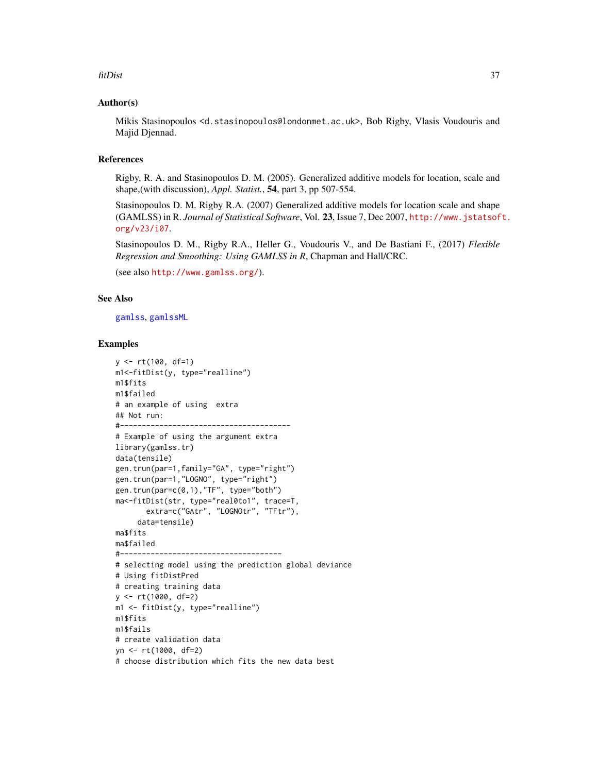#### fitDist 37

# Author(s)

Mikis Stasinopoulos <d.stasinopoulos@londonmet.ac.uk>, Bob Rigby, Vlasis Voudouris and Majid Djennad.

## References

Rigby, R. A. and Stasinopoulos D. M. (2005). Generalized additive models for location, scale and shape,(with discussion), *Appl. Statist.*, 54, part 3, pp 507-554.

Stasinopoulos D. M. Rigby R.A. (2007) Generalized additive models for location scale and shape (GAMLSS) in R. *Journal of Statistical Software*, Vol. 23, Issue 7, Dec 2007, [http://www.jstatsof](http://www.jstatsoft.org/v23/i07)t. [org/v23/i07](http://www.jstatsoft.org/v23/i07).

Stasinopoulos D. M., Rigby R.A., Heller G., Voudouris V., and De Bastiani F., (2017) *Flexible Regression and Smoothing: Using GAMLSS in R*, Chapman and Hall/CRC.

(see also <http://www.gamlss.org/>).

#### See Also

[gamlss](#page-40-0), [gamlssML](#page-53-0)

## Examples

```
y <- rt(100, df=1)
m1<-fitDist(y, type="realline")
m1$fits
m1$failed
# an example of using extra
## Not run:
#---------------------------------------
# Example of using the argument extra
library(gamlss.tr)
data(tensile)
gen.trun(par=1,family="GA", type="right")
gen.trun(par=1,"LOGNO", type="right")
gen.trun(par=c(0,1),"TF", type="both")
ma<-fitDist(str, type="real0to1", trace=T,
       extra=c("GAtr", "LOGNOtr", "TFtr"),
     data=tensile)
ma$fits
ma$failed
#-------------------------------------
# selecting model using the prediction global deviance
# Using fitDistPred
# creating training data
y <- rt(1000, df=2)
m1 <- fitDist(y, type="realline")
m1$fits
m1$fails
# create validation data
yn <- rt(1000, df=2)
# choose distribution which fits the new data best
```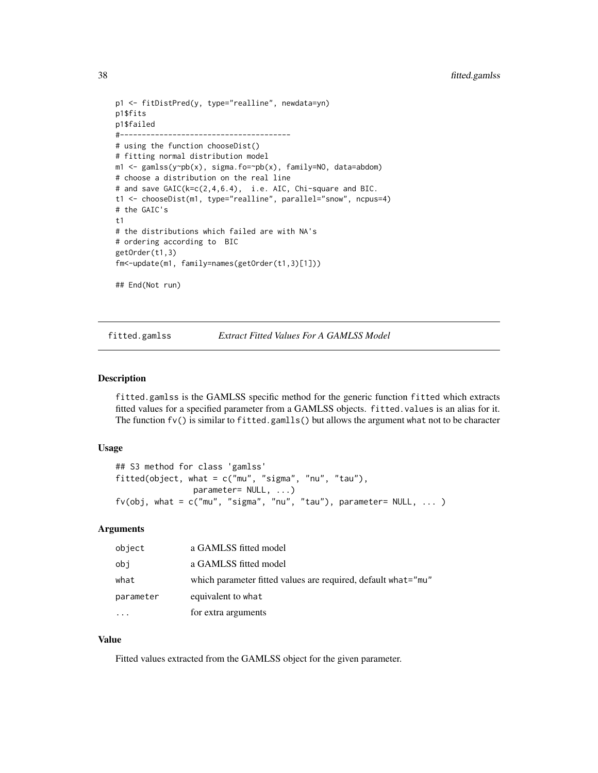```
p1 <- fitDistPred(y, type="realline", newdata=yn)
p1$fits
p1$failed
# - - - - - - -
# using the function chooseDist()
# fitting normal distribution model
m1 <- gamlss(y~pb(x), sigma.fo=~pb(x), family=NO, data=abdom)
# choose a distribution on the real line
# and save GAIC(k=c(2,4,6.4), i.e. AIC, Chi-square and BIC.
t1 <- chooseDist(m1, type="realline", parallel="snow", ncpus=4)
# the GAIC's
t1
# the distributions which failed are with NA's
# ordering according to BIC
getOrder(t1,3)
fm<-update(m1, family=names(getOrder(t1,3)[1]))
## End(Not run)
```
<span id="page-37-0"></span>

fitted.gamlss *Extract Fitted Values For A GAMLSS Model*

#### Description

fitted.gamlss is the GAMLSS specific method for the generic function fitted which extracts fitted values for a specified parameter from a GAMLSS objects. fitted.values is an alias for it. The function  $f(v)$  is similar to fitted.gamlls() but allows the argument what not to be character

#### Usage

```
## S3 method for class 'gamlss'
fitted(object, what = c("mu", "sigma", "nu", "tau"),
                parameter= NULL, ...)
fv(obj, what = c("mu", "sigma", "nu", "tau"), parameter= NULL, ...)
```
# Arguments

| object    | a GAMLSS fitted model                                         |
|-----------|---------------------------------------------------------------|
| obi       | a GAMLSS fitted model                                         |
| what      | which parameter fitted values are required, default what="mu" |
| parameter | equivalent to what                                            |
| $\ddotsc$ | for extra arguments                                           |

# Value

Fitted values extracted from the GAMLSS object for the given parameter.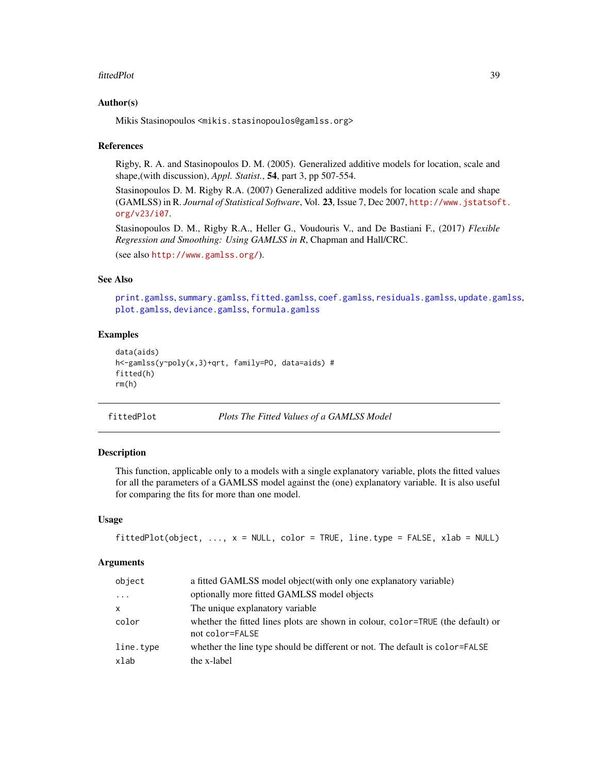#### fittedPlot 39

## Author(s)

Mikis Stasinopoulos <mikis.stasinopoulos@gamlss.org>

## References

Rigby, R. A. and Stasinopoulos D. M. (2005). Generalized additive models for location, scale and shape,(with discussion), *Appl. Statist.*, 54, part 3, pp 507-554.

Stasinopoulos D. M. Rigby R.A. (2007) Generalized additive models for location scale and shape (GAMLSS) in R. *Journal of Statistical Software*, Vol. 23, Issue 7, Dec 2007, [http://www.jstatsof](http://www.jstatsoft.org/v23/i07)t. [org/v23/i07](http://www.jstatsoft.org/v23/i07).

Stasinopoulos D. M., Rigby R.A., Heller G., Voudouris V., and De Bastiani F., (2017) *Flexible Regression and Smoothing: Using GAMLSS in R*, Chapman and Hall/CRC.

(see also <http://www.gamlss.org/>).

# See Also

[print.gamlss](#page-101-0), [summary.gamlss](#page-137-0), [fitted.gamlss](#page-37-0), [coef.gamlss](#page-20-0), [residuals.gamlss](#page-123-0), [update.gamlss](#page-141-0), [plot.gamlss](#page-94-0), [deviance.gamlss](#page-24-0), [formula.gamlss](#page-39-0)

## Examples

```
data(aids)
h<-gamlss(y~poly(x,3)+qrt, family=PO, data=aids) #
fitted(h)
rm(h)
```
fittedPlot *Plots The Fitted Values of a GAMLSS Model*

## Description

This function, applicable only to a models with a single explanatory variable, plots the fitted values for all the parameters of a GAMLSS model against the (one) explanatory variable. It is also useful for comparing the fits for more than one model.

#### Usage

```
fittedPlot(objject, ..., x = NULL, color = TRUE, line_type = FALSE, xlab = NULL)
```

| object    | a fitted GAMLSS model object (with only one explanatory variable)                                  |
|-----------|----------------------------------------------------------------------------------------------------|
| $\cdots$  | optionally more fitted GAMLSS model objects                                                        |
| x         | The unique explanatory variable.                                                                   |
| color     | whether the fitted lines plots are shown in colour, color=TRUE (the default) or<br>not color=FALSE |
| line.type | whether the line type should be different or not. The default is color=FALSE                       |
| xlab      | the x-label                                                                                        |
|           |                                                                                                    |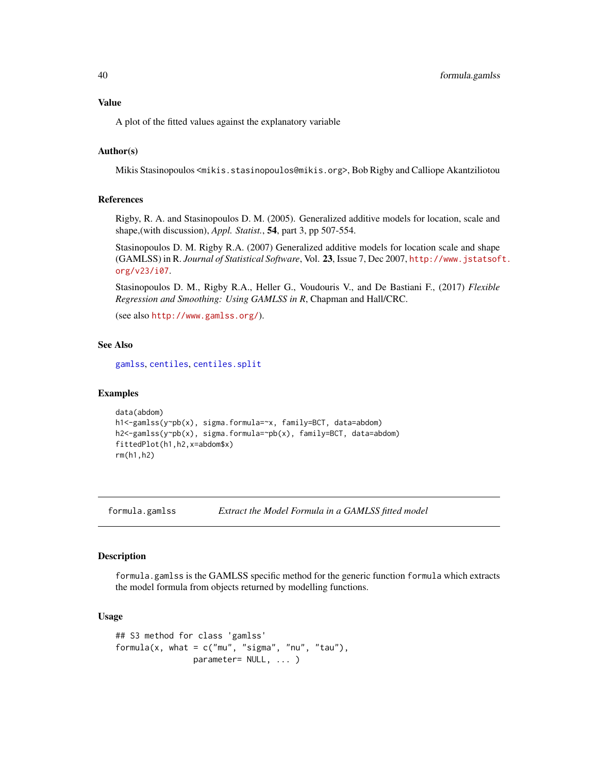# Value

A plot of the fitted values against the explanatory variable

# Author(s)

Mikis Stasinopoulos <mikis.stasinopoulos@mikis.org>, Bob Rigby and Calliope Akantziliotou

# References

Rigby, R. A. and Stasinopoulos D. M. (2005). Generalized additive models for location, scale and shape,(with discussion), *Appl. Statist.*, 54, part 3, pp 507-554.

Stasinopoulos D. M. Rigby R.A. (2007) Generalized additive models for location scale and shape (GAMLSS) in R. *Journal of Statistical Software*, Vol. 23, Issue 7, Dec 2007, [http://www.jstatsof](http://www.jstatsoft.org/v23/i07)t. [org/v23/i07](http://www.jstatsoft.org/v23/i07).

Stasinopoulos D. M., Rigby R.A., Heller G., Voudouris V., and De Bastiani F., (2017) *Flexible Regression and Smoothing: Using GAMLSS in R*, Chapman and Hall/CRC.

(see also <http://www.gamlss.org/>).

# See Also

[gamlss](#page-40-0), [centiles](#page-12-0), [centiles.split](#page-18-0)

#### Examples

```
data(abdom)
h1<-gamlss(y~pb(x), sigma.formula=~x, family=BCT, data=abdom)
h2<-gamlss(y~pb(x), sigma.formula=~pb(x), family=BCT, data=abdom)
fittedPlot(h1,h2,x=abdom$x)
rm(h1,h2)
```
<span id="page-39-0"></span>formula.gamlss *Extract the Model Formula in a GAMLSS fitted model*

# Description

formula.gamlss is the GAMLSS specific method for the generic function formula which extracts the model formula from objects returned by modelling functions.

## Usage

```
## S3 method for class 'gamlss'
formula(x, what = c("mu", "sigma", "nu", "tau"),
                parameter= NULL, ... )
```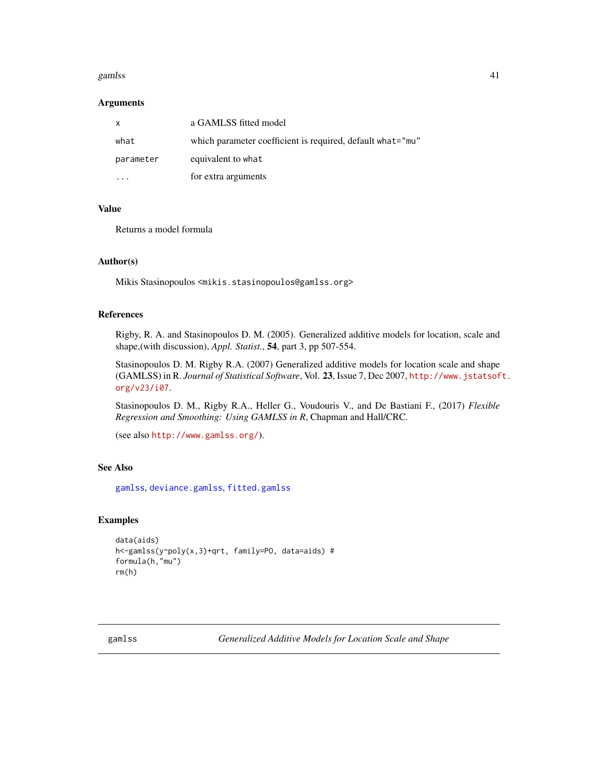#### gamlss and the set of the set of the set of the set of the set of the set of the set of the set of the set of the set of the set of the set of the set of the set of the set of the set of the set of the set of the set of th

#### **Arguments**

| $\mathsf{x}$ | a GAMLSS fitted model                                      |
|--------------|------------------------------------------------------------|
| what         | which parameter coefficient is required, default what="mu" |
| parameter    | equivalent to what                                         |
|              | for extra arguments                                        |

# Value

Returns a model formula

#### Author(s)

Mikis Stasinopoulos <mikis.stasinopoulos@gamlss.org>

## References

Rigby, R. A. and Stasinopoulos D. M. (2005). Generalized additive models for location, scale and shape,(with discussion), *Appl. Statist.*, 54, part 3, pp 507-554.

Stasinopoulos D. M. Rigby R.A. (2007) Generalized additive models for location scale and shape (GAMLSS) in R. *Journal of Statistical Software*, Vol. 23, Issue 7, Dec 2007, [http://www.jstatsof](http://www.jstatsoft.org/v23/i07)t. [org/v23/i07](http://www.jstatsoft.org/v23/i07).

Stasinopoulos D. M., Rigby R.A., Heller G., Voudouris V., and De Bastiani F., (2017) *Flexible Regression and Smoothing: Using GAMLSS in R*, Chapman and Hall/CRC.

```
(see also http://www.gamlss.org/).
```
# See Also

[gamlss](#page-40-0), [deviance.gamlss](#page-24-0), [fitted.gamlss](#page-37-0)

# Examples

```
data(aids)
h<-gamlss(y~poly(x,3)+qrt, family=PO, data=aids) #
formula(h,"mu")
rm(h)
```
<span id="page-40-0"></span>gamlss *Generalized Additive Models for Location Scale and Shape*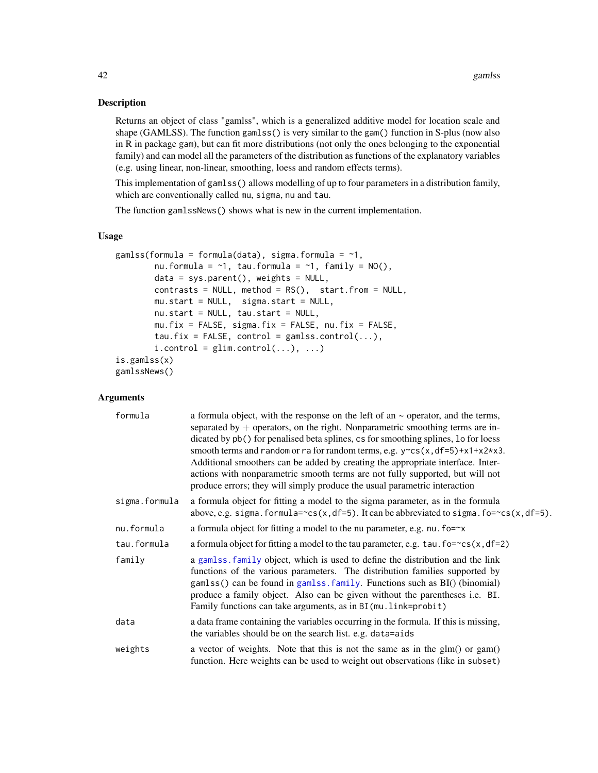# Description

Returns an object of class "gamlss", which is a generalized additive model for location scale and shape (GAMLSS). The function gamlss() is very similar to the gam() function in S-plus (now also in R in package gam), but can fit more distributions (not only the ones belonging to the exponential family) and can model all the parameters of the distribution as functions of the explanatory variables (e.g. using linear, non-linear, smoothing, loess and random effects terms).

This implementation of gamlss() allows modelling of up to four parameters in a distribution family, which are conventionally called mu, sigma, nu and tau.

The function gamlssNews() shows what is new in the current implementation.

# Usage

```
gamlss(formula = formula(data), sigma.formula = \sim1,
        nu.formula = \sim1, tau.formula = \sim1, family = NO(),
        data = sys.parent(), weights = NULL,
        contrasts = NULL, method = RS(), start.from = NULL,
        mu.start = NULL, sigma.start = NULL,
        nu.start = NULL, tau.start = NULL,
        mu.fix = FALSE, sigma.fix = FALSE, nu.fix = FALSE,
        tau.fix = FALSE, control = gamlss.contrib(...),i. control = glim.control(...), ...)
is.gamlss(x)
gamlssNews()
```

| formula       | a formula object, with the response on the left of an $\sim$ operator, and the terms,<br>separated by $+$ operators, on the right. Nonparametric smoothing terms are in-<br>dicated by pb() for penalised beta splines, cs for smoothing splines, lo for loess<br>smooth terms and random or ra for random terms, e.g. $y$ ~ cs(x, df=5) + x1 + x2 * x3.<br>Additional smoothers can be added by creating the appropriate interface. Inter-<br>actions with nonparametric smooth terms are not fully supported, but will not<br>produce errors; they will simply produce the usual parametric interaction |
|---------------|-----------------------------------------------------------------------------------------------------------------------------------------------------------------------------------------------------------------------------------------------------------------------------------------------------------------------------------------------------------------------------------------------------------------------------------------------------------------------------------------------------------------------------------------------------------------------------------------------------------|
| sigma.formula | a formula object for fitting a model to the sigma parameter, as in the formula<br>above, e.g. sigma.formula= $\text{cs}(x, df=5)$ . It can be abbreviated to sigma.fo= $\text{cs}(x, df=5)$ .                                                                                                                                                                                                                                                                                                                                                                                                             |
| nu.formula    | a formula object for fitting a model to the nu parameter, e.g. $nu$ . fo= $\sim$ x                                                                                                                                                                                                                                                                                                                                                                                                                                                                                                                        |
| tau.formula   | a formula object for fitting a model to the tau parameter, e.g. $tan. fo = c s(x, df = 2)$                                                                                                                                                                                                                                                                                                                                                                                                                                                                                                                |
| family        | a gamlss. family object, which is used to define the distribution and the link<br>functions of the various parameters. The distribution families supported by<br>gamlss() can be found in gamlss. family. Functions such as BI() (binomial)<br>produce a family object. Also can be given without the parentheses i.e. BI.<br>Family functions can take arguments, as in BI (mu. link=probit)                                                                                                                                                                                                             |
| data          | a data frame containing the variables occurring in the formula. If this is missing,<br>the variables should be on the search list. e.g. data=aids                                                                                                                                                                                                                                                                                                                                                                                                                                                         |
| weights       | a vector of weights. Note that this is not the same as in the glm() or gam()<br>function. Here weights can be used to weight out observations (like in subset)                                                                                                                                                                                                                                                                                                                                                                                                                                            |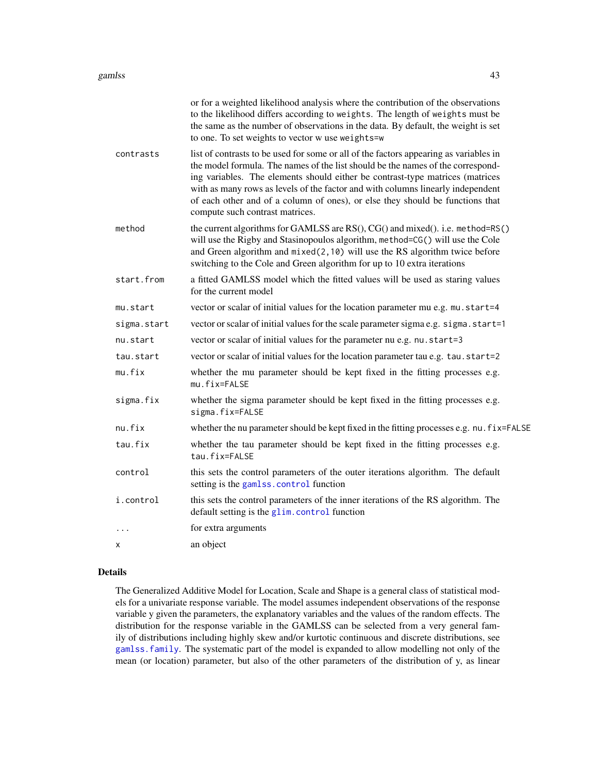|             | or for a weighted likelihood analysis where the contribution of the observations<br>to the likelihood differs according to weights. The length of weights must be<br>the same as the number of observations in the data. By default, the weight is set<br>to one. To set weights to vector w use weights=w                                                                                                                                                       |
|-------------|------------------------------------------------------------------------------------------------------------------------------------------------------------------------------------------------------------------------------------------------------------------------------------------------------------------------------------------------------------------------------------------------------------------------------------------------------------------|
| contrasts   | list of contrasts to be used for some or all of the factors appearing as variables in<br>the model formula. The names of the list should be the names of the correspond-<br>ing variables. The elements should either be contrast-type matrices (matrices<br>with as many rows as levels of the factor and with columns linearly independent<br>of each other and of a column of ones), or else they should be functions that<br>compute such contrast matrices. |
| method      | the current algorithms for GAMLSS are RS(), CG() and mixed(). i.e. method=RS()<br>will use the Rigby and Stasinopoulos algorithm, method=CG() will use the Cole<br>and Green algorithm and $mixed(2, 10)$ will use the RS algorithm twice before<br>switching to the Cole and Green algorithm for up to 10 extra iterations                                                                                                                                      |
| start.from  | a fitted GAMLSS model which the fitted values will be used as staring values<br>for the current model                                                                                                                                                                                                                                                                                                                                                            |
| mu.start    | vector or scalar of initial values for the location parameter mu e.g. mu.start=4                                                                                                                                                                                                                                                                                                                                                                                 |
| sigma.start | vector or scalar of initial values for the scale parameter sigma e.g. sigma.start=1                                                                                                                                                                                                                                                                                                                                                                              |
| nu.start    | vector or scalar of initial values for the parameter nu e.g. nu. start=3                                                                                                                                                                                                                                                                                                                                                                                         |
| tau.start   | vector or scalar of initial values for the location parameter tau e.g. tau.start=2                                                                                                                                                                                                                                                                                                                                                                               |
| mu.fix      | whether the mu parameter should be kept fixed in the fitting processes e.g.<br>mu.fix=FALSE                                                                                                                                                                                                                                                                                                                                                                      |
| sigma.fix   | whether the sigma parameter should be kept fixed in the fitting processes e.g.<br>sigma.fix=FALSE                                                                                                                                                                                                                                                                                                                                                                |
| nu.fix      | whether the nu parameter should be kept fixed in the fitting processes e.g. nu. fix=FALSE                                                                                                                                                                                                                                                                                                                                                                        |
| tau.fix     | whether the tau parameter should be kept fixed in the fitting processes e.g.<br>tau.fix=FALSE                                                                                                                                                                                                                                                                                                                                                                    |
| control     | this sets the control parameters of the outer iterations algorithm. The default<br>setting is the gamlss.control function                                                                                                                                                                                                                                                                                                                                        |
| i.control   | this sets the control parameters of the inner iterations of the RS algorithm. The<br>default setting is the glim.control function                                                                                                                                                                                                                                                                                                                                |
| $\cdot$     | for extra arguments                                                                                                                                                                                                                                                                                                                                                                                                                                              |
| х           | an object                                                                                                                                                                                                                                                                                                                                                                                                                                                        |
|             |                                                                                                                                                                                                                                                                                                                                                                                                                                                                  |

#### Details

The Generalized Additive Model for Location, Scale and Shape is a general class of statistical models for a univariate response variable. The model assumes independent observations of the response variable y given the parameters, the explanatory variables and the values of the random effects. The distribution for the response variable in the GAMLSS can be selected from a very general family of distributions including highly skew and/or kurtotic continuous and discrete distributions, see [gamlss.family](#page-0-0). The systematic part of the model is expanded to allow modelling not only of the mean (or location) parameter, but also of the other parameters of the distribution of y, as linear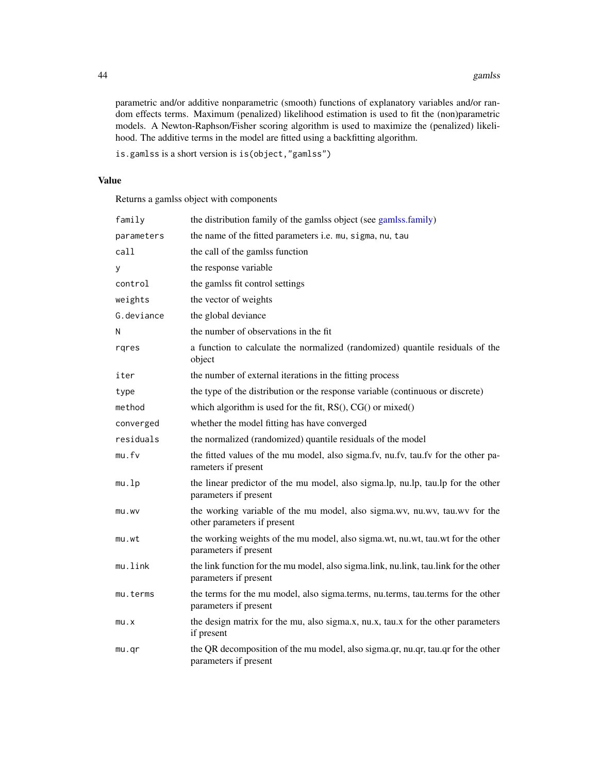parametric and/or additive nonparametric (smooth) functions of explanatory variables and/or random effects terms. Maximum (penalized) likelihood estimation is used to fit the (non)parametric models. A Newton-Raphson/Fisher scoring algorithm is used to maximize the (penalized) likelihood. The additive terms in the model are fitted using a backfitting algorithm.

is.gamlss is a short version is is(object,"gamlss")

## Value

Returns a gamlss object with components

| family     | the distribution family of the gamlss object (see gamlss.family)                                              |
|------------|---------------------------------------------------------------------------------------------------------------|
| parameters | the name of the fitted parameters i.e. mu, sigma, nu, tau                                                     |
| call       | the call of the gamlss function                                                                               |
| у          | the response variable                                                                                         |
| control    | the gamlss fit control settings                                                                               |
| weights    | the vector of weights                                                                                         |
| G.deviance | the global deviance                                                                                           |
| Ν          | the number of observations in the fit                                                                         |
| rqres      | a function to calculate the normalized (randomized) quantile residuals of the<br>object                       |
| iter       | the number of external iterations in the fitting process                                                      |
| type       | the type of the distribution or the response variable (continuous or discrete)                                |
| method     | which algorithm is used for the fit, $RS()$ , $CG()$ or mixed $()$                                            |
| converged  | whether the model fitting has have converged                                                                  |
| residuals  | the normalized (randomized) quantile residuals of the model                                                   |
| mu.fv      | the fitted values of the mu model, also sigma.fv, nu.fv, tau.fv for the other pa-<br>rameters if present      |
| mu.lp      | the linear predictor of the mu model, also sigma.lp, nu.lp, tau.lp for the other<br>parameters if present     |
| mu.wv      | the working variable of the mu model, also sigma.wv, nu.wv, tau.wv for the<br>other parameters if present     |
| mu.wt      | the working weights of the mu model, also sigma.wt, nu.wt, tau.wt for the other<br>parameters if present      |
| mu.link    | the link function for the mu model, also sigma.link, nu.link, tau.link for the other<br>parameters if present |
| mu.terms   | the terms for the mu model, also sigma.terms, nu.terms, tau.terms for the other<br>parameters if present      |
| mu.x       | the design matrix for the mu, also sigma.x, nu.x, tau.x for the other parameters<br>if present                |
| mu.qr      | the QR decomposition of the mu model, also sigma.qr, nu.qr, tau.qr for the other<br>parameters if present     |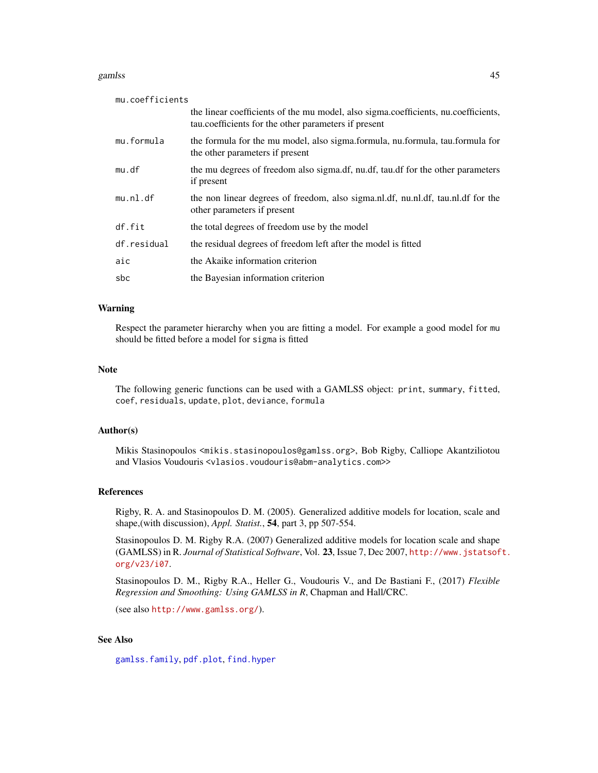#### gamlss and the contract of the contract of the contract of the contract of the contract of the contract of the contract of the contract of the contract of the contract of the contract of the contract of the contract of the

| mu.coefficients |                                                                                                                                            |
|-----------------|--------------------------------------------------------------------------------------------------------------------------------------------|
|                 | the linear coefficients of the mu model, also sigma.coefficients, nu.coefficients,<br>tau.coefficients for the other parameters if present |
| mu.formula      | the formula for the mu model, also sigma.formula, nu.formula, tau.formula for<br>the other parameters if present                           |
| mu.df           | the mu degrees of freedom also sigma.df, nu.df, tau.df for the other parameters<br>if present                                              |
| mu.n1.df        | the non linear degrees of freedom, also sigma.nl.df, nu.nl.df, tau.nl.df for the<br>other parameters if present                            |
| df.fit          | the total degrees of freedom use by the model                                                                                              |
| df.residual     | the residual degrees of freedom left after the model is fitted                                                                             |
| aic             | the Akaike information criterion                                                                                                           |
| sbc             | the Bayesian information criterion                                                                                                         |

#### Warning

Respect the parameter hierarchy when you are fitting a model. For example a good model for mu should be fitted before a model for sigma is fitted

# Note

The following generic functions can be used with a GAMLSS object: print, summary, fitted, coef, residuals, update, plot, deviance, formula

# Author(s)

Mikis Stasinopoulos <mikis.stasinopoulos@gamlss.org>, Bob Rigby, Calliope Akantziliotou and Vlasios Voudouris <vlasios.voudouris@abm-analytics.com>>

#### References

Rigby, R. A. and Stasinopoulos D. M. (2005). Generalized additive models for location, scale and shape,(with discussion), *Appl. Statist.*, 54, part 3, pp 507-554.

Stasinopoulos D. M. Rigby R.A. (2007) Generalized additive models for location scale and shape (GAMLSS) in R. *Journal of Statistical Software*, Vol. 23, Issue 7, Dec 2007, [http://www.jstatsof](http://www.jstatsoft.org/v23/i07)t. [org/v23/i07](http://www.jstatsoft.org/v23/i07).

Stasinopoulos D. M., Rigby R.A., Heller G., Voudouris V., and De Bastiani F., (2017) *Flexible Regression and Smoothing: Using GAMLSS in R*, Chapman and Hall/CRC.

(see also <http://www.gamlss.org/>).

# See Also

[gamlss.family](#page-0-0), [pdf.plot](#page-92-0), [find.hyper](#page-31-0)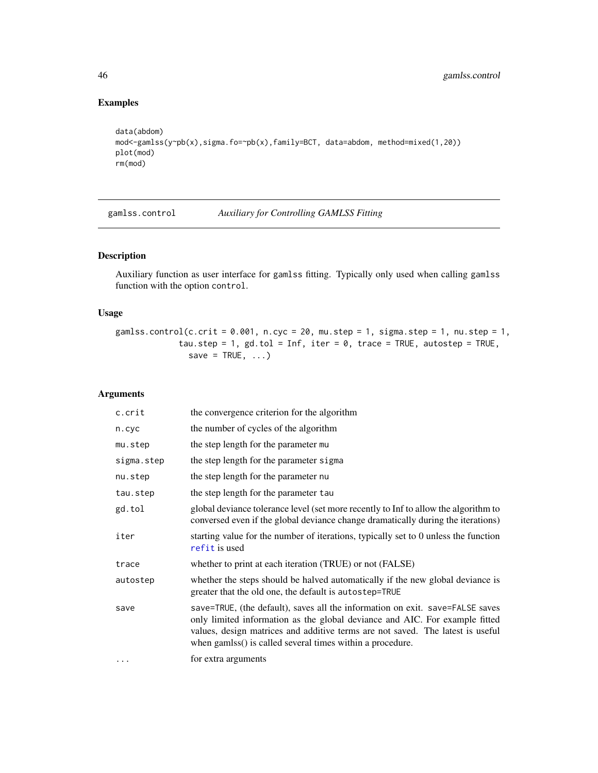# Examples

```
data(abdom)
mod<-gamlss(y~pb(x),sigma.fo=~pb(x),family=BCT, data=abdom, method=mixed(1,20))
plot(mod)
rm(mod)
```
<span id="page-45-0"></span>gamlss.control *Auxiliary for Controlling GAMLSS Fitting*

# Description

Auxiliary function as user interface for gamlss fitting. Typically only used when calling gamlss function with the option control.

# Usage

gamlss.control(c.crit =  $0.001$ , n.cyc =  $20$ , mu.step = 1, sigma.step = 1, nu.step = 1, tau.step = 1, gd.tol = Inf, iter =  $\theta$ , trace = TRUE, autostep = TRUE, save =  $TRUE$ , ...)

| c.crit     | the convergence criterion for the algorithm                                                                                                                                                                                                                                                                 |
|------------|-------------------------------------------------------------------------------------------------------------------------------------------------------------------------------------------------------------------------------------------------------------------------------------------------------------|
| n.cyc      | the number of cycles of the algorithm                                                                                                                                                                                                                                                                       |
| mu.step    | the step length for the parameter mu                                                                                                                                                                                                                                                                        |
| sigma.step | the step length for the parameter sigma                                                                                                                                                                                                                                                                     |
| nu.step    | the step length for the parameter nu                                                                                                                                                                                                                                                                        |
| tau.step   | the step length for the parameter tau                                                                                                                                                                                                                                                                       |
| gd.tol     | global deviance tolerance level (set more recently to Inf to allow the algorithm to<br>conversed even if the global deviance change dramatically during the iterations)                                                                                                                                     |
| iter       | starting value for the number of iterations, typically set to 0 unless the function<br>refit is used                                                                                                                                                                                                        |
| trace      | whether to print at each iteration (TRUE) or not (FALSE)                                                                                                                                                                                                                                                    |
| autostep   | whether the steps should be halved automatically if the new global deviance is<br>greater that the old one, the default is autostep=TRUE                                                                                                                                                                    |
| save       | save=TRUE, (the default), saves all the information on exit. save=FALSE saves<br>only limited information as the global deviance and AIC. For example fitted<br>values, design matrices and additive terms are not saved. The latest is useful<br>when gamlss() is called several times within a procedure. |
| $\cdots$   | for extra arguments                                                                                                                                                                                                                                                                                         |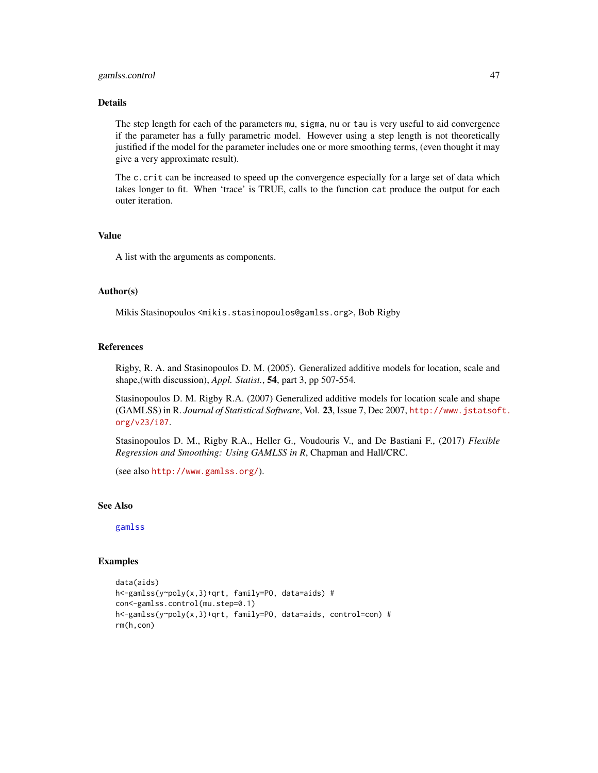# gamlss.control 47

# Details

The step length for each of the parameters mu, sigma, nu or tau is very useful to aid convergence if the parameter has a fully parametric model. However using a step length is not theoretically justified if the model for the parameter includes one or more smoothing terms, (even thought it may give a very approximate result).

The c.crit can be increased to speed up the convergence especially for a large set of data which takes longer to fit. When 'trace' is TRUE, calls to the function cat produce the output for each outer iteration.

# Value

A list with the arguments as components.

#### Author(s)

Mikis Stasinopoulos <mikis.stasinopoulos@gamlss.org>, Bob Rigby

#### References

Rigby, R. A. and Stasinopoulos D. M. (2005). Generalized additive models for location, scale and shape,(with discussion), *Appl. Statist.*, 54, part 3, pp 507-554.

Stasinopoulos D. M. Rigby R.A. (2007) Generalized additive models for location scale and shape (GAMLSS) in R. *Journal of Statistical Software*, Vol. 23, Issue 7, Dec 2007, [http://www.jstatsof](http://www.jstatsoft.org/v23/i07)t. [org/v23/i07](http://www.jstatsoft.org/v23/i07).

Stasinopoulos D. M., Rigby R.A., Heller G., Voudouris V., and De Bastiani F., (2017) *Flexible Regression and Smoothing: Using GAMLSS in R*, Chapman and Hall/CRC.

(see also <http://www.gamlss.org/>).

#### See Also

[gamlss](#page-40-0)

# Examples

```
data(aids)
h<-gamlss(y~poly(x,3)+qrt, family=PO, data=aids) #
con<-gamlss.control(mu.step=0.1)
h<-gamlss(y~poly(x,3)+qrt, family=PO, data=aids, control=con) #
rm(h,con)
```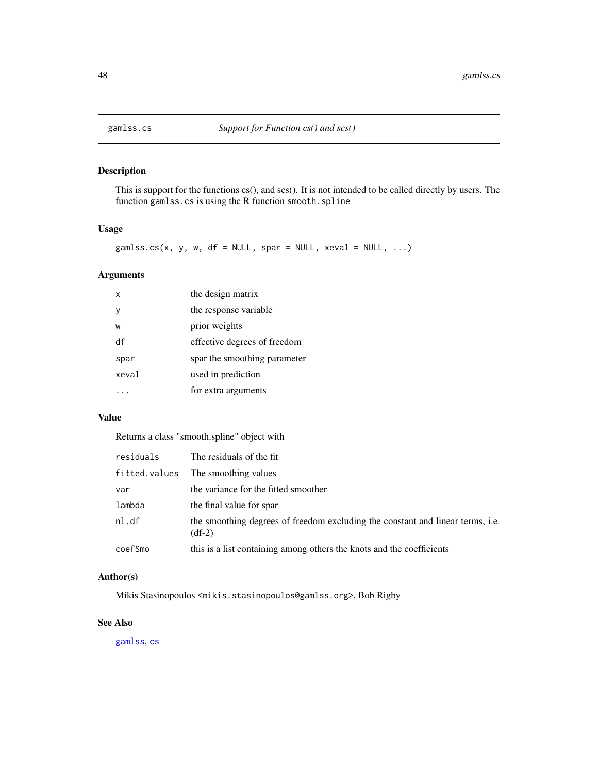# Description

This is support for the functions cs(), and scs(). It is not intended to be called directly by users. The function gamlss.cs is using the R function smooth.spline

## Usage

```
gamlss.cs(x, y, w, df = NULL, spar = NULL, xeval = NULL, ...)
```
# Arguments

| x     | the design matrix            |
|-------|------------------------------|
|       | the response variable        |
| W     | prior weights                |
| df    | effective degrees of freedom |
| spar  | spar the smoothing parameter |
| xeval | used in prediction           |
|       | for extra arguments          |

# Value

Returns a class "smooth.spline" object with

| residuals     | The residuals of the fit.                                                                  |
|---------------|--------------------------------------------------------------------------------------------|
| fitted.values | The smoothing values                                                                       |
| var           | the variance for the fitted smoother                                                       |
| lambda        | the final value for spar                                                                   |
| nl.df         | the smoothing degrees of freedom excluding the constant and linear terms, i.e.<br>$(df-2)$ |
| coefSmo       | this is a list containing among others the knots and the coefficients                      |

# Author(s)

Mikis Stasinopoulos <mikis.stasinopoulos@gamlss.org>, Bob Rigby

# See Also

[gamlss](#page-40-0), [cs](#page-21-0)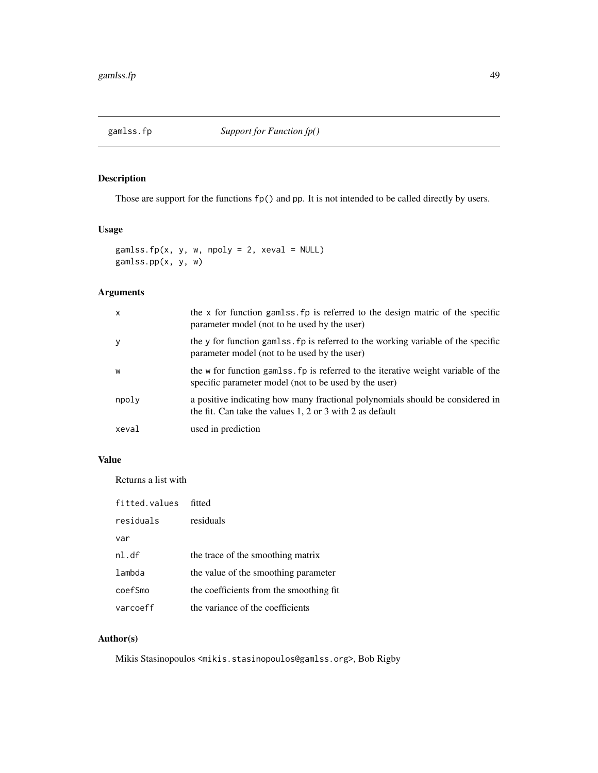# Description

Those are support for the functions fp() and pp. It is not intended to be called directly by users.

# Usage

```
gamlss.fp(x, y, w, npoly = 2, xeval = NULL)
gamlss.pp(x, y, w)
```
# Arguments

| $\mathsf{x}$ | the x for function gamlss, fp is referred to the design matric of the specific<br>parameter model (not to be used by the user)             |
|--------------|--------------------------------------------------------------------------------------------------------------------------------------------|
| y            | the y for function gaments. For is referred to the working variable of the specific<br>parameter model (not to be used by the user)        |
| W            | the w for function gamlss. fp is referred to the iterative weight variable of the<br>specific parameter model (not to be used by the user) |
| npoly        | a positive indicating how many fractional polynomials should be considered in<br>the fit. Can take the values 1, 2 or 3 with 2 as default  |
| xeval        | used in prediction                                                                                                                         |

# Value

Returns a list with

| fitted.values | fitted                                  |
|---------------|-----------------------------------------|
| residuals     | residuals                               |
| var           |                                         |
| nl.df         | the trace of the smoothing matrix       |
| lambda        | the value of the smoothing parameter    |
| coefSmo       | the coefficients from the smoothing fit |
| varcoeff      | the variance of the coefficients        |

# Author(s)

Mikis Stasinopoulos <mikis.stasinopoulos@gamlss.org>, Bob Rigby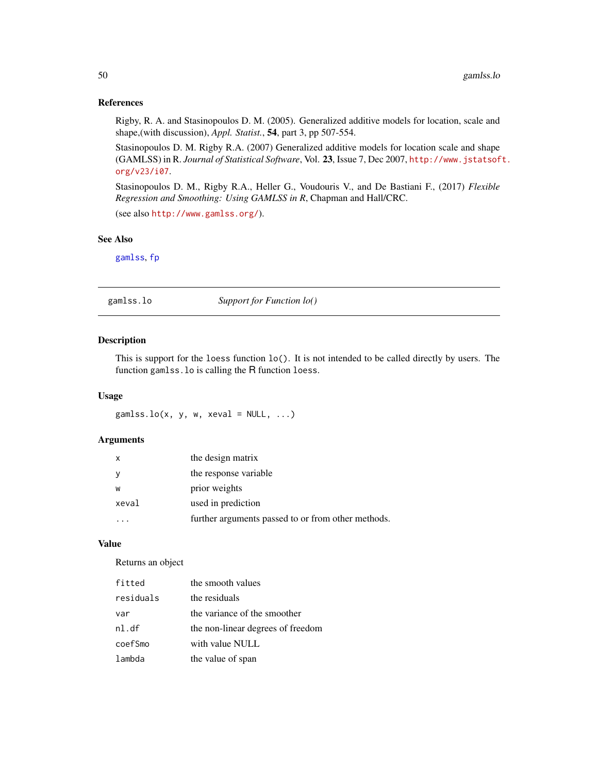# References

Rigby, R. A. and Stasinopoulos D. M. (2005). Generalized additive models for location, scale and shape,(with discussion), *Appl. Statist.*, 54, part 3, pp 507-554.

Stasinopoulos D. M. Rigby R.A. (2007) Generalized additive models for location scale and shape (GAMLSS) in R. *Journal of Statistical Software*, Vol. 23, Issue 7, Dec 2007, [http://www.jstatsof](http://www.jstatsoft.org/v23/i07)t. [org/v23/i07](http://www.jstatsoft.org/v23/i07).

Stasinopoulos D. M., Rigby R.A., Heller G., Voudouris V., and De Bastiani F., (2017) *Flexible Regression and Smoothing: Using GAMLSS in R*, Chapman and Hall/CRC.

(see also <http://www.gamlss.org/>).

# See Also

[gamlss](#page-40-0), [fp](#page-8-0)

# gamlss.lo *Support for Function lo()*

# Description

This is support for the loess function lo(). It is not intended to be called directly by users. The function gamlss.lo is calling the R function loess.

#### Usage

 $gamma(s, y, w, xeval = NULL, ...)$ 

# Arguments

| $\mathsf{x}$ | the design matrix                                  |
|--------------|----------------------------------------------------|
| <sub>V</sub> | the response variable                              |
| W            | prior weights                                      |
| xeval        | used in prediction                                 |
|              | further arguments passed to or from other methods. |

# Value

Returns an object

| fitted    | the smooth values                 |
|-----------|-----------------------------------|
| residuals | the residuals                     |
| var       | the variance of the smoother      |
| nl.df     | the non-linear degrees of freedom |
| coefSmo   | with value NULL                   |
| lambda    | the value of span                 |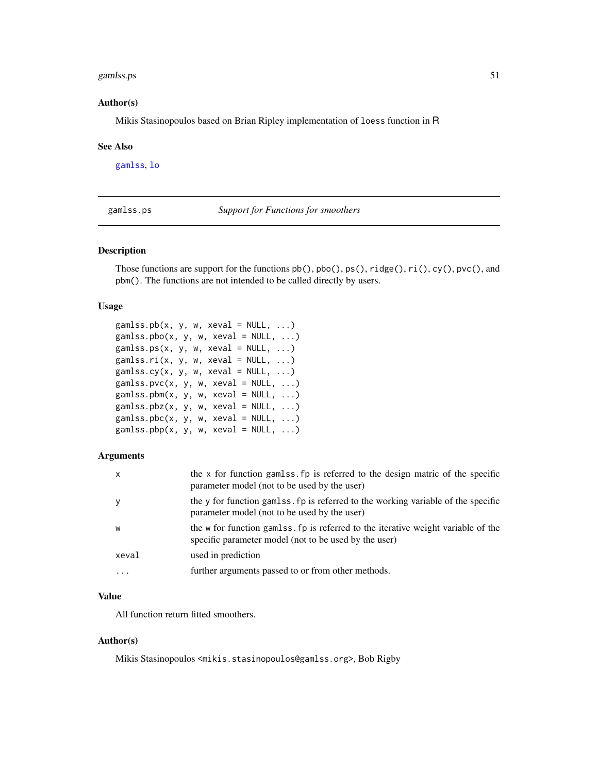#### gamlss.ps 51

## Author(s)

Mikis Stasinopoulos based on Brian Ripley implementation of loess function in R

#### See Also

[gamlss](#page-40-0), [lo](#page-78-0)

gamlss.ps *Support for Functions for smoothers*

## Description

Those functions are support for the functions  $pb($ ),  $pbo($ ),  $ps($ ),  $right(e)$ ,  $ri($ ),  $cy()$ ,  $pvc()$ , and pbm(). The functions are not intended to be called directly by users.

## Usage

```
gamlss.pb(x, y, w, xeval = NULL, ...)gamlss.pbo(x, y, w, xeval = NULL, ...)gamlss.ps(x, y, w, xeval = NULL, ...)gamlss.ri(x, y, w, xeval = NULL, ...)gamlss.cy(x, y, w, xeval = NULL, ...)gamlss.pvc(x, y, w, xeval = NULL, ...)gamlss.pbm(x, y, w, xeval = NULL, ...)gamlss.pbz(x, y, w, xeval = NULL, ...)gamlss.pbc(x, y, w, xeval = NULL, ...)gamlss.pbp(x, y, w, xeval = NULL, ...)
```
# Arguments

| $\mathsf{x}$ | the x for function gamlss fp is referred to the design matric of the specific<br>parameter model (not to be used by the user)               |
|--------------|---------------------------------------------------------------------------------------------------------------------------------------------|
| $\mathbf{y}$ | the y for function gaments. For is referred to the working variable of the specific<br>parameter model (not to be used by the user)         |
| W            | the w for function gaments. Fo is referred to the iterative weight variable of the<br>specific parameter model (not to be used by the user) |
| xeval        | used in prediction                                                                                                                          |
| .            | further arguments passed to or from other methods.                                                                                          |

# Value

All function return fitted smoothers.

#### Author(s)

Mikis Stasinopoulos <mikis.stasinopoulos@gamlss.org>, Bob Rigby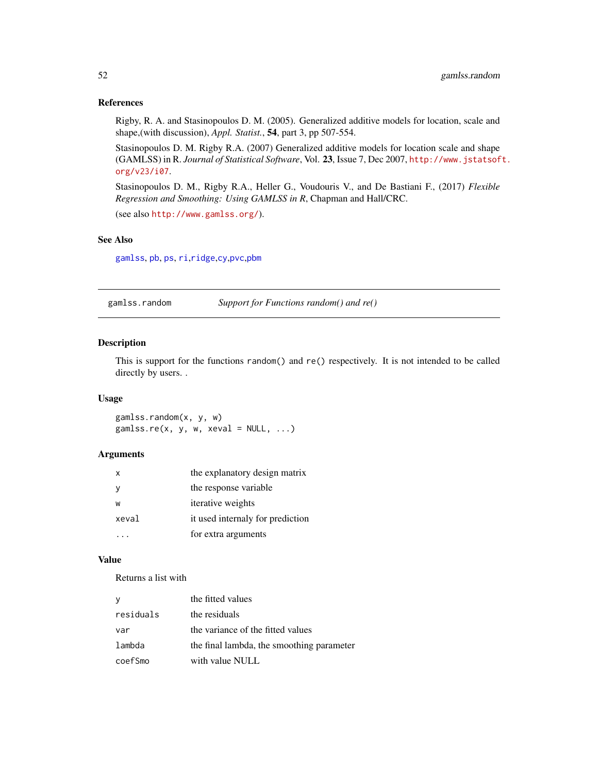## References

Rigby, R. A. and Stasinopoulos D. M. (2005). Generalized additive models for location, scale and shape,(with discussion), *Appl. Statist.*, 54, part 3, pp 507-554.

Stasinopoulos D. M. Rigby R.A. (2007) Generalized additive models for location scale and shape (GAMLSS) in R. *Journal of Statistical Software*, Vol. 23, Issue 7, Dec 2007, [http://www.jstatsof](http://www.jstatsoft.org/v23/i07)t. [org/v23/i07](http://www.jstatsoft.org/v23/i07).

Stasinopoulos D. M., Rigby R.A., Heller G., Voudouris V., and De Bastiani F., (2017) *Flexible Regression and Smoothing: Using GAMLSS in R*, Chapman and Hall/CRC.

(see also <http://www.gamlss.org/>).

# See Also

[gamlss](#page-40-0), [pb](#page-107-0), [ps](#page-107-1), [ri](#page-125-0),[ridge](#page-0-0),[cy](#page-107-0),[pvc](#page-107-0),[pbm](#page-107-0)

gamlss.random *Support for Functions random() and re()*

# Description

This is support for the functions random() and re() respectively. It is not intended to be called directly by users. .

## Usage

gamlss.random(x, y, w)  $gamlss.re(x, y, w, xeval = NULL, ...)$ 

#### Arguments

| $\mathsf{x}$ | the explanatory design matrix    |
|--------------|----------------------------------|
|              | the response variable            |
| W            | <i>iterative</i> weights         |
| xeval        | it used internaly for prediction |
|              | for extra arguments              |

# Value

Returns a list with

| У         | the fitted values                         |
|-----------|-------------------------------------------|
| residuals | the residuals                             |
| var       | the variance of the fitted values         |
| lambda    | the final lambda, the smoothing parameter |
| coefSmo   | with value NULL                           |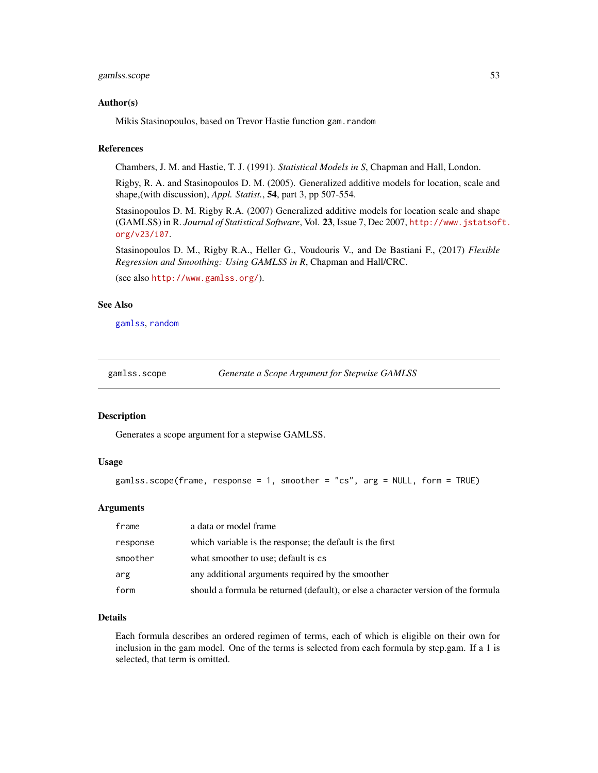# gamlss.scope 53

## Author(s)

Mikis Stasinopoulos, based on Trevor Hastie function gam.random

#### References

Chambers, J. M. and Hastie, T. J. (1991). *Statistical Models in S*, Chapman and Hall, London.

Rigby, R. A. and Stasinopoulos D. M. (2005). Generalized additive models for location, scale and shape,(with discussion), *Appl. Statist.*, 54, part 3, pp 507-554.

Stasinopoulos D. M. Rigby R.A. (2007) Generalized additive models for location scale and shape (GAMLSS) in R. *Journal of Statistical Software*, Vol. 23, Issue 7, Dec 2007, [http://www.jstatsof](http://www.jstatsoft.org/v23/i07)t. [org/v23/i07](http://www.jstatsoft.org/v23/i07).

Stasinopoulos D. M., Rigby R.A., Heller G., Voudouris V., and De Bastiani F., (2017) *Flexible Regression and Smoothing: Using GAMLSS in R*, Chapman and Hall/CRC.

(see also <http://www.gamlss.org/>).

# See Also

[gamlss](#page-40-0), [random](#page-118-0)

gamlss.scope *Generate a Scope Argument for Stepwise GAMLSS*

#### Description

Generates a scope argument for a stepwise GAMLSS.

# Usage

```
gamlss.scope(frame, response = 1, smoother = "cs", arg = NULL, form = TRUE)
```
# Arguments

| frame    | a data or model frame                                                              |
|----------|------------------------------------------------------------------------------------|
| response | which variable is the response; the default is the first                           |
| smoother | what smoother to use; default is cs                                                |
| arg      | any additional arguments required by the smoother                                  |
| form     | should a formula be returned (default), or else a character version of the formula |

# Details

Each formula describes an ordered regimen of terms, each of which is eligible on their own for inclusion in the gam model. One of the terms is selected from each formula by step.gam. If a 1 is selected, that term is omitted.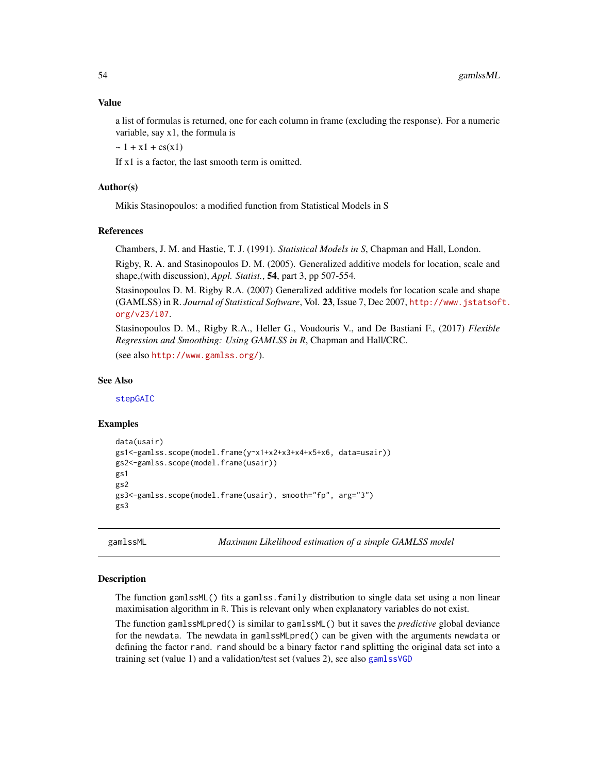# Value

a list of formulas is returned, one for each column in frame (excluding the response). For a numeric variable, say x1, the formula is

 $\sim 1 + x1 + cs(x1)$ 

If x1 is a factor, the last smooth term is omitted.

#### Author(s)

Mikis Stasinopoulos: a modified function from Statistical Models in S

## References

Chambers, J. M. and Hastie, T. J. (1991). *Statistical Models in S*, Chapman and Hall, London.

Rigby, R. A. and Stasinopoulos D. M. (2005). Generalized additive models for location, scale and shape,(with discussion), *Appl. Statist.*, 54, part 3, pp 507-554.

Stasinopoulos D. M. Rigby R.A. (2007) Generalized additive models for location scale and shape (GAMLSS) in R. *Journal of Statistical Software*, Vol. 23, Issue 7, Dec 2007, [http://www.jstatsof](http://www.jstatsoft.org/v23/i07)t. [org/v23/i07](http://www.jstatsoft.org/v23/i07).

Stasinopoulos D. M., Rigby R.A., Heller G., Voudouris V., and De Bastiani F., (2017) *Flexible Regression and Smoothing: Using GAMLSS in R*, Chapman and Hall/CRC.

(see also <http://www.gamlss.org/>).

#### See Also

[stepGAIC](#page-131-0)

#### Examples

```
data(usair)
gs1<-gamlss.scope(model.frame(y~x1+x2+x3+x4+x5+x6, data=usair))
gs2<-gamlss.scope(model.frame(usair))
gs1
gs2
gs3<-gamlss.scope(model.frame(usair), smooth="fp", arg="3")
gs3
```
<span id="page-53-0"></span>gamlssML *Maximum Likelihood estimation of a simple GAMLSS model*

#### Description

The function gamlssML() fits a gamlss.family distribution to single data set using a non linear maximisation algorithm in R. This is relevant only when explanatory variables do not exist.

The function gamlssMLpred() is similar to gamlssML() but it saves the *predictive* global deviance for the newdata. The newdata in gamlssMLpred() can be given with the arguments newdata or defining the factor rand. rand should be a binary factor rand splitting the original data set into a training set (value 1) and a validation/test set (values 2), see also [gamlssVGD](#page-56-0)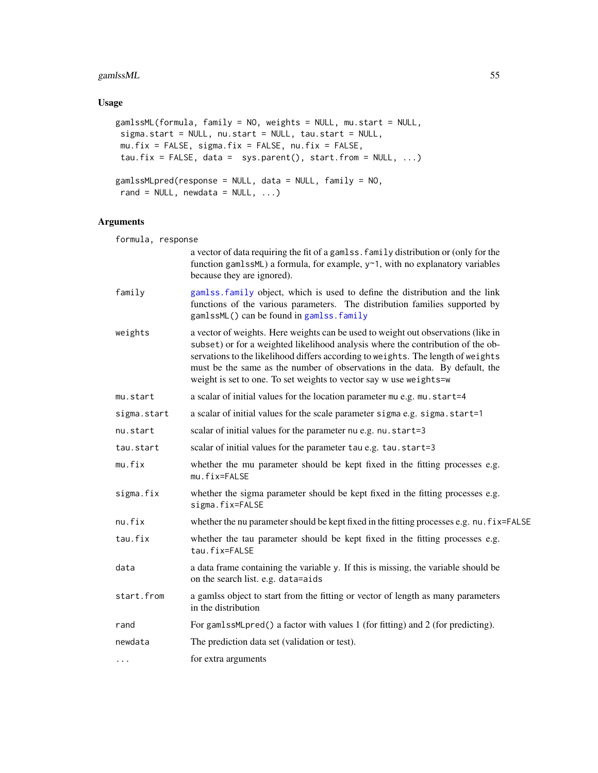# gamlssML 55

# Usage

```
gamlssML(formula, family = NO, weights = NULL, mu.start = NULL,
sigma.start = NULL, nu.start = NULL, tau.start = NULL,
mu.fix = FALSE, sigma.fix = FALSE, nu.fix = FALSE,
tau.fix = FALSE, data = sys.parent(), start.from = NULL, ...)
gamlssMLpred(response = NULL, data = NULL, family = NO,
rand = NULL, newdata = NULL, ...)
```

| formula, response |                                                                                                                                                                                                                                                                                                                                                                                                               |
|-------------------|---------------------------------------------------------------------------------------------------------------------------------------------------------------------------------------------------------------------------------------------------------------------------------------------------------------------------------------------------------------------------------------------------------------|
|                   | a vector of data requiring the fit of a gamlss. family distribution or (only for the<br>function gamlssML) a formula, for example, y~1, with no explanatory variables<br>because they are ignored).                                                                                                                                                                                                           |
| family            | gamlss. family object, which is used to define the distribution and the link<br>functions of the various parameters. The distribution families supported by<br>gamlssML() can be found in gamlss. family                                                                                                                                                                                                      |
| weights           | a vector of weights. Here weights can be used to weight out observations (like in<br>subset) or for a weighted likelihood analysis where the contribution of the ob-<br>servations to the likelihood differs according to weights. The length of weights<br>must be the same as the number of observations in the data. By default, the<br>weight is set to one. To set weights to vector say w use weights=w |
| mu.start          | a scalar of initial values for the location parameter mu e.g. mu.start=4                                                                                                                                                                                                                                                                                                                                      |
| sigma.start       | a scalar of initial values for the scale parameter sigma e.g. sigma.start=1                                                                                                                                                                                                                                                                                                                                   |
| nu.start          | scalar of initial values for the parameter nu e.g. nu.start=3                                                                                                                                                                                                                                                                                                                                                 |
| tau.start         | scalar of initial values for the parameter tau e.g. tau.start=3                                                                                                                                                                                                                                                                                                                                               |
| mu.fix            | whether the mu parameter should be kept fixed in the fitting processes e.g.<br>mu.fix=FALSE                                                                                                                                                                                                                                                                                                                   |
| sigma.fix         | whether the sigma parameter should be kept fixed in the fitting processes e.g.<br>sigma.fix=FALSE                                                                                                                                                                                                                                                                                                             |
| nu.fix            | whether the nu parameter should be kept fixed in the fitting processes e.g. nu. fix=FALSE                                                                                                                                                                                                                                                                                                                     |
| tau.fix           | whether the tau parameter should be kept fixed in the fitting processes e.g.<br>tau.fix=FALSE                                                                                                                                                                                                                                                                                                                 |
| data              | a data frame containing the variable y. If this is missing, the variable should be<br>on the search list. e.g. data=aids                                                                                                                                                                                                                                                                                      |
| start.from        | a gamlss object to start from the fitting or vector of length as many parameters<br>in the distribution                                                                                                                                                                                                                                                                                                       |
| rand              | For gamlssMLpred() a factor with values 1 (for fitting) and 2 (for predicting).                                                                                                                                                                                                                                                                                                                               |
| newdata           | The prediction data set (validation or test).                                                                                                                                                                                                                                                                                                                                                                 |
| $\cdots$          | for extra arguments                                                                                                                                                                                                                                                                                                                                                                                           |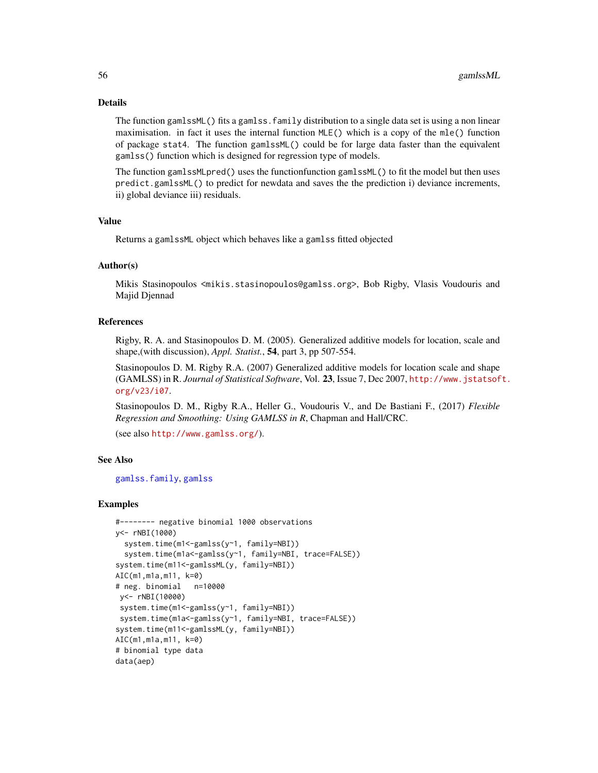# Details

The function gamlssML() fits a gamlss. family distribution to a single data set is using a non linear maximisation. in fact it uses the internal function MLE() which is a copy of the mle() function of package stat4. The function gamlssML() could be for large data faster than the equivalent gamlss() function which is designed for regression type of models.

The function gamlssMLpred() uses the functionfunction gamlssML() to fit the model but then uses predict.gamlssML() to predict for newdata and saves the the prediction i) deviance increments, ii) global deviance iii) residuals.

#### Value

Returns a gamlssML object which behaves like a gamlss fitted objected

## Author(s)

Mikis Stasinopoulos <mikis.stasinopoulos@gamlss.org>, Bob Rigby, Vlasis Voudouris and Majid Djennad

## References

Rigby, R. A. and Stasinopoulos D. M. (2005). Generalized additive models for location, scale and shape,(with discussion), *Appl. Statist.*, 54, part 3, pp 507-554.

Stasinopoulos D. M. Rigby R.A. (2007) Generalized additive models for location scale and shape (GAMLSS) in R. *Journal of Statistical Software*, Vol. 23, Issue 7, Dec 2007, [http://www.jstatsof](http://www.jstatsoft.org/v23/i07)t. [org/v23/i07](http://www.jstatsoft.org/v23/i07).

Stasinopoulos D. M., Rigby R.A., Heller G., Voudouris V., and De Bastiani F., (2017) *Flexible Regression and Smoothing: Using GAMLSS in R*, Chapman and Hall/CRC.

(see also <http://www.gamlss.org/>).

## See Also

[gamlss.family](#page-0-0), [gamlss](#page-40-0)

#### Examples

```
#-------- negative binomial 1000 observations
y<- rNBI(1000)
  system.time(m1 <- gamlss(y ~ 1, family=NBI))
  system.time(m1a<-gamlss(y~1, family=NBI, trace=FALSE))
system.time(m11<-gamlssML(y, family=NBI))
AIC(m1,m1a,m11, k=0)
# neg. binomial n=10000
 y<- rNBI(10000)
 system.time(m1 <- gamlss(y ~ 1, family=NBI))
 system.time(m1a<-gamlss(y~1, family=NBI, trace=FALSE))
system.time(m11<-gamlssML(y, family=NBI))
AIC(m1,m1a,m11, k=0)
# binomial type data
data(aep)
```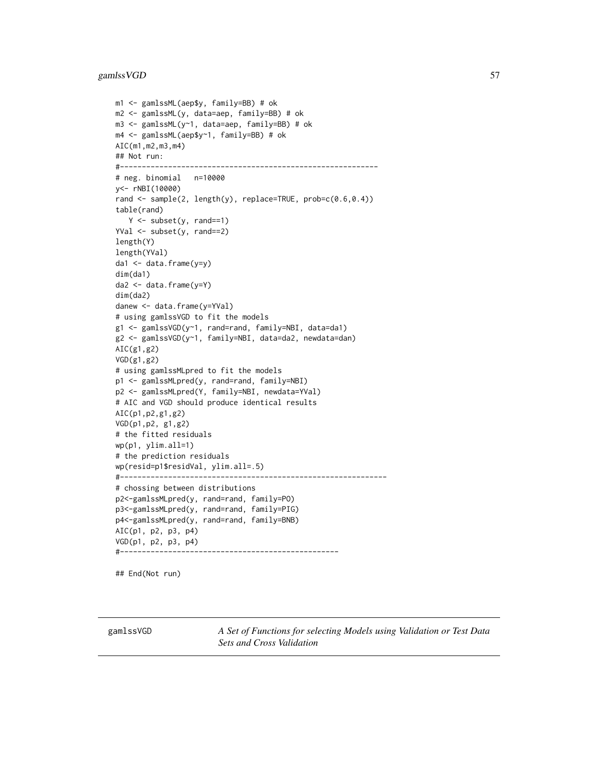# gamlssVGD 57

```
m1 <- gamlssML(aep$y, family=BB) # ok
m2 <- gamlssML(y, data=aep, family=BB) # ok
m3 <- gamlssML(y~1, data=aep, family=BB) # ok
m4 <- gamlssML(aep$y~1, family=BB) # ok
AIC(m1,m2,m3,m4)
## Not run:
#-----------------------------------------------------------
# neg. binomial n=10000
y<- rNBI(10000)
rand <- sample(2, length(y), replace=TRUE, prob=c(0.6,0.4))
table(rand)
   Y <- subset(y, rand==1)
YVal <- subset(y, rand==2)
length(Y)
length(YVal)
da1 <- data.frame(y=y)
dim(da1)
da2 <- data.frame(y=Y)
dim(da2)
danew <- data.frame(y=YVal)
# using gamlssVGD to fit the models
g1 <- gamlssVGD(y~1, rand=rand, family=NBI, data=da1)
g2 <- gamlssVGD(y~1, family=NBI, data=da2, newdata=dan)
AIC(g1,g2)
VGD(g1,g2)
# using gamlssMLpred to fit the models
p1 <- gamlssMLpred(y, rand=rand, family=NBI)
p2 <- gamlssMLpred(Y, family=NBI, newdata=YVal)
# AIC and VGD should produce identical results
AIC(p1,p2,g1,g2)
VGD(p1,p2, g1,g2)
# the fitted residuals
wp(p1, ylim.all=1)
# the prediction residuals
wp(resid=p1$residVal, ylim.all=.5)
#-------------------------------------------------------------
# chossing between distributions
p2<-gamlssMLpred(y, rand=rand, family=PO)
p3<-gamlssMLpred(y, rand=rand, family=PIG)
p4<-gamlssMLpred(y, rand=rand, family=BNB)
AIC(p1, p2, p3, p4)
VGD(p1, p2, p3, p4)
#--------------------------------------------------
```
## End(Not run)

<span id="page-56-0"></span>gamlssVGD *A Set of Functions for selecting Models using Validation or Test Data Sets and Cross Validation*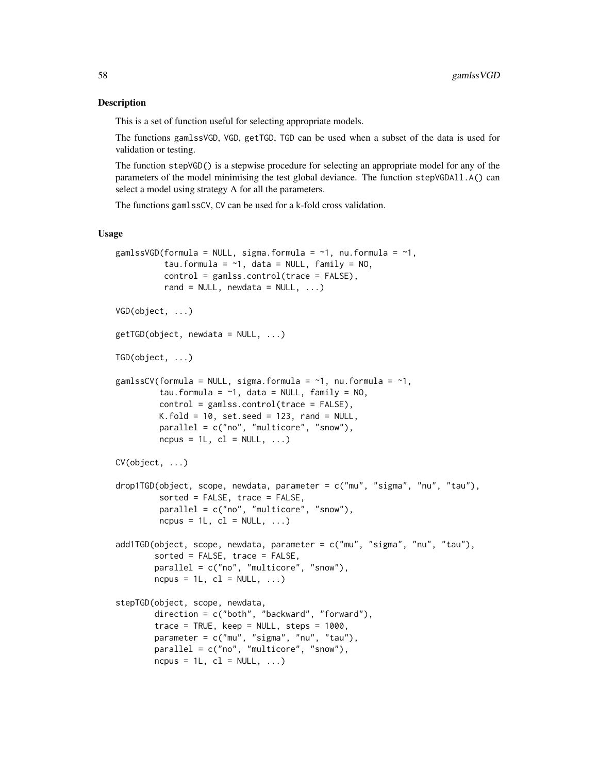## Description

This is a set of function useful for selecting appropriate models.

The functions gamlssVGD, VGD, getTGD, TGD can be used when a subset of the data is used for validation or testing.

The function stepVGD() is a stepwise procedure for selecting an appropriate model for any of the parameters of the model minimising the test global deviance. The function stepVGDAll.A() can select a model using strategy A for all the parameters.

The functions gamlssCV, CV can be used for a k-fold cross validation.

#### Usage

```
gamlssVGD(formula = NULL, sigma.formula = \sim1, nu.formula = \sim1,
          tau.formula = \sim1, data = NULL, family = NO,
          control = gamlss.control(trace = FALSE),
          rand = NULL, newdata = NULL, \ldots)
VGD(object, ...)
getTGD(object, newdata = NULL, ...)TGD(object, ...)
gamlssCV(formula = NULL, sigma.formula = \sim1, nu.formula = \sim1,
         tau.formula = \sim1, data = NULL, family = NO,
         control = gamlss.contrib(trace = FALSE),
         K.fold = 10, set.seed = 123, rand = NULL,
         parallel = c("no", "multicore", "snow"),
         ncpus = 1L, cl = NULL, ...)
CV(object, ...)
drop1TGD(object, scope, newdata, parameter = c("mu", "sigma", "nu", "tau"),
         sorted = FALSE, trace = FALSE,
         parallel = c("no", "multicore", "snow"),
         ncpus = 1L, cl = NULL, ...)
add1TGD(object, scope, newdata, parameter = c("mu", "sigma", "nu", "tau"),
        sorted = FALSE, trace = FALSE,
        parallel = c("no", "multicore", "snow"),
        ncpus = 1L, cl = NULL, ...)
stepTGD(object, scope, newdata,
        direction = c("both", "backward", "forward"),
        trace = TRUE, keep = NULL, steps = 1000.
        parameter = c("mu", "sigma", "nu", "tau"),
        parallel = c("no", "multicore", "snow"),
        ncpus = 1L, cl = NULL, ...)
```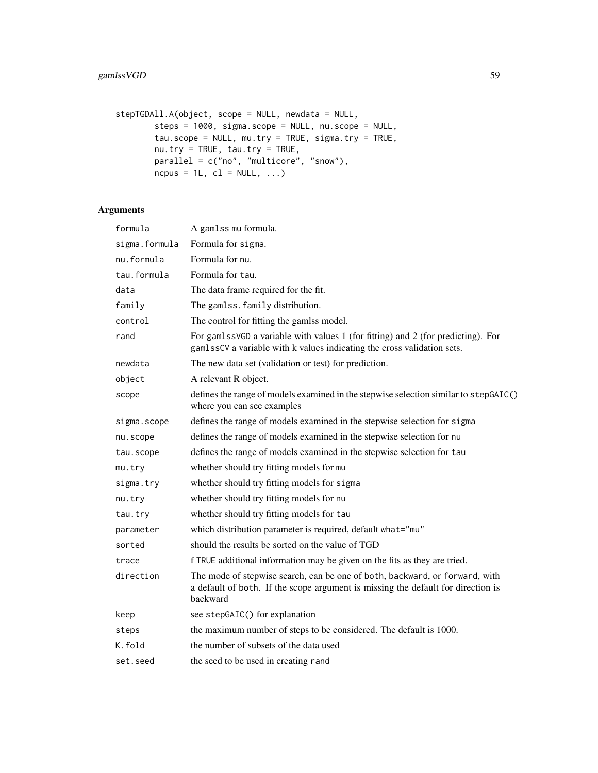```
stepTGDAll.A(object, scope = NULL, newdata = NULL,
        steps = 1000, sigma.scope = NULL, nu.scope = NULL,
        tau.scope = NULL, mu.try = TRUE, sigma.try = TRUE,
        nu.try = TRUE, tau.try = TRUE,
        parallel = c("no", "multicore", "snow"),
        ncpus = 1L, cl = NULL, ...)
```

| formula       | A gamlss mu formula.                                                                                                                                                        |
|---------------|-----------------------------------------------------------------------------------------------------------------------------------------------------------------------------|
| sigma.formula | Formula for sigma.                                                                                                                                                          |
| nu.formula    | Formula for nu.                                                                                                                                                             |
| tau.formula   | Formula for tau.                                                                                                                                                            |
| data          | The data frame required for the fit.                                                                                                                                        |
| family        | The gamlss. family distribution.                                                                                                                                            |
| control       | The control for fitting the gamlss model.                                                                                                                                   |
| rand          | For gamlssVGD a variable with values 1 (for fitting) and 2 (for predicting). For<br>gamlssCV a variable with k values indicating the cross validation sets.                 |
| newdata       | The new data set (validation or test) for prediction.                                                                                                                       |
| object        | A relevant R object.                                                                                                                                                        |
| scope         | defines the range of models examined in the stepwise selection similar to stepGAIC()<br>where you can see examples                                                          |
| sigma.scope   | defines the range of models examined in the stepwise selection for sigma                                                                                                    |
| nu.scope      | defines the range of models examined in the stepwise selection for nu                                                                                                       |
| tau.scope     | defines the range of models examined in the stepwise selection for tau                                                                                                      |
| mu.try        | whether should try fitting models for mu                                                                                                                                    |
| sigma.try     | whether should try fitting models for sigma                                                                                                                                 |
| nu.try        | whether should try fitting models for nu                                                                                                                                    |
| tau.try       | whether should try fitting models for tau                                                                                                                                   |
| parameter     | which distribution parameter is required, default what="mu"                                                                                                                 |
| sorted        | should the results be sorted on the value of TGD                                                                                                                            |
| trace         | f TRUE additional information may be given on the fits as they are tried.                                                                                                   |
| direction     | The mode of stepwise search, can be one of both, backward, or forward, with<br>a default of both. If the scope argument is missing the default for direction is<br>backward |
| keep          | see stepGAIC() for explanation                                                                                                                                              |
| steps         | the maximum number of steps to be considered. The default is 1000.                                                                                                          |
| K.fold        | the number of subsets of the data used                                                                                                                                      |
| set.seed      | the seed to be used in creating rand                                                                                                                                        |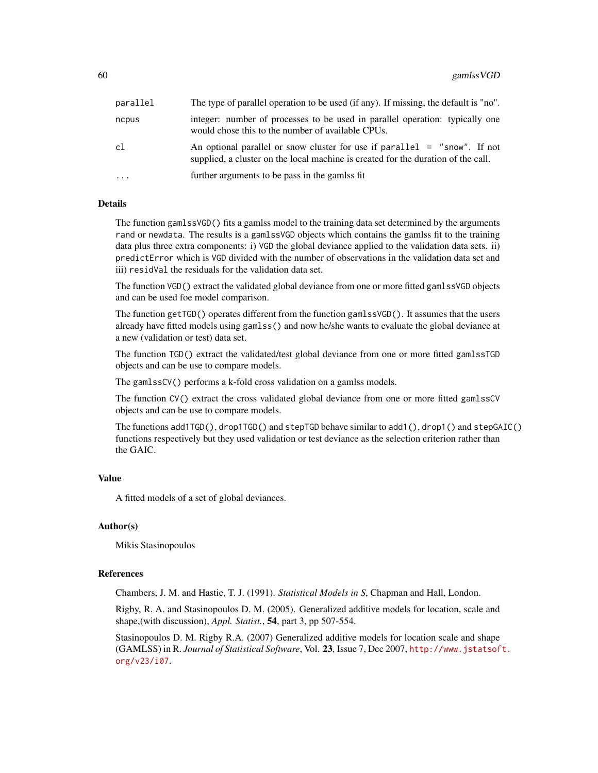| parallel  | The type of parallel operation to be used (if any). If missing, the default is "no".                                                                             |
|-----------|------------------------------------------------------------------------------------------------------------------------------------------------------------------|
| ncpus     | integer: number of processes to be used in parallel operation: typically one<br>would chose this to the number of available CPUs.                                |
| cl        | An optional parallel or snow cluster for use if parallel $=$ "snow". If not<br>supplied, a cluster on the local machine is created for the duration of the call. |
| $\ddotsc$ | further arguments to be pass in the gamlss fit                                                                                                                   |

# Details

The function gamlssVGD() fits a gamlss model to the training data set determined by the arguments rand or newdata. The results is a gamlssVGD objects which contains the gamlss fit to the training data plus three extra components: i) VGD the global deviance applied to the validation data sets. ii) predictError which is VGD divided with the number of observations in the validation data set and iii) residVal the residuals for the validation data set.

The function VGD() extract the validated global deviance from one or more fitted gamlssVGD objects and can be used foe model comparison.

The function getTGD() operates different from the function gamlssVGD(). It assumes that the users already have fitted models using gamlss() and now he/she wants to evaluate the global deviance at a new (validation or test) data set.

The function TGD() extract the validated/test global deviance from one or more fitted gamlssTGD objects and can be use to compare models.

The gamlssCV() performs a k-fold cross validation on a gamlss models.

The function CV() extract the cross validated global deviance from one or more fitted gamlssCV objects and can be use to compare models.

The functions add1TGD(), drop1TGD() and stepTGD behave similar to add1(), drop1() and stepGAIC() functions respectively but they used validation or test deviance as the selection criterion rather than the GAIC.

#### Value

A fitted models of a set of global deviances.

## Author(s)

Mikis Stasinopoulos

#### References

Chambers, J. M. and Hastie, T. J. (1991). *Statistical Models in S*, Chapman and Hall, London.

Rigby, R. A. and Stasinopoulos D. M. (2005). Generalized additive models for location, scale and shape,(with discussion), *Appl. Statist.*, 54, part 3, pp 507-554.

Stasinopoulos D. M. Rigby R.A. (2007) Generalized additive models for location scale and shape (GAMLSS) in R. *Journal of Statistical Software*, Vol. 23, Issue 7, Dec 2007, [http://www.jstatsof](http://www.jstatsoft.org/v23/i07)t. [org/v23/i07](http://www.jstatsoft.org/v23/i07).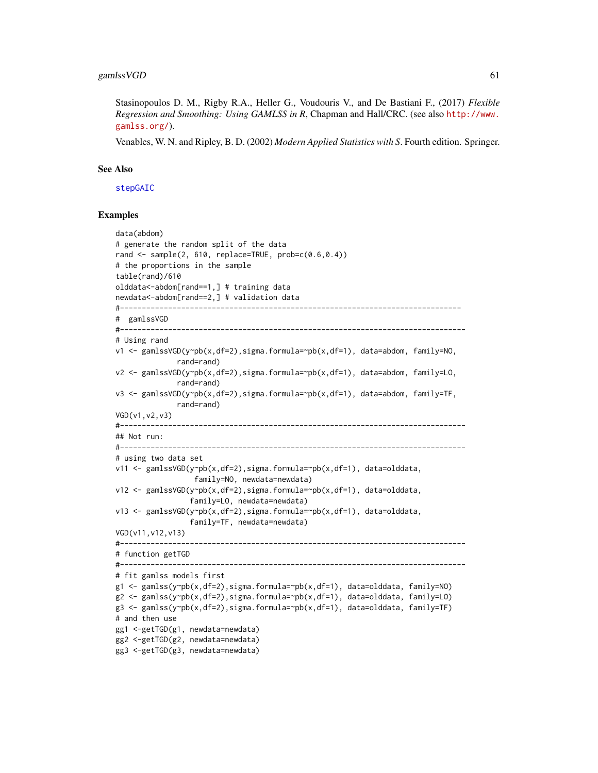Stasinopoulos D. M., Rigby R.A., Heller G., Voudouris V., and De Bastiani F., (2017) *Flexible Regression and Smoothing: Using GAMLSS in R*, Chapman and Hall/CRC. (see also [http://www.](http://www.gamlss.org/) [gamlss.org/](http://www.gamlss.org/)).

Venables, W. N. and Ripley, B. D. (2002) *Modern Applied Statistics with S*. Fourth edition. Springer.

#### See Also

[stepGAIC](#page-131-0)

## Examples

```
data(abdom)
# generate the random split of the data
rand \leq sample(2, 610, replace=TRUE, prob=c(0.6,0.4))
# the proportions in the sample
table(rand)/610
olddata<-abdom[rand==1,] # training data
newdata<-abdom[rand==2,] # validation data
#------------------------------------------------------------------------------
# gamlssVGD
#-------------------------------------------------------------------------------
# Using rand
v1 <- gamlssVGD(y~pb(x,df=2),sigma.formula=~pb(x,df=1), data=abdom, family=N0,
              rand=rand)
v2 <- gamlssVGD(y~pb(x,df=2),sigma.formula=~pb(x,df=1), data=abdom, family=LO,
              rand=rand)
v3 <- gamlssVGD(y~pb(x,df=2),sigma.formula=~pb(x,df=1), data=abdom, family=TF,
              rand=rand)
VGD(v1,v2,v3)
#-------------------------------------------------------------------------------
## Not run:
#-------------------------------------------------------------------------------
# using two data set
v11 <- gamlssVGD(y~pb(x,df=2),sigma.formula=~pb(x,df=1), data=olddata,
                  family=NO, newdata=newdata)
v12 <- gamlssVGD(y~pb(x,df=2),sigma.formula=~pb(x,df=1), data=olddata,
                 family=LO, newdata=newdata)
v13 <- gamlssVGD(y~pb(x,df=2),sigma.formula=~pb(x,df=1), data=olddata,
                 family=TF, newdata=newdata)
VGD(v11,v12,v13)
                     #-------------------------------------------------------------------------------
# function getTGD
#-------------------------------------------------------------------------------
# fit gamlss models first
g1 <- gamlss(y~pb(x,df=2),sigma.formula=~pb(x,df=1), data=olddata, family=NO)
g2 <- gamlss(y~pb(x,df=2),sigma.formula=~pb(x,df=1), data=olddata, family=LO)
g3 <- gamlss(y~pb(x,df=2),sigma.formula=~pb(x,df=1), data=olddata, family=TF)
# and then use
gg1 <-getTGD(g1, newdata=newdata)
gg2 <-getTGD(g2, newdata=newdata)
gg3 <-getTGD(g3, newdata=newdata)
```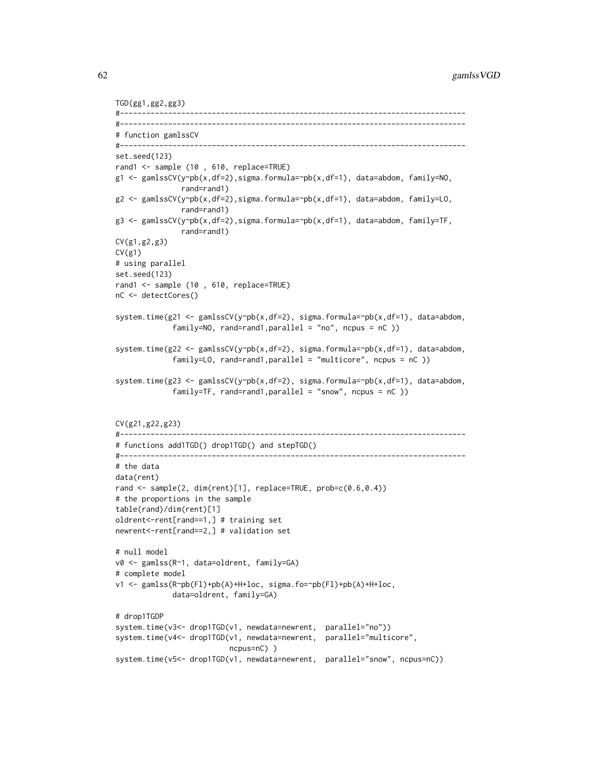```
TGD(gg1,gg2,gg3)
#-------------------------------------------------------------------------------
#-------------------------------------------------------------------------------
# function gamlssCV
#-------------------------------------------------------------------------------
set.seed(123)
rand1 <- sample (10 , 610, replace=TRUE)
g1 <- gamlssCV(y~pb(x,df=2),sigma.formula=~pb(x,df=1), data=abdom, family=NO,
               rand=rand1)
g2 <- gamlssCV(y~pb(x,df=2),sigma.formula=~pb(x,df=1), data=abdom, family=LO,
               rand=rand1)
g3 <- gamlssCV(y~pb(x,df=2),sigma.formula=~pb(x,df=1), data=abdom, family=TF,
               rand=rand1)
CV(g1,g2,g3)
CV(g1)# using parallel
set.seed(123)
rand1 <- sample (10 , 610, replace=TRUE)
nC <- detectCores()
system.time(g21 <- gamlssCV(y~pb(x,df=2), sigma.formula=~pb(x,df=1), data=abdom,
             family=NO, rand=rand1,parallel = "no", ncpus = nC ))
system.time(g22 <- gamlssCV(y~pb(x,df=2), sigma.formula=~pb(x,df=1), data=abdom,
             family=LO, rand=rand1,parallel = "multicore", ncpus = nC ))
system.time(g23 <- gamlssCV(y~pb(x,df=2), sigma.formula=~pb(x,df=1), data=abdom,
             family=TF, rand=rand1,parallel = "snow", ncpus = nC ))
CV(g21,g22,g23)
#-------------------------------------------------------------------------------
# functions add1TGD() drop1TGD() and stepTGD()
#-------------------------------------------------------------------------------
# the data
data(rent)
rand <- sample(2, dim(rent)[1], replace=TRUE, prob=c(0.6,0.4))
# the proportions in the sample
table(rand)/dim(rent)[1]
oldrent<-rent[rand==1,] # training set
newrent<-rent[rand==2,] # validation set
# null model
v0 <- gamlss(R~1, data=oldrent, family=GA)
# complete model
v1 <- gamlss(R~pb(Fl)+pb(A)+H+loc, sigma.fo=~pb(Fl)+pb(A)+H+loc,
             data=oldrent, family=GA)
# drop1TGDP
system.time(v3<- drop1TGD(v1, newdata=newrent, parallel="no"))
system.time(v4<- drop1TGD(v1, newdata=newrent, parallel="multicore",
                          ncpus=nC) )
system.time(v5<- drop1TGD(v1, newdata=newrent, parallel="snow", ncpus=nC))
```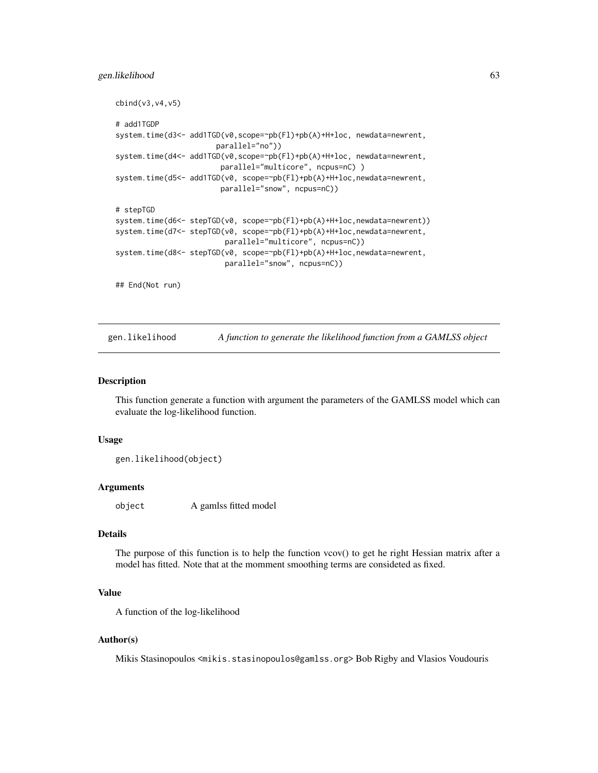#### gen.likelihood 63

```
cbind(v3,v4,v5)
# add1TGDP
system.time(d3<- add1TGD(v0,scope=~pb(Fl)+pb(A)+H+loc, newdata=newrent,
                       parallel="no"))
system.time(d4<- add1TGD(v0,scope=~pb(Fl)+pb(A)+H+loc, newdata=newrent,
                        parallel="multicore", ncpus=nC) )
system.time(d5<- add1TGD(v0, scope=~pb(Fl)+pb(A)+H+loc,newdata=newrent,
                        parallel="snow", ncpus=nC))
# stepTGD
system.time(d6<- stepTGD(v0, scope=~pb(Fl)+pb(A)+H+loc,newdata=newrent))
system.time(d7<- stepTGD(v0, scope=~pb(Fl)+pb(A)+H+loc,newdata=newrent,
                         parallel="multicore", ncpus=nC))
system.time(d8<- stepTGD(v0, scope=~pb(Fl)+pb(A)+H+loc,newdata=newrent,
                         parallel="snow", ncpus=nC))
## End(Not run)
```
gen.likelihood *A function to generate the likelihood function from a GAMLSS object*

#### Description

This function generate a function with argument the parameters of the GAMLSS model which can evaluate the log-likelihood function.

#### Usage

gen.likelihood(object)

#### Arguments

object A gamlss fitted model

# **Details**

The purpose of this function is to help the function vcov() to get he right Hessian matrix after a model has fitted. Note that at the momment smoothing terms are consideted as fixed.

## Value

A function of the log-likelihood

# Author(s)

Mikis Stasinopoulos <mikis.stasinopoulos@gamlss.org> Bob Rigby and Vlasios Voudouris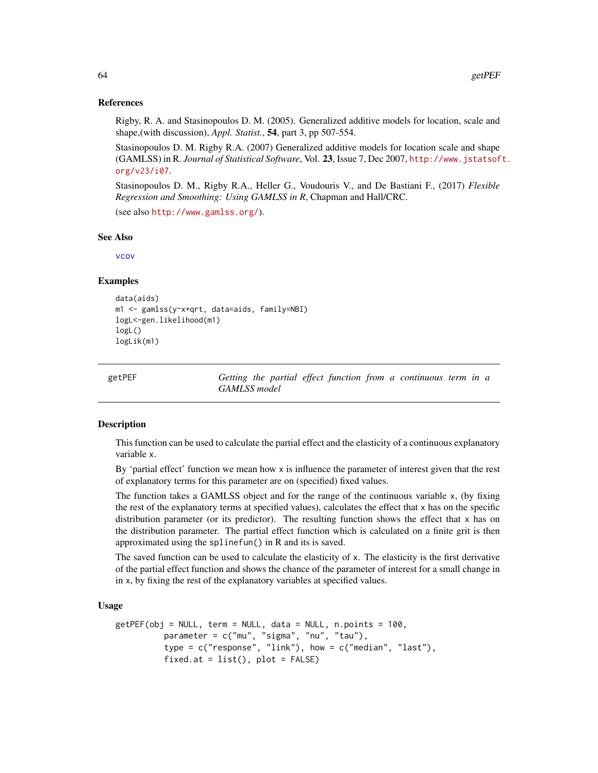#### References

Rigby, R. A. and Stasinopoulos D. M. (2005). Generalized additive models for location, scale and shape,(with discussion), *Appl. Statist.*, 54, part 3, pp 507-554.

Stasinopoulos D. M. Rigby R.A. (2007) Generalized additive models for location scale and shape (GAMLSS) in R. *Journal of Statistical Software*, Vol. 23, Issue 7, Dec 2007, [http://www.jstatsof](http://www.jstatsoft.org/v23/i07)t. [org/v23/i07](http://www.jstatsoft.org/v23/i07).

Stasinopoulos D. M., Rigby R.A., Heller G., Voudouris V., and De Bastiani F., (2017) *Flexible Regression and Smoothing: Using GAMLSS in R*, Chapman and Hall/CRC.

(see also <http://www.gamlss.org/>).

## See Also

[vcov](#page-0-0)

#### Examples

```
data(aids)
m1 <- gamlss(y~x+qrt, data=aids, family=NBI)
logL<-gen.likelihood(m1)
logL()
logLik(m1)
```
<span id="page-63-0"></span>getPEF *Getting the partial effect function from a continuous term in a GAMLSS model*

# Description

This function can be used to calculate the partial effect and the elasticity of a continuous explanatory variable x.

By 'partial effect' function we mean how  $x$  is influence the parameter of interest given that the rest of explanatory terms for this parameter are on (specified) fixed values.

The function takes a GAMLSS object and for the range of the continuous variable x, (by fixing the rest of the explanatory terms at specified values), calculates the effect that x has on the specific distribution parameter (or its predictor). The resulting function shows the effect that x has on the distribution parameter. The partial effect function which is calculated on a finite grit is then approximated using the splinefun() in R and its is saved.

The saved function can be used to calculate the elasticity of x. The elasticity is the first derivative of the partial effect function and shows the chance of the parameter of interest for a small change in in x, by fixing the rest of the explanatory variables at specified values.

#### Usage

```
getPEF(obj = NULL, term = NULL, data = NULL, n.points = 100,
         parameter = c("mu", "sigma", "nu", "tau"),
         type = c("response", "link"), how = c("median", "last"),fixed.at = list(), plot = FALSE)
```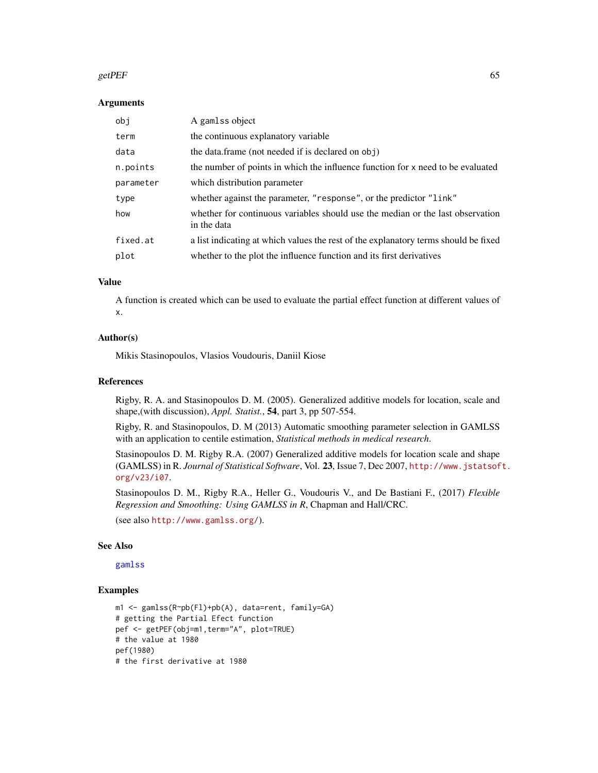#### getPEF 65

#### Arguments

| obj       | A gamlss object                                                                               |
|-----------|-----------------------------------------------------------------------------------------------|
| term      | the continuous explanatory variable                                                           |
| data      | the data.frame (not needed if is declared on obj)                                             |
| n.points  | the number of points in which the influence function for x need to be evaluated               |
| parameter | which distribution parameter                                                                  |
| type      | whether against the parameter, "response", or the predictor "link"                            |
| how       | whether for continuous variables should use the median or the last observation<br>in the data |
| fixed.at  | a list indicating at which values the rest of the explanatory terms should be fixed           |
| plot      | whether to the plot the influence function and its first derivatives                          |

# Value

A function is created which can be used to evaluate the partial effect function at different values of x.

## Author(s)

Mikis Stasinopoulos, Vlasios Voudouris, Daniil Kiose

# References

Rigby, R. A. and Stasinopoulos D. M. (2005). Generalized additive models for location, scale and shape,(with discussion), *Appl. Statist.*, 54, part 3, pp 507-554.

Rigby, R. and Stasinopoulos, D. M (2013) Automatic smoothing parameter selection in GAMLSS with an application to centile estimation, *Statistical methods in medical research*.

Stasinopoulos D. M. Rigby R.A. (2007) Generalized additive models for location scale and shape (GAMLSS) in R. *Journal of Statistical Software*, Vol. 23, Issue 7, Dec 2007, [http://www.jstatsof](http://www.jstatsoft.org/v23/i07)t. [org/v23/i07](http://www.jstatsoft.org/v23/i07).

Stasinopoulos D. M., Rigby R.A., Heller G., Voudouris V., and De Bastiani F., (2017) *Flexible Regression and Smoothing: Using GAMLSS in R*, Chapman and Hall/CRC.

(see also <http://www.gamlss.org/>).

# See Also

[gamlss](#page-40-0)

#### Examples

```
m1 <- gamlss(R~pb(Fl)+pb(A), data=rent, family=GA)
# getting the Partial Efect function
pef <- getPEF(obj=m1,term="A", plot=TRUE)
# the value at 1980
pef(1980)
# the first derivative at 1980
```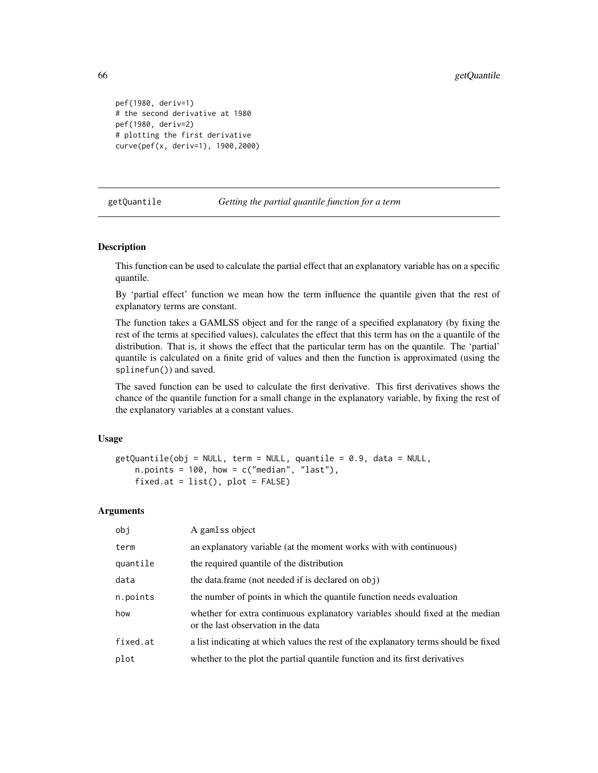```
pef(1980, deriv=1)
# the second derivative at 1980
pef(1980, deriv=2)
# plotting the first derivative
curve(pef(x, deriv=1), 1900,2000)
```
#### getQuantile *Getting the partial quantile function for a term*

## Description

This function can be used to calculate the partial effect that an explanatory variable has on a specific quantile.

By 'partial effect' function we mean how the term influence the quantile given that the rest of explanatory terms are constant.

The function takes a GAMLSS object and for the range of a specified explanatory (by fixing the rest of the terms at specified values), calculates the effect that this term has on the a quantile of the distribution. That is, it shows the effect that the particular term has on the quantile. The 'partial' quantile is calculated on a finite grid of values and then the function is approximated (using the splinefun()) and saved.

The saved function can be used to calculate the first derivative. This first derivatives shows the chance of the quantile function for a small change in the explanatory variable, by fixing the rest of the explanatory variables at a constant values.

## Usage

```
getQuantile(obj = NULL, term = NULL, quantile = 0.9, data = NULL,n.points = 100, how = c("median", "last"),
   fixed.at = list(), plot = FALSE)
```

| obj      | A gamlss object                                                                                                      |
|----------|----------------------------------------------------------------------------------------------------------------------|
| term     | an explanatory variable (at the moment works with with continuous)                                                   |
| quantile | the required quantile of the distribution                                                                            |
| data     | the data.frame (not needed if is declared on obj)                                                                    |
| n.points | the number of points in which the quantile function needs evaluation                                                 |
| how      | whether for extra continuous explanatory variables should fixed at the median<br>or the last observation in the data |
| fixed.at | a list indicating at which values the rest of the explanatory terms should be fixed                                  |
| plot     | whether to the plot the partial quantile function and its first derivatives                                          |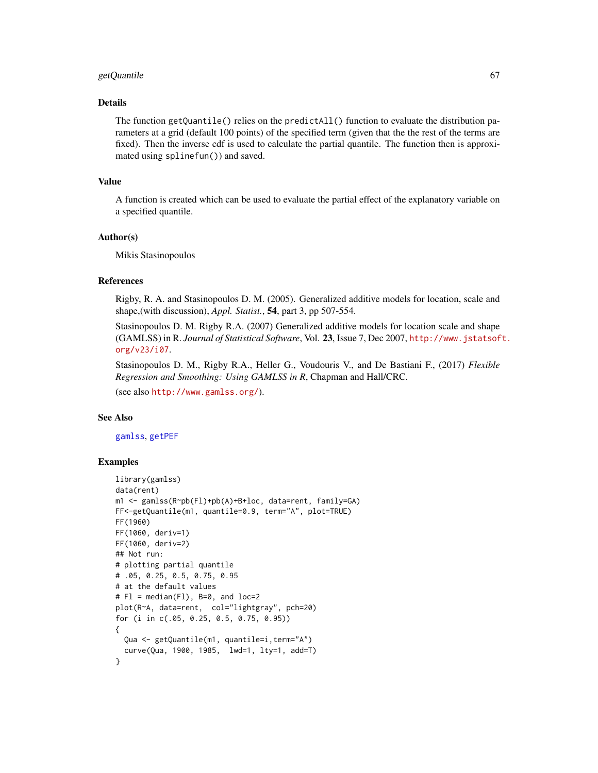## getQuantile 67

# Details

The function getQuantile() relies on the predict $All()$  function to evaluate the distribution parameters at a grid (default 100 points) of the specified term (given that the the rest of the terms are fixed). Then the inverse cdf is used to calculate the partial quantile. The function then is approximated using splinefun()) and saved.

## Value

A function is created which can be used to evaluate the partial effect of the explanatory variable on a specified quantile.

# Author(s)

Mikis Stasinopoulos

# References

Rigby, R. A. and Stasinopoulos D. M. (2005). Generalized additive models for location, scale and shape,(with discussion), *Appl. Statist.*, 54, part 3, pp 507-554.

Stasinopoulos D. M. Rigby R.A. (2007) Generalized additive models for location scale and shape (GAMLSS) in R. *Journal of Statistical Software*, Vol. 23, Issue 7, Dec 2007, [http://www.jstatsof](http://www.jstatsoft.org/v23/i07)t. [org/v23/i07](http://www.jstatsoft.org/v23/i07).

Stasinopoulos D. M., Rigby R.A., Heller G., Voudouris V., and De Bastiani F., (2017) *Flexible Regression and Smoothing: Using GAMLSS in R*, Chapman and Hall/CRC.

(see also <http://www.gamlss.org/>).

# See Also

[gamlss](#page-40-0), [getPEF](#page-63-0)

# Examples

```
library(gamlss)
data(rent)
m1 <- gamlss(R~pb(Fl)+pb(A)+B+loc, data=rent, family=GA)
FF<-getQuantile(m1, quantile=0.9, term="A", plot=TRUE)
FF(1960)
FF(1060, deriv=1)
FF(1060, deriv=2)
## Not run:
# plotting partial quantile
# .05, 0.25, 0.5, 0.75, 0.95
# at the default values
# Fl = median(Fl), B=0, and loc=2
plot(R~A, data=rent, col="lightgray", pch=20)
for (i in c(.05, 0.25, 0.5, 0.75, 0.95))
{
  Qua <- getQuantile(m1, quantile=i,term="A")
  curve(Qua, 1900, 1985, lwd=1, lty=1, add=T)
}
```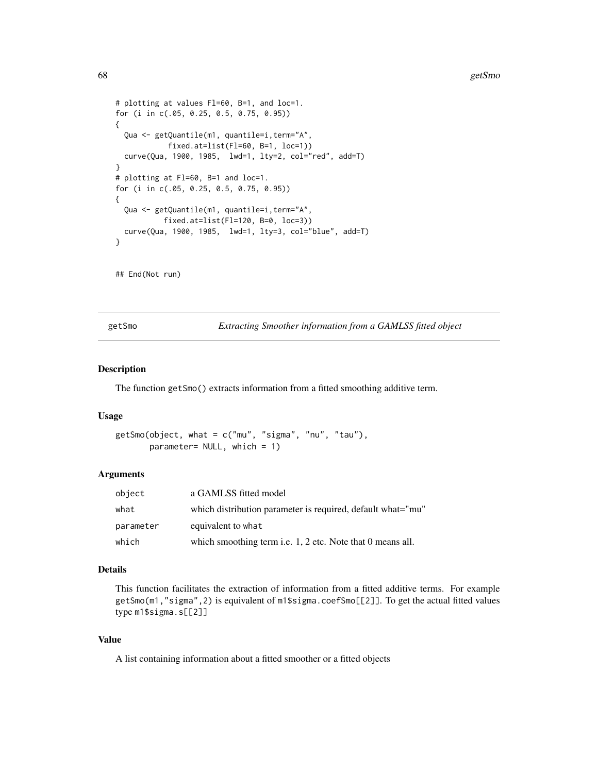```
# plotting at values Fl=60, B=1, and loc=1.
for (i in c(.05, 0.25, 0.5, 0.75, 0.95))
{
 Qua <- getQuantile(m1, quantile=i,term="A",
            fixed.at=list(Fl=60, B=1, loc=1))
 curve(Qua, 1900, 1985, lwd=1, lty=2, col="red", add=T)
}
# plotting at Fl=60, B=1 and loc=1.
for (i in c(.05, 0.25, 0.5, 0.75, 0.95))
{
 Qua <- getQuantile(m1, quantile=i,term="A",
           fixed.at=list(Fl=120, B=0, loc=3))
 curve(Qua, 1900, 1985, lwd=1, lty=3, col="blue", add=T)
}
```
## End(Not run)

getSmo *Extracting Smoother information from a GAMLSS fitted object*

# Description

The function getSmo() extracts information from a fitted smoothing additive term.

#### Usage

```
getSmo(object, what = c("mu", "sigma", "nu", "tau"),
      parameter= NULL, which = 1)
```
## Arguments

| object    | a GAMLSS fitted model                                        |
|-----------|--------------------------------------------------------------|
| what      | which distribution parameter is required, default what="mu"  |
| parameter | equivalent to what                                           |
| which     | which smoothing term i.e. $1, 2$ etc. Note that 0 means all. |

# Details

This function facilitates the extraction of information from a fitted additive terms. For example getSmo(m1,"sigma",2) is equivalent of m1\$sigma.coefSmo[[2]]. To get the actual fitted values type m1\$sigma.s[[2]]

# Value

A list containing information about a fitted smoother or a fitted objects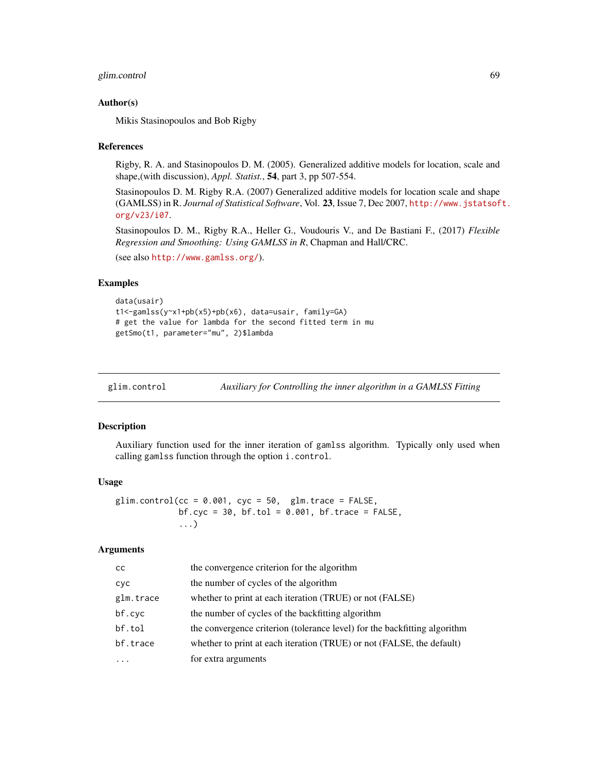# glim.control 69

## Author(s)

Mikis Stasinopoulos and Bob Rigby

#### References

Rigby, R. A. and Stasinopoulos D. M. (2005). Generalized additive models for location, scale and shape,(with discussion), *Appl. Statist.*, 54, part 3, pp 507-554.

Stasinopoulos D. M. Rigby R.A. (2007) Generalized additive models for location scale and shape (GAMLSS) in R. *Journal of Statistical Software*, Vol. 23, Issue 7, Dec 2007, [http://www.jstatsof](http://www.jstatsoft.org/v23/i07)t. [org/v23/i07](http://www.jstatsoft.org/v23/i07).

Stasinopoulos D. M., Rigby R.A., Heller G., Voudouris V., and De Bastiani F., (2017) *Flexible Regression and Smoothing: Using GAMLSS in R*, Chapman and Hall/CRC.

(see also <http://www.gamlss.org/>).

## Examples

```
data(usair)
t1<-gamlss(y~x1+pb(x5)+pb(x6), data=usair, family=GA)
# get the value for lambda for the second fitted term in mu
getSmo(t1, parameter="mu", 2)$lambda
```
<span id="page-68-0"></span>

glim.control *Auxiliary for Controlling the inner algorithm in a GAMLSS Fitting*

#### Description

Auxiliary function used for the inner iteration of gamlss algorithm. Typically only used when calling gamlss function through the option i.control.

# Usage

glim.control( $cc = 0.001$ ,  $cyc = 50$ , glm.trace = FALSE, bf.cyc =  $30$ , bf.tol =  $0.001$ , bf.trace =  $FALSE$ , ...)

| <b>CC</b>  | the convergence criterion for the algorithm                               |
|------------|---------------------------------------------------------------------------|
| <b>CVC</b> | the number of cycles of the algorithm                                     |
| glm.trace  | whether to print at each iteration (TRUE) or not (FALSE)                  |
| bf.cyc     | the number of cycles of the backfitting algorithm                         |
| bf.tol     | the convergence criterion (tolerance level) for the backfitting algorithm |
| bf.trace   | whether to print at each iteration (TRUE) or not (FALSE, the default)     |
| $\ddotsc$  | for extra arguments                                                       |
|            |                                                                           |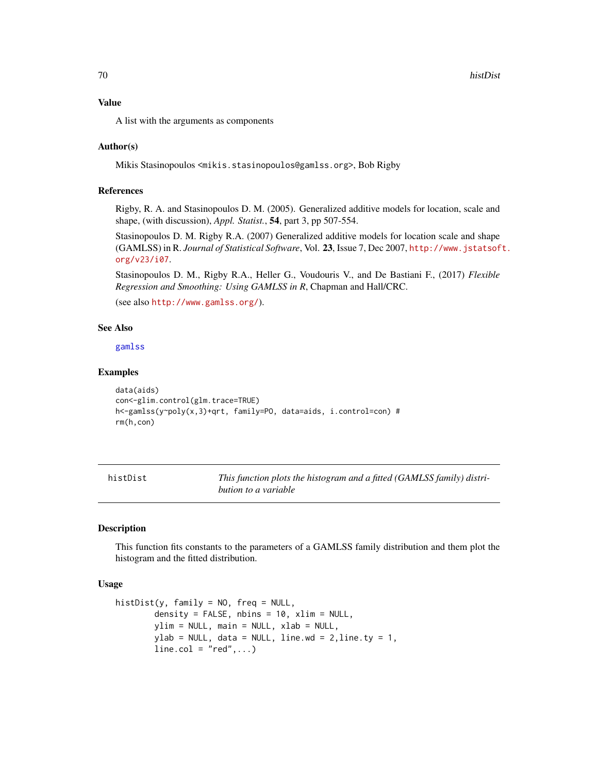# Value

A list with the arguments as components

## Author(s)

Mikis Stasinopoulos <mikis.stasinopoulos@gamlss.org>, Bob Rigby

# References

Rigby, R. A. and Stasinopoulos D. M. (2005). Generalized additive models for location, scale and shape, (with discussion), *Appl. Statist.*, 54, part 3, pp 507-554.

Stasinopoulos D. M. Rigby R.A. (2007) Generalized additive models for location scale and shape (GAMLSS) in R. *Journal of Statistical Software*, Vol. 23, Issue 7, Dec 2007, [http://www.jstatsof](http://www.jstatsoft.org/v23/i07)t. [org/v23/i07](http://www.jstatsoft.org/v23/i07).

Stasinopoulos D. M., Rigby R.A., Heller G., Voudouris V., and De Bastiani F., (2017) *Flexible Regression and Smoothing: Using GAMLSS in R*, Chapman and Hall/CRC.

(see also <http://www.gamlss.org/>).

# See Also

[gamlss](#page-40-0)

#### Examples

```
data(aids)
con<-glim.control(glm.trace=TRUE)
h<-gamlss(y~poly(x,3)+qrt, family=PO, data=aids, i.control=con) #
rm(h,con)
```
histDist *This function plots the histogram and a fitted (GAMLSS family) distribution to a variable*

#### **Description**

This function fits constants to the parameters of a GAMLSS family distribution and them plot the histogram and the fitted distribution.

## Usage

```
histDist(y, family = NO, freq = NULL,
       density = FALSE, nbins = 10, xlim = NULL,
       ylim = NULL, main = NULL, xlab = NULL,
       ylab = NULL, data = NULL, line.wd = 2, line.ty = 1,
       line.col = "red", ...
```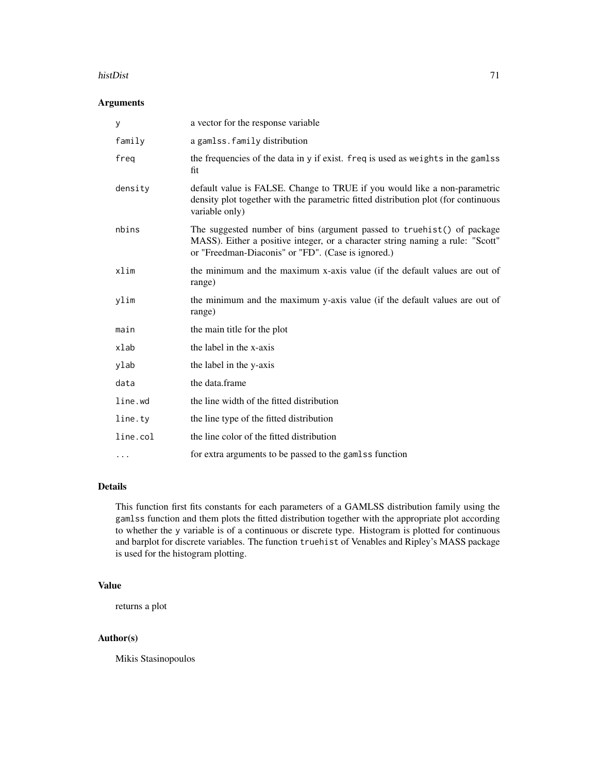#### histDist 71

# Arguments

| У        | a vector for the response variable                                                                                                                                                                             |
|----------|----------------------------------------------------------------------------------------------------------------------------------------------------------------------------------------------------------------|
| family   | a gamlss.family distribution                                                                                                                                                                                   |
| freg     | the frequencies of the data in y if exist. freq is used as weights in the gamlss<br>fit                                                                                                                        |
| density  | default value is FALSE. Change to TRUE if you would like a non-parametric<br>density plot together with the parametric fitted distribution plot (for continuous<br>variable only)                              |
| nbins    | The suggested number of bins (argument passed to truehist() of package<br>MASS). Either a positive integer, or a character string naming a rule: "Scott"<br>or "Freedman-Diaconis" or "FD". (Case is ignored.) |
| xlim     | the minimum and the maximum x-axis value (if the default values are out of<br>range)                                                                                                                           |
| ylim     | the minimum and the maximum y-axis value (if the default values are out of<br>range)                                                                                                                           |
| main     | the main title for the plot                                                                                                                                                                                    |
| xlab     | the label in the x-axis                                                                                                                                                                                        |
| ylab     | the label in the y-axis                                                                                                                                                                                        |
| data     | the data.frame                                                                                                                                                                                                 |
| line.wd  | the line width of the fitted distribution                                                                                                                                                                      |
| line.ty  | the line type of the fitted distribution                                                                                                                                                                       |
| line.col | the line color of the fitted distribution                                                                                                                                                                      |
|          | for extra arguments to be passed to the gamlss function                                                                                                                                                        |

# Details

This function first fits constants for each parameters of a GAMLSS distribution family using the gamlss function and them plots the fitted distribution together with the appropriate plot according to whether the y variable is of a continuous or discrete type. Histogram is plotted for continuous and barplot for discrete variables. The function truehist of Venables and Ripley's MASS package is used for the histogram plotting.

# Value

returns a plot

# Author(s)

Mikis Stasinopoulos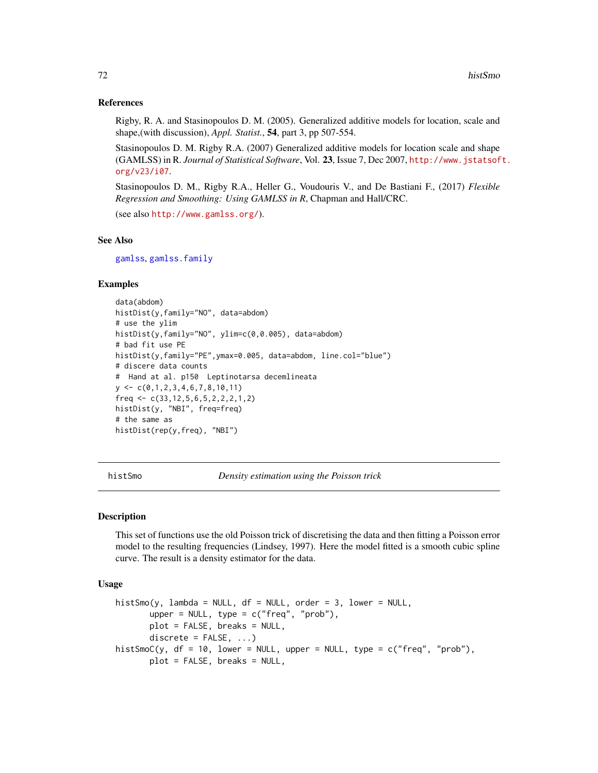## References

Rigby, R. A. and Stasinopoulos D. M. (2005). Generalized additive models for location, scale and shape,(with discussion), *Appl. Statist.*, 54, part 3, pp 507-554.

Stasinopoulos D. M. Rigby R.A. (2007) Generalized additive models for location scale and shape (GAMLSS) in R. *Journal of Statistical Software*, Vol. 23, Issue 7, Dec 2007, [http://www.jstatsof](http://www.jstatsoft.org/v23/i07)t. [org/v23/i07](http://www.jstatsoft.org/v23/i07).

Stasinopoulos D. M., Rigby R.A., Heller G., Voudouris V., and De Bastiani F., (2017) *Flexible Regression and Smoothing: Using GAMLSS in R*, Chapman and Hall/CRC.

(see also <http://www.gamlss.org/>).

# See Also

[gamlss](#page-40-0), [gamlss.family](#page-0-0)

# Examples

```
data(abdom)
histDist(y,family="NO", data=abdom)
# use the ylim
histDist(y,family="NO", ylim=c(0,0.005), data=abdom)
# bad fit use PE
histDist(y,family="PE",ymax=0.005, data=abdom, line.col="blue")
# discere data counts
# Hand at al. p150 Leptinotarsa decemlineata
y \leftarrow c(0,1,2,3,4,6,7,8,10,11)freq \leq c(33, 12, 5, 6, 5, 2, 2, 2, 1, 2)
histDist(y, "NBI", freq=freq)
# the same as
histDist(rep(y,freq), "NBI")
```
histSmo *Density estimation using the Poisson trick*

#### Description

This set of functions use the old Poisson trick of discretising the data and then fitting a Poisson error model to the resulting frequencies (Lindsey, 1997). Here the model fitted is a smooth cubic spline curve. The result is a density estimator for the data.

# Usage

```
histSmo(y, lambda = NULL, df = NULL, order = 3, lower = NULL,
       upper = NULL, type = c("freq", "prob"),
       plot = FALSE, breaks = NULL,
       discrete = FALSE, ...)histSmoC(y, df = 10, lower = NULL, upper = NULL, type = c("freq", "prob"),
      plot = FALSE, breaks = NULL,
```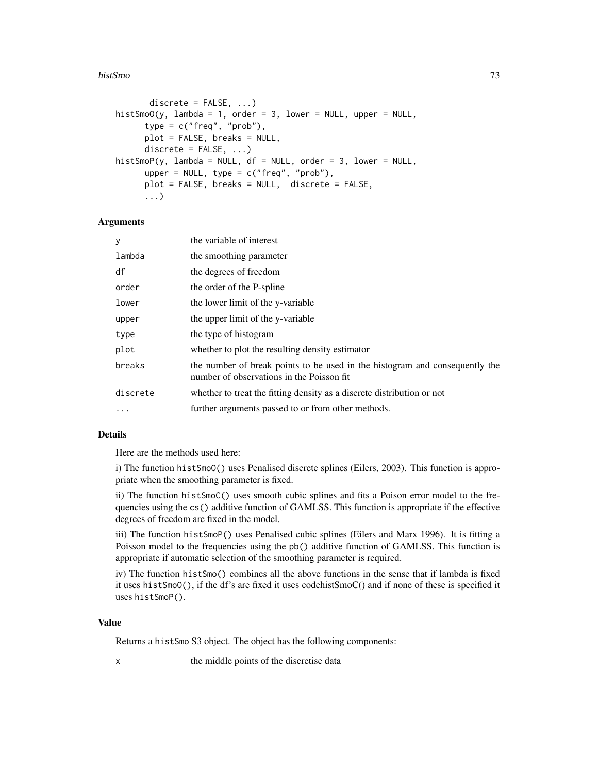#### histSmo 73

```
discrete = FALSE, ...)histSmoO(y, lambda = 1, order = 3, lower = NULL, upper = NULL,type = c("freq", "prob"),
     plot = FALSE, breaks = NULL,
     discrete = FALSE, ...)histSmoP(y, lambda = NULL, df = NULL, order = 3, lower = NULL,
     upper = NULL, type = c("freq", "prob"),
     plot = FALSE, breaks = NULL, discrete = FALSE,
      ...)
```
## Arguments

| У        | the variable of interest                                                                                                 |
|----------|--------------------------------------------------------------------------------------------------------------------------|
| lambda   | the smoothing parameter                                                                                                  |
| df       | the degrees of freedom                                                                                                   |
| order    | the order of the P-spline                                                                                                |
| lower    | the lower limit of the y-variable                                                                                        |
| upper    | the upper limit of the y-variable                                                                                        |
| type     | the type of histogram                                                                                                    |
| plot     | whether to plot the resulting density estimator                                                                          |
| breaks   | the number of break points to be used in the histogram and consequently the<br>number of observations in the Poisson fit |
| discrete | whether to treat the fitting density as a discrete distribution or not                                                   |
| $\cdots$ | further arguments passed to or from other methods.                                                                       |

# Details

Here are the methods used here:

i) The function histSmoO() uses Penalised discrete splines (Eilers, 2003). This function is appropriate when the smoothing parameter is fixed.

ii) The function histSmoC() uses smooth cubic splines and fits a Poison error model to the frequencies using the cs() additive function of GAMLSS. This function is appropriate if the effective degrees of freedom are fixed in the model.

iii) The function histSmoP() uses Penalised cubic splines (Eilers and Marx 1996). It is fitting a Poisson model to the frequencies using the pb() additive function of GAMLSS. This function is appropriate if automatic selection of the smoothing parameter is required.

iv) The function histSmo() combines all the above functions in the sense that if lambda is fixed it uses histSmoO(), if the df's are fixed it uses codehistSmoC() and if none of these is specified it uses histSmoP().

# Value

Returns a histSmo S3 object. The object has the following components:

x the middle points of the discretise data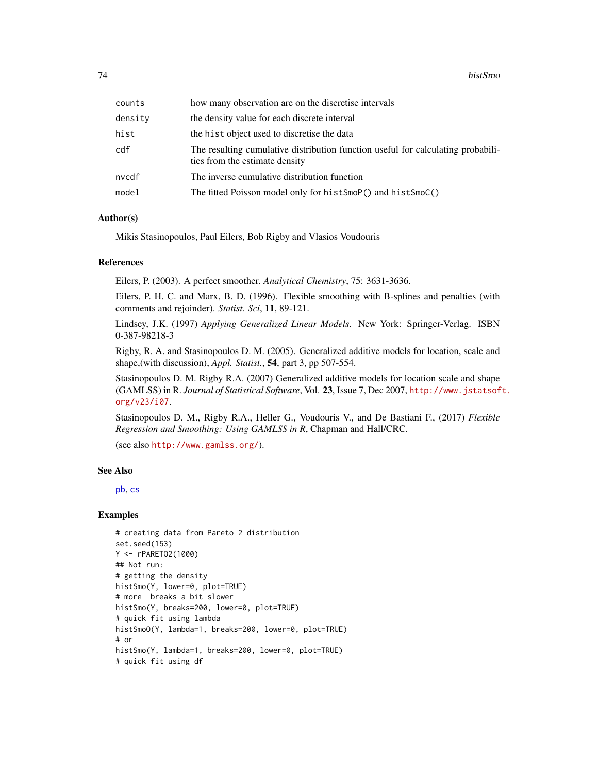| how many observation are on the discretise intervals                                                               |
|--------------------------------------------------------------------------------------------------------------------|
| the density value for each discrete interval                                                                       |
| the hist object used to discretise the data                                                                        |
| The resulting cumulative distribution function useful for calculating probabili-<br>ties from the estimate density |
| The inverse cumulative distribution function                                                                       |
| The fitted Poisson model only for histSmoP() and histSmoC()                                                        |
|                                                                                                                    |

## Author(s)

Mikis Stasinopoulos, Paul Eilers, Bob Rigby and Vlasios Voudouris

#### References

Eilers, P. (2003). A perfect smoother. *Analytical Chemistry*, 75: 3631-3636.

Eilers, P. H. C. and Marx, B. D. (1996). Flexible smoothing with B-splines and penalties (with comments and rejoinder). *Statist. Sci*, 11, 89-121.

Lindsey, J.K. (1997) *Applying Generalized Linear Models*. New York: Springer-Verlag. ISBN 0-387-98218-3

Rigby, R. A. and Stasinopoulos D. M. (2005). Generalized additive models for location, scale and shape,(with discussion), *Appl. Statist.*, 54, part 3, pp 507-554.

Stasinopoulos D. M. Rigby R.A. (2007) Generalized additive models for location scale and shape (GAMLSS) in R. *Journal of Statistical Software*, Vol. 23, Issue 7, Dec 2007, [http://www.jstatsof](http://www.jstatsoft.org/v23/i07)t. [org/v23/i07](http://www.jstatsoft.org/v23/i07).

Stasinopoulos D. M., Rigby R.A., Heller G., Voudouris V., and De Bastiani F., (2017) *Flexible Regression and Smoothing: Using GAMLSS in R*, Chapman and Hall/CRC.

(see also <http://www.gamlss.org/>).

## See Also

[pb](#page-107-0), [cs](#page-21-0)

## Examples

```
# creating data from Pareto 2 distribution
set.seed(153)
Y <- rPARETO2(1000)
## Not run:
# getting the density
histSmo(Y, lower=0, plot=TRUE)
# more breaks a bit slower
histSmo(Y, breaks=200, lower=0, plot=TRUE)
# quick fit using lambda
histSmoO(Y, lambda=1, breaks=200, lower=0, plot=TRUE)
# or
histSmo(Y, lambda=1, breaks=200, lower=0, plot=TRUE)
# quick fit using df
```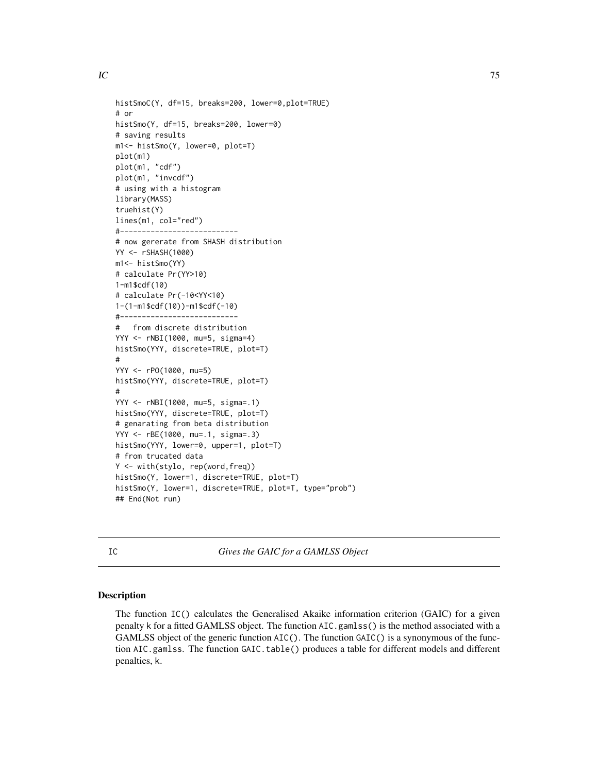$IC$  75

```
histSmoC(Y, df=15, breaks=200, lower=0,plot=TRUE)
# or
histSmo(Y, df=15, breaks=200, lower=0)
# saving results
m1<- histSmo(Y, lower=0, plot=T)
plot(m1)
plot(m1, "cdf")
plot(m1, "invcdf")
# using with a histogram
library(MASS)
truehist(Y)
lines(m1, col="red")
#---------------------------
# now gererate from SHASH distribution
YY <- rSHASH(1000)
m1<- histSmo(YY)
# calculate Pr(YY>10)
1-m1$cdf(10)
# calculate Pr(-10<YY<10)
1-(1-m1$cdf(10))-m1$cdf(-10)
#---------------------------
# from discrete distribution
YYY <- rNBI(1000, mu=5, sigma=4)
histSmo(YYY, discrete=TRUE, plot=T)
#
YYY <- rPO(1000, mu=5)
histSmo(YYY, discrete=TRUE, plot=T)
#
YYY <- rNBI(1000, mu=5, sigma=.1)
histSmo(YYY, discrete=TRUE, plot=T)
# genarating from beta distribution
YYY <- rBE(1000, mu=.1, sigma=.3)
histSmo(YYY, lower=0, upper=1, plot=T)
# from trucated data
Y <- with(stylo, rep(word,freq))
histSmo(Y, lower=1, discrete=TRUE, plot=T)
histSmo(Y, lower=1, discrete=TRUE, plot=T, type="prob")
## End(Not run)
```
IC *Gives the GAIC for a GAMLSS Object*

## **Description**

The function IC() calculates the Generalised Akaike information criterion (GAIC) for a given penalty k for a fitted GAMLSS object. The function AIC.gamlss() is the method associated with a GAMLSS object of the generic function AIC(). The function GAIC() is a synonymous of the function AIC.gamlss. The function GAIC.table() produces a table for different models and different penalties, k.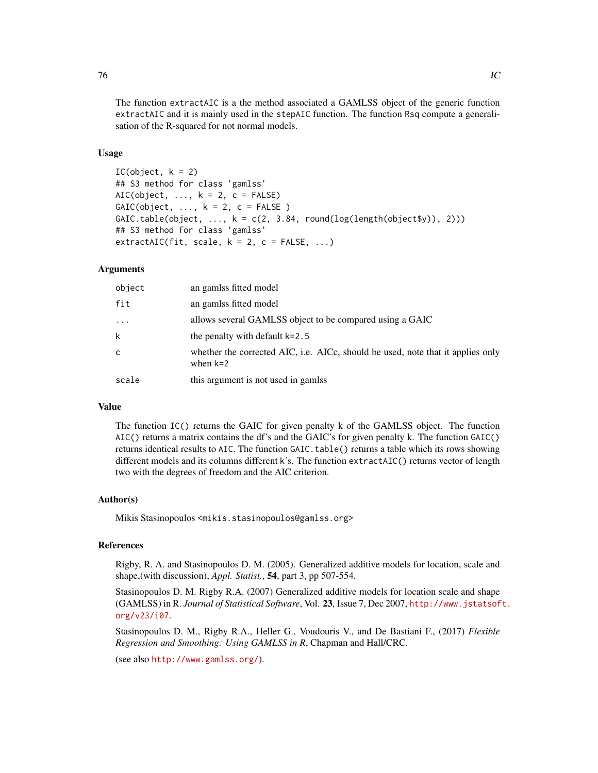The function extractAIC is a the method associated a GAMLSS object of the generic function extractAIC and it is mainly used in the stepAIC function. The function Rsq compute a generalisation of the R-squared for not normal models.

## Usage

```
IC(object, k = 2)## S3 method for class 'gamlss'
AIC(object, \ldots, k = 2, c = FALSE)
GAIC(object, ..., k = 2, c = FALSE)GAIC.table(object, ..., k = c(2, 3.84, round(log(length(objects)))), 2)))
## S3 method for class 'gamlss'
extractAIC(fit, scale, k = 2, c = FALSE, ...)
```
## Arguments

| object   | an gamlss fitted model                                                                        |
|----------|-----------------------------------------------------------------------------------------------|
| fit      | an gamlss fitted model                                                                        |
| $\cdots$ | allows several GAMLSS object to be compared using a GAIC                                      |
| k        | the penalty with default $k=2.5$                                                              |
| c        | whether the corrected AIC, i.e. AICc, should be used, note that it applies only<br>when $k=2$ |
| scale    | this argument is not used in gamlss                                                           |

# Value

The function IC() returns the GAIC for given penalty k of the GAMLSS object. The function AIC() returns a matrix contains the df's and the GAIC's for given penalty k. The function GAIC() returns identical results to AIC. The function GAIC.table() returns a table which its rows showing different models and its columns different k's. The function extractAIC() returns vector of length two with the degrees of freedom and the AIC criterion.

## Author(s)

Mikis Stasinopoulos <mikis.stasinopoulos@gamlss.org>

## References

Rigby, R. A. and Stasinopoulos D. M. (2005). Generalized additive models for location, scale and shape,(with discussion), *Appl. Statist.*, 54, part 3, pp 507-554.

Stasinopoulos D. M. Rigby R.A. (2007) Generalized additive models for location scale and shape (GAMLSS) in R. *Journal of Statistical Software*, Vol. 23, Issue 7, Dec 2007, [http://www.jstatsof](http://www.jstatsoft.org/v23/i07)t. [org/v23/i07](http://www.jstatsoft.org/v23/i07).

Stasinopoulos D. M., Rigby R.A., Heller G., Voudouris V., and De Bastiani F., (2017) *Flexible Regression and Smoothing: Using GAMLSS in R*, Chapman and Hall/CRC.

(see also <http://www.gamlss.org/>).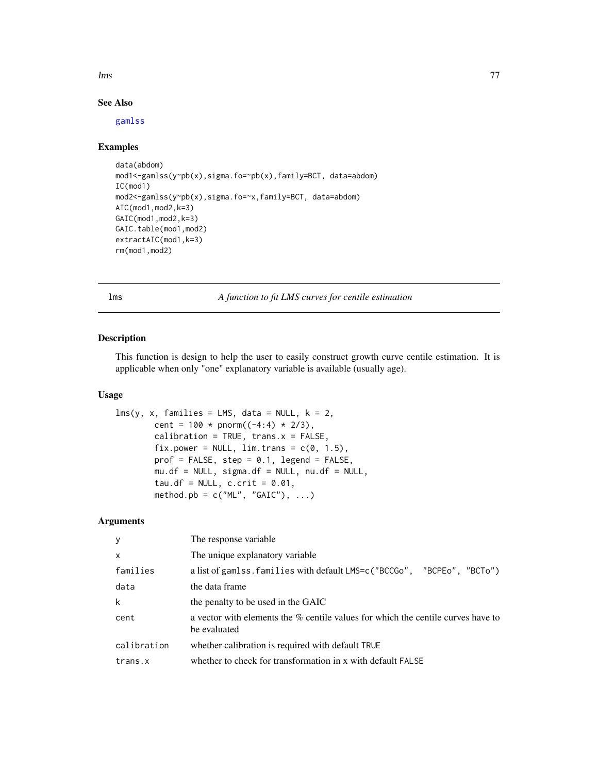lms 77

# See Also

[gamlss](#page-40-0)

## Examples

```
data(abdom)
mod1<-gamlss(y~pb(x),sigma.fo=~pb(x),family=BCT, data=abdom)
IC(mod1)
mod2<-gamlss(y~pb(x),sigma.fo=~x,family=BCT, data=abdom)
AIC(mod1,mod2,k=3)
GAIC(mod1,mod2,k=3)
GAIC.table(mod1,mod2)
extractAIC(mod1,k=3)
rm(mod1,mod2)
```
lms *A function to fit LMS curves for centile estimation*

# Description

This function is design to help the user to easily construct growth curve centile estimation. It is applicable when only "one" explanatory variable is available (usually age).

#### Usage

```
lms(y, x, families = LMS, data = NULL, k = 2,cent = 100 * pnorm((-4:4) * 2/3),
       calibration = TRUE, trans.x = FALSE,
       fix.power = NULL, \lim.trans = c(0, 1.5),
       prof = FALSE, step = 0.1, legend = FALSE,mu.df = NULL, sigma.df = NULL, nu.df = NULL,
       tau.df = NULL, c.crit = 0.01,
       method.pb = c("ML", "GAIC"), ...
```
# Arguments

| $\mathbf{y}$ | The response variable.                                                                           |
|--------------|--------------------------------------------------------------------------------------------------|
| $\mathsf{x}$ | The unique explanatory variable                                                                  |
| families     | a list of gamlss. families with default LMS=c("BCCGo", "BCPEo", "BCTo")                          |
| data         | the data frame                                                                                   |
| k            | the penalty to be used in the GAIC                                                               |
| cent         | a vector with elements the % centile values for which the centile curves have to<br>be evaluated |
| calibration  | whether calibration is required with default TRUE                                                |
| trans.x      | whether to check for transformation in x with default FALSE                                      |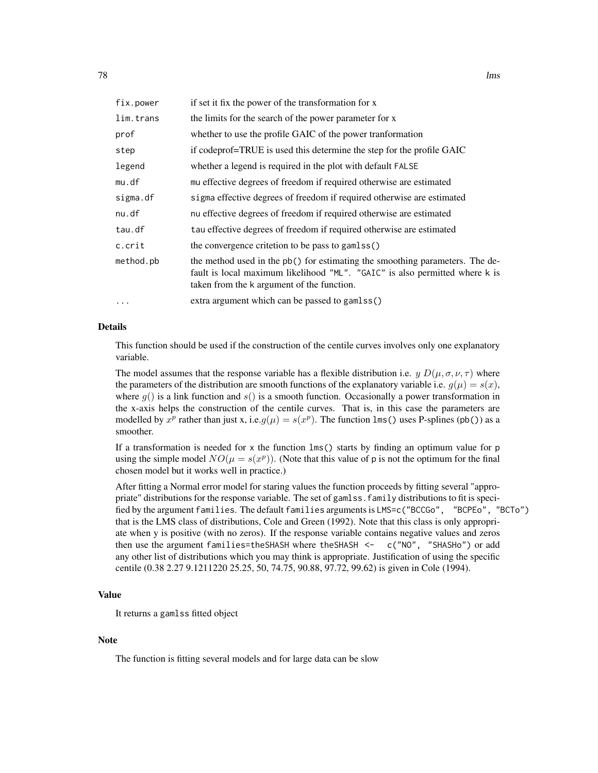| fix.power | if set it fix the power of the transformation for x                                                                                                                                                       |
|-----------|-----------------------------------------------------------------------------------------------------------------------------------------------------------------------------------------------------------|
| lim.trans | the limits for the search of the power parameter for x                                                                                                                                                    |
| prof      | whether to use the profile GAIC of the power transformation                                                                                                                                               |
| step      | if codeprof=TRUE is used this determine the step for the profile GAIC                                                                                                                                     |
| legend    | whether a legend is required in the plot with default FALSE                                                                                                                                               |
| mu.df     | mu effective degrees of freedom if required otherwise are estimated                                                                                                                                       |
| sigma.df  | sigma effective degrees of freedom if required otherwise are estimated                                                                                                                                    |
| nu.df     | nu effective degrees of freedom if required otherwise are estimated                                                                                                                                       |
| tau.df    | tau effective degrees of freedom if required otherwise are estimated                                                                                                                                      |
| c.crit    | the convergence critetion to be pass to gamlss()                                                                                                                                                          |
| method.pb | the method used in the pb() for estimating the smoothing parameters. The de-<br>fault is local maximum likelihood "ML". "GAIC" is also permitted where k is<br>taken from the k argument of the function. |
| $\ddots$  | extra argument which can be passed to gamlss()                                                                                                                                                            |

## Details

This function should be used if the construction of the centile curves involves only one explanatory variable.

The model assumes that the response variable has a flexible distribution i.e.  $y D(\mu, \sigma, \nu, \tau)$  where the parameters of the distribution are smooth functions of the explanatory variable i.e.  $g(\mu) = s(x)$ , where  $g()$  is a link function and  $s()$  is a smooth function. Occasionally a power transformation in the x-axis helps the construction of the centile curves. That is, in this case the parameters are modelled by  $x^p$  rather than just x, i.e. $g(\mu) = s(x^p)$ . The function lms() uses P-splines (pb()) as a smoother.

If a transformation is needed for  $x$  the function  $\text{Lms}(x)$  starts by finding an optimum value for p using the simple model  $NO(\mu = s(x^p))$ . (Note that this value of p is not the optimum for the final chosen model but it works well in practice.)

After fitting a Normal error model for staring values the function proceeds by fitting several "appropriate" distributions for the response variable. The set of gamlss.family distributions to fit is specified by the argument families. The default families arguments is LMS=c("BCCGo", "BCPEo", "BCTo") that is the LMS class of distributions, Cole and Green (1992). Note that this class is only appropriate when y is positive (with no zeros). If the response variable contains negative values and zeros then use the argument families=theSHASH where theSHASH <- c("NO", "SHASHo") or add any other list of distributions which you may think is appropriate. Justification of using the specific centile (0.38 2.27 9.1211220 25.25, 50, 74.75, 90.88, 97.72, 99.62) is given in Cole (1994).

## Value

It returns a gamlss fitted object

#### Note

The function is fitting several models and for large data can be slow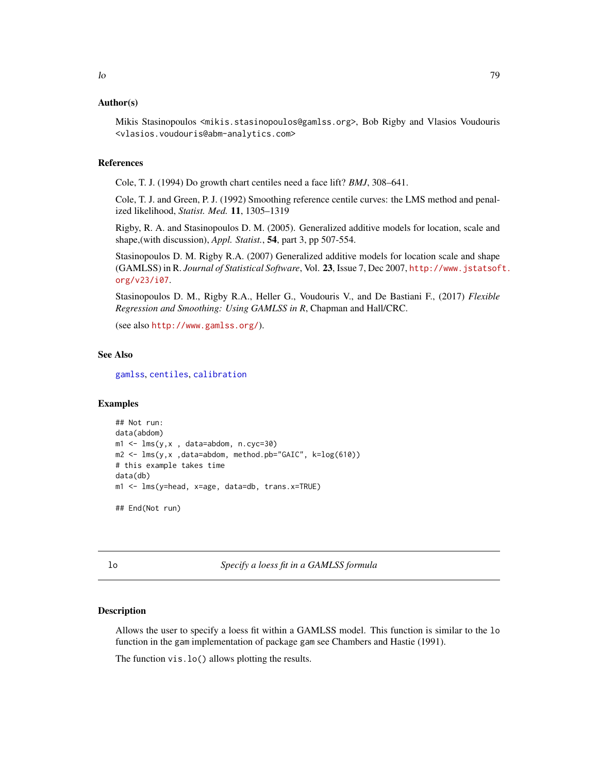## Author(s)

Mikis Stasinopoulos <mikis.stasinopoulos@gamlss.org>, Bob Rigby and Vlasios Voudouris <vlasios.voudouris@abm-analytics.com>

#### References

Cole, T. J. (1994) Do growth chart centiles need a face lift? *BMJ*, 308–641.

Cole, T. J. and Green, P. J. (1992) Smoothing reference centile curves: the LMS method and penalized likelihood, *Statist. Med.* 11, 1305–1319

Rigby, R. A. and Stasinopoulos D. M. (2005). Generalized additive models for location, scale and shape,(with discussion), *Appl. Statist.*, 54, part 3, pp 507-554.

Stasinopoulos D. M. Rigby R.A. (2007) Generalized additive models for location scale and shape (GAMLSS) in R. *Journal of Statistical Software*, Vol. 23, Issue 7, Dec 2007, [http://www.jstatsof](http://www.jstatsoft.org/v23/i07)t. [org/v23/i07](http://www.jstatsoft.org/v23/i07).

Stasinopoulos D. M., Rigby R.A., Heller G., Voudouris V., and De Bastiani F., (2017) *Flexible Regression and Smoothing: Using GAMLSS in R*, Chapman and Hall/CRC.

(see also <http://www.gamlss.org/>).

#### See Also

[gamlss](#page-40-0), [centiles](#page-12-0), [calibration](#page-10-0)

#### Examples

```
## Not run:
data(abdom)
m1 <- lms(y,x , data=abdom, n.cyc=30)
m2 <- lms(y,x ,data=abdom, method.pb="GAIC", k=log(610))
# this example takes time
data(db)
m1 <- lms(y=head, x=age, data=db, trans.x=TRUE)
## End(Not run)
```
lo *Specify a loess fit in a GAMLSS formula*

# Description

Allows the user to specify a loess fit within a GAMLSS model. This function is similar to the lo function in the gam implementation of package gam see Chambers and Hastie (1991).

The function vis.lo() allows plotting the results.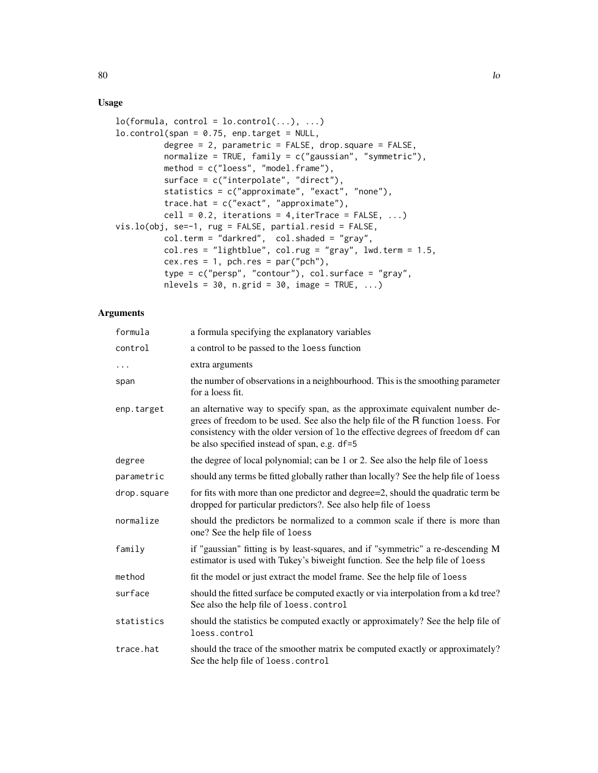# Usage

```
lo(formula, control = lo.contrib(...), ...)lo.contrib(span = 0.75, enp.target = NULL,degree = 2, parametric = FALSE, drop.square = FALSE,
         normalize = TRUE, family = c("gaussian", "symmetric"),
         method = c("loess", "model.frame"),
          surface = c("interpolate", "direct"),
         statistics = c("approximate", "exact", "none"),
         trace.hat = c("exact", "approximate"),
         cell = 0.2, iterations = 4, iterTrace = FALSE, ...)
vis.lo(obj, se=-1, rug = FALSE, partial.resid = FALSE,
         col.term = "darkred", col.shaded = "gray",
         colres = "lightblue", col.rug = "gray", lwd.term = 1.5,cex.res = 1, pch.res = par("pch"),
          type = c("persp", "contour"), col.surface = "gray",
          nlevels = 30, n.grid = 30, image = TRUE, ...)
```
# Arguments

| formula     | a formula specifying the explanatory variables                                                                                                                                                                                                                                                       |
|-------------|------------------------------------------------------------------------------------------------------------------------------------------------------------------------------------------------------------------------------------------------------------------------------------------------------|
| control     | a control to be passed to the loess function                                                                                                                                                                                                                                                         |
| .           | extra arguments                                                                                                                                                                                                                                                                                      |
| span        | the number of observations in a neighbourhood. This is the smoothing parameter<br>for a loess fit.                                                                                                                                                                                                   |
| enp.target  | an alternative way to specify span, as the approximate equivalent number de-<br>grees of freedom to be used. See also the help file of the R function loess. For<br>consistency with the older version of 1o the effective degrees of freedom df can<br>be also specified instead of span, e.g. df=5 |
| degree      | the degree of local polynomial; can be 1 or 2. See also the help file of loess                                                                                                                                                                                                                       |
| parametric  | should any terms be fitted globally rather than locally? See the help file of loess                                                                                                                                                                                                                  |
| drop.square | for fits with more than one predictor and degree=2, should the quadratic term be<br>dropped for particular predictors?. See also help file of loess                                                                                                                                                  |
| normalize   | should the predictors be normalized to a common scale if there is more than<br>one? See the help file of loess                                                                                                                                                                                       |
| family      | if "gaussian" fitting is by least-squares, and if "symmetric" a re-descending M<br>estimator is used with Tukey's biweight function. See the help file of loess                                                                                                                                      |
| method      | fit the model or just extract the model frame. See the help file of loess                                                                                                                                                                                                                            |
| surface     | should the fitted surface be computed exactly or via interpolation from a kd tree?<br>See also the help file of loess.control                                                                                                                                                                        |
| statistics  | should the statistics be computed exactly or approximately? See the help file of<br>loess.control                                                                                                                                                                                                    |
| trace.hat   | should the trace of the smoother matrix be computed exactly or approximately?<br>See the help file of loess.control                                                                                                                                                                                  |

80 and the set of the set of the set of the set of the set of the set of the set of the set of the set of the set of the set of the set of the set of the set of the set of the set of the set of the set of the set of the se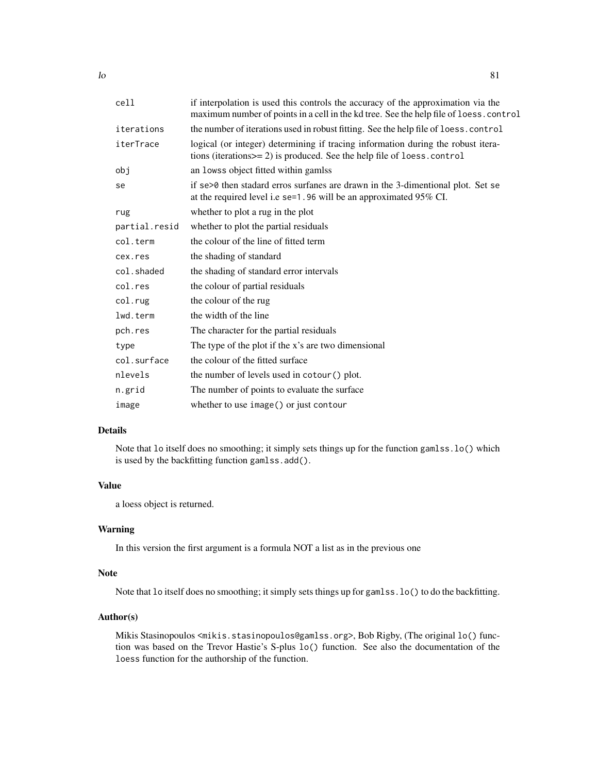| cell          | if interpolation is used this controls the accuracy of the approximation via the<br>maximum number of points in a cell in the kd tree. See the help file of loess.control |
|---------------|---------------------------------------------------------------------------------------------------------------------------------------------------------------------------|
| iterations    | the number of iterations used in robust fitting. See the help file of loess.control                                                                                       |
| iterTrace     | logical (or integer) determining if tracing information during the robust itera-<br>tions (iterations>= 2) is produced. See the help file of loess.control                |
| obj           | an lowss object fitted within gamlss                                                                                                                                      |
| se            | if se>0 then stadard erros surfanes are drawn in the 3-dimentional plot. Set se<br>at the required level i.e se=1.96 will be an approximated 95% CI.                      |
| rug           | whether to plot a rug in the plot                                                                                                                                         |
| partial.resid | whether to plot the partial residuals                                                                                                                                     |
| col.term      | the colour of the line of fitted term                                                                                                                                     |
| cex.res       | the shading of standard                                                                                                                                                   |
| col.shaded    | the shading of standard error intervals                                                                                                                                   |
| col.res       | the colour of partial residuals                                                                                                                                           |
| col.rug       | the colour of the rug                                                                                                                                                     |
| lwd.term      | the width of the line                                                                                                                                                     |
| pch.res       | The character for the partial residuals                                                                                                                                   |
| type          | The type of the plot if the x's are two dimensional                                                                                                                       |
| col.surface   | the colour of the fitted surface                                                                                                                                          |
| nlevels       | the number of levels used in cotour () plot.                                                                                                                              |
| n.grid        | The number of points to evaluate the surface                                                                                                                              |
| image         | whether to use image() or just contour                                                                                                                                    |

# Details

Note that lo itself does no smoothing; it simply sets things up for the function gamlss.lo() which is used by the backfitting function gamlss.add().

# Value

a loess object is returned.

## Warning

In this version the first argument is a formula NOT a list as in the previous one

## Note

Note that lo itself does no smoothing; it simply sets things up for gamlss.lo() to do the backfitting.

# Author(s)

Mikis Stasinopoulos <mikis.stasinopoulos@gamlss.org>, Bob Rigby, (The original lo() function was based on the Trevor Hastie's S-plus lo() function. See also the documentation of the loess function for the authorship of the function.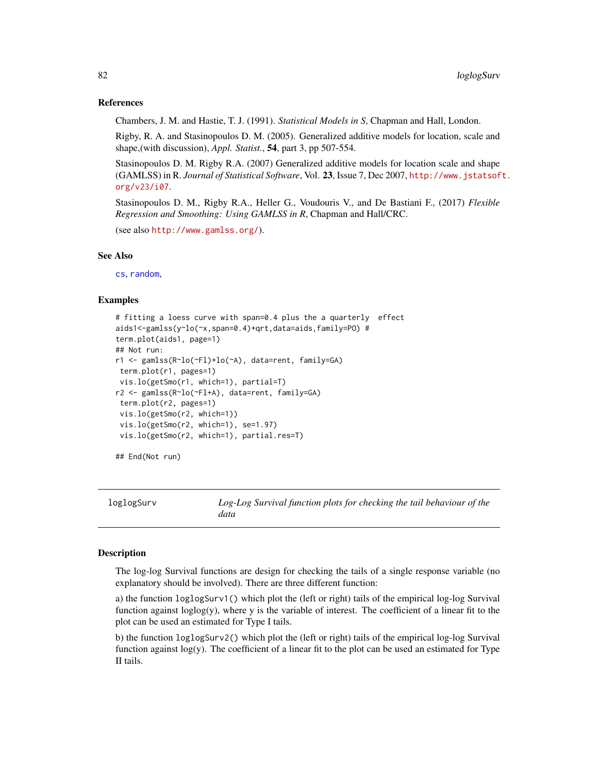## References

Chambers, J. M. and Hastie, T. J. (1991). *Statistical Models in S*, Chapman and Hall, London.

Rigby, R. A. and Stasinopoulos D. M. (2005). Generalized additive models for location, scale and shape,(with discussion), *Appl. Statist.*, 54, part 3, pp 507-554.

Stasinopoulos D. M. Rigby R.A. (2007) Generalized additive models for location scale and shape (GAMLSS) in R. *Journal of Statistical Software*, Vol. 23, Issue 7, Dec 2007, [http://www.jstatsof](http://www.jstatsoft.org/v23/i07)t. [org/v23/i07](http://www.jstatsoft.org/v23/i07).

Stasinopoulos D. M., Rigby R.A., Heller G., Voudouris V., and De Bastiani F., (2017) *Flexible Regression and Smoothing: Using GAMLSS in R*, Chapman and Hall/CRC.

```
(see also http://www.gamlss.org/).
```
# See Also

[cs](#page-21-0), [random](#page-118-0),

## Examples

```
# fitting a loess curve with span=0.4 plus the a quarterly effect
aids1<-gamlss(y~lo(~x,span=0.4)+qrt,data=aids,family=PO) #
term.plot(aids1, page=1)
## Not run:
r1 <- gamlss(R~lo(~Fl)+lo(~A), data=rent, family=GA)
term.plot(r1, pages=1)
vis.lo(getSmo(r1, which=1), partial=T)
r2 <- gamlss(R~lo(~Fl+A), data=rent, family=GA)
term.plot(r2, pages=1)
vis.lo(getSmo(r2, which=1))
 vis.lo(getSmo(r2, which=1), se=1.97)
 vis.lo(getSmo(r2, which=1), partial.res=T)
## End(Not run)
```
loglogSurv *Log-Log Survival function plots for checking the tail behaviour of the data*

## Description

The log-log Survival functions are design for checking the tails of a single response variable (no explanatory should be involved). There are three different function:

a) the function loglogSurv1() which plot the (left or right) tails of the empirical log-log Survival function against  $loglog(y)$ , where y is the variable of interest. The coefficient of a linear fit to the plot can be used an estimated for Type I tails.

b) the function loglogSurv2() which plot the (left or right) tails of the empirical log-log Survival function against log(y). The coefficient of a linear fit to the plot can be used an estimated for Type II tails.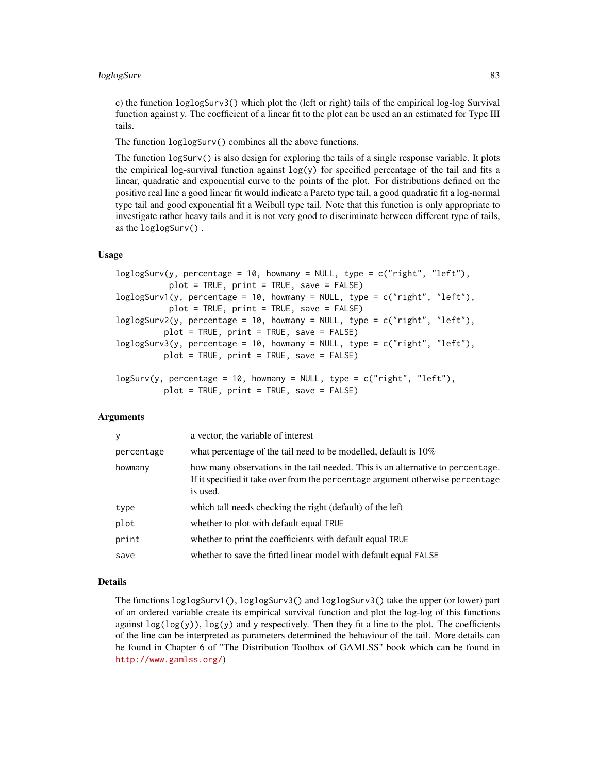c) the function loglogSurv3() which plot the (left or right) tails of the empirical log-log Survival function against y. The coefficient of a linear fit to the plot can be used an an estimated for Type III tails.

The function loglogSurv() combines all the above functions.

The function logSurv() is also design for exploring the tails of a single response variable. It plots the empirical log-survival function against  $log(y)$  for specified percentage of the tail and fits a linear, quadratic and exponential curve to the points of the plot. For distributions defined on the positive real line a good linear fit would indicate a Pareto type tail, a good quadratic fit a log-normal type tail and good exponential fit a Weibull type tail. Note that this function is only appropriate to investigate rather heavy tails and it is not very good to discriminate between different type of tails, as the loglogSurv() .

## Usage

```
loglogSurv(y, percentage = 10, howmany = NULL, type = c("right", "left"),
           plot = TRUE, print = TRUE, save = FALSE)
loglogSurv1(y, percentage = 10, howmany = NULL, type = c("right", "left"),
          plot = TRUE, print = TRUE, save = FALSE)
loglogSurv2(y, percentage = 10, howmany = NULL, type = c("right", "left"),
          plot = TRUE, print = TRUE, save = FALSE)
loglogSurv3(y, percentage = 10, howmany = NULL, type = c("right", "left"),
          plot = TRUE, print = TRUE, save = FALSE)
logSurv(y, percentage = 10, howmany = NULL, type = c("right", "left"),
```

```
plot = TRUE, print = TRUE, save = FALSE)
```
## Arguments

| У          | a vector, the variable of interest                                                                                                                                            |
|------------|-------------------------------------------------------------------------------------------------------------------------------------------------------------------------------|
| percentage | what percentage of the tail need to be modelled, default is $10\%$                                                                                                            |
| howmany    | how many observations in the tail needed. This is an alternative to percentage.<br>If it specified it take over from the percentage argument otherwise percentage<br>is used. |
| type       | which tall needs checking the right (default) of the left                                                                                                                     |
| plot       | whether to plot with default equal TRUE                                                                                                                                       |
| print      | whether to print the coefficients with default equal TRUE                                                                                                                     |
| save       | whether to save the fitted linear model with default equal FALSE                                                                                                              |

## Details

The functions loglogSurv1(), loglogSurv3() and loglogSurv3() take the upper (or lower) part of an ordered variable create its empirical survival function and plot the log-log of this functions against  $log(log(y))$ ,  $log(y)$  and y respectively. Then they fit a line to the plot. The coefficients of the line can be interpreted as parameters determined the behaviour of the tail. More details can be found in Chapter 6 of "The Distribution Toolbox of GAMLSS" book which can be found in <http://www.gamlss.org/>)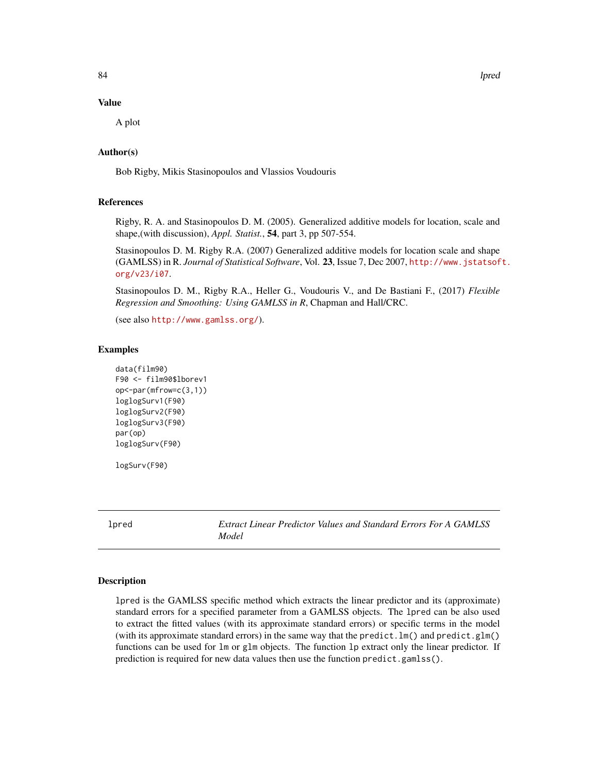84 lpred

#### Value

A plot

# Author(s)

Bob Rigby, Mikis Stasinopoulos and Vlassios Voudouris

## References

Rigby, R. A. and Stasinopoulos D. M. (2005). Generalized additive models for location, scale and shape,(with discussion), *Appl. Statist.*, 54, part 3, pp 507-554.

Stasinopoulos D. M. Rigby R.A. (2007) Generalized additive models for location scale and shape (GAMLSS) in R. *Journal of Statistical Software*, Vol. 23, Issue 7, Dec 2007, [http://www.jstatsof](http://www.jstatsoft.org/v23/i07)t. [org/v23/i07](http://www.jstatsoft.org/v23/i07).

Stasinopoulos D. M., Rigby R.A., Heller G., Voudouris V., and De Bastiani F., (2017) *Flexible Regression and Smoothing: Using GAMLSS in R*, Chapman and Hall/CRC.

(see also <http://www.gamlss.org/>).

#### Examples

```
data(film90)
F90 <- film90$lborev1
op<-par(mfrow=c(3,1))
loglogSurv1(F90)
loglogSurv2(F90)
loglogSurv3(F90)
par(op)
loglogSurv(F90)
logSurv(F90)
```
<span id="page-83-1"></span>lpred *Extract Linear Predictor Values and Standard Errors For A GAMLSS Model*

#### <span id="page-83-0"></span>Description

lpred is the GAMLSS specific method which extracts the linear predictor and its (approximate) standard errors for a specified parameter from a GAMLSS objects. The lpred can be also used to extract the fitted values (with its approximate standard errors) or specific terms in the model (with its approximate standard errors) in the same way that the predict.  $lm()$  and predict.glm() functions can be used for lm or glm objects. The function lp extract only the linear predictor. If prediction is required for new data values then use the function predict.gamlss().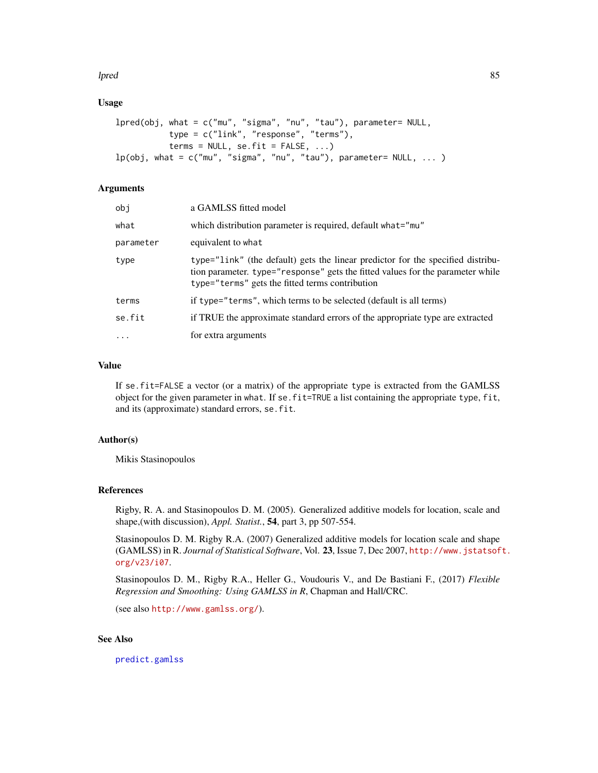#### lpred 85

## Usage

```
lpred(obj, what = c("mu", "sigma", "nu", "tau"), parameter= NULL,
           type = c("link", "response", "terms"),
           terms = NULL, se.fit = FALSE, ...)lp(obj, what = c("mu", "sigma", "nu", "tau", "tau"), parameter= NULL, ... )
```
## Arguments

| obi       | a GAMLSS fitted model                                                                                                                                                                                                |
|-----------|----------------------------------------------------------------------------------------------------------------------------------------------------------------------------------------------------------------------|
| what      | which distribution parameter is required, default what="mu"                                                                                                                                                          |
| parameter | equivalent to what                                                                                                                                                                                                   |
| type      | type="link" (the default) gets the linear predictor for the specified distribu-<br>tion parameter. type="response" gets the fitted values for the parameter while<br>type="terms" gets the fitted terms contribution |
| terms     | if type="terms", which terms to be selected (default is all terms)                                                                                                                                                   |
| se.fit    | if TRUE the approximate standard errors of the appropriate type are extracted                                                                                                                                        |
| $\cdot$   | for extra arguments                                                                                                                                                                                                  |
|           |                                                                                                                                                                                                                      |

## Value

If se.fit=FALSE a vector (or a matrix) of the appropriate type is extracted from the GAMLSS object for the given parameter in what. If se. fit=TRUE a list containing the appropriate type, fit, and its (approximate) standard errors, se.fit.

## Author(s)

Mikis Stasinopoulos

# References

Rigby, R. A. and Stasinopoulos D. M. (2005). Generalized additive models for location, scale and shape,(with discussion), *Appl. Statist.*, 54, part 3, pp 507-554.

Stasinopoulos D. M. Rigby R.A. (2007) Generalized additive models for location scale and shape (GAMLSS) in R. *Journal of Statistical Software*, Vol. 23, Issue 7, Dec 2007, [http://www.jstatsof](http://www.jstatsoft.org/v23/i07)t. [org/v23/i07](http://www.jstatsoft.org/v23/i07).

Stasinopoulos D. M., Rigby R.A., Heller G., Voudouris V., and De Bastiani F., (2017) *Flexible Regression and Smoothing: Using GAMLSS in R*, Chapman and Hall/CRC.

(see also <http://www.gamlss.org/>).

# See Also

[predict.gamlss](#page-99-0)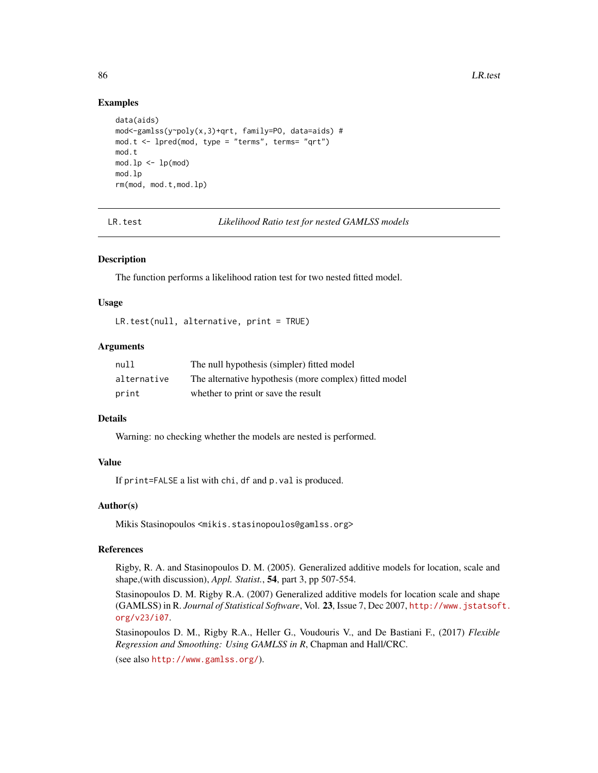## Examples

```
data(aids)
mod<-gamlss(y~poly(x,3)+qrt, family=PO, data=aids) #
mod. t < -1pred(mod, type = "terms", terms = "qrt")mod.t
mod.lp \leftarrow lp(mod)mod.lp
rm(mod, mod.t,mod.lp)
```
LR.test *Likelihood Ratio test for nested GAMLSS models*

#### Description

The function performs a likelihood ration test for two nested fitted model.

### Usage

LR.test(null, alternative, print = TRUE)

## Arguments

| null        | The null hypothesis (simpler) fitted model             |
|-------------|--------------------------------------------------------|
| alternative | The alternative hypothesis (more complex) fitted model |
| print       | whether to print or save the result                    |

# Details

Warning: no checking whether the models are nested is performed.

# Value

If print=FALSE a list with chi, df and p.val is produced.

# Author(s)

Mikis Stasinopoulos <mikis.stasinopoulos@gamlss.org>

#### References

Rigby, R. A. and Stasinopoulos D. M. (2005). Generalized additive models for location, scale and shape,(with discussion), *Appl. Statist.*, 54, part 3, pp 507-554.

Stasinopoulos D. M. Rigby R.A. (2007) Generalized additive models for location scale and shape (GAMLSS) in R. *Journal of Statistical Software*, Vol. 23, Issue 7, Dec 2007, [http://www.jstatsof](http://www.jstatsoft.org/v23/i07)t. [org/v23/i07](http://www.jstatsoft.org/v23/i07).

Stasinopoulos D. M., Rigby R.A., Heller G., Voudouris V., and De Bastiani F., (2017) *Flexible Regression and Smoothing: Using GAMLSS in R*, Chapman and Hall/CRC.

(see also <http://www.gamlss.org/>).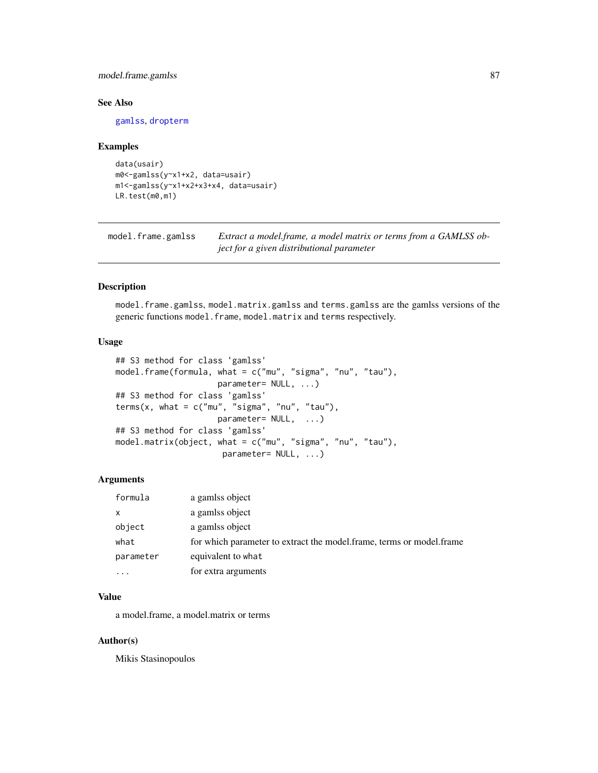# model.frame.gamlss 87

# See Also

[gamlss](#page-40-0), [dropterm](#page-0-0)

#### Examples

```
data(usair)
m0<-gamlss(y~x1+x2, data=usair)
m1<-gamlss(y~x1+x2+x3+x4, data=usair)
LR.test(m0,m1)
```
model.frame.gamlss *Extract a model.frame, a model matrix or terms from a GAMLSS object for a given distributional parameter*

#### Description

model.frame.gamlss, model.matrix.gamlss and terms.gamlss are the gamlss versions of the generic functions model.frame, model.matrix and terms respectively.

## Usage

```
## S3 method for class 'gamlss'
model.frame(formula, what = c("mu", "sigma", "nu", "tau"),
                     parameter= NULL, ...)
## S3 method for class 'gamlss'
terms(x, what = c("mu", "sigma", "nu", "tau"),
                     parameter= NULL, ...)
## S3 method for class 'gamlss'
model.matrix(object, what = c("mu", "sigma", "nu", "tau"),
                      parameter= NULL, ...)
```
#### Arguments

| formula      | a gamlss object                                                      |
|--------------|----------------------------------------------------------------------|
| $\mathsf{x}$ | a gamlss object                                                      |
| object       | a gamlss object                                                      |
| what         | for which parameter to extract the model.frame, terms or model.frame |
| parameter    | equivalent to what                                                   |
| .            | for extra arguments                                                  |

#### Value

a model.frame, a model.matrix or terms

#### Author(s)

Mikis Stasinopoulos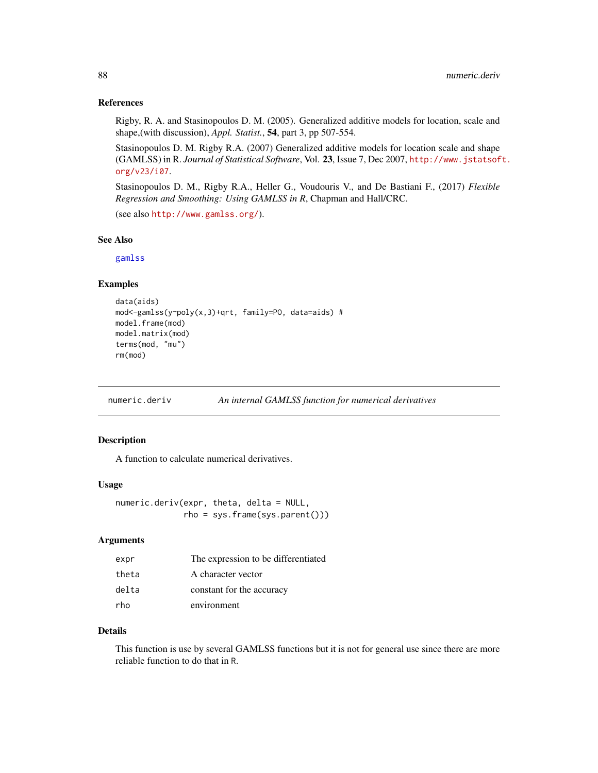#### References

Rigby, R. A. and Stasinopoulos D. M. (2005). Generalized additive models for location, scale and shape,(with discussion), *Appl. Statist.*, 54, part 3, pp 507-554.

Stasinopoulos D. M. Rigby R.A. (2007) Generalized additive models for location scale and shape (GAMLSS) in R. *Journal of Statistical Software*, Vol. 23, Issue 7, Dec 2007, [http://www.jstatsof](http://www.jstatsoft.org/v23/i07)t. [org/v23/i07](http://www.jstatsoft.org/v23/i07).

Stasinopoulos D. M., Rigby R.A., Heller G., Voudouris V., and De Bastiani F., (2017) *Flexible Regression and Smoothing: Using GAMLSS in R*, Chapman and Hall/CRC.

```
(see also http://www.gamlss.org/).
```
## See Also

[gamlss](#page-40-0)

# Examples

```
data(aids)
mod<-gamlss(y~poly(x,3)+qrt, family=PO, data=aids) #
model.frame(mod)
model.matrix(mod)
terms(mod, "mu")
rm(mod)
```
numeric.deriv *An internal GAMLSS function for numerical derivatives*

# Description

A function to calculate numerical derivatives.

### Usage

numeric.deriv(expr, theta, delta = NULL, rho = sys.frame(sys.parent()))

## Arguments

| expr  | The expression to be differentiated |
|-------|-------------------------------------|
| theta | A character vector                  |
| delta | constant for the accuracy           |
| rho   | environment                         |

## Details

This function is use by several GAMLSS functions but it is not for general use since there are more reliable function to do that in R.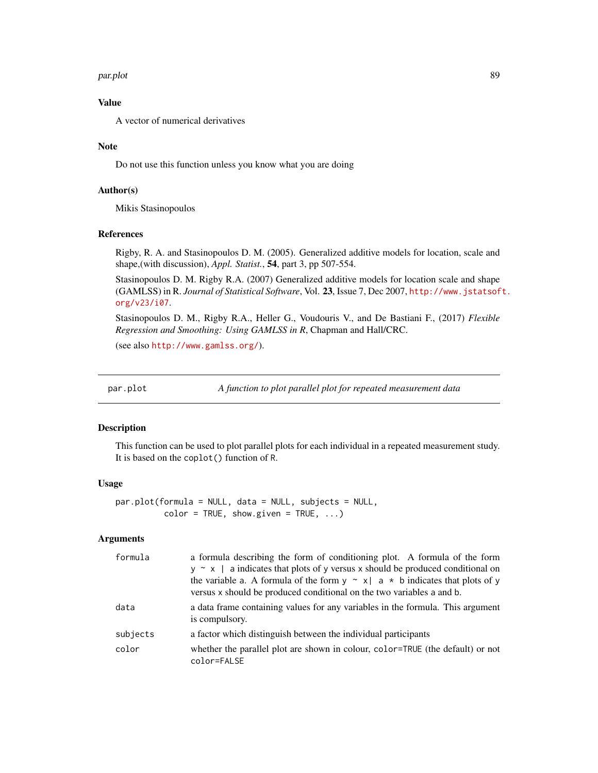#### par.plot 89

# Value

A vector of numerical derivatives

## Note

Do not use this function unless you know what you are doing

## Author(s)

Mikis Stasinopoulos

#### References

Rigby, R. A. and Stasinopoulos D. M. (2005). Generalized additive models for location, scale and shape,(with discussion), *Appl. Statist.*, 54, part 3, pp 507-554.

Stasinopoulos D. M. Rigby R.A. (2007) Generalized additive models for location scale and shape (GAMLSS) in R. *Journal of Statistical Software*, Vol. 23, Issue 7, Dec 2007, [http://www.jstatsof](http://www.jstatsoft.org/v23/i07)t. [org/v23/i07](http://www.jstatsoft.org/v23/i07).

Stasinopoulos D. M., Rigby R.A., Heller G., Voudouris V., and De Bastiani F., (2017) *Flexible Regression and Smoothing: Using GAMLSS in R*, Chapman and Hall/CRC.

(see also <http://www.gamlss.org/>).

par.plot *A function to plot parallel plot for repeated measurement data*

#### Description

This function can be used to plot parallel plots for each individual in a repeated measurement study. It is based on the coplot() function of R.

# Usage

par.plot(formula = NULL, data = NULL, subjects = NULL,  $color = TRUE, show.given = TRUE, ...)$ 

# Arguments

| formula  | a formula describing the form of conditioning plot. A formula of the form<br>$y \sim x$   a indicates that plots of y versus x should be produced conditional on<br>the variable a. A formula of the form $y \sim x   a \star b$ indicates that plots of y<br>versus x should be produced conditional on the two variables a and b. |
|----------|-------------------------------------------------------------------------------------------------------------------------------------------------------------------------------------------------------------------------------------------------------------------------------------------------------------------------------------|
| data     | a data frame containing values for any variables in the formula. This argument<br>is compulsory.                                                                                                                                                                                                                                    |
| subjects | a factor which distinguish between the individual participants                                                                                                                                                                                                                                                                      |
| color    | whether the parallel plot are shown in colour, color=TRUE (the default) or not<br>color=FALSE                                                                                                                                                                                                                                       |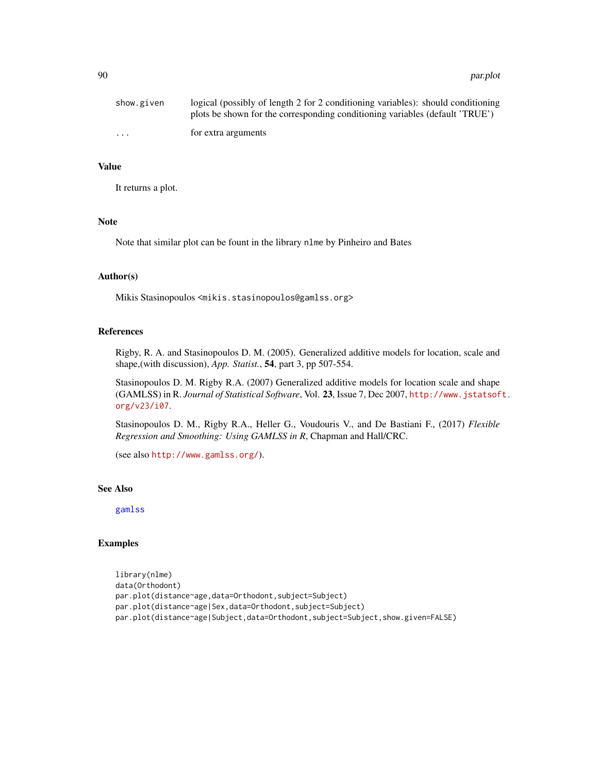| show.given              | logical (possibly of length 2 for 2 conditioning variables): should conditioning<br>plots be shown for the corresponding conditioning variables (default 'TRUE') |
|-------------------------|------------------------------------------------------------------------------------------------------------------------------------------------------------------|
| $\cdot$ $\cdot$ $\cdot$ | for extra arguments                                                                                                                                              |

## Value

It returns a plot.

#### Note

Note that similar plot can be fount in the library nlme by Pinheiro and Bates

# Author(s)

Mikis Stasinopoulos <mikis.stasinopoulos@gamlss.org>

#### References

Rigby, R. A. and Stasinopoulos D. M. (2005). Generalized additive models for location, scale and shape,(with discussion), *App. Statist.*, 54, part 3, pp 507-554.

Stasinopoulos D. M. Rigby R.A. (2007) Generalized additive models for location scale and shape (GAMLSS) in R. *Journal of Statistical Software*, Vol. 23, Issue 7, Dec 2007, [http://www.jstatsof](http://www.jstatsoft.org/v23/i07)t. [org/v23/i07](http://www.jstatsoft.org/v23/i07).

Stasinopoulos D. M., Rigby R.A., Heller G., Voudouris V., and De Bastiani F., (2017) *Flexible Regression and Smoothing: Using GAMLSS in R*, Chapman and Hall/CRC.

(see also <http://www.gamlss.org/>).

## See Also

[gamlss](#page-40-0)

#### Examples

```
library(nlme)
data(Orthodont)
par.plot(distance~age,data=Orthodont,subject=Subject)
par.plot(distance~age|Sex,data=Orthodont,subject=Subject)
par.plot(distance~age|Subject,data=Orthodont,subject=Subject,show.given=FALSE)
```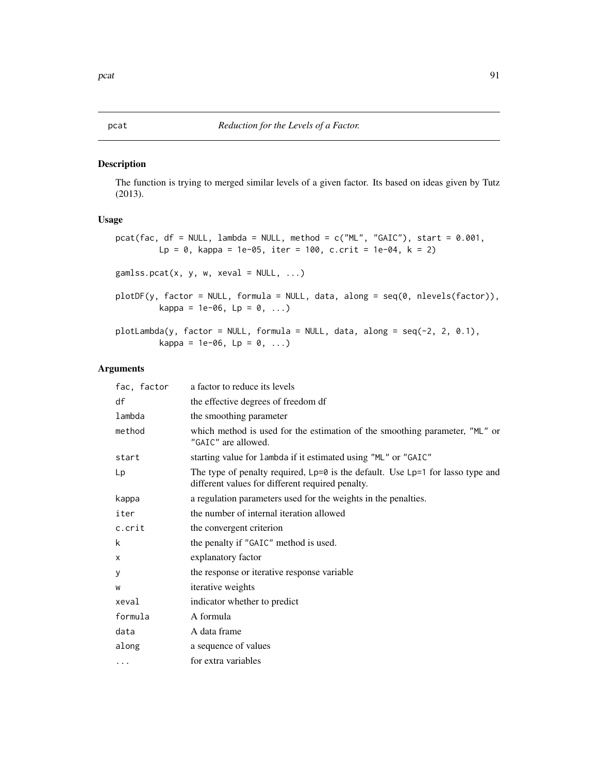## Description

The function is trying to merged similar levels of a given factor. Its based on ideas given by Tutz (2013).

# Usage

```
pcat(fac, df = NULL, lambda = NULL, method = c("ML", "GAIC"), start = 0.001,
        Lp = 0, kappa = 1e-05, iter = 100, c.crit = 1e-04, k = 2)
gamlss.pcat(x, y, w, xeval = NULL, ...)plotDF(y, factor = NULL, formula = NULL, data, along = seq(0, nlevels(factor)),
        kappa = 1e-06, Lp = 0, ...)
plotLambda(y, factor = NULL, formula = NULL, data, along = seq(-2, 2, 0.1),
         kappa = 1e-06, Lp = 0, ...)
```
## Arguments

| fac, factor | a factor to reduce its levels                                                                                                          |
|-------------|----------------------------------------------------------------------------------------------------------------------------------------|
| df          | the effective degrees of freedom df                                                                                                    |
| lambda      | the smoothing parameter                                                                                                                |
| method      | which method is used for the estimation of the smoothing parameter, "ML" or<br>"GAIC" are allowed.                                     |
| start       | starting value for lambda if it estimated using "ML" or "GAIC"                                                                         |
| Lp          | The type of penalty required, $Lp=0$ is the default. Use $Lp=1$ for lasso type and<br>different values for different required penalty. |
| kappa       | a regulation parameters used for the weights in the penalties.                                                                         |
| iter        | the number of internal iteration allowed                                                                                               |
| c.crit      | the convergent criterion                                                                                                               |
| k           | the penalty if "GAIC" method is used.                                                                                                  |
| X           | explanatory factor                                                                                                                     |
| у           | the response or iterative response variable                                                                                            |
| W           | iterative weights                                                                                                                      |
| xeval       | indicator whether to predict                                                                                                           |
| formula     | A formula                                                                                                                              |
| data        | A data frame                                                                                                                           |
| along       | a sequence of values                                                                                                                   |
| $\cdots$    | for extra variables                                                                                                                    |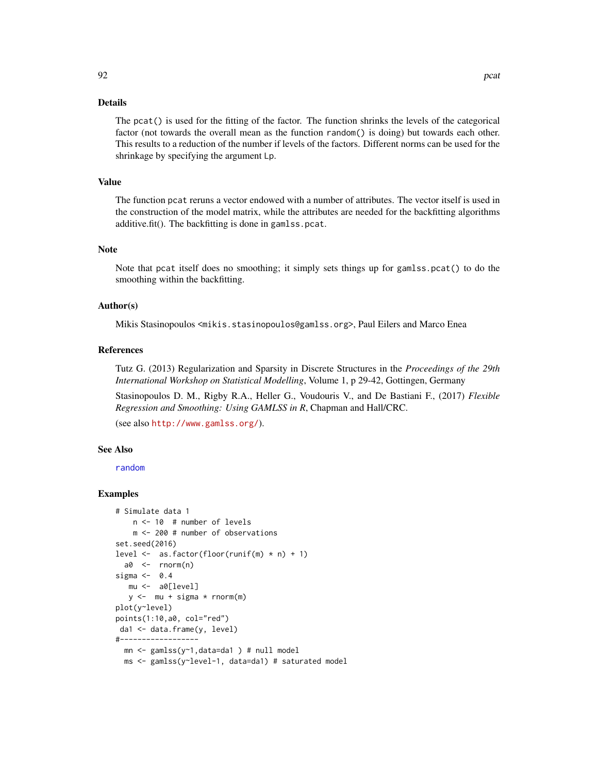## Details

The pcat() is used for the fitting of the factor. The function shrinks the levels of the categorical factor (not towards the overall mean as the function random() is doing) but towards each other. This results to a reduction of the number if levels of the factors. Different norms can be used for the shrinkage by specifying the argument Lp.

### Value

The function pcat reruns a vector endowed with a number of attributes. The vector itself is used in the construction of the model matrix, while the attributes are needed for the backfitting algorithms additive.fit(). The backfitting is done in gamlss.pcat.

#### Note

Note that pcat itself does no smoothing; it simply sets things up for gamlss.pcat() to do the smoothing within the backfitting.

## Author(s)

Mikis Stasinopoulos <mikis.stasinopoulos@gamlss.org>, Paul Eilers and Marco Enea

## References

Tutz G. (2013) Regularization and Sparsity in Discrete Structures in the *Proceedings of the 29th International Workshop on Statistical Modelling*, Volume 1, p 29-42, Gottingen, Germany

Stasinopoulos D. M., Rigby R.A., Heller G., Voudouris V., and De Bastiani F., (2017) *Flexible Regression and Smoothing: Using GAMLSS in R*, Chapman and Hall/CRC.

(see also <http://www.gamlss.org/>).

## See Also

[random](#page-118-0)

## Examples

```
# Simulate data 1
   n <- 10 # number of levels
    m <- 200 # number of observations
set.seed(2016)
level \leq as.factor(floor(runif(m) * n) + 1)
  a0 <- rnorm(n)
sigma <- 0.4
  mu <- a0[level]
   y \leftarrow mu + sigma * rnorm(m)plot(y~level)
points(1:10,a0, col="red")
 da1 <- data.frame(y, level)
#------------------
  mn \leq gamlss(y\sim1,data=da1) # null model
  ms <- gamlss(y~level-1, data=da1) # saturated model
```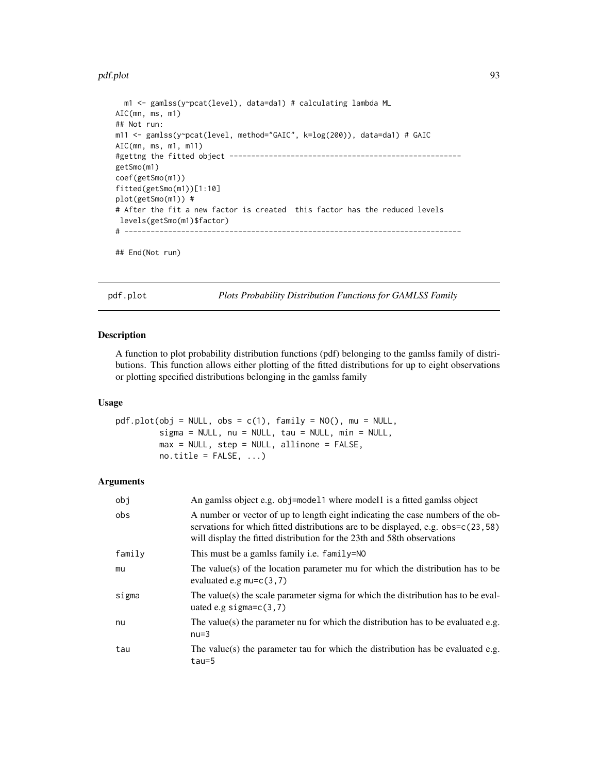#### pdf.plot 93

```
m1 <- gamlss(y~pcat(level), data=da1) # calculating lambda ML
AIC(mn, ms, m1)
## Not run:
m11 <- gamlss(y~pcat(level, method="GAIC", k=log(200)), data=da1) # GAIC
AIC(mn, ms, m1, m11)
#gettng the fitted object -----------------------------------------------------
getSmo(m1)
coef(getSmo(m1))
fitted(getSmo(m1))[1:10]
plot(getSmo(m1)) #
# After the fit a new factor is created this factor has the reduced levels
levels(getSmo(m1)$factor)
# -----------------------------------------------------------------------------
```

```
## End(Not run)
```
pdf.plot *Plots Probability Distribution Functions for GAMLSS Family*

#### Description

A function to plot probability distribution functions (pdf) belonging to the gamlss family of distributions. This function allows either plotting of the fitted distributions for up to eight observations or plotting specified distributions belonging in the gamlss family

# Usage

```
pdf.plot(obj = NULL, obs = c(1), family = NO(), mu = NULL,sigma = NULL, nu = NULL, tau = NULL, tau = NULL,
        max = NULL, step = NULL, allinone = FALSE,
        no.title = FALSE, ...)
```
#### Arguments

| obj    | An gamlss object e.g. obj=model1 where model1 is a fitted gamlss object                                                                                                                                                                        |
|--------|------------------------------------------------------------------------------------------------------------------------------------------------------------------------------------------------------------------------------------------------|
| obs    | A number or vector of up to length eight indicating the case numbers of the ob-<br>servations for which fitted distributions are to be displayed, e.g. obs=c(23,58)<br>will display the fitted distribution for the 23th and 58th observations |
| family | This must be a gamlss family <i>i.e.</i> family=NO                                                                                                                                                                                             |
| mu     | The value(s) of the location parameter mu for which the distribution has to be<br>evaluated e.g $mu=c(3,7)$                                                                                                                                    |
| sigma  | The value(s) the scale parameter sigma for which the distribution has to be eval-<br>uated e.g sigma= $c(3,7)$                                                                                                                                 |
| nu     | The value(s) the parameter nu for which the distribution has to be evaluated e.g.<br>$nu=3$                                                                                                                                                    |
| tau    | The value(s) the parameter tau for which the distribution has be evaluated e.g.<br>$tau=5$                                                                                                                                                     |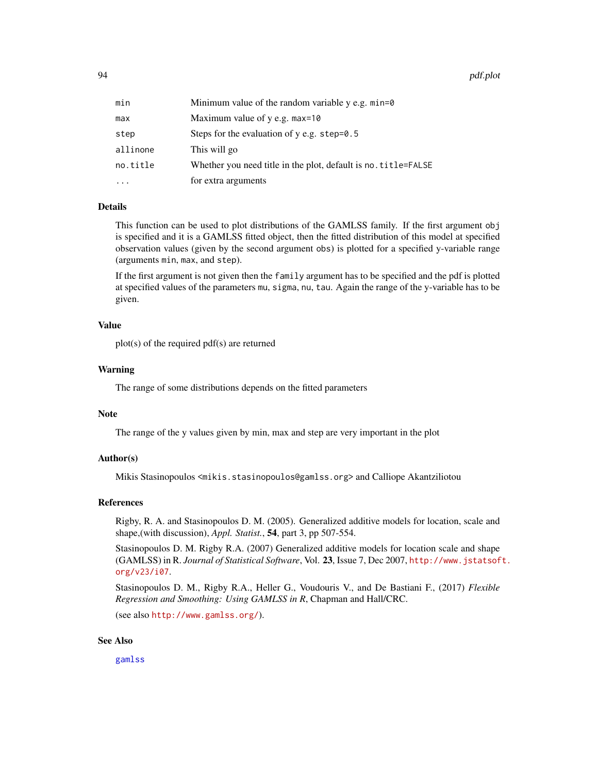94 pdf.plot

| min      | Minimum value of the random variable $y$ e.g. $min=0$          |
|----------|----------------------------------------------------------------|
| max      | Maximum value of $y$ e.g. max=10                               |
| step     | Steps for the evaluation of $y$ e.g. step=0.5                  |
| allinone | This will go                                                   |
| no.title | Whether you need title in the plot, default is no. title=FALSE |
| .        | for extra arguments                                            |

## Details

This function can be used to plot distributions of the GAMLSS family. If the first argument obj is specified and it is a GAMLSS fitted object, then the fitted distribution of this model at specified observation values (given by the second argument obs) is plotted for a specified y-variable range (arguments min, max, and step).

If the first argument is not given then the family argument has to be specified and the pdf is plotted at specified values of the parameters mu, sigma, nu, tau. Again the range of the y-variable has to be given.

## Value

plot(s) of the required pdf(s) are returned

# Warning

The range of some distributions depends on the fitted parameters

## Note

The range of the y values given by min, max and step are very important in the plot

## Author(s)

Mikis Stasinopoulos <mikis.stasinopoulos@gamlss.org> and Calliope Akantziliotou

#### References

Rigby, R. A. and Stasinopoulos D. M. (2005). Generalized additive models for location, scale and shape,(with discussion), *Appl. Statist.*, 54, part 3, pp 507-554.

Stasinopoulos D. M. Rigby R.A. (2007) Generalized additive models for location scale and shape (GAMLSS) in R. *Journal of Statistical Software*, Vol. 23, Issue 7, Dec 2007, [http://www.jstatsof](http://www.jstatsoft.org/v23/i07)t. [org/v23/i07](http://www.jstatsoft.org/v23/i07).

Stasinopoulos D. M., Rigby R.A., Heller G., Voudouris V., and De Bastiani F., (2017) *Flexible Regression and Smoothing: Using GAMLSS in R*, Chapman and Hall/CRC.

(see also <http://www.gamlss.org/>).

## See Also

[gamlss](#page-40-0)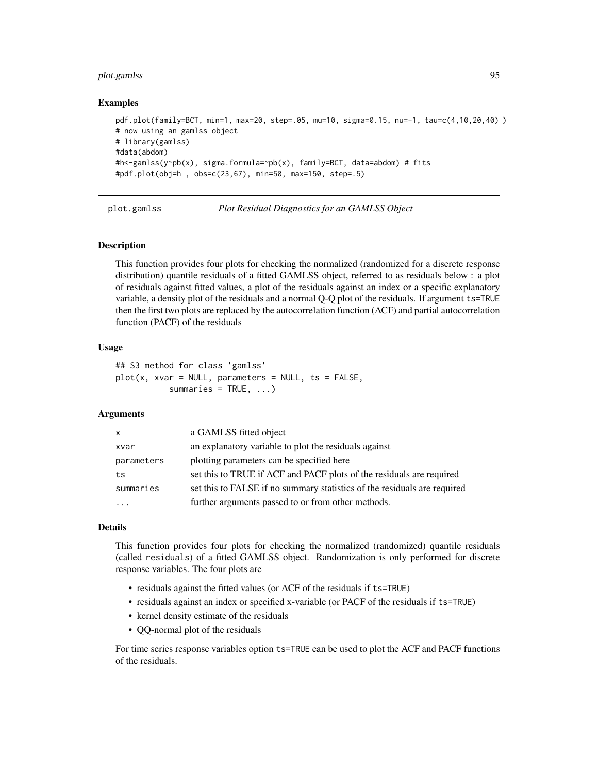# plot.gamlss 95

#### Examples

```
pdf.plot(family=BCT, min=1, max=20, step=.05, mu=10, sigma=0.15, nu=-1, tau=c(4,10,20,40) )
# now using an gamlss object
# library(gamlss)
#data(abdom)
#h<-gamlss(y~pb(x), sigma.formula=~pb(x), family=BCT, data=abdom) # fits
#pdf.plot(obj=h , obs=c(23,67), min=50, max=150, step=.5)
```
plot.gamlss *Plot Residual Diagnostics for an GAMLSS Object*

#### Description

This function provides four plots for checking the normalized (randomized for a discrete response distribution) quantile residuals of a fitted GAMLSS object, referred to as residuals below : a plot of residuals against fitted values, a plot of the residuals against an index or a specific explanatory variable, a density plot of the residuals and a normal Q-Q plot of the residuals. If argument ts=TRUE then the first two plots are replaced by the autocorrelation function (ACF) and partial autocorrelation function (PACF) of the residuals

#### Usage

```
## S3 method for class 'gamlss'
plot(x, xvar = NULL, parameters = NULL, ts = FALSE,summaries = TRUE, ...)
```
## Arguments

| X          | a GAMLSS fitted object                                                   |
|------------|--------------------------------------------------------------------------|
| xvar       | an explanatory variable to plot the residuals against                    |
| parameters | plotting parameters can be specified here                                |
| ts         | set this to TRUE if ACF and PACF plots of the residuals are required     |
| summaries  | set this to FALSE if no summary statistics of the residuals are required |
|            | further arguments passed to or from other methods.                       |

#### Details

This function provides four plots for checking the normalized (randomized) quantile residuals (called residuals) of a fitted GAMLSS object. Randomization is only performed for discrete response variables. The four plots are

- residuals against the fitted values (or ACF of the residuals if ts=TRUE)
- residuals against an index or specified x-variable (or PACF of the residuals if ts=TRUE)
- kernel density estimate of the residuals
- QQ-normal plot of the residuals

For time series response variables option ts=TRUE can be used to plot the ACF and PACF functions of the residuals.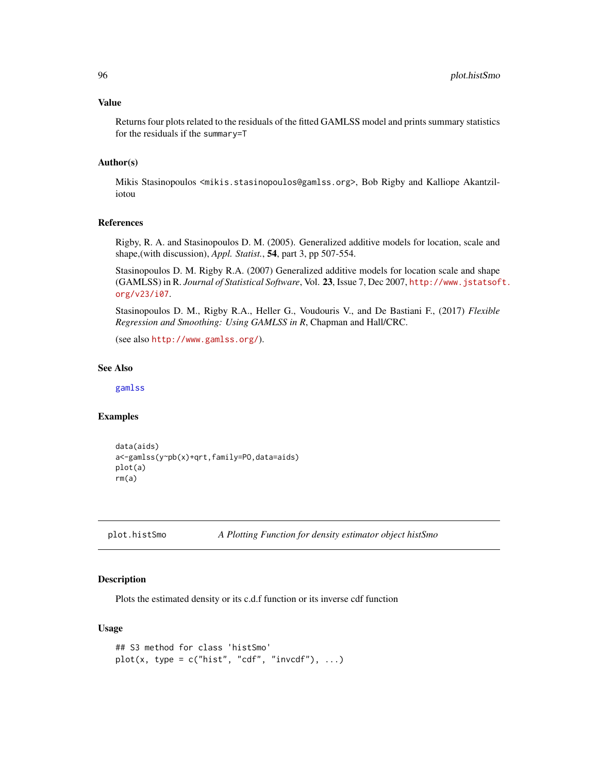#### Value

Returns four plots related to the residuals of the fitted GAMLSS model and prints summary statistics for the residuals if the summary=T

## Author(s)

Mikis Stasinopoulos <mikis.stasinopoulos@gamlss.org>, Bob Rigby and Kalliope Akantziliotou

## References

Rigby, R. A. and Stasinopoulos D. M. (2005). Generalized additive models for location, scale and shape,(with discussion), *Appl. Statist.*, 54, part 3, pp 507-554.

Stasinopoulos D. M. Rigby R.A. (2007) Generalized additive models for location scale and shape (GAMLSS) in R. *Journal of Statistical Software*, Vol. 23, Issue 7, Dec 2007, [http://www.jstatsof](http://www.jstatsoft.org/v23/i07)t. [org/v23/i07](http://www.jstatsoft.org/v23/i07).

Stasinopoulos D. M., Rigby R.A., Heller G., Voudouris V., and De Bastiani F., (2017) *Flexible Regression and Smoothing: Using GAMLSS in R*, Chapman and Hall/CRC.

(see also <http://www.gamlss.org/>).

## See Also

[gamlss](#page-40-0)

## Examples

```
data(aids)
a<-gamlss(y~pb(x)+qrt,family=PO,data=aids)
plot(a)
rm(a)
```

```
plot.histSmo A Plotting Function for density estimator object histSmo
```
## Description

Plots the estimated density or its c.d.f function or its inverse cdf function

# Usage

```
## S3 method for class 'histSmo'
plot(x, type = c("hist", "cdf", "invcdf"), ...)
```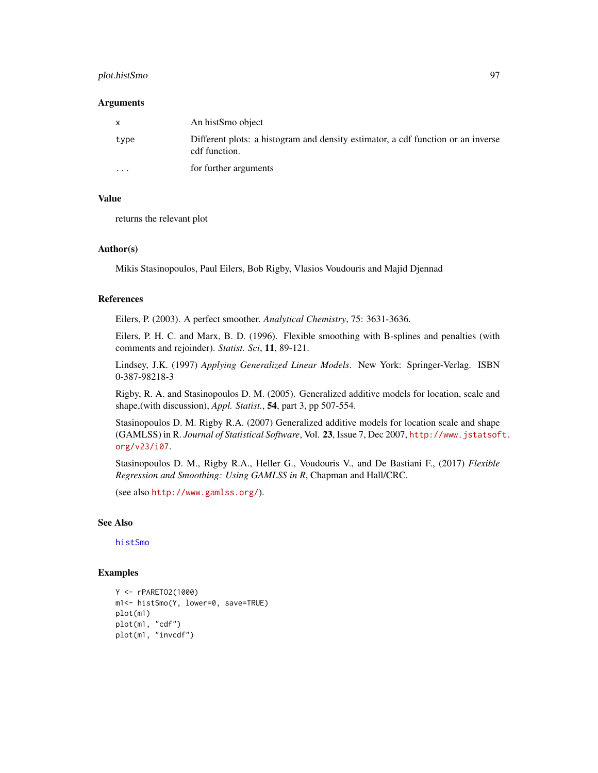# plot.histSmo 97

#### **Arguments**

| X        | An histSmo object                                                                                 |
|----------|---------------------------------------------------------------------------------------------------|
| type     | Different plots: a histogram and density estimator, a cdf function or an inverse<br>cdf function. |
| $\cdots$ | for further arguments                                                                             |

## Value

returns the relevant plot

#### Author(s)

Mikis Stasinopoulos, Paul Eilers, Bob Rigby, Vlasios Voudouris and Majid Djennad

#### References

Eilers, P. (2003). A perfect smoother. *Analytical Chemistry*, 75: 3631-3636.

Eilers, P. H. C. and Marx, B. D. (1996). Flexible smoothing with B-splines and penalties (with comments and rejoinder). *Statist. Sci*, 11, 89-121.

Lindsey, J.K. (1997) *Applying Generalized Linear Models*. New York: Springer-Verlag. ISBN 0-387-98218-3

Rigby, R. A. and Stasinopoulos D. M. (2005). Generalized additive models for location, scale and shape,(with discussion), *Appl. Statist.*, 54, part 3, pp 507-554.

Stasinopoulos D. M. Rigby R.A. (2007) Generalized additive models for location scale and shape (GAMLSS) in R. *Journal of Statistical Software*, Vol. 23, Issue 7, Dec 2007, [http://www.jstatsof](http://www.jstatsoft.org/v23/i07)t. [org/v23/i07](http://www.jstatsoft.org/v23/i07).

Stasinopoulos D. M., Rigby R.A., Heller G., Voudouris V., and De Bastiani F., (2017) *Flexible Regression and Smoothing: Using GAMLSS in R*, Chapman and Hall/CRC.

(see also <http://www.gamlss.org/>).

## See Also

[histSmo](#page-71-0)

#### Examples

```
Y <- rPARETO2(1000)
m1<- histSmo(Y, lower=0, save=TRUE)
plot(m1)
plot(m1, "cdf")
plot(m1, "invcdf")
```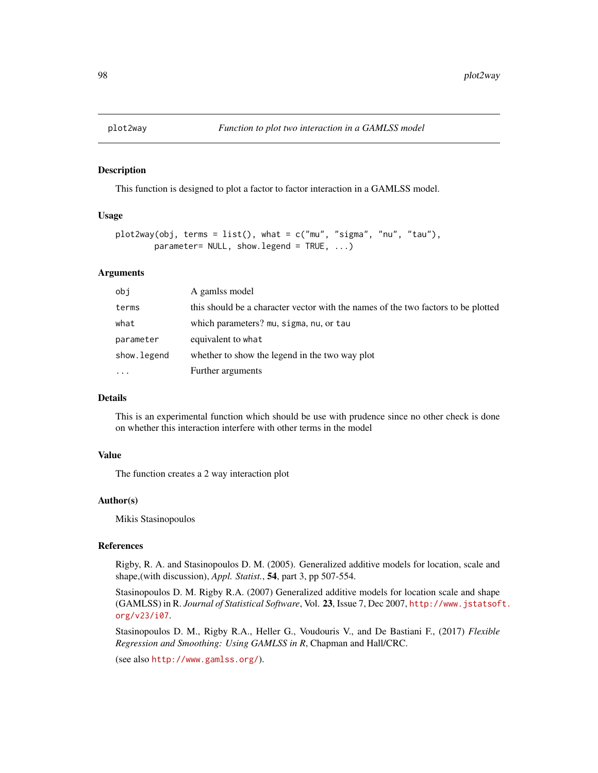#### Description

This function is designed to plot a factor to factor interaction in a GAMLSS model.

## Usage

```
plot2way(obj, terms = list(), what = c("mu", "sigma", "nu", "tau", "tau"),parameter = NULL, show.legend = TRUE, ...)
```
## Arguments

| obi         | A gamlss model                                                                    |
|-------------|-----------------------------------------------------------------------------------|
| terms       | this should be a character vector with the names of the two factors to be plotted |
| what        | which parameters? mu, sigma, nu, or tau                                           |
| parameter   | equivalent to what                                                                |
| show.legend | whether to show the legend in the two way plot                                    |
| $\cdot$     | Further arguments                                                                 |

# Details

This is an experimental function which should be use with prudence since no other check is done on whether this interaction interfere with other terms in the model

#### Value

The function creates a 2 way interaction plot

## Author(s)

Mikis Stasinopoulos

#### References

Rigby, R. A. and Stasinopoulos D. M. (2005). Generalized additive models for location, scale and shape,(with discussion), *Appl. Statist.*, 54, part 3, pp 507-554.

Stasinopoulos D. M. Rigby R.A. (2007) Generalized additive models for location scale and shape (GAMLSS) in R. *Journal of Statistical Software*, Vol. 23, Issue 7, Dec 2007, [http://www.jstatsof](http://www.jstatsoft.org/v23/i07)t. [org/v23/i07](http://www.jstatsoft.org/v23/i07).

Stasinopoulos D. M., Rigby R.A., Heller G., Voudouris V., and De Bastiani F., (2017) *Flexible Regression and Smoothing: Using GAMLSS in R*, Chapman and Hall/CRC.

(see also <http://www.gamlss.org/>).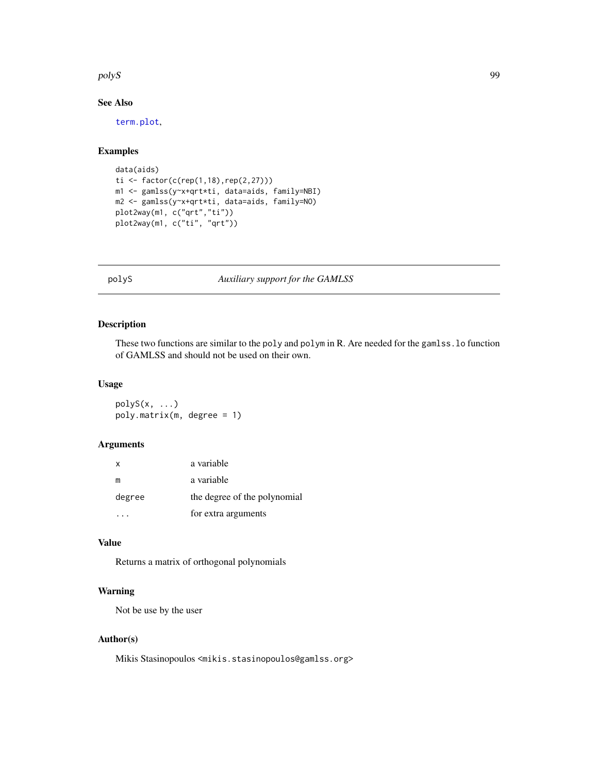#### polyS and the contract of the contract of the contract of the contract of the contract of the contract of the contract of the contract of the contract of the contract of the contract of the contract of the contract of the

# See Also

[term.plot](#page-138-0),

# Examples

```
data(aids)
ti <- factor(c(rep(1,18),rep(2,27)))
m1 <- gamlss(y~x+qrt*ti, data=aids, family=NBI)
m2 <- gamlss(y~x+qrt*ti, data=aids, family=NO)
plot2way(m1, c("qrt","ti"))
plot2way(m1, c("ti", "qrt"))
```
polyS *Auxiliary support for the GAMLSS*

# Description

These two functions are similar to the poly and polym in R. Are needed for the gamlss.lo function of GAMLSS and should not be used on their own.

#### Usage

 $polyS(x, \ldots)$ poly.matrix(m, degree = 1)

# Arguments

| x      | a variable                   |
|--------|------------------------------|
| m      | a variable                   |
| degree | the degree of the polynomial |
|        | for extra arguments          |

# Value

Returns a matrix of orthogonal polynomials

# Warning

Not be use by the user

## Author(s)

Mikis Stasinopoulos <mikis.stasinopoulos@gamlss.org>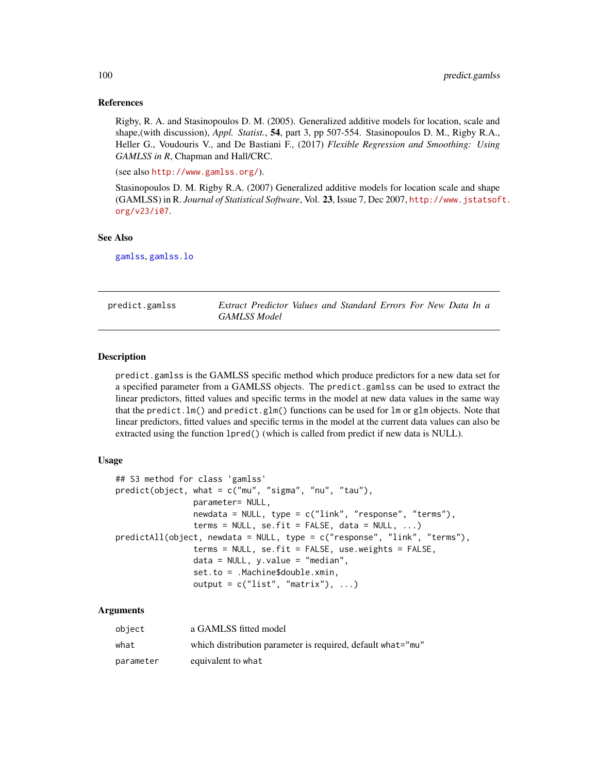## References

Rigby, R. A. and Stasinopoulos D. M. (2005). Generalized additive models for location, scale and shape,(with discussion), *Appl. Statist.*, 54, part 3, pp 507-554. Stasinopoulos D. M., Rigby R.A., Heller G., Voudouris V., and De Bastiani F., (2017) *Flexible Regression and Smoothing: Using GAMLSS in R*, Chapman and Hall/CRC.

(see also <http://www.gamlss.org/>).

Stasinopoulos D. M. Rigby R.A. (2007) Generalized additive models for location scale and shape (GAMLSS) in R. *Journal of Statistical Software*, Vol. 23, Issue 7, Dec 2007, [http://www.jstatsof](http://www.jstatsoft.org/v23/i07)t. [org/v23/i07](http://www.jstatsoft.org/v23/i07).

## See Also

[gamlss](#page-40-0), [gamlss.lo](#page-49-0)

<span id="page-99-0"></span>

| predict.gamlss | Extract Predictor Values and Standard Errors For New Data In a |  |  |  |  |  |
|----------------|----------------------------------------------------------------|--|--|--|--|--|
|                | <b>GAMLSS Model</b>                                            |  |  |  |  |  |

## Description

predict.gamlss is the GAMLSS specific method which produce predictors for a new data set for a specified parameter from a GAMLSS objects. The predict.gamlss can be used to extract the linear predictors, fitted values and specific terms in the model at new data values in the same way that the predict.lm() and predict.glm() functions can be used for lm or glm objects. Note that linear predictors, fitted values and specific terms in the model at the current data values can also be extracted using the function lpred() (which is called from predict if new data is NULL).

### Usage

```
## S3 method for class 'gamlss'
predict(object, what = c("mu", "sigma", "nu", "tau", "tau"),
                parameter= NULL,
                newdata = NULL, type = c("link", "response", "terms"),terms = NULL, se.fit = FALSE, data = NULL, ...)predictAll(object, newdata = NULL, type = c("response", "link", "terms"),
                terms = NULL, se.fit = FALSE, use.weights = FALSE,
                data = NULL, y.value = "median",set.to = .Machine$double.xmin,
                output = c("list", "matrix"), ...)
```
#### Arguments

| object    | a GAMLSS fitted model                                       |
|-----------|-------------------------------------------------------------|
| what      | which distribution parameter is required, default what="mu" |
| parameter | equivalent to what                                          |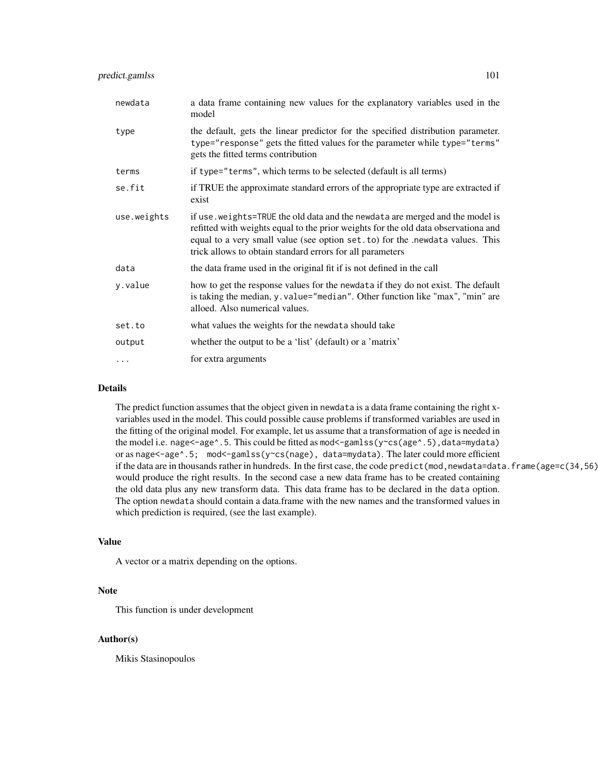| newdata     | a data frame containing new values for the explanatory variables used in the<br>model                                                                                                                                                                                                                              |
|-------------|--------------------------------------------------------------------------------------------------------------------------------------------------------------------------------------------------------------------------------------------------------------------------------------------------------------------|
| type        | the default, gets the linear predictor for the specified distribution parameter.<br>type="response" gets the fitted values for the parameter while type="terms"<br>gets the fitted terms contribution                                                                                                              |
| terms       | if type="terms", which terms to be selected (default is all terms)                                                                                                                                                                                                                                                 |
| se.fit      | if TRUE the approximate standard errors of the appropriate type are extracted if<br>exist                                                                                                                                                                                                                          |
| use.weights | if use. weights=TRUE the old data and the newdata are merged and the model is<br>refitted with weights equal to the prior weights for the old data observationa and<br>equal to a very small value (see option set. to) for the .newdata values. This<br>trick allows to obtain standard errors for all parameters |
| data        | the data frame used in the original fit if is not defined in the call                                                                                                                                                                                                                                              |
| y.value     | how to get the response values for the newdata if they do not exist. The default<br>is taking the median, y. value="median". Other function like "max", "min" are<br>alloed. Also numerical values.                                                                                                                |
| set.to      | what values the weights for the newdata should take                                                                                                                                                                                                                                                                |
| output      | whether the output to be a 'list' (default) or a 'matrix'                                                                                                                                                                                                                                                          |
| $\cdots$    | for extra arguments                                                                                                                                                                                                                                                                                                |

## Details

The predict function assumes that the object given in newdata is a data frame containing the right xvariables used in the model. This could possible cause problems if transformed variables are used in the fitting of the original model. For example, let us assume that a transformation of age is needed in the model i.e. nage<-age^.5. This could be fitted as mod<-gamlss(y~cs(age^.5),data=mydata) or as nage<-age^.5; mod<-gamlss(y~cs(nage), data=mydata). The later could more efficient if the data are in thousands rather in hundreds. In the first case, the code predict(mod,newdata=data.frame(age=c(34,56) would produce the right results. In the second case a new data frame has to be created containing the old data plus any new transform data. This data frame has to be declared in the data option. The option newdata should contain a data.frame with the new names and the transformed values in which prediction is required, (see the last example).

# Value

A vector or a matrix depending on the options.

#### Note

This function is under development

## Author(s)

Mikis Stasinopoulos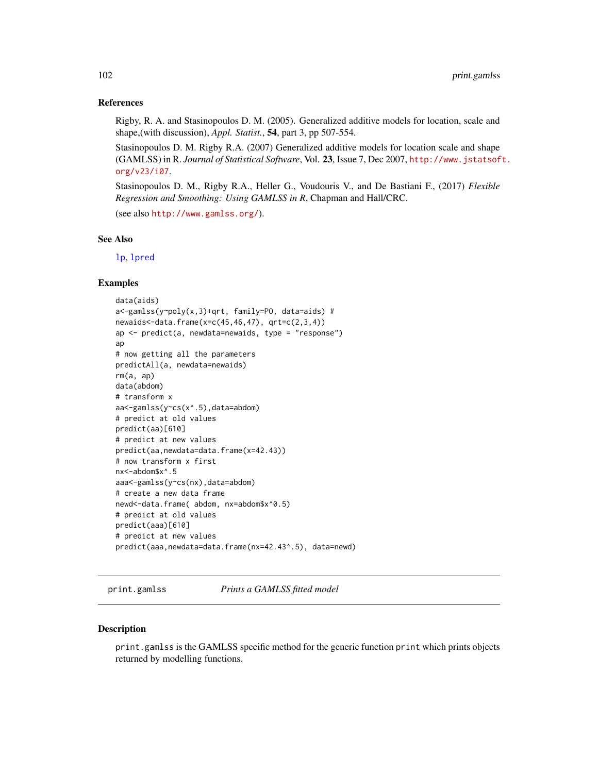## References

Rigby, R. A. and Stasinopoulos D. M. (2005). Generalized additive models for location, scale and shape,(with discussion), *Appl. Statist.*, 54, part 3, pp 507-554.

Stasinopoulos D. M. Rigby R.A. (2007) Generalized additive models for location scale and shape (GAMLSS) in R. *Journal of Statistical Software*, Vol. 23, Issue 7, Dec 2007, [http://www.jstatsof](http://www.jstatsoft.org/v23/i07)t. [org/v23/i07](http://www.jstatsoft.org/v23/i07).

Stasinopoulos D. M., Rigby R.A., Heller G., Voudouris V., and De Bastiani F., (2017) *Flexible Regression and Smoothing: Using GAMLSS in R*, Chapman and Hall/CRC.

(see also <http://www.gamlss.org/>).

#### See Also

[lp](#page-83-0), [lpred](#page-83-1)

#### Examples

```
data(aids)
a<-gamlss(y~poly(x,3)+qrt, family=PO, data=aids) #
newaids < -data.frame(x=c(45, 46, 47), grt=c(2, 3, 4))ap <- predict(a, newdata=newaids, type = "response")
ap
# now getting all the parameters
predictAll(a, newdata=newaids)
rm(a, ap)
data(abdom)
# transform x
aa<-gamlss(y~cs(x^.5),data=abdom)
# predict at old values
predict(aa)[610]
# predict at new values
predict(aa,newdata=data.frame(x=42.43))
# now transform x first
nx<-abdom$x^.5
aaa<-gamlss(y~cs(nx),data=abdom)
# create a new data frame
newd<-data.frame( abdom, nx=abdom$x^0.5)
# predict at old values
predict(aaa)[610]
# predict at new values
predict(aaa,newdata=data.frame(nx=42.43^.5), data=newd)
```
print.gamlss *Prints a GAMLSS fitted model*

#### **Description**

print.gamlss is the GAMLSS specific method for the generic function print which prints objects returned by modelling functions.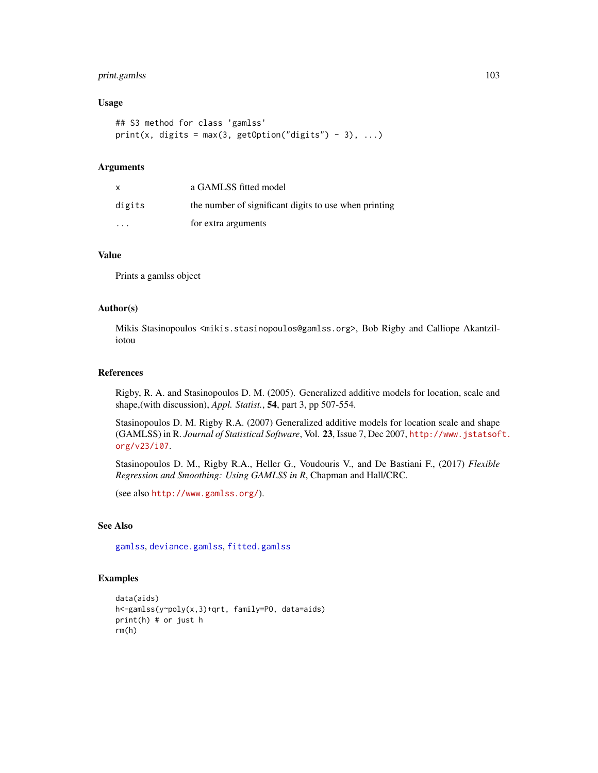# print.gamlss 103

#### Usage

```
## S3 method for class 'gamlss'
print(x, digits = max(3, getOption("digits") - 3), ...)
```
## **Arguments**

| $\mathsf{x}$ | a GAMLSS fitted model                                 |
|--------------|-------------------------------------------------------|
| digits       | the number of significant digits to use when printing |
| .            | for extra arguments                                   |

## Value

Prints a gamlss object

#### Author(s)

Mikis Stasinopoulos <mikis.stasinopoulos@gamlss.org>, Bob Rigby and Calliope Akantziliotou

## References

Rigby, R. A. and Stasinopoulos D. M. (2005). Generalized additive models for location, scale and shape,(with discussion), *Appl. Statist.*, 54, part 3, pp 507-554.

Stasinopoulos D. M. Rigby R.A. (2007) Generalized additive models for location scale and shape (GAMLSS) in R. *Journal of Statistical Software*, Vol. 23, Issue 7, Dec 2007, [http://www.jstatsof](http://www.jstatsoft.org/v23/i07)t. [org/v23/i07](http://www.jstatsoft.org/v23/i07).

Stasinopoulos D. M., Rigby R.A., Heller G., Voudouris V., and De Bastiani F., (2017) *Flexible Regression and Smoothing: Using GAMLSS in R*, Chapman and Hall/CRC.

(see also <http://www.gamlss.org/>).

# See Also

[gamlss](#page-40-0), [deviance.gamlss](#page-24-0), [fitted.gamlss](#page-37-0)

# Examples

```
data(aids)
h<-gamlss(y~poly(x,3)+qrt, family=PO, data=aids)
print(h) # or just h
rm(h)
```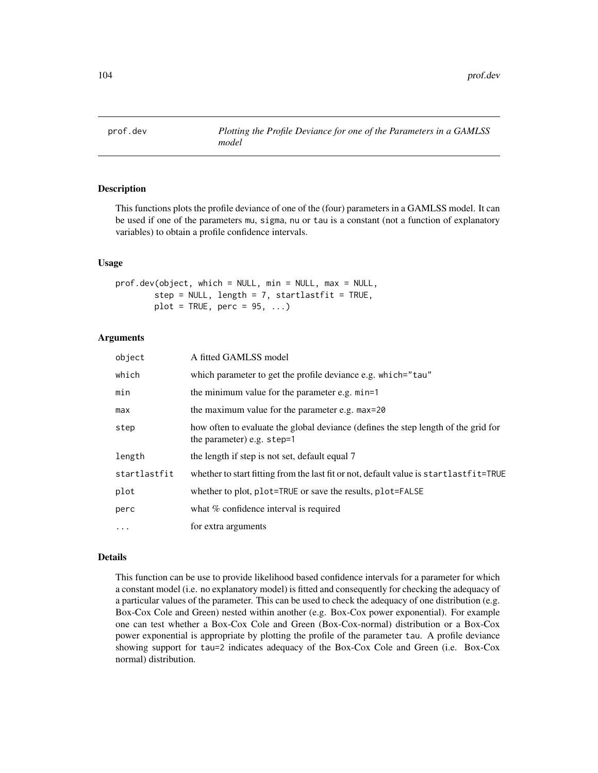<span id="page-103-0"></span>

# **Description**

This functions plots the profile deviance of one of the (four) parameters in a GAMLSS model. It can be used if one of the parameters mu, sigma, nu or tau is a constant (not a function of explanatory variables) to obtain a profile confidence intervals.

#### Usage

```
prof.dev(object, which = NULL, min = NULL, max = NULL,
       step = NULL, length = 7, startlastfit = TRUE,
       plot = TRUE, perc = 95, ...
```
## Arguments

| object       | A fitted GAMLSS model                                                                                            |
|--------------|------------------------------------------------------------------------------------------------------------------|
| which        | which parameter to get the profile deviance e.g. which="tau"                                                     |
| min          | the minimum value for the parameter e.g. min=1                                                                   |
| max          | the maximum value for the parameter e.g. max=20                                                                  |
| step         | how often to evaluate the global deviance (defines the step length of the grid for<br>the parameter) e.g. step=1 |
| length       | the length if step is not set, default equal 7                                                                   |
| startlastfit | whether to start fitting from the last fit or not, default value is startlastfit=TRUE                            |
| plot         | whether to plot, plot=TRUE or save the results, plot=FALSE                                                       |
| perc         | what % confidence interval is required                                                                           |
| $\ddotsc$    | for extra arguments                                                                                              |

## Details

This function can be use to provide likelihood based confidence intervals for a parameter for which a constant model (i.e. no explanatory model) is fitted and consequently for checking the adequacy of a particular values of the parameter. This can be used to check the adequacy of one distribution (e.g. Box-Cox Cole and Green) nested within another (e.g. Box-Cox power exponential). For example one can test whether a Box-Cox Cole and Green (Box-Cox-normal) distribution or a Box-Cox power exponential is appropriate by plotting the profile of the parameter tau. A profile deviance showing support for tau=2 indicates adequacy of the Box-Cox Cole and Green (i.e. Box-Cox normal) distribution.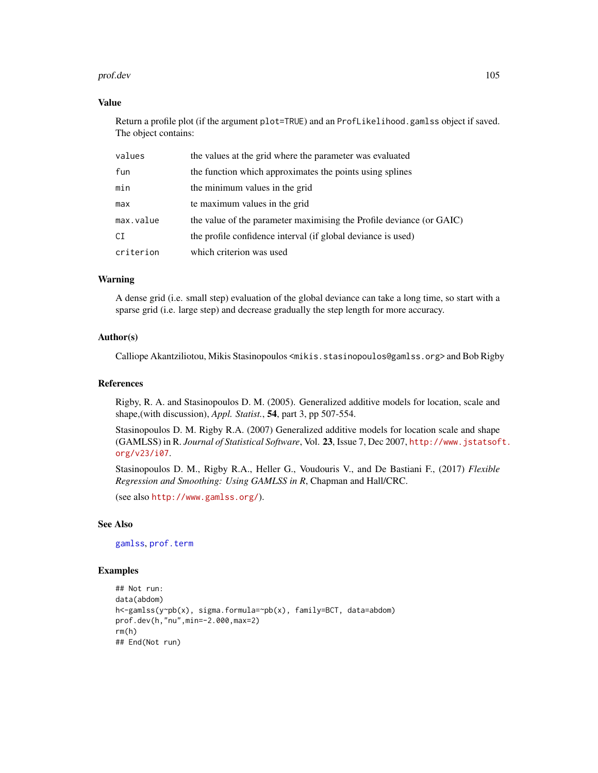#### prof.dev 105

## Value

Return a profile plot (if the argument plot=TRUE) and an ProfLikelihood.gamlss object if saved. The object contains:

| values    | the values at the grid where the parameter was evaluated             |
|-----------|----------------------------------------------------------------------|
| fun       | the function which approximates the points using splines             |
| min       | the minimum values in the grid                                       |
| max       | te maximum values in the grid                                        |
| max.value | the value of the parameter maximising the Profile deviance (or GAIC) |
| СI        | the profile confidence interval (if global deviance is used)         |
| criterion | which criterion was used                                             |

# Warning

A dense grid (i.e. small step) evaluation of the global deviance can take a long time, so start with a sparse grid (i.e. large step) and decrease gradually the step length for more accuracy.

## Author(s)

Calliope Akantziliotou, Mikis Stasinopoulos <mikis.stasinopoulos@gamlss.org> and Bob Rigby

#### References

Rigby, R. A. and Stasinopoulos D. M. (2005). Generalized additive models for location, scale and shape,(with discussion), *Appl. Statist.*, 54, part 3, pp 507-554.

Stasinopoulos D. M. Rigby R.A. (2007) Generalized additive models for location scale and shape (GAMLSS) in R. *Journal of Statistical Software*, Vol. 23, Issue 7, Dec 2007, [http://www.jstatsof](http://www.jstatsoft.org/v23/i07)t. [org/v23/i07](http://www.jstatsoft.org/v23/i07).

Stasinopoulos D. M., Rigby R.A., Heller G., Voudouris V., and De Bastiani F., (2017) *Flexible Regression and Smoothing: Using GAMLSS in R*, Chapman and Hall/CRC.

(see also <http://www.gamlss.org/>).

## See Also

[gamlss](#page-40-0), [prof.term](#page-105-0)

## Examples

```
## Not run:
data(abdom)
h<-gamlss(y~pb(x), sigma.formula=~pb(x), family=BCT, data=abdom)
prof.dev(h,"nu",min=-2.000,max=2)
rm(h)
## End(Not run)
```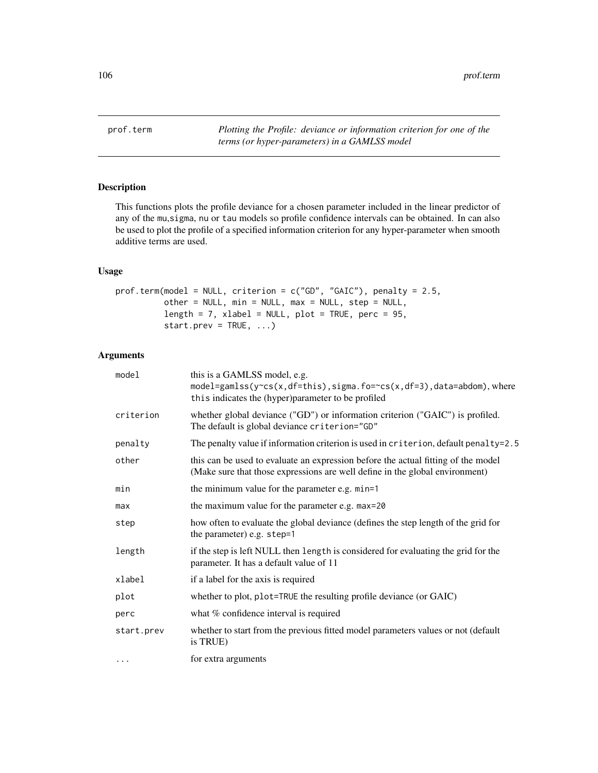<span id="page-105-0"></span>prof.term *Plotting the Profile: deviance or information criterion for one of the terms (or hyper-parameters) in a GAMLSS model*

# Description

This functions plots the profile deviance for a chosen parameter included in the linear predictor of any of the mu,sigma, nu or tau models so profile confidence intervals can be obtained. In can also be used to plot the profile of a specified information criterion for any hyper-parameter when smooth additive terms are used.

# Usage

```
prof.term(model = NULL, criterion = c("GD", "GAIC"), penalty = 2.5,
          other = NULL, min = NULL, max = NULL, step = NULL,
          length = 7, xlabel = NULL, plot = TRUE, perc = 95,
          start.prev = TRUE, ...)
```
# Arguments

| model      | this is a GAMLSS model, e.g.<br>model=gamlss(y~cs(x,df=this),sigma.fo=~cs(x,df=3),data=abdom),where<br>this indicates the (hyper)parameter to be profiled         |
|------------|-------------------------------------------------------------------------------------------------------------------------------------------------------------------|
| criterion  | whether global deviance ("GD") or information criterion ("GAIC") is profiled.<br>The default is global deviance criterion="GD"                                    |
| penalty    | The penalty value if information criterion is used in criterion, default penalty=2.5                                                                              |
| other      | this can be used to evaluate an expression before the actual fitting of the model<br>(Make sure that those expressions are well define in the global environment) |
| min        | the minimum value for the parameter e.g. min=1                                                                                                                    |
| max        | the maximum value for the parameter e.g. max=20                                                                                                                   |
| step       | how often to evaluate the global deviance (defines the step length of the grid for<br>the parameter) e.g. step=1                                                  |
| length     | if the step is left NULL then length is considered for evaluating the grid for the<br>parameter. It has a default value of 11                                     |
| xlabel     | if a label for the axis is required                                                                                                                               |
| plot       | whether to plot, plot=TRUE the resulting profile deviance (or GAIC)                                                                                               |
| perc       | what % confidence interval is required                                                                                                                            |
| start.prev | whether to start from the previous fitted model parameters values or not (default<br>is TRUE)                                                                     |
| $\cdot$    | for extra arguments                                                                                                                                               |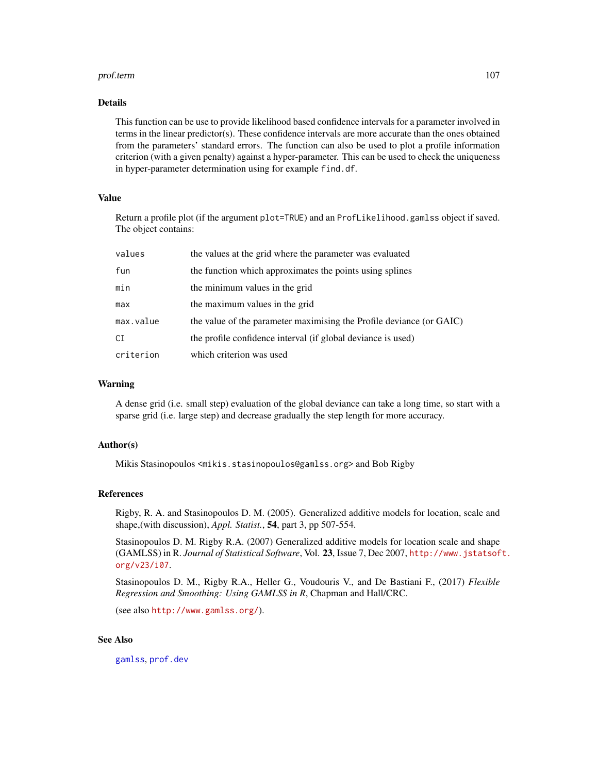#### prof.term 107

## Details

This function can be use to provide likelihood based confidence intervals for a parameter involved in terms in the linear predictor(s). These confidence intervals are more accurate than the ones obtained from the parameters' standard errors. The function can also be used to plot a profile information criterion (with a given penalty) against a hyper-parameter. This can be used to check the uniqueness in hyper-parameter determination using for example find.df.

## Value

Return a profile plot (if the argument plot=TRUE) and an ProfLikelihood.gamlss object if saved. The object contains:

| values    | the values at the grid where the parameter was evaluated             |
|-----------|----------------------------------------------------------------------|
| fun       | the function which approximates the points using splines             |
| min       | the minimum values in the grid                                       |
| max       | the maximum values in the grid                                       |
| max.value | the value of the parameter maximising the Profile deviance (or GAIC) |
| СI        | the profile confidence interval (if global deviance is used)         |
| criterion | which criterion was used                                             |

#### Warning

A dense grid (i.e. small step) evaluation of the global deviance can take a long time, so start with a sparse grid (i.e. large step) and decrease gradually the step length for more accuracy.

## Author(s)

Mikis Stasinopoulos <mikis.stasinopoulos@gamlss.org> and Bob Rigby

#### References

Rigby, R. A. and Stasinopoulos D. M. (2005). Generalized additive models for location, scale and shape,(with discussion), *Appl. Statist.*, 54, part 3, pp 507-554.

Stasinopoulos D. M. Rigby R.A. (2007) Generalized additive models for location scale and shape (GAMLSS) in R. *Journal of Statistical Software*, Vol. 23, Issue 7, Dec 2007, [http://www.jstatsof](http://www.jstatsoft.org/v23/i07)t. [org/v23/i07](http://www.jstatsoft.org/v23/i07).

Stasinopoulos D. M., Rigby R.A., Heller G., Voudouris V., and De Bastiani F., (2017) *Flexible Regression and Smoothing: Using GAMLSS in R*, Chapman and Hall/CRC.

(see also <http://www.gamlss.org/>).

# See Also

[gamlss](#page-40-0), [prof.dev](#page-103-0)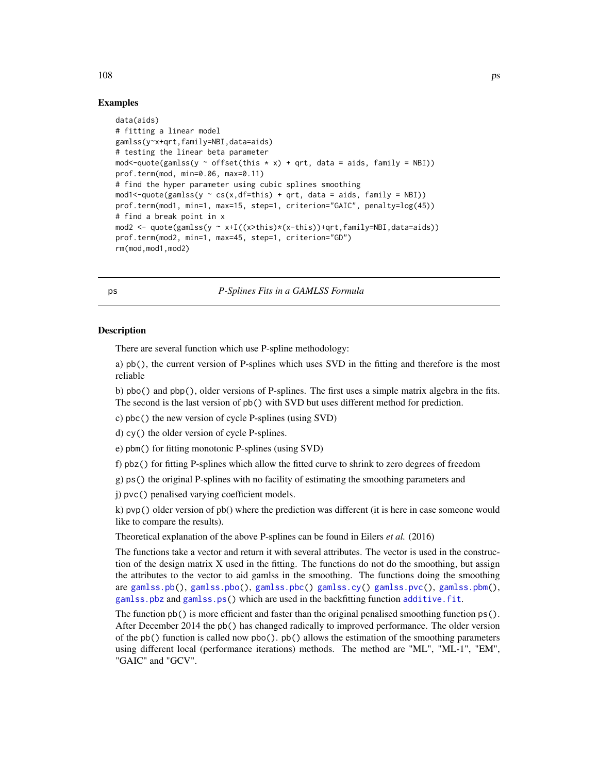#### Examples

```
data(aids)
# fitting a linear model
gamlss(y~x+qrt,family=NBI,data=aids)
# testing the linear beta parameter
mod<-quote(gamlss(y \sim offset(this \star x) + qrt, data = aids, family = NBI))
prof.term(mod, min=0.06, max=0.11)
# find the hyper parameter using cubic splines smoothing
mod1 < -quote(gamlss(y \sim cs(x, df = this) + qrt, data = aids, family = NBI))prof.term(mod1, min=1, max=15, step=1, criterion="GAIC", penalty=log(45))
# find a break point in x
mod2 <- quote(gamlss(y ~ x+I((x>this)*(x-this))+qrt,family=NBI,data=aids))
prof.term(mod2, min=1, max=45, step=1, criterion="GD")
rm(mod,mod1,mod2)
```
ps *P-Splines Fits in a GAMLSS Formula*

## <span id="page-107-0"></span>Description

There are several function which use P-spline methodology:

a) pb(), the current version of P-splines which uses SVD in the fitting and therefore is the most reliable

b) pbo() and pbp(), older versions of P-splines. The first uses a simple matrix algebra in the fits. The second is the last version of pb() with SVD but uses different method for prediction.

c) pbc() the new version of cycle P-splines (using SVD)

d) cy() the older version of cycle P-splines.

e) pbm() for fitting monotonic P-splines (using SVD)

f) pbz() for fitting P-splines which allow the fitted curve to shrink to zero degrees of freedom

g) ps() the original P-splines with no facility of estimating the smoothing parameters and

j) pvc() penalised varying coefficient models.

k) pvp() older version of pb() where the prediction was different (it is here in case someone would like to compare the results).

Theoretical explanation of the above P-splines can be found in Eilers *et al.* (2016)

The functions take a vector and return it with several attributes. The vector is used in the construction of the design matrix X used in the fitting. The functions do not do the smoothing, but assign the attributes to the vector to aid gamlss in the smoothing. The functions doing the smoothing are [gamlss.pb\(](#page-50-0)), [gamlss.pbo\(](#page-50-0)), [gamlss.pbc\(](#page-50-0)) [gamlss.cy\(](#page-50-0)) [gamlss.pvc\(](#page-50-0)), [gamlss.pbm\(](#page-50-0)), [gamlss.pbz](#page-50-0) and [gamlss.ps\(](#page-50-1)) which are used in the backfitting function [additive.fit](#page-7-0).

The function  $pb()$  is more efficient and faster than the original penalised smoothing function  $ps()$ . After December 2014 the pb() has changed radically to improved performance. The older version of the pb() function is called now pbo(). pb() allows the estimation of the smoothing parameters using different local (performance iterations) methods. The method are "ML", "ML-1", "EM", "GAIC" and "GCV".

 $108$  ps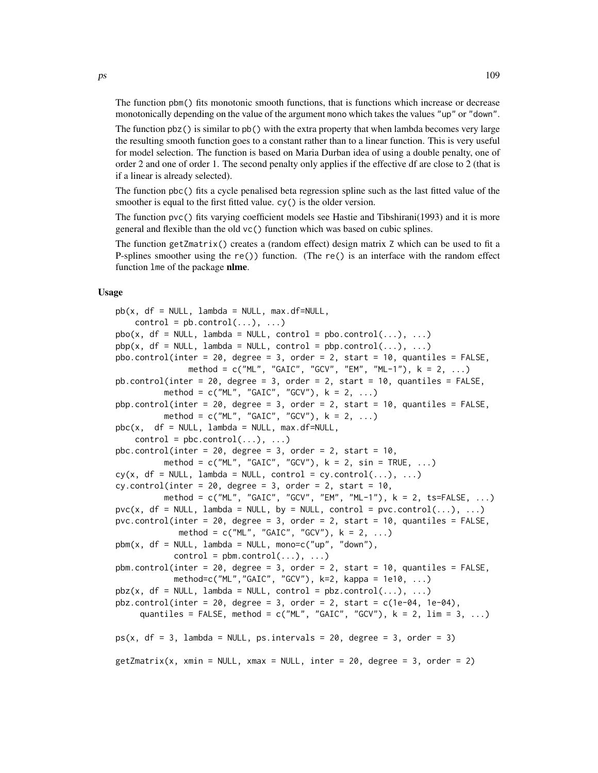The function pbm() fits monotonic smooth functions, that is functions which increase or decrease monotonically depending on the value of the argument mono which takes the values "up" or "down".

The function pbz() is similar to pb() with the extra property that when lambda becomes very large the resulting smooth function goes to a constant rather than to a linear function. This is very useful for model selection. The function is based on Maria Durban idea of using a double penalty, one of order 2 and one of order 1. The second penalty only applies if the effective df are close to 2 (that is if a linear is already selected).

The function pbc() fits a cycle penalised beta regression spline such as the last fitted value of the smoother is equal to the first fitted value. cy() is the older version.

The function pvc() fits varying coefficient models see Hastie and Tibshirani(1993) and it is more general and flexible than the old vc() function which was based on cubic splines.

The function getZmatrix() creates a (random effect) design matrix Z which can be used to fit a P-splines smoother using the re()) function. (The re() is an interface with the random effect function lme of the package nlme.

#### Usage

```
pb(x, df = NULL, lambda = NULL, max.df=NULL,control = pb.control(...), ...pbo(x, df = NULL, lambda = NULL, control = pbo.contrib(...), ...)pbp(x, df = NULL, lambda = NULL, control = pbp.contrib(…), …)pbo.control(inter = 20, degree = 3, order = 2, start = 10, quantiles = FALSE,
               method = c("ML", "GAIC", "GCV", "EM", "ML-1"), k = 2, ...)
pb.control(inter = 20, degree = 3, order = 2, start = 10, quantiles = FALSE,
         method = c("ML", "GAIC", "GCV"), k = 2, ...)pbp.control(inter = 20, degree = 3, order = 2, start = 10, quantiles = FALSE,
          method = c("ML", "GAIC", "GCV"), k = 2, ...)pbc(x, df = NULL, lambda = NULL, max.df=NULL,control = pbc.control(...), ...pbc.control(inter = 20, degree = 3, order = 2, start = 10,method = c("ML", "GAIC", "GCV"), k = 2, sin = TRUE, ...)cy(x, df = NULL, lambda = NULL, control = cy.contrib(...), ...)cy-control(inter = 20, degree = 3, order = 2, start = 10,method = c("ML", "GAIC", "GCV", "EM", "ML-1"), k = 2, ts=FALSE, ...)
\text{pvc}(x, df = \text{NULL}, lambda = \text{NULL}, by = \text{NULL}, control = \text{pvc.contrib}(...), ...)pvc.control(inter = 20, degree = 3, order = 2, start = 10, quantiles = FALSE,
             method = c("ML", "GAIC", "GCV"), k = 2, ...)pbm(x, df = NULL, lambda = NULL, mono=c("up", "down"),control = pbm.control(...), ...pbm.control(inter = 20, degree = 3, order = 2, start = 10, quantiles = FALSE,
            method=c("ML","GAIC", "GCV"), k=2, kappa = 1e10, ...)
pbz(x, df = NULL, lambda = NULL, control = pbz.contrib(...), ...)pbz.control(inter = 20, degree = 3, order = 2, start = c(1e-04, 1e-04),
     quantiles = FALSE, method = c("ML", "GAIC", "GCV"), k = 2, \lim = 3, ...ps(x, df = 3, lambda = NULL, ps.intervals = 20, degree = 3, order = 3)getZmatrix(x, xmin = NULL, xmax = NULL, inter = 20, degree = 3, order = 2)
```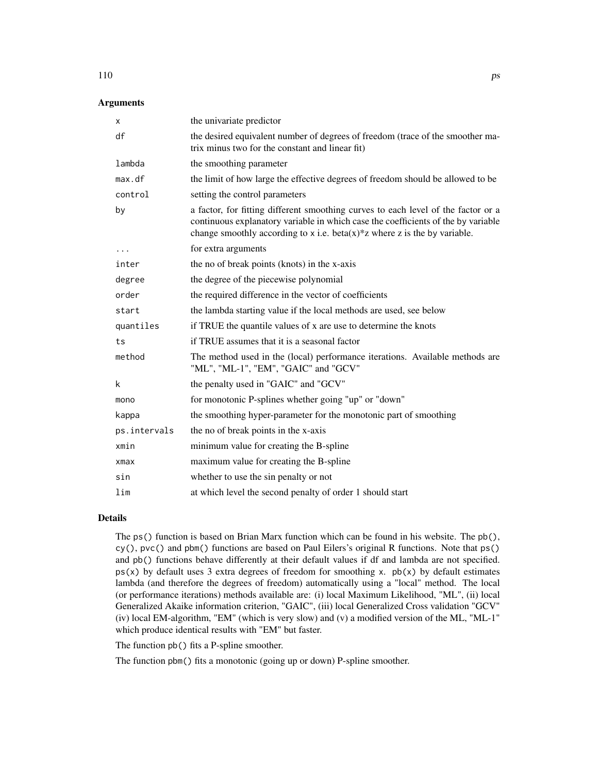| <b>Arguments</b> |  |
|------------------|--|
|------------------|--|

| х            | the univariate predictor                                                                                                                                                                                                                                 |
|--------------|----------------------------------------------------------------------------------------------------------------------------------------------------------------------------------------------------------------------------------------------------------|
| df           | the desired equivalent number of degrees of freedom (trace of the smoother ma-<br>trix minus two for the constant and linear fit)                                                                                                                        |
| lambda       | the smoothing parameter                                                                                                                                                                                                                                  |
| max.df       | the limit of how large the effective degrees of freedom should be allowed to be                                                                                                                                                                          |
| control      | setting the control parameters                                                                                                                                                                                                                           |
| by           | a factor, for fitting different smoothing curves to each level of the factor or a<br>continuous explanatory variable in which case the coefficients of the by variable<br>change smoothly according to x i.e. beta $(x)^*$ z where z is the by variable. |
| $\cdots$     | for extra arguments                                                                                                                                                                                                                                      |
| inter        | the no of break points (knots) in the x-axis                                                                                                                                                                                                             |
| degree       | the degree of the piecewise polynomial                                                                                                                                                                                                                   |
| order        | the required difference in the vector of coefficients                                                                                                                                                                                                    |
| start        | the lambda starting value if the local methods are used, see below                                                                                                                                                                                       |
| quantiles    | if TRUE the quantile values of x are use to determine the knots                                                                                                                                                                                          |
| ts           | if TRUE assumes that it is a seasonal factor                                                                                                                                                                                                             |
| method       | The method used in the (local) performance iterations. Available methods are<br>"ML", "ML-1", "EM", "GAIC" and "GCV"                                                                                                                                     |
| k            | the penalty used in "GAIC" and "GCV"                                                                                                                                                                                                                     |
| mono         | for monotonic P-splines whether going "up" or "down"                                                                                                                                                                                                     |
| kappa        | the smoothing hyper-parameter for the monotonic part of smoothing                                                                                                                                                                                        |
| ps.intervals | the no of break points in the x-axis                                                                                                                                                                                                                     |
| xmin         | minimum value for creating the B-spline                                                                                                                                                                                                                  |
| $x$ ma $x$   | maximum value for creating the B-spline                                                                                                                                                                                                                  |
| sin          | whether to use the sin penalty or not                                                                                                                                                                                                                    |
| lim          | at which level the second penalty of order 1 should start                                                                                                                                                                                                |

# Details

The ps() function is based on Brian Marx function which can be found in his website. The pb(), cy(), pvc() and pbm() functions are based on Paul Eilers's original R functions. Note that ps() and pb() functions behave differently at their default values if df and lambda are not specified.  $p(s(x))$  by default uses 3 extra degrees of freedom for smoothing x,  $p(b(x))$  by default estimates lambda (and therefore the degrees of freedom) automatically using a "local" method. The local (or performance iterations) methods available are: (i) local Maximum Likelihood, "ML", (ii) local Generalized Akaike information criterion, "GAIC", (iii) local Generalized Cross validation "GCV" (iv) local EM-algorithm, "EM" (which is very slow) and (v) a modified version of the ML, "ML-1" which produce identical results with "EM" but faster.

The function pb() fits a P-spline smoother.

The function pbm() fits a monotonic (going up or down) P-spline smoother.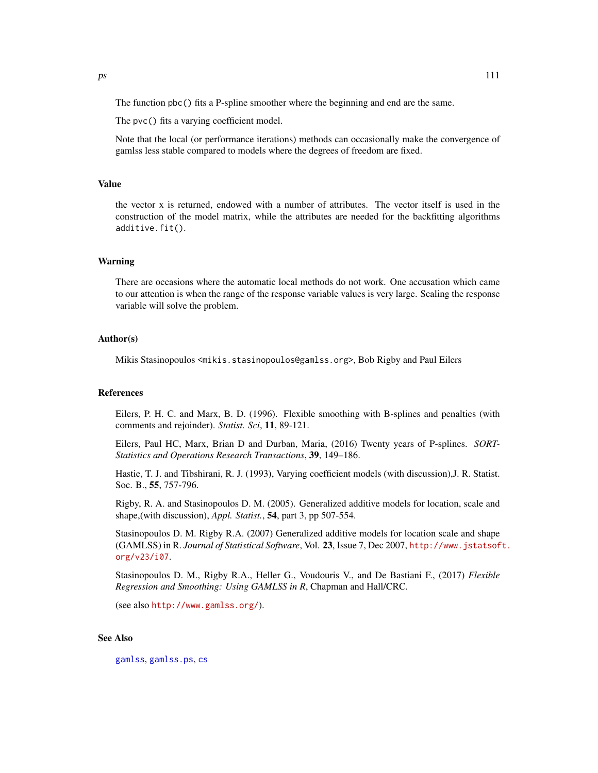The function pbc() fits a P-spline smoother where the beginning and end are the same.

The pvc() fits a varying coefficient model.

Note that the local (or performance iterations) methods can occasionally make the convergence of gamlss less stable compared to models where the degrees of freedom are fixed.

## Value

the vector x is returned, endowed with a number of attributes. The vector itself is used in the construction of the model matrix, while the attributes are needed for the backfitting algorithms additive.fit().

## Warning

There are occasions where the automatic local methods do not work. One accusation which came to our attention is when the range of the response variable values is very large. Scaling the response variable will solve the problem.

#### Author(s)

Mikis Stasinopoulos <mikis.stasinopoulos@gamlss.org>, Bob Rigby and Paul Eilers

# References

Eilers, P. H. C. and Marx, B. D. (1996). Flexible smoothing with B-splines and penalties (with comments and rejoinder). *Statist. Sci*, 11, 89-121.

Eilers, Paul HC, Marx, Brian D and Durban, Maria, (2016) Twenty years of P-splines. *SORT-Statistics and Operations Research Transactions*, 39, 149–186.

Hastie, T. J. and Tibshirani, R. J. (1993), Varying coefficient models (with discussion),J. R. Statist. Soc. B., 55, 757-796.

Rigby, R. A. and Stasinopoulos D. M. (2005). Generalized additive models for location, scale and shape,(with discussion), *Appl. Statist.*, 54, part 3, pp 507-554.

Stasinopoulos D. M. Rigby R.A. (2007) Generalized additive models for location scale and shape (GAMLSS) in R. *Journal of Statistical Software*, Vol. 23, Issue 7, Dec 2007, [http://www.jstatsof](http://www.jstatsoft.org/v23/i07)t. [org/v23/i07](http://www.jstatsoft.org/v23/i07).

Stasinopoulos D. M., Rigby R.A., Heller G., Voudouris V., and De Bastiani F., (2017) *Flexible Regression and Smoothing: Using GAMLSS in R*, Chapman and Hall/CRC.

(see also <http://www.gamlss.org/>).

#### See Also

[gamlss](#page-40-0), [gamlss.ps](#page-50-0), [cs](#page-21-0)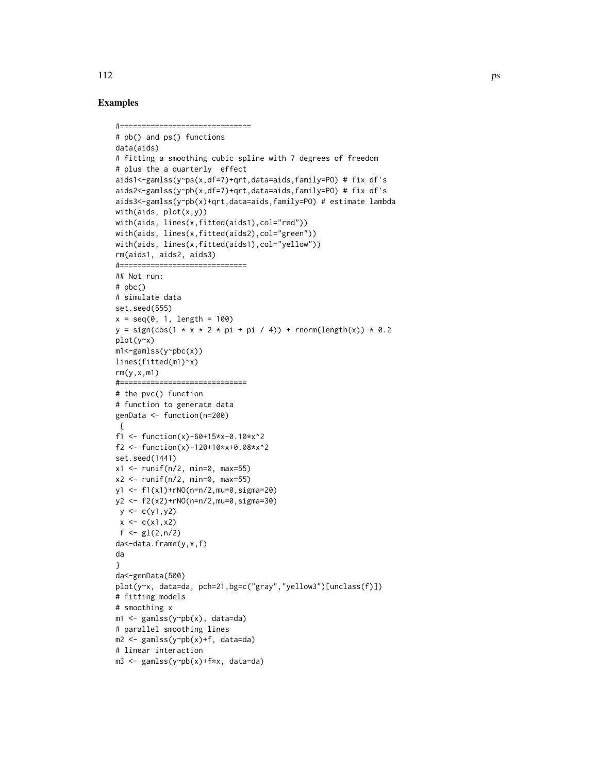# Examples

```
#==============================
# pb() and ps() functions
data(aids)
# fitting a smoothing cubic spline with 7 degrees of freedom
# plus the a quarterly effect
aids1<-gamlss(y~ps(x,df=7)+qrt,data=aids,family=PO) # fix df's
aids2<-gamlss(y~pb(x,df=7)+qrt,data=aids,family=PO) # fix df's
aids3<-gamlss(y~pb(x)+qrt,data=aids,family=PO) # estimate lambda
with(aids, plot(x,y))
with(aids, lines(x,fitted(aids1),col="red"))
with(aids, lines(x,fitted(aids2),col="green"))
with(aids, lines(x,fitted(aids1),col="yellow"))
rm(aids1, aids2, aids3)
#=============================
## Not run:
# pbc()
# simulate data
set.seed(555)
x = seq(0, 1, length = 100)y = sign(cos(1 + x + 2 + pi + pi / 4)) + rnorm(length(x)) + 0.2plot(y~x)
m1<-gamlss(y~pbc(x))
lines(fitted(m1)~x)
rm(y,x,m1)#=============================
# the pvc() function
# function to generate data
genData <- function(n=200)
{
f1 <- function(x)-60+15*x-0.10*x^2
f2 <- function(x)-120+10*x+0.08*x^2
set.seed(1441)
x1 \le runif(n/2, min=0, max=55)
x2 \le runif(n/2, min=0, max=55)
y1 <- f1(x1)+rNO(n=n/2,mu=0,sigma=20)
y2 <- f2(x2)+rNO(n=n/2,mu=0,sigma=30)
y <- c(y1,y2)
x \leq -c(x1, x2)f \leftarrow gl(2, n/2)da<-data.frame(y,x,f)
da
}
da<-genData(500)
plot(y~x, data=da, pch=21,bg=c("gray","yellow3")[unclass(f)])
# fitting models
# smoothing x
m1 <- gamlss(y~pb(x), data=da)
# parallel smoothing lines
m2 <- gamlss(y~pb(x)+f, data=da)
# linear interaction
m3 <- gamlss(y~pb(x)+f*x, data=da)
```
112 ps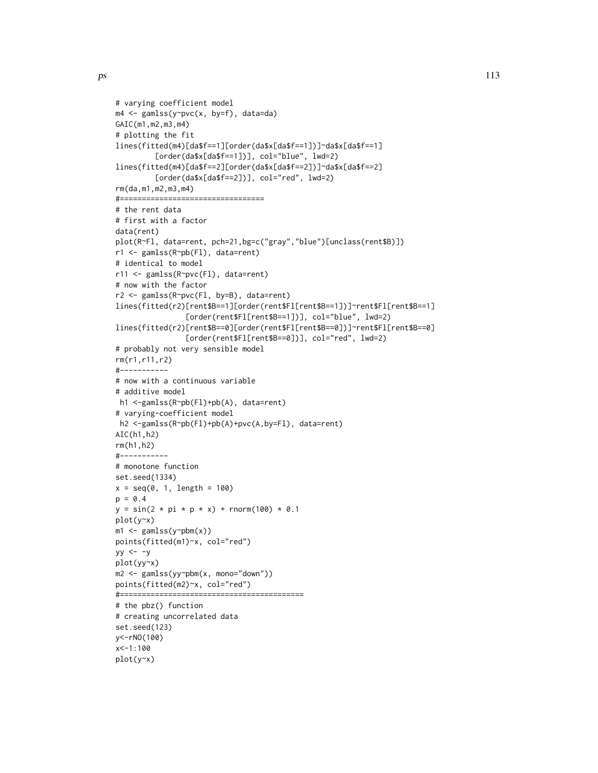```
# varying coefficient model
m4 <- gamlss(y~pvc(x, by=f), data=da)
GAIC(m1,m2,m3,m4)
# plotting the fit
lines(fitted(m4)[da$f==1][order(da$x[da$f==1])]~da$x[da$f==1]
         [order(da$x[da$f==1])], col="blue", lwd=2)
lines(fitted(m4)[da$f==2][order(da$x[da$f==2])]~da$x[da$f==2]
         [order(da$x[da$f==2])], col="red", lwd=2)
rm(da,m1,m2,m3,m4)
#=================================
# the rent data
# first with a factor
data(rent)
plot(R~Fl, data=rent, pch=21,bg=c("gray","blue")[unclass(rent$B)])
r1 <- gamlss(R~pb(Fl), data=rent)
# identical to model
r11 <- gamlss(R~pvc(Fl), data=rent)
# now with the factor
r2 <- gamlss(R~pvc(Fl, by=B), data=rent)
lines(fitted(r2)[rent$B==1][order(rent$Fl[rent$B==1])]~rent$Fl[rent$B==1]
                [order(rent$Fl[rent$B==1])], col="blue", lwd=2)
lines(fitted(r2)[rent$B==0][order(rent$Fl[rent$B==0])]~rent$Fl[rent$B==0]
                [order(rent$Fl[rent$B==0])], col="red", lwd=2)
# probably not very sensible model
rm(r1,r11,r2)
#-----------
# now with a continuous variable
# additive model
h1 <-gamlss(R~pb(Fl)+pb(A), data=rent)
# varying-coefficient model
h2 <-gamlss(R~pb(Fl)+pb(A)+pvc(A,by=Fl), data=rent)
AIC(h1,h2)
rm(h1,h2)
#-----------
# monotone function
set.seed(1334)
x = seq(0, 1, length = 100)p = 0.4y = sin(2 * pi * p * x) + rnorm(100) * 0.1plot(y~x)
m1 \leq -\text{gamlss}(y \sim pbm(x))points(fitted(m1)~x, col="red")
yy \le -yplot(yy~x)
m2 <- gamlss(yy~pbm(x, mono="down"))
points(fitted(m2)~x, col="red")
#==========================================
# the pbz() function
# creating uncorrelated data
set.seed(123)
y<-rNO(100)
```
x<-1:100 plot(y~x)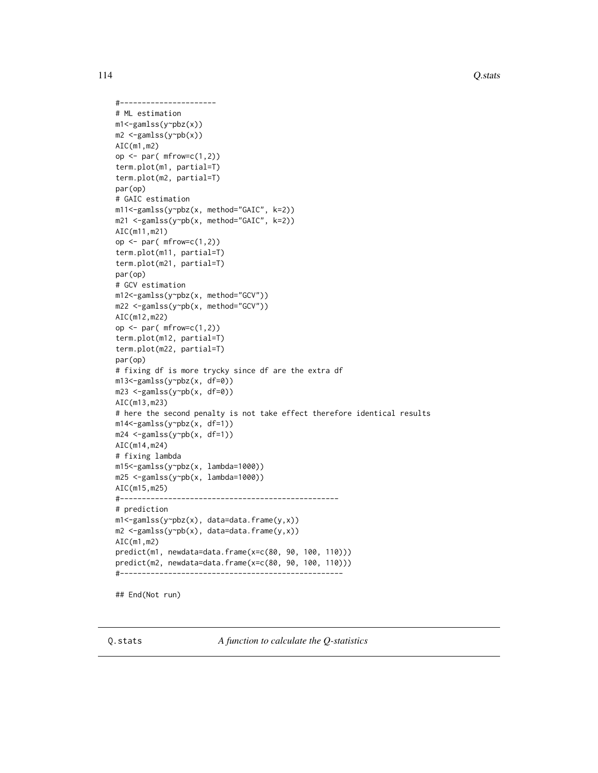114 Q.stats Q.stats Q.stats Q.stats Q.stats Q.stats Q.stats Q.stats Q.stats Q.stats Q.stats Q.stats Q.stats Q.stats Q.stats Q.stats Q.stats Q.stats Q.stats Q.stats Q.stats Q.stats Q.stats Q.stats Q.stats Q.stats Q.stats Q.

```
#----------------------
# ML estimation
m1<-gamlss(y~pbz(x))
m2 <-gamlss(y~pb(x))
AIC(m1,m2)
op \leq par( mfrow=c(1,2))
term.plot(m1, partial=T)
term.plot(m2, partial=T)
par(op)
# GAIC estimation
m11<-gamlss(y~pbz(x, method="GAIC", k=2))
m21 <-gamlss(y~pb(x, method="GAIC", k=2))
AIC(m11,m21)
op \leq par( mfrow=c(1,2))
term.plot(m11, partial=T)
term.plot(m21, partial=T)
par(op)
# GCV estimation
m12<-gamlss(y~pbz(x, method="GCV"))
m22 <-gamlss(y~pb(x, method="GCV"))
AIC(m12,m22)
op \leq par( mfrow=c(1,2))
term.plot(m12, partial=T)
term.plot(m22, partial=T)
par(op)
# fixing df is more trycky since df are the extra df
m13<-gamlss(y~pbz(x, df=0))
m23 <-gamlss(y~pb(x, df=0))
AIC(m13,m23)
# here the second penalty is not take effect therefore identical results
m14<-gamlss(y~pbz(x, df=1))
m24 <-gamlss(y~pb(x, df=1))
AIC(m14,m24)
# fixing lambda
m15<-gamlss(y~pbz(x, lambda=1000))
m25 <-gamlss(y~pb(x, lambda=1000))
AIC(m15,m25)
#--------------------------------------------------
# prediction
m1<-gamlss(y~pbz(x), data=data.frame(y,x))
m2 <-gamlss(y~pb(x), data=data.frame(y,x))
AIC(m1,m2)
predict(m1, newdata=data.frame(x=c(80, 90, 100, 110)))
predict(m2, newdata=data.frame(x=c(80, 90, 100, 110)))
#---------------------------------------------------
```
## End(Not run)

Q.stats *A function to calculate the Q-statistics*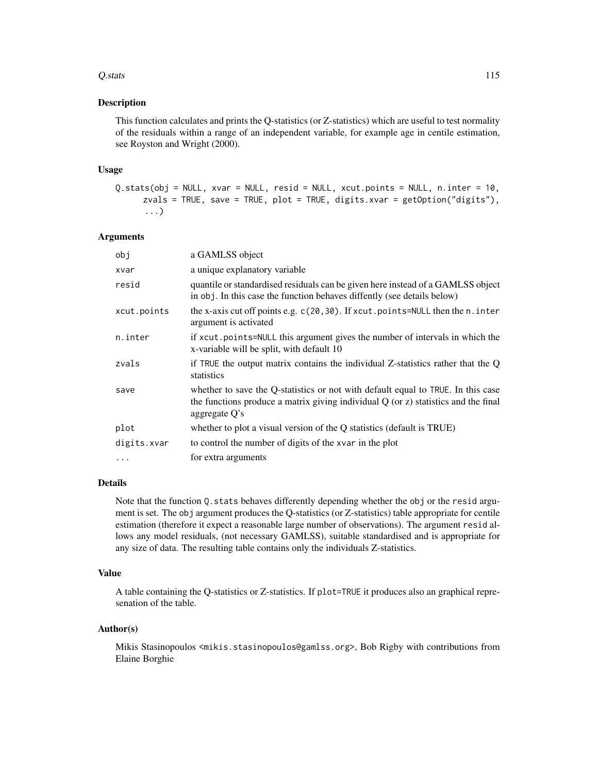#### $Q.$ stats  $115$

## **Description**

This function calculates and prints the Q-statistics (or Z-statistics) which are useful to test normality of the residuals within a range of an independent variable, for example age in centile estimation, see Royston and Wright (2000).

#### Usage

```
Q.stats(obj = NULL, xvar = NULL, resid = NULL, xcut.points = NULL, n.inter = 10,
     zvals = TRUE, save = TRUE, plot = TRUE, digits.xvar = getOption("digits"),
      ...)
```
# Arguments

| obj         | a GAMLSS object                                                                                                                                                                              |
|-------------|----------------------------------------------------------------------------------------------------------------------------------------------------------------------------------------------|
| xvar        | a unique explanatory variable                                                                                                                                                                |
| resid       | quantile or standardised residuals can be given here instead of a GAMLSS object<br>in obj. In this case the function behaves diffently (see details below)                                   |
| xcut.points | the x-axis cut off points e.g. c(20,30). If xcut.points=NULL then the n.inter<br>argument is activated                                                                                       |
| n.inter     | if xcut.points=NULL this argument gives the number of intervals in which the<br>x-variable will be split, with default 10                                                                    |
| zvals       | if TRUE the output matrix contains the individual Z-statistics rather that the Q<br>statistics                                                                                               |
| save        | whether to save the Q-statistics or not with default equal to TRUE. In this case<br>the functions produce a matrix giving individual $Q$ (or $z$ ) statistics and the final<br>aggregate Q's |
| plot        | whether to plot a visual version of the Q statistics (default is TRUE)                                                                                                                       |
| digits.xvar | to control the number of digits of the xvar in the plot                                                                                                                                      |
| $\ddots$ .  | for extra arguments                                                                                                                                                                          |
|             |                                                                                                                                                                                              |

# Details

Note that the function Q. stats behaves differently depending whether the obj or the resid argument is set. The obj argument produces the Q-statistics (or Z-statistics) table appropriate for centile estimation (therefore it expect a reasonable large number of observations). The argument resid allows any model residuals, (not necessary GAMLSS), suitable standardised and is appropriate for any size of data. The resulting table contains only the individuals Z-statistics.

# Value

A table containing the Q-statistics or Z-statistics. If plot=TRUE it produces also an graphical represenation of the table.

# Author(s)

Mikis Stasinopoulos <mikis.stasinopoulos@gamlss.org>, Bob Rigby with contributions from Elaine Borghie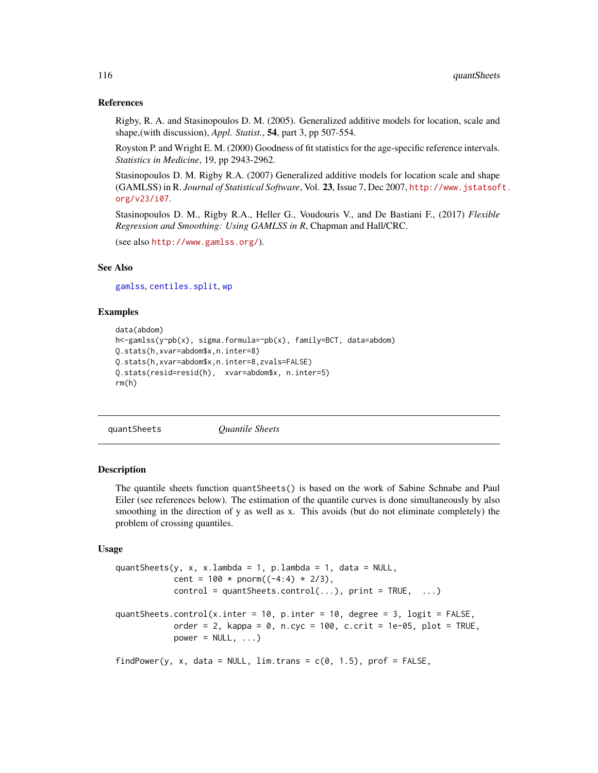#### References

Rigby, R. A. and Stasinopoulos D. M. (2005). Generalized additive models for location, scale and shape,(with discussion), *Appl. Statist.*, 54, part 3, pp 507-554.

Royston P. and Wright E. M. (2000) Goodness of fit statistics for the age-specific reference intervals. *Statistics in Medicine*, 19, pp 2943-2962.

Stasinopoulos D. M. Rigby R.A. (2007) Generalized additive models for location scale and shape (GAMLSS) in R. *Journal of Statistical Software*, Vol. 23, Issue 7, Dec 2007, [http://www.jstatsof](http://www.jstatsoft.org/v23/i07)t. [org/v23/i07](http://www.jstatsoft.org/v23/i07).

Stasinopoulos D. M., Rigby R.A., Heller G., Voudouris V., and De Bastiani F., (2017) *Flexible Regression and Smoothing: Using GAMLSS in R*, Chapman and Hall/CRC.

(see also <http://www.gamlss.org/>).

# See Also

[gamlss](#page-40-0), [centiles.split](#page-18-0), [wp](#page-144-0)

# Examples

```
data(abdom)
h<-gamlss(y~pb(x), sigma.formula=~pb(x), family=BCT, data=abdom)
Q.stats(h,xvar=abdom$x,n.inter=8)
Q.stats(h,xvar=abdom$x,n.inter=8,zvals=FALSE)
Q.stats(resid=resid(h), xvar=abdom$x, n.inter=5)
rm(h)
```
quantSheets *Quantile Sheets*

# **Description**

The quantile sheets function quantSheets() is based on the work of Sabine Schnabe and Paul Eiler (see references below). The estimation of the quantile curves is done simultaneously by also smoothing in the direction of y as well as x. This avoids (but do not eliminate completely) the problem of crossing quantiles.

## Usage

```
quantSheets(y, x, x.lambda = 1, p.lambda = 1, data = NULL,
           cent = 100 * pnorm((-4:4) * 2/3),
           control = quantSheets.contrib(...), print = TRUE, ...)quantSheets.control(x.inter = 10, p.inter = 10, degree = 3, logit = FALSE,
           order = 2, kappa = 0, n.cyc = 100, c.crit = 1e-05, plot = TRUE,
           power = NULL, ...)findPower(y, x, data = NULL, lim. trans = c(0, 1.5), prof = FALSE,
```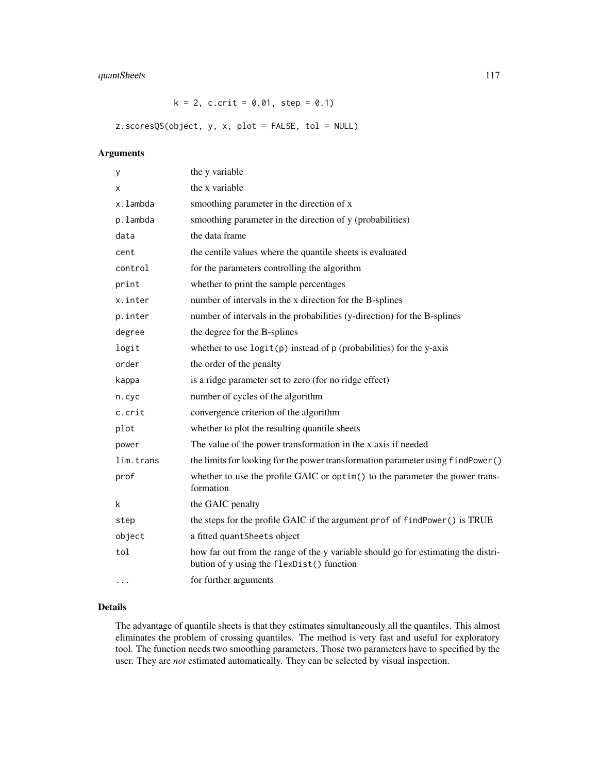# quantSheets 117

 $k = 2$ , c.crit = 0.01, step = 0.1)

z.scoresQS(object, y, x, plot = FALSE, tol = NULL)

# Arguments

| у         | the y variable                                                                                                                 |
|-----------|--------------------------------------------------------------------------------------------------------------------------------|
| х         | the x variable                                                                                                                 |
| x.lambda  | smoothing parameter in the direction of x                                                                                      |
| p.lambda  | smoothing parameter in the direction of y (probabilities)                                                                      |
| data      | the data frame                                                                                                                 |
| cent      | the centile values where the quantile sheets is evaluated                                                                      |
| control   | for the parameters controlling the algorithm                                                                                   |
| print     | whether to print the sample percentages                                                                                        |
| x.inter   | number of intervals in the x direction for the B-splines                                                                       |
| p.inter   | number of intervals in the probabilities (y-direction) for the B-splines                                                       |
| degree    | the degree for the B-splines                                                                                                   |
| logit     | whether to use $logit(p)$ instead of $p$ (probabilities) for the y-axis                                                        |
| order     | the order of the penalty                                                                                                       |
| kappa     | is a ridge parameter set to zero (for no ridge effect)                                                                         |
| n.cyc     | number of cycles of the algorithm                                                                                              |
| c.crit    | convergence criterion of the algorithm                                                                                         |
| plot      | whether to plot the resulting quantile sheets                                                                                  |
| power     | The value of the power transformation in the x axis if needed                                                                  |
| lim.trans | the limits for looking for the power transformation parameter using findPower()                                                |
| prof      | whether to use the profile GAIC or optim() to the parameter the power trans-<br>formation                                      |
| k         | the GAIC penalty                                                                                                               |
| step      | the steps for the profile GAIC if the argument prof of findPower() is TRUE                                                     |
| object    | a fitted quantSheets object                                                                                                    |
| tol       | how far out from the range of the y variable should go for estimating the distri-<br>bution of y using the flexDist() function |
| $\cdots$  | for further arguments                                                                                                          |

# Details

The advantage of quantile sheets is that they estimates simultaneously all the quantiles. This almost eliminates the problem of crossing quantiles. The method is very fast and useful for exploratory tool. The function needs two smoothing parameters. Those two parameters have to specified by the user. They are *not* estimated automatically. They can be selected by visual inspection.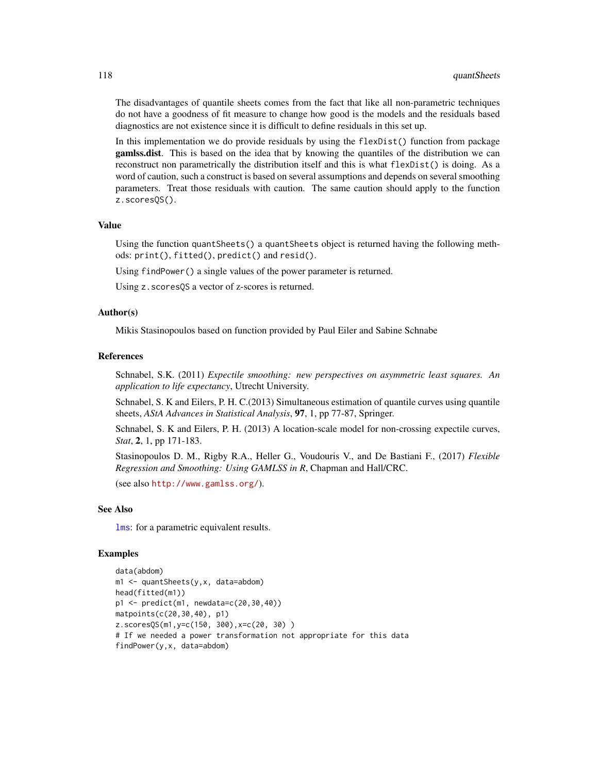The disadvantages of quantile sheets comes from the fact that like all non-parametric techniques do not have a goodness of fit measure to change how good is the models and the residuals based diagnostics are not existence since it is difficult to define residuals in this set up.

In this implementation we do provide residuals by using the flexDist() function from package gamlss.dist. This is based on the idea that by knowing the quantiles of the distribution we can reconstruct non parametrically the distribution itself and this is what flexDist() is doing. As a word of caution, such a construct is based on several assumptions and depends on several smoothing parameters. Treat those residuals with caution. The same caution should apply to the function z.scoresQS().

# Value

Using the function quantSheets() a quantSheets object is returned having the following methods: print(), fitted(), predict() and resid().

Using findPower() a single values of the power parameter is returned.

Using z.scoresQS a vector of z-scores is returned.

# Author(s)

Mikis Stasinopoulos based on function provided by Paul Eiler and Sabine Schnabe

#### References

Schnabel, S.K. (2011) *Expectile smoothing: new perspectives on asymmetric least squares. An application to life expectancy*, Utrecht University.

Schnabel, S. K and Eilers, P. H. C.(2013) Simultaneous estimation of quantile curves using quantile sheets, *AStA Advances in Statistical Analysis*, 97, 1, pp 77-87, Springer.

Schnabel, S. K and Eilers, P. H. (2013) A location-scale model for non-crossing expectile curves, *Stat*, 2, 1, pp 171-183.

Stasinopoulos D. M., Rigby R.A., Heller G., Voudouris V., and De Bastiani F., (2017) *Flexible Regression and Smoothing: Using GAMLSS in R*, Chapman and Hall/CRC.

(see also <http://www.gamlss.org/>).

## See Also

[lms](#page-76-0): for a parametric equivalent results.

```
data(abdom)
m1 <- quantSheets(y,x, data=abdom)
head(fitted(m1))
p1 <- predict(m1, newdata=c(20,30,40))
matpoints(c(20,30,40), p1)
z.scoresQS(m1,y=c(150, 300),x=c(20, 30) )
# If we needed a power transformation not appropriate for this data
findPower(y,x, data=abdom)
```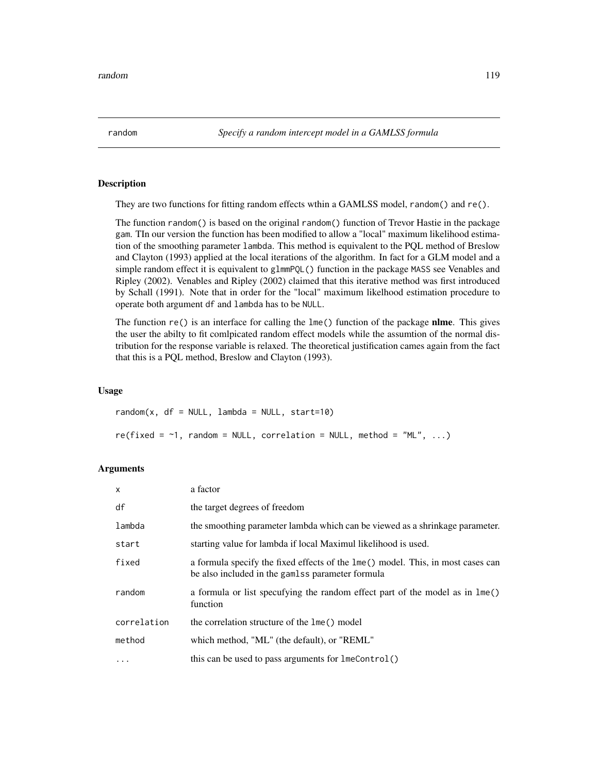# **Description**

They are two functions for fitting random effects wthin a GAMLSS model, random() and  $re()$ .

The function random() is based on the original random() function of Trevor Hastie in the package gam. TIn our version the function has been modified to allow a "local" maximum likelihood estimation of the smoothing parameter lambda. This method is equivalent to the PQL method of Breslow and Clayton (1993) applied at the local iterations of the algorithm. In fact for a GLM model and a simple random effect it is equivalent to glmmPQL() function in the package MASS see Venables and Ripley (2002). Venables and Ripley (2002) claimed that this iterative method was first introduced by Schall (1991). Note that in order for the "local" maximum likelhood estimation procedure to operate both argument df and lambda has to be NULL.

The function re() is an interface for calling the lme() function of the package nlme. This gives the user the abilty to fit comlpicated random effect models while the assumtion of the normal distribution for the response variable is relaxed. The theoretical justification cames again from the fact that this is a PQL method, Breslow and Clayton (1993).

## Usage

 $random(x, df = NULL, lambda = NULL, start=10)$  $re(fixed = -1, random = NULL, correlation = NULL, method = "ML", ...)$ 

# Arguments

| $\mathsf{x}$ | a factor                                                                                                                            |
|--------------|-------------------------------------------------------------------------------------------------------------------------------------|
| df           | the target degrees of freedom                                                                                                       |
| lambda       | the smoothing parameter lambda which can be viewed as a shrinkage parameter.                                                        |
| start        | starting value for lambda if local Maximul likelihood is used.                                                                      |
| fixed        | a formula specify the fixed effects of the lme() model. This, in most cases can<br>be also included in the gamlss parameter formula |
| random       | a formula or list specufying the random effect part of the model as in lme()<br>function                                            |
| correlation  | the correlation structure of the lme() model                                                                                        |
| method       | which method, "ML" (the default), or "REML"                                                                                         |
| $\ddots$     | this can be used to pass arguments for lmeControl()                                                                                 |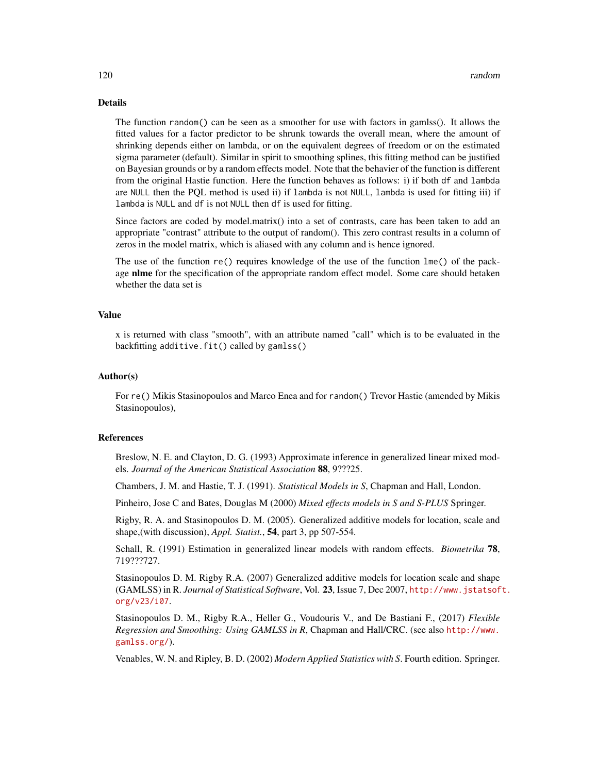# Details

The function random() can be seen as a smoother for use with factors in gamlss(). It allows the fitted values for a factor predictor to be shrunk towards the overall mean, where the amount of shrinking depends either on lambda, or on the equivalent degrees of freedom or on the estimated sigma parameter (default). Similar in spirit to smoothing splines, this fitting method can be justified on Bayesian grounds or by a random effects model. Note that the behavier of the function is different from the original Hastie function. Here the function behaves as follows: i) if both df and lambda are NULL then the PQL method is used ii) if lambda is not NULL, lambda is used for fitting iii) if lambda is NULL and df is not NULL then df is used for fitting.

Since factors are coded by model.matrix() into a set of contrasts, care has been taken to add an appropriate "contrast" attribute to the output of random(). This zero contrast results in a column of zeros in the model matrix, which is aliased with any column and is hence ignored.

The use of the function re() requires knowledge of the use of the function lme() of the package nlme for the specification of the appropriate random effect model. Some care should betaken whether the data set is

#### Value

x is returned with class "smooth", with an attribute named "call" which is to be evaluated in the backfitting additive.fit() called by gamlss()

#### Author(s)

For re() Mikis Stasinopoulos and Marco Enea and for random() Trevor Hastie (amended by Mikis Stasinopoulos),

#### **References**

Breslow, N. E. and Clayton, D. G. (1993) Approximate inference in generalized linear mixed models. *Journal of the American Statistical Association* 88, 9???25.

Chambers, J. M. and Hastie, T. J. (1991). *Statistical Models in S*, Chapman and Hall, London.

Pinheiro, Jose C and Bates, Douglas M (2000) *Mixed effects models in S and S-PLUS* Springer.

Rigby, R. A. and Stasinopoulos D. M. (2005). Generalized additive models for location, scale and shape,(with discussion), *Appl. Statist.*, 54, part 3, pp 507-554.

Schall, R. (1991) Estimation in generalized linear models with random effects. *Biometrika* 78, 719???727.

Stasinopoulos D. M. Rigby R.A. (2007) Generalized additive models for location scale and shape (GAMLSS) in R. *Journal of Statistical Software*, Vol. 23, Issue 7, Dec 2007, [http://www.jstatsof](http://www.jstatsoft.org/v23/i07)t. [org/v23/i07](http://www.jstatsoft.org/v23/i07).

Stasinopoulos D. M., Rigby R.A., Heller G., Voudouris V., and De Bastiani F., (2017) *Flexible Regression and Smoothing: Using GAMLSS in R*, Chapman and Hall/CRC. (see also [http://www.](http://www.gamlss.org/) [gamlss.org/](http://www.gamlss.org/)).

Venables, W. N. and Ripley, B. D. (2002) *Modern Applied Statistics with S*. Fourth edition. Springer.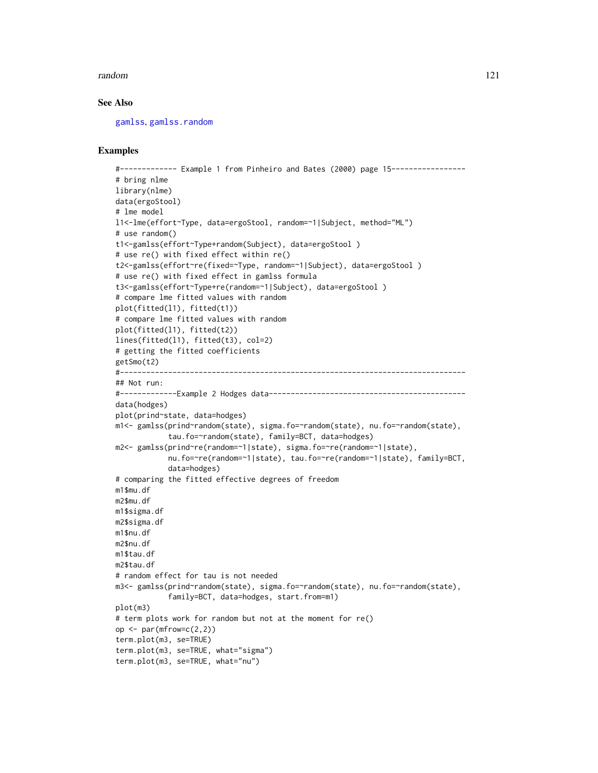#### random 121

# See Also

[gamlss](#page-40-0), [gamlss.random](#page-51-0)

```
#------------- Example 1 from Pinheiro and Bates (2000) page 15-----------------
# bring nlme
library(nlme)
data(ergoStool)
# lme model
l1<-lme(effort~Type, data=ergoStool, random=~1|Subject, method="ML")
# use random()
t1<-gamlss(effort~Type+random(Subject), data=ergoStool )
# use re() with fixed effect within re()
t2<-gamlss(effort~re(fixed=~Type, random=~1|Subject), data=ergoStool )
# use re() with fixed effect in gamlss formula
t3<-gamlss(effort~Type+re(random=~1|Subject), data=ergoStool )
# compare lme fitted values with random
plot(fitted(l1), fitted(t1))
# compare lme fitted values with random
plot(fitted(l1), fitted(t2))
lines(fitted(l1), fitted(t3), col=2)
# getting the fitted coefficients
getSmo(t2)
#-------------------------------------------------------------------------------
## Not run:
#-------------Example 2 Hodges data---------------------------------------------
data(hodges)
plot(prind~state, data=hodges)
m1<- gamlss(prind~random(state), sigma.fo=~random(state), nu.fo=~random(state),
            tau.fo=~random(state), family=BCT, data=hodges)
m2<- gamlss(prind~re(random=~1|state), sigma.fo=~re(random=~1|state),
            nu.fo=~re(random=~1|state), tau.fo=~re(random=~1|state), family=BCT,
            data=hodges)
# comparing the fitted effective degrees of freedom
m1$mu.df
m2$mu.df
m1$sigma.df
m2$sigma.df
m1$nu.df
m2$nu.df
m1$tau.df
m2$tau.df
# random effect for tau is not needed
m3<- gamlss(prind~random(state), sigma.fo=~random(state), nu.fo=~random(state),
            family=BCT, data=hodges, start.from=m1)
plot(m3)
# term plots work for random but not at the moment for re()
op \leq par(mfrow=c(2,2))
term.plot(m3, se=TRUE)
term.plot(m3, se=TRUE, what="sigma")
term.plot(m3, se=TRUE, what="nu")
```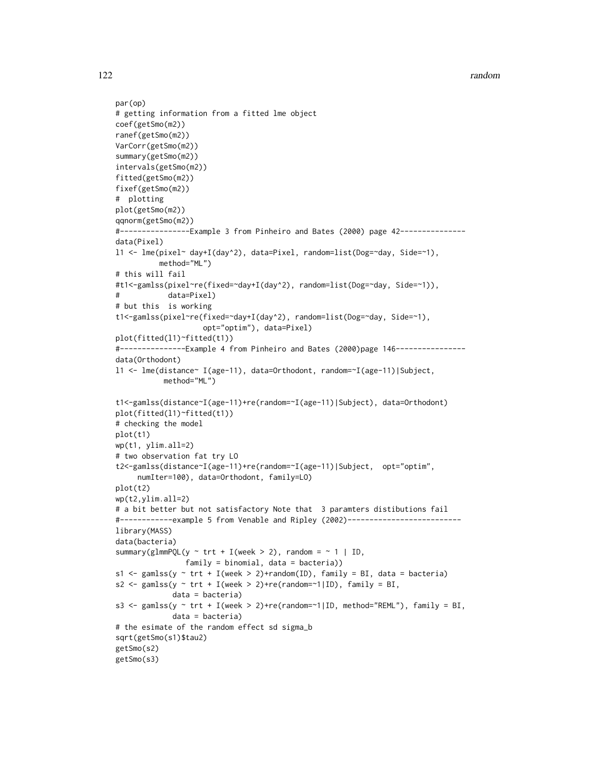```
par(op)
# getting information from a fitted lme object
coef(getSmo(m2))
ranef(getSmo(m2))
VarCorr(getSmo(m2))
summary(getSmo(m2))
intervals(getSmo(m2))
fitted(getSmo(m2))
fixef(getSmo(m2))
# plotting
plot(getSmo(m2))
qqnorm(getSmo(m2))
#----------------Example 3 from Pinheiro and Bates (2000) page 42---------------
data(Pixel)
l1 <- lme(pixel~ day+I(day^2), data=Pixel, random=list(Dog=~day, Side=~1),
         method="ML")
# this will fail
#t1<-gamlss(pixel~re(fixed=~day+I(day^2), random=list(Dog=~day, Side=~1)),
# data=Pixel)
```

```
# but this is working
```

```
t1<-gamlss(pixel~re(fixed=~day+I(day^2), random=list(Dog=~day, Side=~1),
                    opt="optim"), data=Pixel)
plot(fitted(l1)~fitted(t1))
```

```
#---------------Example 4 from Pinheiro and Bates (2000)page 146----------------
data(Orthodont)
l1 <- lme(distance~ I(age-11), data=Orthodont, random=~I(age-11)|Subject,
           method="ML")
```

```
t1<-gamlss(distance~I(age-11)+re(random=~I(age-11)|Subject), data=Orthodont)
plot(fitted(l1)~fitted(t1))
# checking the model
plot(t1)
wp(t1, ylim.all=2)
# two observation fat try LO
```

```
t2<-gamlss(distance~I(age-11)+re(random=~I(age-11)|Subject, opt="optim",
     numIter=100), data=Orthodont, family=LO)
plot(t2)
```

```
wp(t2,ylim.all=2)
```

```
# a bit better but not satisfactory Note that 3 paramters distibutions fail
#------------example 5 from Venable and Ripley (2002)--------------------------
library(MASS)
```

```
data(bacteria)
summary(glmmPQL(y \sim trt + I(week > 2), random = \sim 1 | ID,
                family = binomial, data = bacteria))
s1 <- gamlss(y \sim trt + I(week > 2)+random(ID), family = BI, data = bacteria)
s2 <- gamlss(y \sim trt + I(week > 2)+re(random=\sim1|ID), family = BI,
             data = bacteria)
```

```
s3 <- gamlss(y ~ trt + I(week > 2)+re(random=~1|ID, method="REML"), family = BI,
             data = bacteria)
# the esimate of the random effect sd sigma_b
```

```
sqrt(getSmo(s1)$tau2)
getSmo(s2)
```

```
getSmo(s3)
```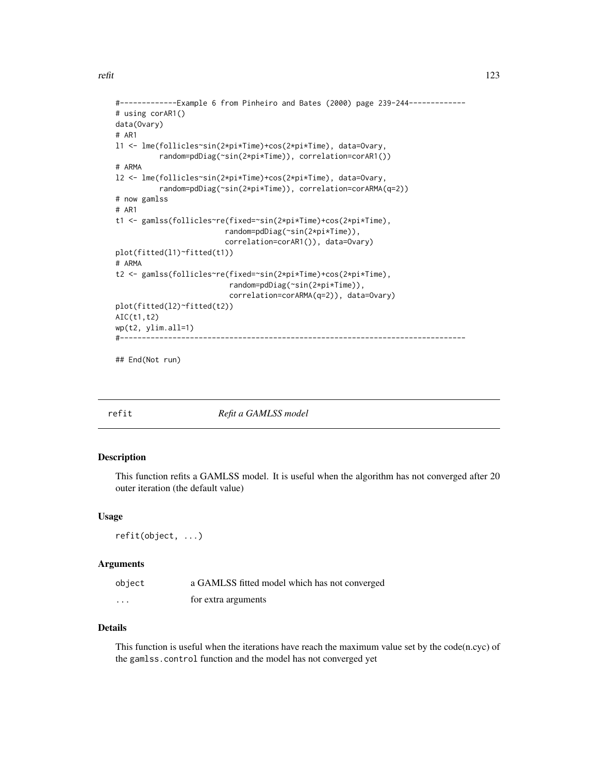```
#-------------Example 6 from Pinheiro and Bates (2000) page 239-244-------------
# using corAR1()
data(Ovary)
# AR1
l1 <- lme(follicles~sin(2*pi*Time)+cos(2*pi*Time), data=Ovary,
          random=pdDiag(~sin(2*pi*Time)), correlation=corAR1())
# ARMA
l2 <- lme(follicles~sin(2*pi*Time)+cos(2*pi*Time), data=Ovary,
          random=pdDiag(~sin(2*pi*Time)), correlation=corARMA(q=2))
# now gamlss
# AR1
t1 <- gamlss(follicles~re(fixed=~sin(2*pi*Time)+cos(2*pi*Time),
                         random=pdDiag(~sin(2*pi*Time)),
                         correlation=corAR1()), data=Ovary)
plot(fitted(l1)~fitted(t1))
# ARMA
t2 <- gamlss(follicles~re(fixed=~sin(2*pi*Time)+cos(2*pi*Time),
                          random=pdDiag(~sin(2*pi*Time)),
                          correlation=corARMA(q=2)), data=Ovary)
plot(fitted(l2)~fitted(t2))
AIC(t1,t2)
wp(t2, ylim.all=1)
#-------------------------------------------------------------------------------
```
## End(Not run)

refit *Refit a GAMLSS model*

# Description

This function refits a GAMLSS model. It is useful when the algorithm has not converged after 20 outer iteration (the default value)

#### Usage

refit(object, ...)

# Arguments

| object   | a GAMLSS fitted model which has not converged |
|----------|-----------------------------------------------|
| $\cdots$ | for extra arguments                           |

# Details

This function is useful when the iterations have reach the maximum value set by the code(n.cyc) of the gamlss.control function and the model has not converged yet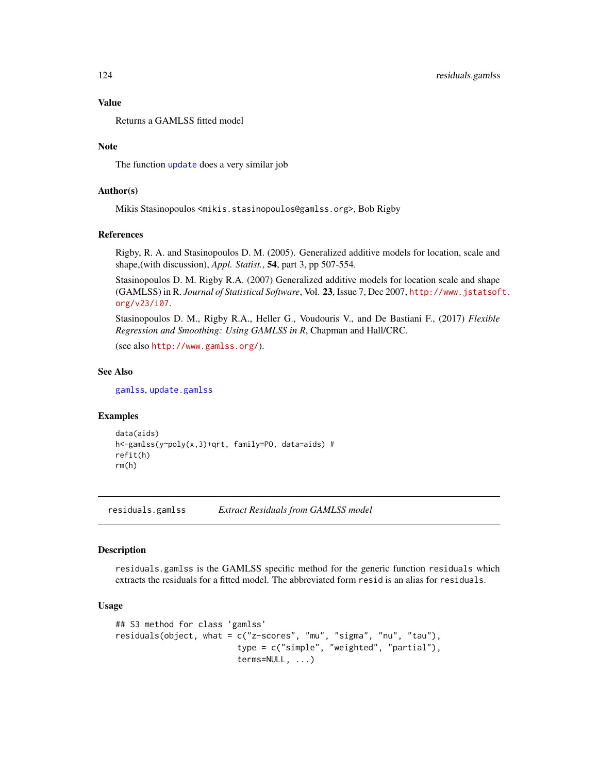# Value

Returns a GAMLSS fitted model

# Note

The function [update](#page-0-0) does a very similar job

# Author(s)

Mikis Stasinopoulos <mikis.stasinopoulos@gamlss.org>, Bob Rigby

### References

Rigby, R. A. and Stasinopoulos D. M. (2005). Generalized additive models for location, scale and shape,(with discussion), *Appl. Statist.*, 54, part 3, pp 507-554.

Stasinopoulos D. M. Rigby R.A. (2007) Generalized additive models for location scale and shape (GAMLSS) in R. *Journal of Statistical Software*, Vol. 23, Issue 7, Dec 2007, [http://www.jstatsof](http://www.jstatsoft.org/v23/i07)t. [org/v23/i07](http://www.jstatsoft.org/v23/i07).

Stasinopoulos D. M., Rigby R.A., Heller G., Voudouris V., and De Bastiani F., (2017) *Flexible Regression and Smoothing: Using GAMLSS in R*, Chapman and Hall/CRC.

(see also <http://www.gamlss.org/>).

#### See Also

[gamlss](#page-40-0), [update.gamlss](#page-141-0)

#### Examples

```
data(aids)
h<-gamlss(y~poly(x,3)+qrt, family=PO, data=aids) #
refit(h)
rm(h)
```
<span id="page-123-0"></span>residuals.gamlss *Extract Residuals from GAMLSS model*

#### Description

residuals.gamlss is the GAMLSS specific method for the generic function residuals which extracts the residuals for a fitted model. The abbreviated form resid is an alias for residuals.

# Usage

```
## S3 method for class 'gamlss'
residuals(object, what = c("z-scores", "mu", "sigma", "nu", "tau"),
                         type = c("simple", "weighted", "partial"),
                         terms=NULL, ...)
```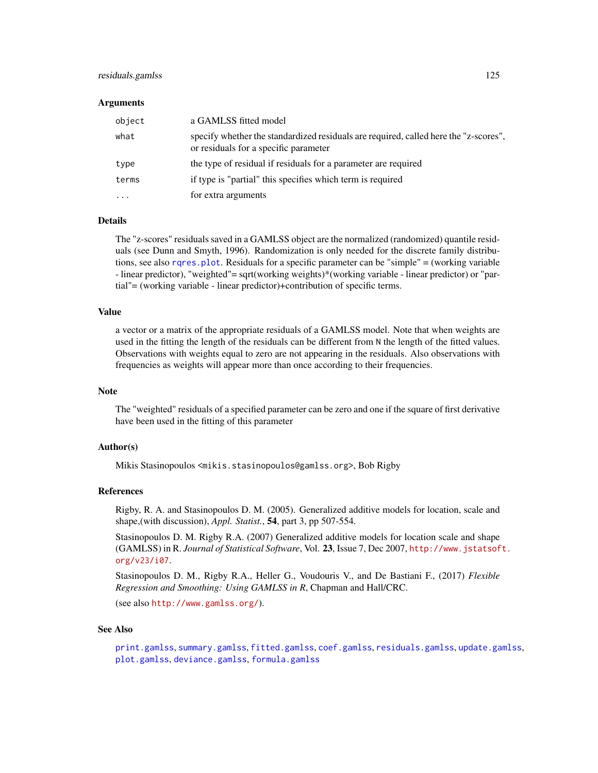#### residuals.gamlss 125

#### Arguments

| object                  | a GAMLSS fitted model                                                                                                         |
|-------------------------|-------------------------------------------------------------------------------------------------------------------------------|
| what                    | specify whether the standardized residuals are required, called here the "z-scores",<br>or residuals for a specific parameter |
| type                    | the type of residual if residuals for a parameter are required                                                                |
| terms                   | if type is "partial" this specifies which term is required                                                                    |
| $\cdot$ $\cdot$ $\cdot$ | for extra arguments                                                                                                           |

#### Details

The "z-scores" residuals saved in a GAMLSS object are the normalized (randomized) quantile residuals (see Dunn and Smyth, 1996). Randomization is only needed for the discrete family distributions, see also [rqres.plot](#page-127-0). Residuals for a specific parameter can be "simple" = (working variable - linear predictor), "weighted"= sqrt(working weights)\*(working variable - linear predictor) or "partial"= (working variable - linear predictor)+contribution of specific terms.

#### Value

a vector or a matrix of the appropriate residuals of a GAMLSS model. Note that when weights are used in the fitting the length of the residuals can be different from N the length of the fitted values. Observations with weights equal to zero are not appearing in the residuals. Also observations with frequencies as weights will appear more than once according to their frequencies.

#### Note

The "weighted" residuals of a specified parameter can be zero and one if the square of first derivative have been used in the fitting of this parameter

#### Author(s)

Mikis Stasinopoulos <mikis.stasinopoulos@gamlss.org>, Bob Rigby

#### References

Rigby, R. A. and Stasinopoulos D. M. (2005). Generalized additive models for location, scale and shape,(with discussion), *Appl. Statist.*, 54, part 3, pp 507-554.

Stasinopoulos D. M. Rigby R.A. (2007) Generalized additive models for location scale and shape (GAMLSS) in R. *Journal of Statistical Software*, Vol. 23, Issue 7, Dec 2007, [http://www.jstatsof](http://www.jstatsoft.org/v23/i07)t. [org/v23/i07](http://www.jstatsoft.org/v23/i07).

Stasinopoulos D. M., Rigby R.A., Heller G., Voudouris V., and De Bastiani F., (2017) *Flexible Regression and Smoothing: Using GAMLSS in R*, Chapman and Hall/CRC.

(see also <http://www.gamlss.org/>).

## See Also

[print.gamlss](#page-101-0), [summary.gamlss](#page-137-0), [fitted.gamlss](#page-37-0), [coef.gamlss](#page-20-0), [residuals.gamlss](#page-123-0), [update.gamlss](#page-141-0), [plot.gamlss](#page-94-0), [deviance.gamlss](#page-24-0), [formula.gamlss](#page-39-0)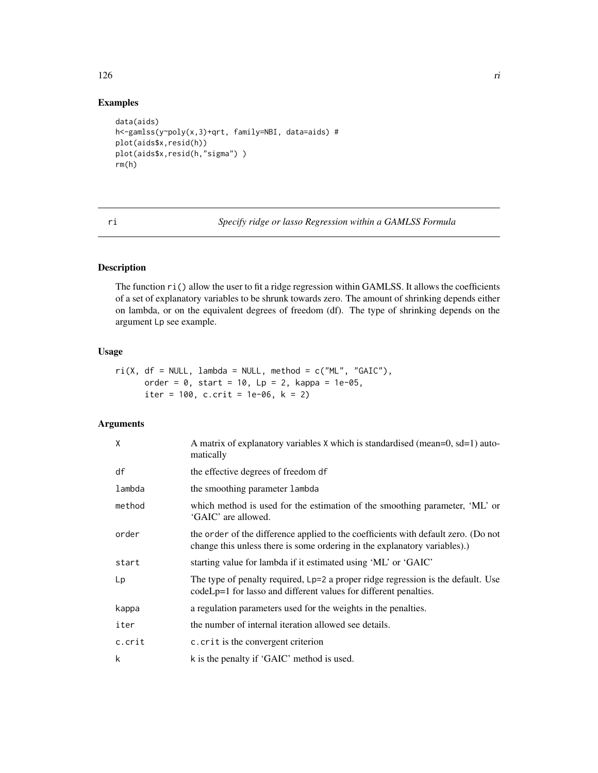# Examples

```
data(aids)
h<-gamlss(y~poly(x,3)+qrt, family=NBI, data=aids) #
plot(aids$x,resid(h))
plot(aids$x,resid(h,"sigma"))
rm(h)
```
ri *Specify ridge or lasso Regression within a GAMLSS Formula*

# Description

The function ri() allow the user to fit a ridge regression within GAMLSS. It allows the coefficients of a set of explanatory variables to be shrunk towards zero. The amount of shrinking depends either on lambda, or on the equivalent degrees of freedom (df). The type of shrinking depends on the argument Lp see example.

# Usage

```
ri(X, df = NULL, lambda = NULL, method = c("ML", "GAIC"),order = 0, start = 10, Lp = 2, kappa = 1e-05,
     iter = 100, c.crit = 1e-06, k = 2)
```
# Arguments

| X      | A matrix of explanatory variables X which is standardised (mean=0, sd=1) auto-<br>matically                                                                     |
|--------|-----------------------------------------------------------------------------------------------------------------------------------------------------------------|
| df     | the effective degrees of freedom df                                                                                                                             |
| lambda | the smoothing parameter lambda                                                                                                                                  |
| method | which method is used for the estimation of the smoothing parameter, 'ML' or<br>'GAIC' are allowed.                                                              |
| order  | the order of the difference applied to the coefficients with default zero. (Do not<br>change this unless there is some ordering in the explanatory variables).) |
| start  | starting value for lambda if it estimated using 'ML' or 'GAIC'                                                                                                  |
| Lp     | The type of penalty required, Lp=2 a proper ridge regression is the default. Use<br>codeLp=1 for lasso and different values for different penalties.            |
| kappa  | a regulation parameters used for the weights in the penalties.                                                                                                  |
| iter   | the number of internal iteration allowed see details.                                                                                                           |
| c.crit | c. crit is the convergent criterion                                                                                                                             |
| k      | k is the penalty if 'GAIC' method is used.                                                                                                                      |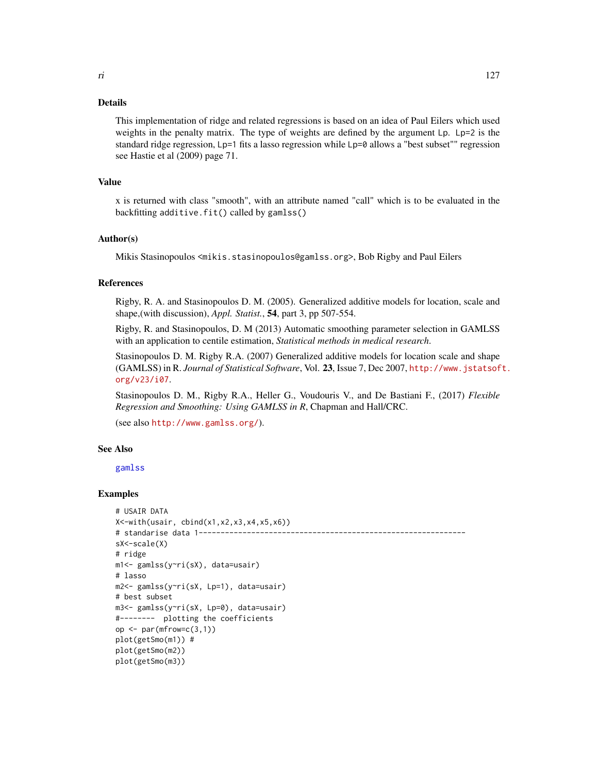# Details

This implementation of ridge and related regressions is based on an idea of Paul Eilers which used weights in the penalty matrix. The type of weights are defined by the argument Lp. Lp=2 is the standard ridge regression, Lp=1 fits a lasso regression while Lp=0 allows a "best subset"" regression see Hastie et al (2009) page 71.

#### Value

x is returned with class "smooth", with an attribute named "call" which is to be evaluated in the backfitting additive.fit() called by gamlss()

# Author(s)

Mikis Stasinopoulos <mikis.stasinopoulos@gamlss.org>, Bob Rigby and Paul Eilers

# References

Rigby, R. A. and Stasinopoulos D. M. (2005). Generalized additive models for location, scale and shape,(with discussion), *Appl. Statist.*, 54, part 3, pp 507-554.

Rigby, R. and Stasinopoulos, D. M (2013) Automatic smoothing parameter selection in GAMLSS with an application to centile estimation, *Statistical methods in medical research*.

Stasinopoulos D. M. Rigby R.A. (2007) Generalized additive models for location scale and shape (GAMLSS) in R. *Journal of Statistical Software*, Vol. 23, Issue 7, Dec 2007, [http://www.jstatsof](http://www.jstatsoft.org/v23/i07)t. [org/v23/i07](http://www.jstatsoft.org/v23/i07).

Stasinopoulos D. M., Rigby R.A., Heller G., Voudouris V., and De Bastiani F., (2017) *Flexible Regression and Smoothing: Using GAMLSS in R*, Chapman and Hall/CRC.

(see also <http://www.gamlss.org/>).

# See Also

[gamlss](#page-40-0)

```
# USAIR DATA
X<-with(usair, cbind(x1,x2,x3,x4,x5,x6))
# standarise data 1-------------------------------------------------------------
sX<-scale(X)
# ridge
m1<- gamlss(y~ri(sX), data=usair)
# lasso
m2<- gamlss(y~ri(sX, Lp=1), data=usair)
# best subset
m3<- gamlss(y~ri(sX, Lp=0), data=usair)
#-------- plotting the coefficients
op \leq par(mfrow=c(3,1))
plot(getSmo(m1)) #
plot(getSmo(m2))
plot(getSmo(m3))
```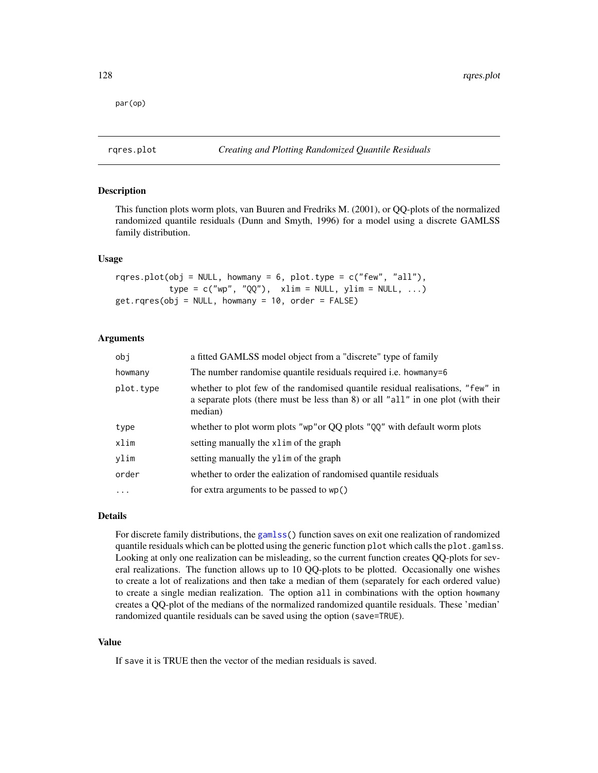par(op)

<span id="page-127-0"></span>rqres.plot *Creating and Plotting Randomized Quantile Residuals*

# Description

This function plots worm plots, van Buuren and Fredriks M. (2001), or QQ-plots of the normalized randomized quantile residuals (Dunn and Smyth, 1996) for a model using a discrete GAMLSS family distribution.

#### Usage

```
rqres.plot(obj = NULL, howmany = 6, plot.type = c("few", "all"),type = c("wp", "QQ"), xlim = NULL, ylim = NULL, ...)
get.rqres(obj = NULL, howmany = 10, order = FALSE)
```
# Arguments

| a fitted GAMLSS model object from a "discrete" type of family                                                                                                                  |
|--------------------------------------------------------------------------------------------------------------------------------------------------------------------------------|
| The number randomise quantile residuals required <i>i.e.</i> howmany=6                                                                                                         |
| whether to plot few of the randomised quantile residual realisations, "few" in<br>a separate plots (there must be less than 8) or all "all" in one plot (with their<br>median) |
| whether to plot worm plots "wp" or QQ plots "QQ" with default worm plots                                                                                                       |
| setting manually the xlim of the graph                                                                                                                                         |
| setting manually the ylim of the graph                                                                                                                                         |
| whether to order the ealization of randomised quantile residuals                                                                                                               |
| for extra arguments to be passed to wp()                                                                                                                                       |
|                                                                                                                                                                                |

# Details

For discrete family distributions, the [gamlss\(](#page-40-0)) function saves on exit one realization of randomized quantile residuals which can be plotted using the generic function plot which calls the plot.gamlss. Looking at only one realization can be misleading, so the current function creates QQ-plots for several realizations. The function allows up to 10 QQ-plots to be plotted. Occasionally one wishes to create a lot of realizations and then take a median of them (separately for each ordered value) to create a single median realization. The option all in combinations with the option howmany creates a QQ-plot of the medians of the normalized randomized quantile residuals. These 'median' randomized quantile residuals can be saved using the option (save=TRUE).

#### Value

If save it is TRUE then the vector of the median residuals is saved.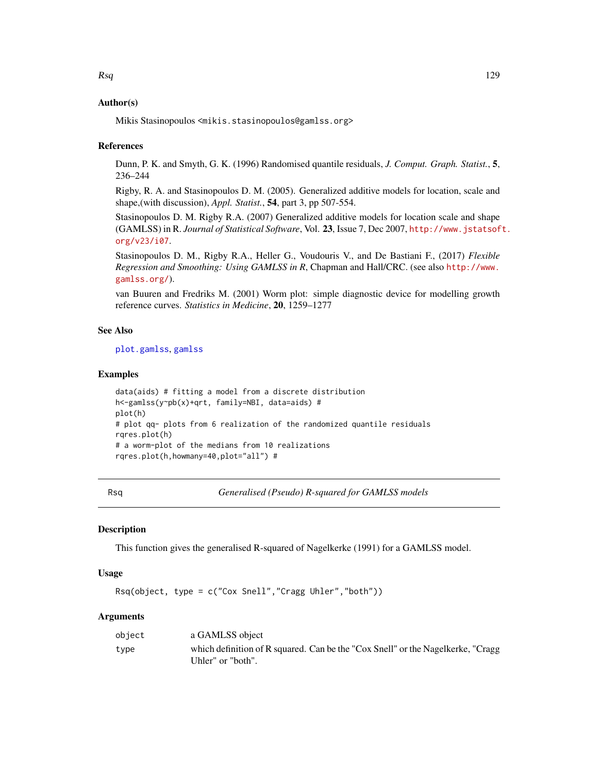# Author(s)

Mikis Stasinopoulos <mikis.stasinopoulos@gamlss.org>

#### References

Dunn, P. K. and Smyth, G. K. (1996) Randomised quantile residuals, *J. Comput. Graph. Statist.*, 5, 236–244

Rigby, R. A. and Stasinopoulos D. M. (2005). Generalized additive models for location, scale and shape,(with discussion), *Appl. Statist.*, 54, part 3, pp 507-554.

Stasinopoulos D. M. Rigby R.A. (2007) Generalized additive models for location scale and shape (GAMLSS) in R. *Journal of Statistical Software*, Vol. 23, Issue 7, Dec 2007, [http://www.jstatsof](http://www.jstatsoft.org/v23/i07)t. [org/v23/i07](http://www.jstatsoft.org/v23/i07).

Stasinopoulos D. M., Rigby R.A., Heller G., Voudouris V., and De Bastiani F., (2017) *Flexible Regression and Smoothing: Using GAMLSS in R*, Chapman and Hall/CRC. (see also [http://www.](http://www.gamlss.org/) [gamlss.org/](http://www.gamlss.org/)).

van Buuren and Fredriks M. (2001) Worm plot: simple diagnostic device for modelling growth reference curves. *Statistics in Medicine*, 20, 1259–1277

## See Also

[plot.gamlss](#page-94-0), [gamlss](#page-40-0)

## Examples

```
data(aids) # fitting a model from a discrete distribution
h<-gamlss(y~pb(x)+qrt, family=NBI, data=aids) #
plot(h)
# plot qq- plots from 6 realization of the randomized quantile residuals
rqres.plot(h)
# a worm-plot of the medians from 10 realizations
rqres.plot(h,howmany=40,plot="all") #
```
Rsq *Generalised (Pseudo) R-squared for GAMLSS models*

# Description

This function gives the generalised R-squared of Nagelkerke (1991) for a GAMLSS model.

#### Usage

Rsq(object, type = c("Cox Snell","Cragg Uhler","both"))

# Arguments

| object | a GAMLSS object                                                                 |
|--------|---------------------------------------------------------------------------------|
| type   | which definition of R squared. Can be the "Cox Snell" or the Nagelkerke, "Cragg |
|        | Uhler" or "both".                                                               |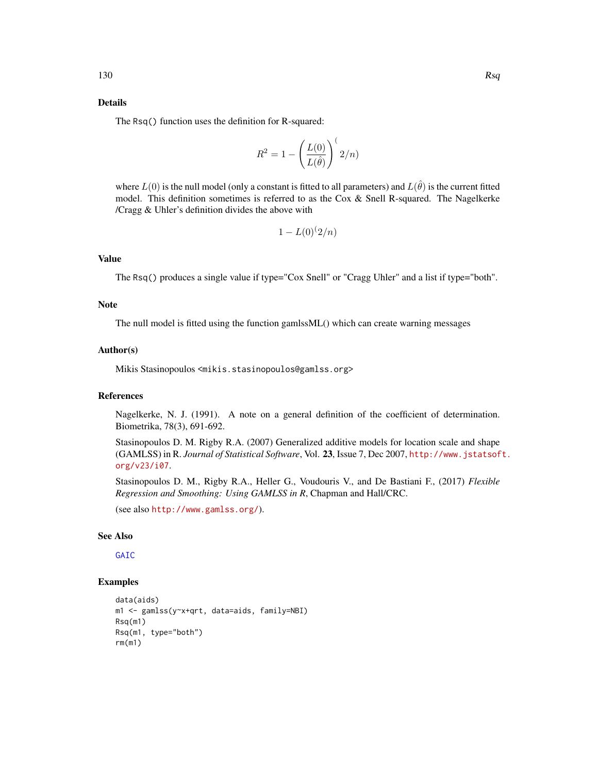# Details

The Rsq() function uses the definition for R-squared:

$$
R^2 = 1 - \left(\frac{L(0)}{L(\hat{\theta})}\right)^{t} 2/n)
$$

where  $L(0)$  is the null model (only a constant is fitted to all parameters) and  $L(\hat{\theta})$  is the current fitted model. This definition sometimes is referred to as the Cox  $\&$  Snell R-squared. The Nagelkerke /Cragg & Uhler's definition divides the above with

$$
1 - L(0)^{(2/n)}
$$

# Value

The Rsq() produces a single value if type="Cox Snell" or "Cragg Uhler" and a list if type="both".

#### **Note**

The null model is fitted using the function gamlssML() which can create warning messages

## Author(s)

Mikis Stasinopoulos <mikis.stasinopoulos@gamlss.org>

#### References

Nagelkerke, N. J. (1991). A note on a general definition of the coefficient of determination. Biometrika, 78(3), 691-692.

Stasinopoulos D. M. Rigby R.A. (2007) Generalized additive models for location scale and shape (GAMLSS) in R. *Journal of Statistical Software*, Vol. 23, Issue 7, Dec 2007, [http://www.jstatsof](http://www.jstatsoft.org/v23/i07)t. [org/v23/i07](http://www.jstatsoft.org/v23/i07).

Stasinopoulos D. M., Rigby R.A., Heller G., Voudouris V., and De Bastiani F., (2017) *Flexible Regression and Smoothing: Using GAMLSS in R*, Chapman and Hall/CRC.

(see also <http://www.gamlss.org/>).

# See Also

[GAIC](#page-74-0)

```
data(aids)
m1 <- gamlss(y~x+qrt, data=aids, family=NBI)
Rsq(m1)
Rsq(m1, type="both")
rm(m1)
```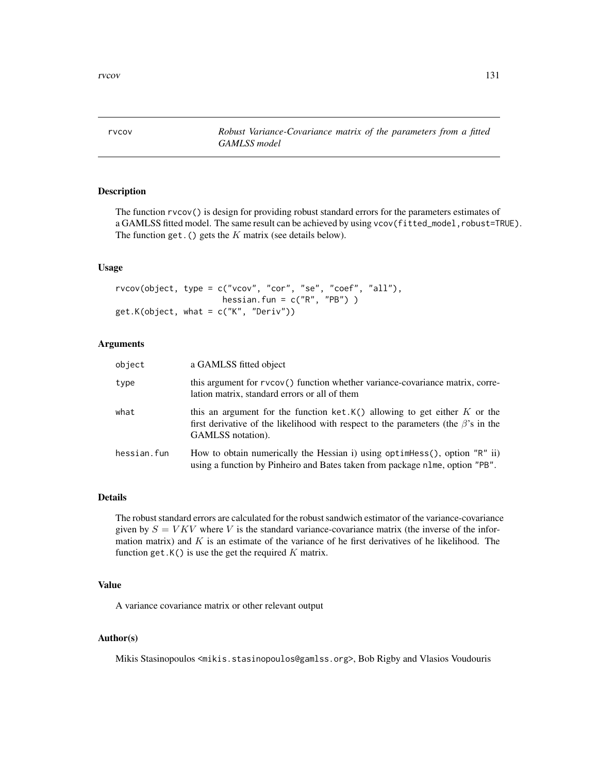rvcov *Robust Variance-Covariance matrix of the parameters from a fitted GAMLSS model*

# Description

The function rvcov() is design for providing robust standard errors for the parameters estimates of a GAMLSS fitted model. The same result can be achieved by using vcov(fitted\_model,robust=TRUE). The function get. () gets the  $K$  matrix (see details below).

## Usage

```
rvcov(object, type = c("vcov", "cor", "se", "coef", "all"),
                      hessian.fun = c("R", "PB") )
get.K(object, what = c("K", "Deriv"))
```
# Arguments

| object      | a GAMLSS fitted object                                                                                                                                                                       |
|-------------|----------------------------------------------------------------------------------------------------------------------------------------------------------------------------------------------|
| type        | this argument for rvcov() function whether variance-covariance matrix, corre-<br>lation matrix, standard errors or all of them                                                               |
| what        | this an argument for the function ket.K() allowing to get either $K$ or the<br>first derivative of the likelihood with respect to the parameters (the $\beta$ 's in the<br>GAMLSS notation). |
| hessian.fun | How to obtain numerically the Hessian i) using optimes $($ , option "R" ii)<br>using a function by Pinheiro and Bates taken from package nlme, option "PB".                                  |

## Details

The robust standard errors are calculated for the robust sandwich estimator of the variance-covariance given by  $S = VKV$  where V is the standard variance-covariance matrix (the inverse of the information matrix) and  $K$  is an estimate of the variance of he first derivatives of he likelihood. The function get. $K()$  is use the get the required K matrix.

# Value

A variance covariance matrix or other relevant output

# Author(s)

Mikis Stasinopoulos <mikis.stasinopoulos@gamlss.org>, Bob Rigby and Vlasios Voudouris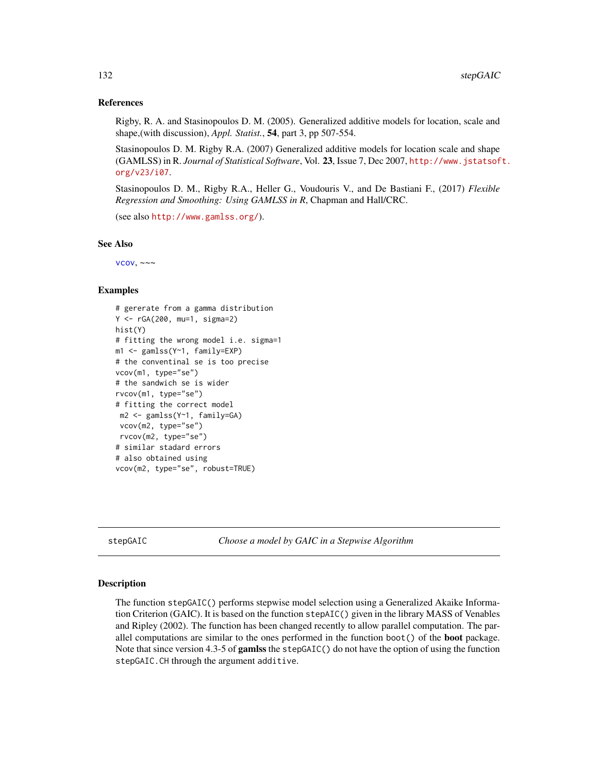## References

Rigby, R. A. and Stasinopoulos D. M. (2005). Generalized additive models for location, scale and shape,(with discussion), *Appl. Statist.*, 54, part 3, pp 507-554.

Stasinopoulos D. M. Rigby R.A. (2007) Generalized additive models for location scale and shape (GAMLSS) in R. *Journal of Statistical Software*, Vol. 23, Issue 7, Dec 2007, [http://www.jstatsof](http://www.jstatsoft.org/v23/i07)t. [org/v23/i07](http://www.jstatsoft.org/v23/i07).

Stasinopoulos D. M., Rigby R.A., Heller G., Voudouris V., and De Bastiani F., (2017) *Flexible Regression and Smoothing: Using GAMLSS in R*, Chapman and Hall/CRC.

(see also <http://www.gamlss.org/>).

#### See Also

 $vcov, \sim~$  $vcov, \sim~$ 

## Examples

```
# gererate from a gamma distribution
Y <- rGA(200, mu=1, sigma=2)
hist(Y)
# fitting the wrong model i.e. sigma=1
m1 <- gamlss(Y~1, family=EXP)
# the conventinal se is too precise
vcov(m1, type="se")
# the sandwich se is wider
rvcov(m1, type="se")
# fitting the correct model
m2 <- gamlss(Y~1, family=GA)
 vcov(m2, type="se")
rvcov(m2, type="se")
# similar stadard errors
# also obtained using
vcov(m2, type="se", robust=TRUE)
```
stepGAIC *Choose a model by GAIC in a Stepwise Algorithm*

#### Description

The function stepGAIC() performs stepwise model selection using a Generalized Akaike Information Criterion (GAIC). It is based on the function stepAIC() given in the library MASS of Venables and Ripley (2002). The function has been changed recently to allow parallel computation. The parallel computations are similar to the ones performed in the function boot() of the **boot** package. Note that since version 4.3-5 of gamlss the stepGAIC() do not have the option of using the function stepGAIC.CH through the argument additive.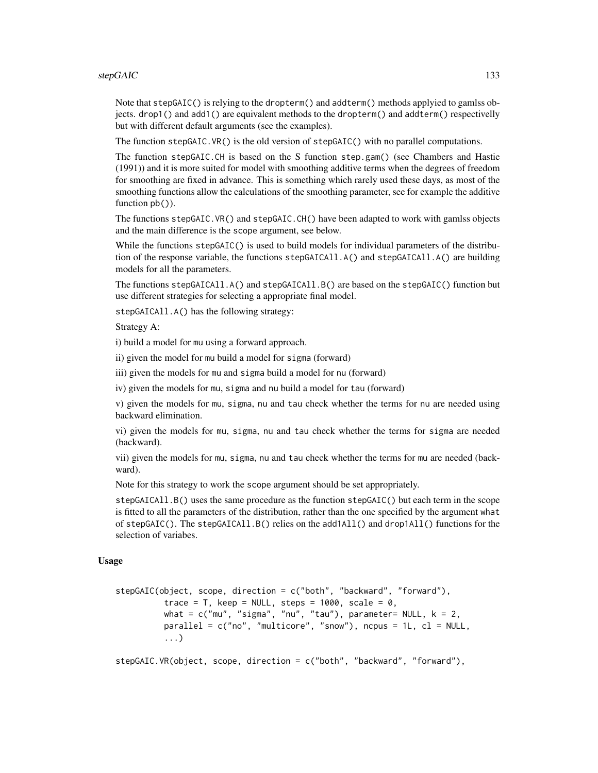#### stepGAIC 133

Note that stepGAIC() is relying to the dropterm() and addterm() methods applyied to gamlss objects. drop1() and add1() are equivalent methods to the dropterm() and addterm() respectivelly but with different default arguments (see the examples).

The function stepGAIC.VR() is the old version of stepGAIC() with no parallel computations.

The function stepGAIC.CH is based on the S function step.gam() (see Chambers and Hastie (1991)) and it is more suited for model with smoothing additive terms when the degrees of freedom for smoothing are fixed in advance. This is something which rarely used these days, as most of the smoothing functions allow the calculations of the smoothing parameter, see for example the additive function  $pb()$ ).

The functions stepGAIC.VR() and stepGAIC.CH() have been adapted to work with gamlss objects and the main difference is the scope argument, see below.

While the functions stepGAIC() is used to build models for individual parameters of the distribution of the response variable, the functions stepGAICAll.A() and stepGAICAll.A() are building models for all the parameters.

The functions stepGAICAll.A() and stepGAICAll.B() are based on the stepGAIC() function but use different strategies for selecting a appropriate final model.

stepGAICAll.A() has the following strategy:

Strategy A:

i) build a model for mu using a forward approach.

ii) given the model for mu build a model for sigma (forward)

iii) given the models for mu and sigma build a model for nu (forward)

iv) given the models for mu, sigma and nu build a model for tau (forward)

v) given the models for mu, sigma, nu and tau check whether the terms for nu are needed using backward elimination.

vi) given the models for mu, sigma, nu and tau check whether the terms for sigma are needed (backward).

vii) given the models for mu, sigma, nu and tau check whether the terms for mu are needed (backward).

Note for this strategy to work the scope argument should be set appropriately.

stepGAICAll.B() uses the same procedure as the function stepGAIC() but each term in the scope is fitted to all the parameters of the distribution, rather than the one specified by the argument what of stepGAIC(). The stepGAICAll.B() relies on the add1All() and drop1All() functions for the selection of variabes.

#### Usage

```
stepGAIC(object, scope, direction = c("both", "backward", "forward"),
          trace = T, keep = NULL, steps = 1000, scale = 0,
          what = c("mu", "sigma", "nu", "tau"), parameter= NULL, k = 2,
          parallel = c("no", "multicore", "snow"), ncpus = 1L, <math>cl = NULL</math>,...)
```
stepGAIC.VR(object, scope, direction = c("both", "backward", "forward"),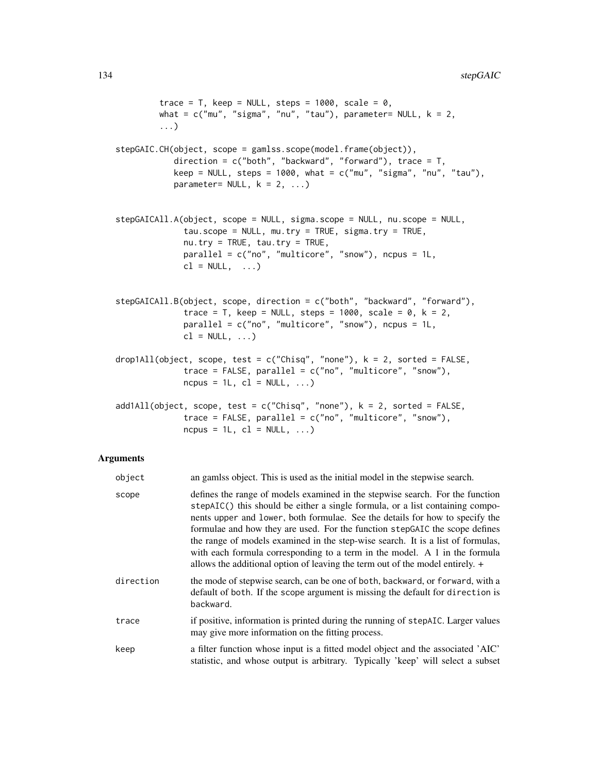```
trace = T, keep = NULL, steps = 1000, scale = 0,
        what = c("mu", "sigma", "nu", "tau"), parameter= NULL, k = 2,
         ...)
stepGAIC.CH(object, scope = gamlss.scope(model.frame(object)),
           direction = c("both", "backward", "forward"), trace = T,
           keep = NULL, steps = 1000, what = c("mu", "sigma", "nu", "tau"),
           parameter= NULL, k = 2, ...stepGAICAll.A(object, scope = NULL, sigma.scope = NULL, nu.scope = NULL,
             tau.scope = NULL, mu.try = TRUE, sigma.try = TRUE,
             nu.try = TRUE, tau.try = TRUE,
             parallel = c("no", "multicore", "snow"), ncpus = 1L,
             cl = NULL, ...stepGAICAll.B(object, scope, direction = c("both", "backward", "forward"),
             trace = T, keep = NULL, steps = 1000, scale = 0, k = 2,
             parallel = c("no", "multicore", "snow"), ncpus = 1L,cl = NULL, ...drop1All(object, scope, test = c("Chisq", "none"), k = 2, sorted = FALSE,
             trace = FALSE, parallel = c("no", "multicore", "snow"),
             ncpus = 1L, cl = NULL, ...)
add1All(object, scope, test = c("Chisq", "none"), k = 2, sorted = FALSE,trace = FALSE, parallel = c("no", "multicore", "snow"),ncpus = 1L, cl = NULL, ...)
```
### Arguments

| object    | an gamlss object. This is used as the initial model in the stepwise search.                                                                                                                                                                                                                                                                                                                                                                                                                                                                                                     |
|-----------|---------------------------------------------------------------------------------------------------------------------------------------------------------------------------------------------------------------------------------------------------------------------------------------------------------------------------------------------------------------------------------------------------------------------------------------------------------------------------------------------------------------------------------------------------------------------------------|
| scope     | defines the range of models examined in the stepwise search. For the function<br>stepAIC() this should be either a single formula, or a list containing compo-<br>nents upper and lower, both formulae. See the details for how to specify the<br>formulae and how they are used. For the function stepGAIC the scope defines<br>the range of models examined in the step-wise search. It is a list of formulas,<br>with each formula corresponding to a term in the model. A 1 in the formula<br>allows the additional option of leaving the term out of the model entirely. + |
| direction | the mode of stepwise search, can be one of both, backward, or forward, with a<br>default of both. If the scope argument is missing the default for direction is<br>backward.                                                                                                                                                                                                                                                                                                                                                                                                    |
| trace     | if positive, information is printed during the running of stepAIC. Larger values<br>may give more information on the fitting process.                                                                                                                                                                                                                                                                                                                                                                                                                                           |
| keep      | a filter function whose input is a fitted model object and the associated 'AIC'<br>statistic, and whose output is arbitrary. Typically 'keep' will select a subset                                                                                                                                                                                                                                                                                                                                                                                                              |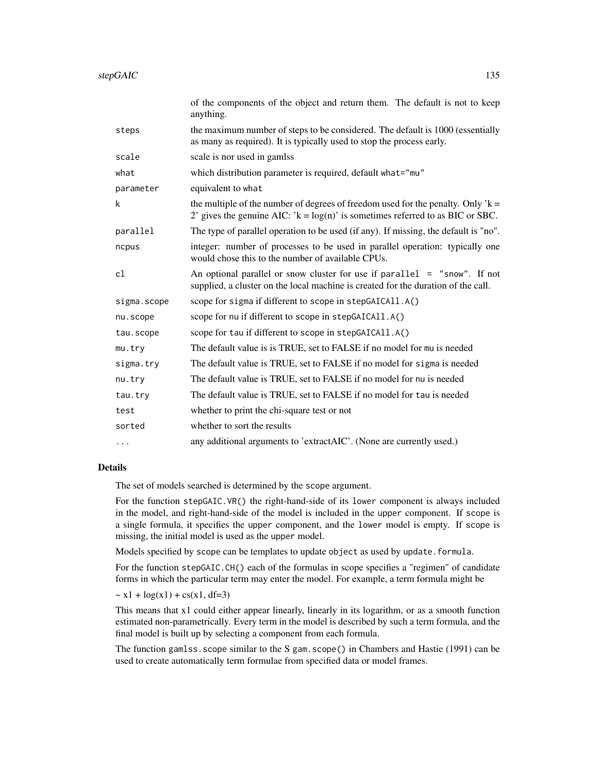|             | of the components of the object and return them. The default is not to keep<br>anything.                                                                              |
|-------------|-----------------------------------------------------------------------------------------------------------------------------------------------------------------------|
| steps       | the maximum number of steps to be considered. The default is 1000 (essentially<br>as many as required). It is typically used to stop the process early.               |
| scale       | scale is nor used in gamlss                                                                                                                                           |
| what        | which distribution parameter is required, default what="mu"                                                                                                           |
| parameter   | equivalent to what                                                                                                                                                    |
| k           | the multiple of the number of degrees of freedom used for the penalty. Only $k =$<br>2' gives the genuine AIC: $k = log(n)$ ' is sometimes referred to as BIC or SBC. |
| parallel    | The type of parallel operation to be used (if any). If missing, the default is "no".                                                                                  |
| ncpus       | integer: number of processes to be used in parallel operation: typically one<br>would chose this to the number of available CPUs.                                     |
| cl          | An optional parallel or snow cluster for use if $parallel = "snow".$ If not<br>supplied, a cluster on the local machine is created for the duration of the call.      |
| sigma.scope | scope for sigma if different to scope in stepGAICAll.A()                                                                                                              |
| nu.scope    | scope for nu if different to scope in stepGAICA11.A()                                                                                                                 |
| tau.scope   | scope for tau if different to scope in stepGAICAll.A()                                                                                                                |
| $mu.$ try   | The default value is is TRUE, set to FALSE if no model for mu is needed                                                                                               |
| sigma.try   | The default value is TRUE, set to FALSE if no model for sigma is needed                                                                                               |
| nu.try      | The default value is TRUE, set to FALSE if no model for nu is needed                                                                                                  |
| tau.try     | The default value is TRUE, set to FALSE if no model for tau is needed                                                                                                 |
| test        | whether to print the chi-square test or not                                                                                                                           |
| sorted      | whether to sort the results                                                                                                                                           |
| $\cdots$    | any additional arguments to 'extractAIC'. (None are currently used.)                                                                                                  |

# Details

The set of models searched is determined by the scope argument.

For the function stepGAIC.VR() the right-hand-side of its lower component is always included in the model, and right-hand-side of the model is included in the upper component. If scope is a single formula, it specifies the upper component, and the lower model is empty. If scope is missing, the initial model is used as the upper model.

Models specified by scope can be templates to update object as used by update.formula.

For the function stepGAIC.CH() each of the formulas in scope specifies a "regimen" of candidate forms in which the particular term may enter the model. For example, a term formula might be

 $\sim x1 + \log(x1) + \text{cs}(x1, df=3)$ 

This means that x1 could either appear linearly, linearly in its logarithm, or as a smooth function estimated non-parametrically. Every term in the model is described by such a term formula, and the final model is built up by selecting a component from each formula.

The function gamlss.scope similar to the S gam.scope() in Chambers and Hastie (1991) can be used to create automatically term formulae from specified data or model frames.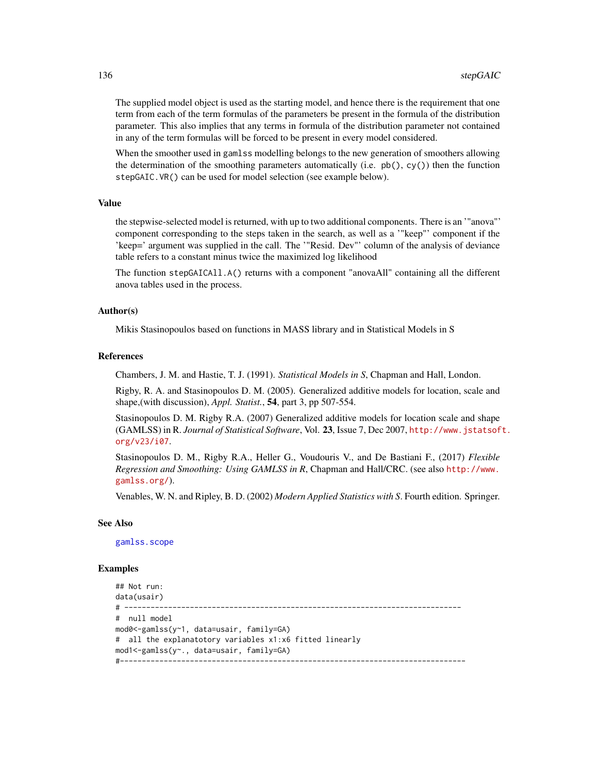The supplied model object is used as the starting model, and hence there is the requirement that one term from each of the term formulas of the parameters be present in the formula of the distribution parameter. This also implies that any terms in formula of the distribution parameter not contained in any of the term formulas will be forced to be present in every model considered.

When the smoother used in gamlss modelling belongs to the new generation of smoothers allowing the determination of the smoothing parameters automatically (i.e.  $pb($ ),  $cy($ )) then the function stepGAIC.VR() can be used for model selection (see example below).

#### Value

the stepwise-selected model is returned, with up to two additional components. There is an '"anova"' component corresponding to the steps taken in the search, as well as a '"keep"' component if the 'keep=' argument was supplied in the call. The '"Resid. Dev"' column of the analysis of deviance table refers to a constant minus twice the maximized log likelihood

The function stepGAICAll.A() returns with a component "anovaAll" containing all the different anova tables used in the process.

## Author(s)

Mikis Stasinopoulos based on functions in MASS library and in Statistical Models in S

#### References

Chambers, J. M. and Hastie, T. J. (1991). *Statistical Models in S*, Chapman and Hall, London.

Rigby, R. A. and Stasinopoulos D. M. (2005). Generalized additive models for location, scale and shape,(with discussion), *Appl. Statist.*, 54, part 3, pp 507-554.

Stasinopoulos D. M. Rigby R.A. (2007) Generalized additive models for location scale and shape (GAMLSS) in R. *Journal of Statistical Software*, Vol. 23, Issue 7, Dec 2007, [http://www.jstatsof](http://www.jstatsoft.org/v23/i07)t. [org/v23/i07](http://www.jstatsoft.org/v23/i07).

Stasinopoulos D. M., Rigby R.A., Heller G., Voudouris V., and De Bastiani F., (2017) *Flexible Regression and Smoothing: Using GAMLSS in R*, Chapman and Hall/CRC. (see also [http://www.](http://www.gamlss.org/) [gamlss.org/](http://www.gamlss.org/)).

Venables, W. N. and Ripley, B. D. (2002) *Modern Applied Statistics with S*. Fourth edition. Springer.

#### See Also

[gamlss.scope](#page-52-0)

```
## Not run:
data(usair)
# -----------------------------------------------------------------------------
# null model
mod0<-gamlss(y~1, data=usair, family=GA)
# all the explanatotory variables x1:x6 fitted linearly
mod1<-gamlss(y~., data=usair, family=GA)
#-------------------------------------------------------------------------------
```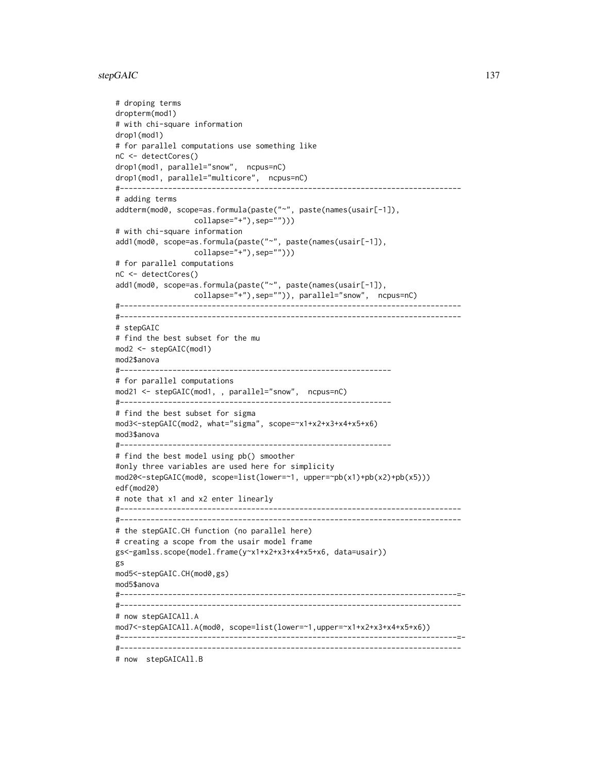#### stepGAIC 137

```
# droping terms
dropterm(mod1)
# with chi-square information
drop1(mod1)
# for parallel computations use something like
nC <- detectCores()
drop1(mod1, parallel="snow", ncpus=nC)
drop1(mod1, parallel="multicore", ncpus=nC)
#------------------------------------------------------------------------------
# adding terms
addterm(mod0, scope=as.formula(paste("~", paste(names(usair[-1]),
                  collapse="+"),sep="")))
# with chi-square information
add1(mod0, scope=as.formula(paste("~", paste(names(usair[-1]),
                  collapse="+"),sep="")))
# for parallel computations
nC <- detectCores()
add1(mod0, scope=as.formula(paste("~", paste(names(usair[-1]),
                 collapse="+"),sep="")), parallel="snow", ncpus=nC)
#------------------------------------------------------------------------------
#------------------------------------------------------------------------------
# stepGAIC
# find the best subset for the mu
mod2 <- stepGAIC(mod1)
mod2$anova
#--------------------------------------------------------------
# for parallel computations
mod21 <- stepGAIC(mod1, , parallel="snow", ncpus=nC)
#--------------------------------------------------------------
# find the best subset for sigma
mod3<-stepGAIC(mod2, what="sigma", scope=~x1+x2+x3+x4+x5+x6)
mod3$anova
#--------------------------------------------------------------
# find the best model using pb() smoother
#only three variables are used here for simplicity
mod20<-stepGAIC(mod0, scope=list(lower=~1, upper=~pb(x1)+pb(x2)+pb(x5)))
edf(mod20)
# note that x1 and x2 enter linearly
#------------------------------------------------------------------------------
#------------------------------------------------------------------------------
# the stepGAIC.CH function (no parallel here)
# creating a scope from the usair model frame
gs<-gamlss.scope(model.frame(y~x1+x2+x3+x4+x5+x6, data=usair))
gs
mod5<-stepGAIC.CH(mod0,gs)
mod5$anova
#-----------------------------------------------------------------------------=-
#------------------------------------------------------------------------------
# now stepGAICAll.A
mod7<-stepGAICAll.A(mod0, scope=list(lower=~1,upper=~x1+x2+x3+x4+x5+x6))
#-----------------------------------------------------------------------------=-
#------------------------------------------------------------------------------
# now stepGAICAll.B
```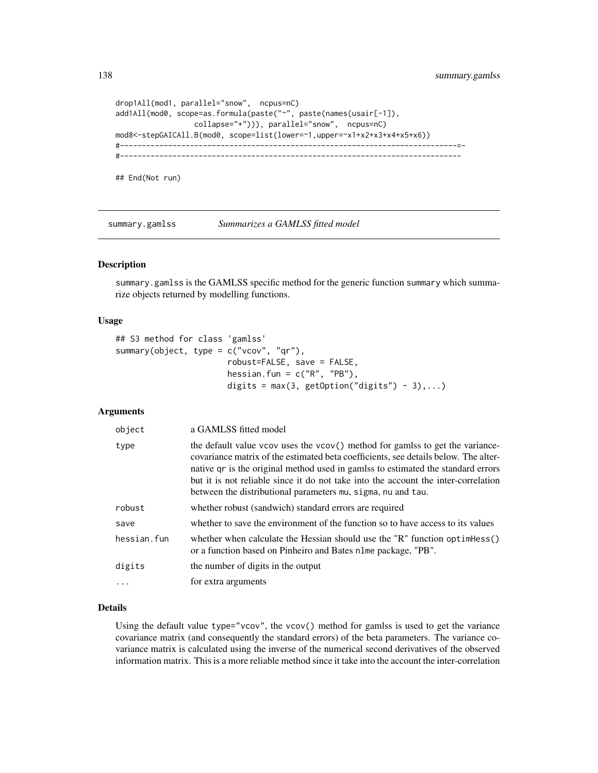```
drop1All(mod1, parallel="snow", ncpus=nC)
add1All(mod0, scope=as.formula(paste("~", paste(names(usair[-1]),
                 collapse="+"))), parallel="snow", ncpus=nC)
mod8<-stepGAICAll.B(mod0, scope=list(lower=~1,upper=~x1+x2+x3+x4+x5+x6))
#-----------------------------------------------------------------------------=-
#------------------------------------------------------------------------------
## End(Not run)
```
<span id="page-137-0"></span>summary.gamlss *Summarizes a GAMLSS fitted model*

## Description

summary.gamlss is the GAMLSS specific method for the generic function summary which summarize objects returned by modelling functions.

#### Usage

```
## S3 method for class 'gamlss'
summary(object, type = c("vcov", "qr"),
                       robust=FALSE, save = FALSE,
                       hessian.fun = c("R", "PB"),
                       digits = max(3, getOption("digits") - 3),...)
```
# Arguments

| object      | a GAMLSS fitted model                                                                                                                                                                                                                                                                                                                                                                                          |
|-------------|----------------------------------------------------------------------------------------------------------------------------------------------------------------------------------------------------------------------------------------------------------------------------------------------------------------------------------------------------------------------------------------------------------------|
| type        | the default value vcov uses the vcov() method for gamlss to get the variance-<br>covariance matrix of the estimated beta coefficients, see details below. The alter-<br>native qr is the original method used in gamlss to estimated the standard errors<br>but it is not reliable since it do not take into the account the inter-correlation<br>between the distributional parameters mu, sigma, nu and tau. |
| robust      | whether robust (sandwich) standard errors are required                                                                                                                                                                                                                                                                                                                                                         |
| save        | whether to save the environment of the function so to have access to its values                                                                                                                                                                                                                                                                                                                                |
| hessian.fun | whether when calculate the Hessian should use the "R" function optimess()<br>or a function based on Pinheiro and Bates nlme package, "PB".                                                                                                                                                                                                                                                                     |
| digits      | the number of digits in the output                                                                                                                                                                                                                                                                                                                                                                             |
|             | for extra arguments                                                                                                                                                                                                                                                                                                                                                                                            |

## Details

Using the default value type="vcov", the vcov $()$  method for gamlss is used to get the variance covariance matrix (and consequently the standard errors) of the beta parameters. The variance covariance matrix is calculated using the inverse of the numerical second derivatives of the observed information matrix. This is a more reliable method since it take into the account the inter-correlation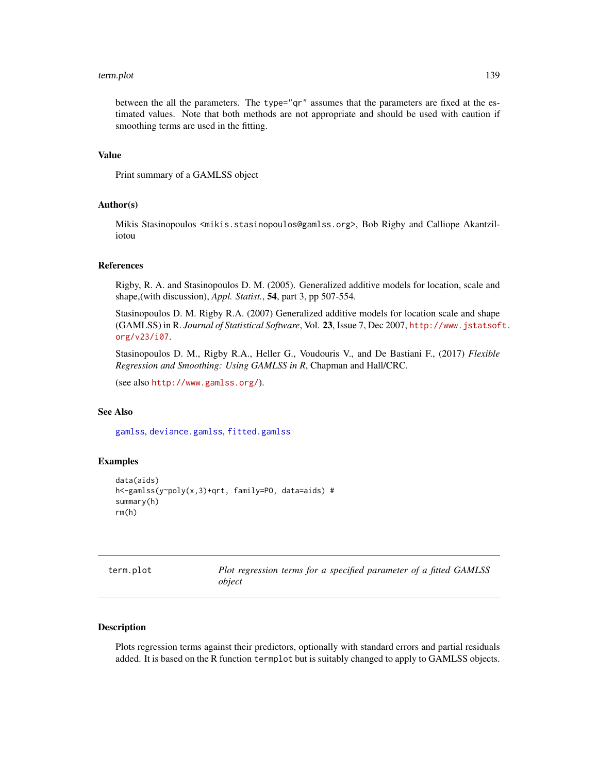#### term.plot 139

between the all the parameters. The type="qr" assumes that the parameters are fixed at the estimated values. Note that both methods are not appropriate and should be used with caution if smoothing terms are used in the fitting.

# Value

Print summary of a GAMLSS object

## Author(s)

Mikis Stasinopoulos <mikis.stasinopoulos@gamlss.org>, Bob Rigby and Calliope Akantziliotou

## References

Rigby, R. A. and Stasinopoulos D. M. (2005). Generalized additive models for location, scale and shape,(with discussion), *Appl. Statist.*, 54, part 3, pp 507-554.

Stasinopoulos D. M. Rigby R.A. (2007) Generalized additive models for location scale and shape (GAMLSS) in R. *Journal of Statistical Software*, Vol. 23, Issue 7, Dec 2007, [http://www.jstatsof](http://www.jstatsoft.org/v23/i07)t. [org/v23/i07](http://www.jstatsoft.org/v23/i07).

Stasinopoulos D. M., Rigby R.A., Heller G., Voudouris V., and De Bastiani F., (2017) *Flexible Regression and Smoothing: Using GAMLSS in R*, Chapman and Hall/CRC.

(see also <http://www.gamlss.org/>).

# See Also

[gamlss](#page-40-0), [deviance.gamlss](#page-24-0), [fitted.gamlss](#page-37-0)

# Examples

```
data(aids)
h<-gamlss(y~poly(x,3)+qrt, family=PO, data=aids) #
summary(h)
rm(h)
```

| term.plot |  |
|-----------|--|
|           |  |

Plot regression terms for a specified parameter of a fitted GAMLSS *object*

# Description

Plots regression terms against their predictors, optionally with standard errors and partial residuals added. It is based on the R function termplot but is suitably changed to apply to GAMLSS objects.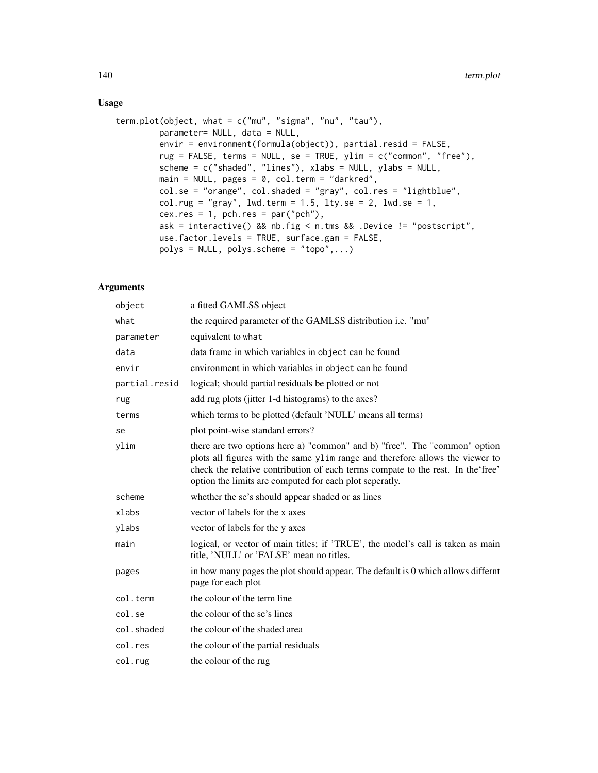# Usage

```
term.plot(object, what = c("mu", "sigma", "nu", "tau"),
        parameter= NULL, data = NULL,
        envir = environment(formula(object)), partial.resid = FALSE,
        rug = FALSE, terms = NULL, se = TRUE, ylim = c("common", "free"),
        scheme = c("shaded", "lines"), xlabs = NULL, ylabs = NULL,
        main = NULL, pages = 0, col.term = "darkred",
        col.se = "orange", col.shaded = "gray", col.res = "lightblue",
        col.rug = "gray", lwd.term = 1.5, lty.se = 2, lwd.se = 1,
        cex.res = 1, pch.res = par("pch"),
        ask = interactive() && nb.fig < n.tms && .Device != "postscript",
        use.factor.levels = TRUE, surface.gam = FALSE,
        polys = NULL, polys.scheme = "topo", ...)
```
# Arguments

| object        | a fitted GAMLSS object                                                                                                                                                                                                                                                                                   |
|---------------|----------------------------------------------------------------------------------------------------------------------------------------------------------------------------------------------------------------------------------------------------------------------------------------------------------|
| what          | the required parameter of the GAMLSS distribution i.e. "mu"                                                                                                                                                                                                                                              |
| parameter     | equivalent to what                                                                                                                                                                                                                                                                                       |
| data          | data frame in which variables in object can be found                                                                                                                                                                                                                                                     |
| envir         | environment in which variables in object can be found                                                                                                                                                                                                                                                    |
| partial.resid | logical; should partial residuals be plotted or not                                                                                                                                                                                                                                                      |
| rug           | add rug plots (jitter 1-d histograms) to the axes?                                                                                                                                                                                                                                                       |
| terms         | which terms to be plotted (default 'NULL' means all terms)                                                                                                                                                                                                                                               |
| se            | plot point-wise standard errors?                                                                                                                                                                                                                                                                         |
| ylim          | there are two options here a) "common" and b) "free". The "common" option<br>plots all figures with the same ylim range and therefore allows the viewer to<br>check the relative contribution of each terms compate to the rest. In the free'<br>option the limits are computed for each plot seperatly. |
| scheme        | whether the se's should appear shaded or as lines                                                                                                                                                                                                                                                        |
| xlabs         | vector of labels for the x axes                                                                                                                                                                                                                                                                          |
| ylabs         | vector of labels for the y axes                                                                                                                                                                                                                                                                          |
| main          | logical, or vector of main titles; if 'TRUE', the model's call is taken as main<br>title, 'NULL' or 'FALSE' mean no titles.                                                                                                                                                                              |
| pages         | in how many pages the plot should appear. The default is $0$ which allows differnt<br>page for each plot                                                                                                                                                                                                 |
| col.term      | the colour of the term line                                                                                                                                                                                                                                                                              |
| col.se        | the colour of the se's lines                                                                                                                                                                                                                                                                             |
| col.shaded    | the colour of the shaded area                                                                                                                                                                                                                                                                            |
| col.res       | the colour of the partial residuals                                                                                                                                                                                                                                                                      |
| col.rug       | the colour of the rug                                                                                                                                                                                                                                                                                    |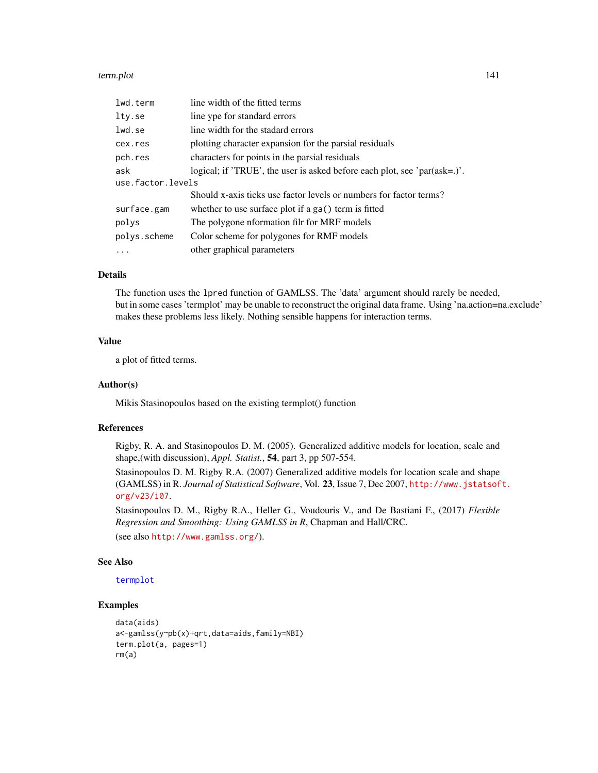#### term.plot 141

| lwd.term          | line width of the fitted terms                                            |  |
|-------------------|---------------------------------------------------------------------------|--|
| lty.se            | line ype for standard errors                                              |  |
| lwd.se            | line width for the stadard errors                                         |  |
| cex.res           | plotting character expansion for the parsial residuals                    |  |
| pch.res           | characters for points in the parsial residuals                            |  |
| ask               | logical; if 'TRUE', the user is asked before each plot, see 'par(ask=.)'. |  |
| use.factor.levels |                                                                           |  |
|                   | Should x-axis ticks use factor levels or numbers for factor terms?        |  |
| surface.gam       | whether to use surface plot if a ga() term is fitted                      |  |
| polys             | The polygone nformation filr for MRF models                               |  |
| polys.scheme      | Color scheme for polygones for RMF models                                 |  |
|                   | other graphical parameters                                                |  |
|                   |                                                                           |  |

# Details

The function uses the lpred function of GAMLSS. The 'data' argument should rarely be needed, but in some cases 'termplot' may be unable to reconstruct the original data frame. Using 'na.action=na.exclude' makes these problems less likely. Nothing sensible happens for interaction terms.

# Value

a plot of fitted terms.

# Author(s)

Mikis Stasinopoulos based on the existing termplot() function

## References

Rigby, R. A. and Stasinopoulos D. M. (2005). Generalized additive models for location, scale and shape,(with discussion), *Appl. Statist.*, 54, part 3, pp 507-554.

Stasinopoulos D. M. Rigby R.A. (2007) Generalized additive models for location scale and shape (GAMLSS) in R. *Journal of Statistical Software*, Vol. 23, Issue 7, Dec 2007, [http://www.jstatsof](http://www.jstatsoft.org/v23/i07)t. [org/v23/i07](http://www.jstatsoft.org/v23/i07).

Stasinopoulos D. M., Rigby R.A., Heller G., Voudouris V., and De Bastiani F., (2017) *Flexible Regression and Smoothing: Using GAMLSS in R*, Chapman and Hall/CRC.

(see also <http://www.gamlss.org/>).

#### See Also

[termplot](#page-0-0)

```
data(aids)
a<-gamlss(y~pb(x)+qrt,data=aids,family=NBI)
term.plot(a, pages=1)
rm(a)
```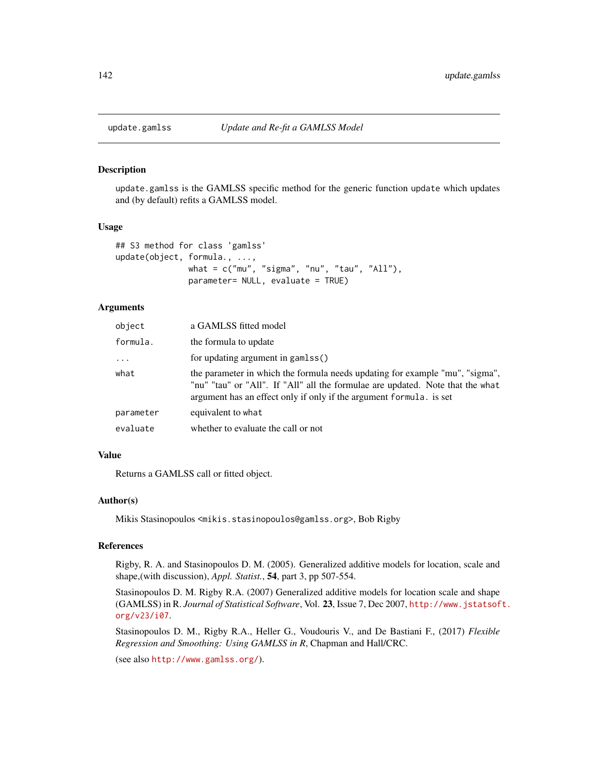<span id="page-141-0"></span>

#### Description

update.gamlss is the GAMLSS specific method for the generic function update which updates and (by default) refits a GAMLSS model.

#### Usage

```
## S3 method for class 'gamlss'
update(object, formula., ...,
               what = c("mu", "sigma", "nu", "tau", "All"),
               parameter= NULL, evaluate = TRUE)
```
# Arguments

| object    | a GAMLSS fitted model                                                                                                                                                                                                                 |
|-----------|---------------------------------------------------------------------------------------------------------------------------------------------------------------------------------------------------------------------------------------|
| formula.  | the formula to update                                                                                                                                                                                                                 |
| $\cdots$  | for updating argument in gamlss()                                                                                                                                                                                                     |
| what      | the parameter in which the formula needs updating for example "mu", "sigma",<br>"nu" "tau" or "All". If "All" all the formulae are updated. Note that the what<br>argument has an effect only if only if the argument formula. is set |
| parameter | equivalent to what                                                                                                                                                                                                                    |
| evaluate  | whether to evaluate the call or not                                                                                                                                                                                                   |

#### Value

Returns a GAMLSS call or fitted object.

## Author(s)

Mikis Stasinopoulos <mikis.stasinopoulos@gamlss.org>, Bob Rigby

#### References

Rigby, R. A. and Stasinopoulos D. M. (2005). Generalized additive models for location, scale and shape,(with discussion), *Appl. Statist.*, 54, part 3, pp 507-554.

Stasinopoulos D. M. Rigby R.A. (2007) Generalized additive models for location scale and shape (GAMLSS) in R. *Journal of Statistical Software*, Vol. 23, Issue 7, Dec 2007, [http://www.jstatsof](http://www.jstatsoft.org/v23/i07)t. [org/v23/i07](http://www.jstatsoft.org/v23/i07).

Stasinopoulos D. M., Rigby R.A., Heller G., Voudouris V., and De Bastiani F., (2017) *Flexible Regression and Smoothing: Using GAMLSS in R*, Chapman and Hall/CRC.

(see also <http://www.gamlss.org/>).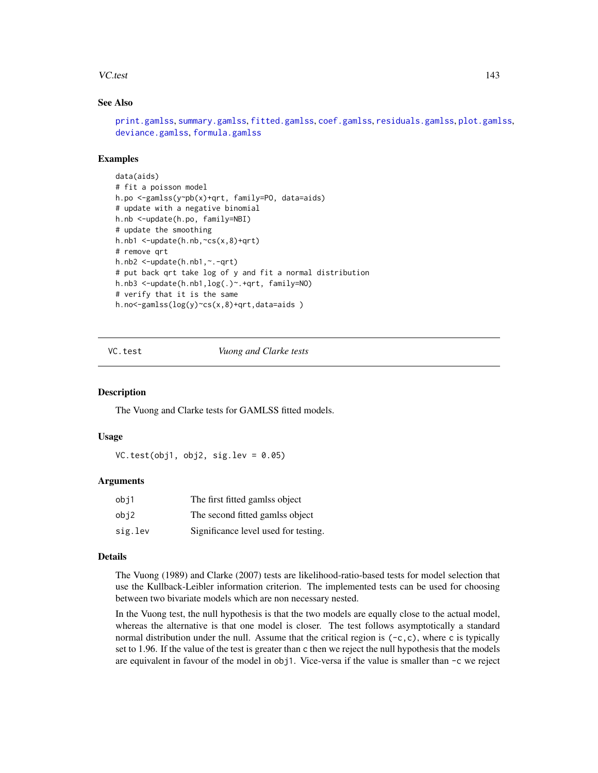#### VC.test 143

# See Also

```
print.gamlss, summary.gamlss, fitted.gamlss, coef.gamlss, residuals.gamlss, plot.gamlss,
deviance.gamlss, formula.gamlss
```
## Examples

```
data(aids)
# fit a poisson model
h.po <-gamlss(y~pb(x)+qrt, family=PO, data=aids)
# update with a negative binomial
h.nb <-update(h.po, family=NBI)
# update the smoothing
h.nb1 <-update(h.nb,~cs(x,8)+qrt)
# remove qrt
h.nb2 <-update(h.nb1,~.-qrt)
# put back qrt take log of y and fit a normal distribution
h.nb3 <-update(h.nb1,log(.)~.+qrt, family=NO)
# verify that it is the same
h.no<-gamlss(log(y)~cs(x,8)+qrt,data=aids )
```
VC.test *Vuong and Clarke tests*

# Description

The Vuong and Clarke tests for GAMLSS fitted models.

# Usage

VC.test(obj1, obj2, sig.lev =  $0.05$ )

#### Arguments

| obj1    | The first fitted gamlss object       |
|---------|--------------------------------------|
| obj2    | The second fitted gamlss object      |
| sig.lev | Significance level used for testing. |

#### Details

The Vuong (1989) and Clarke (2007) tests are likelihood-ratio-based tests for model selection that use the Kullback-Leibler information criterion. The implemented tests can be used for choosing between two bivariate models which are non necessary nested.

In the Vuong test, the null hypothesis is that the two models are equally close to the actual model, whereas the alternative is that one model is closer. The test follows asymptotically a standard normal distribution under the null. Assume that the critical region is  $(-c, c)$ , where c is typically set to 1.96. If the value of the test is greater than c then we reject the null hypothesis that the models are equivalent in favour of the model in obj1. Vice-versa if the value is smaller than -c we reject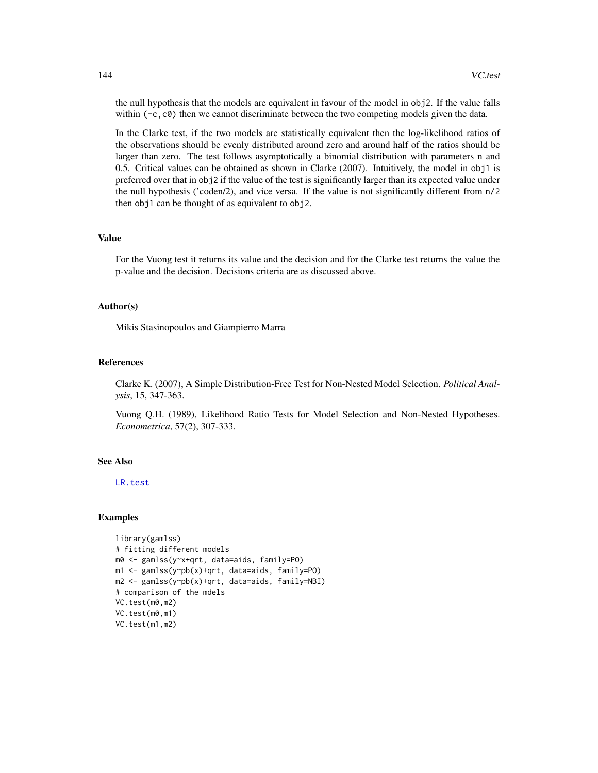the null hypothesis that the models are equivalent in favour of the model in obj2. If the value falls within  $(-c, c0)$  then we cannot discriminate between the two competing models given the data.

In the Clarke test, if the two models are statistically equivalent then the log-likelihood ratios of the observations should be evenly distributed around zero and around half of the ratios should be larger than zero. The test follows asymptotically a binomial distribution with parameters n and 0.5. Critical values can be obtained as shown in Clarke (2007). Intuitively, the model in obj1 is preferred over that in obj2 if the value of the test is significantly larger than its expected value under the null hypothesis ('coden/2), and vice versa. If the value is not significantly different from n/2 then obj1 can be thought of as equivalent to obj2.

#### Value

For the Vuong test it returns its value and the decision and for the Clarke test returns the value the p-value and the decision. Decisions criteria are as discussed above.

#### Author(s)

Mikis Stasinopoulos and Giampierro Marra

#### References

Clarke K. (2007), A Simple Distribution-Free Test for Non-Nested Model Selection. *Political Analysis*, 15, 347-363.

Vuong Q.H. (1989), Likelihood Ratio Tests for Model Selection and Non-Nested Hypotheses. *Econometrica*, 57(2), 307-333.

# See Also

[LR.test](#page-85-0)

```
library(gamlss)
# fitting different models
m0 <- gamlss(y~x+qrt, data=aids, family=PO)
m1 <- gamlss(y~pb(x)+qrt, data=aids, family=PO)
m2 <- gamlss(y~pb(x)+qrt, data=aids, family=NBI)
# comparison of the mdels
VC.test(m0,m2)
VC.test(m0,m1)
VC.test(m1,m2)
```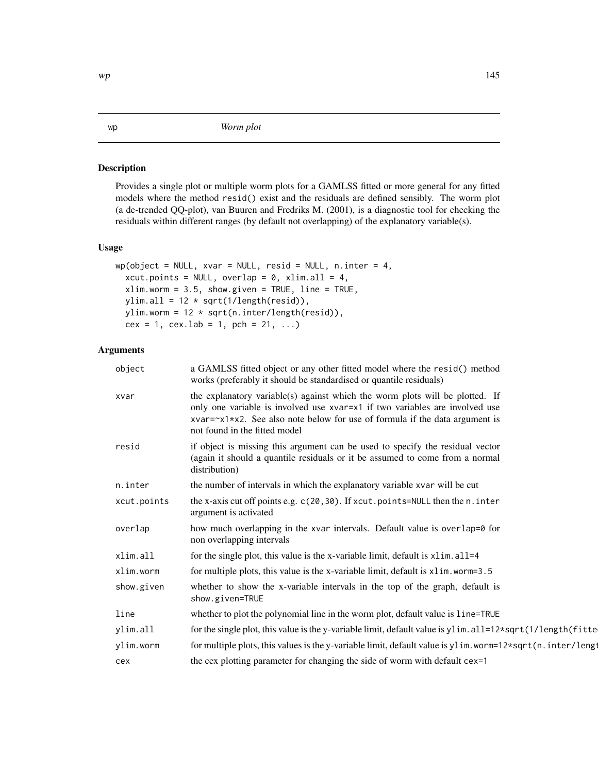# <span id="page-144-0"></span>Description

Provides a single plot or multiple worm plots for a GAMLSS fitted or more general for any fitted models where the method resid() exist and the residuals are defined sensibly. The worm plot (a de-trended QQ-plot), van Buuren and Fredriks M. (2001), is a diagnostic tool for checking the residuals within different ranges (by default not overlapping) of the explanatory variable(s).

# Usage

```
wp(object = NULL, xvar = NULL, resid = NULL, n.inter = 4,xcut.points = NULL, overlap = 0, xlim.all = 4,
 xlim.worm = 3.5, show.given = TRUE, line = TRUE,
 ylim.all = 12 * sqrt(1/length(resid)),ylim.worm = 12 * sqrt(n.inter/length(resid)),
 cex = 1, cex.1ab = 1, pch = 21, ...)
```
# Arguments

| object      | a GAMLSS fitted object or any other fitted model where the resid() method<br>works (preferably it should be standardised or quantile residuals)                                                                                                                                       |
|-------------|---------------------------------------------------------------------------------------------------------------------------------------------------------------------------------------------------------------------------------------------------------------------------------------|
| xvar        | the explanatory variable(s) against which the worm plots will be plotted. If<br>only one variable is involved use xvar=x1 if two variables are involved use<br>$xvar= x1 \times x2$ . See also note below for use of formula if the data argument is<br>not found in the fitted model |
| resid       | if object is missing this argument can be used to specify the residual vector<br>(again it should a quantile residuals or it be assumed to come from a normal<br>distribution)                                                                                                        |
| n.inter     | the number of intervals in which the explanatory variable xvar will be cut                                                                                                                                                                                                            |
| xcut.points | the x-axis cut off points e.g. c(20,30). If xcut.points=NULL then the n.inter<br>argument is activated                                                                                                                                                                                |
| overlap     | how much overlapping in the xvar intervals. Default value is overlap=0 for<br>non overlapping intervals                                                                                                                                                                               |
| xlim.all    | for the single plot, this value is the x-variable limit, default is x1im. a11=4                                                                                                                                                                                                       |
| xlim.worm   | for multiple plots, this value is the x-variable limit, default is x1im. worm=3.5                                                                                                                                                                                                     |
| show.given  | whether to show the x-variable intervals in the top of the graph, default is<br>show.given=TRUE                                                                                                                                                                                       |
| line        | whether to plot the polynomial line in the worm plot, default value is line=TRUE                                                                                                                                                                                                      |
| ylim.all    | for the single plot, this value is the y-variable limit, default value is ylim. all=12*sqrt(1/length(fitte                                                                                                                                                                            |
| ylim.worm   | for multiple plots, this values is the y-variable limit, default value is ylim. worm=12*sqrt(n.inter/lengt                                                                                                                                                                            |
| cex         | the cex plotting parameter for changing the side of worm with default cex=1                                                                                                                                                                                                           |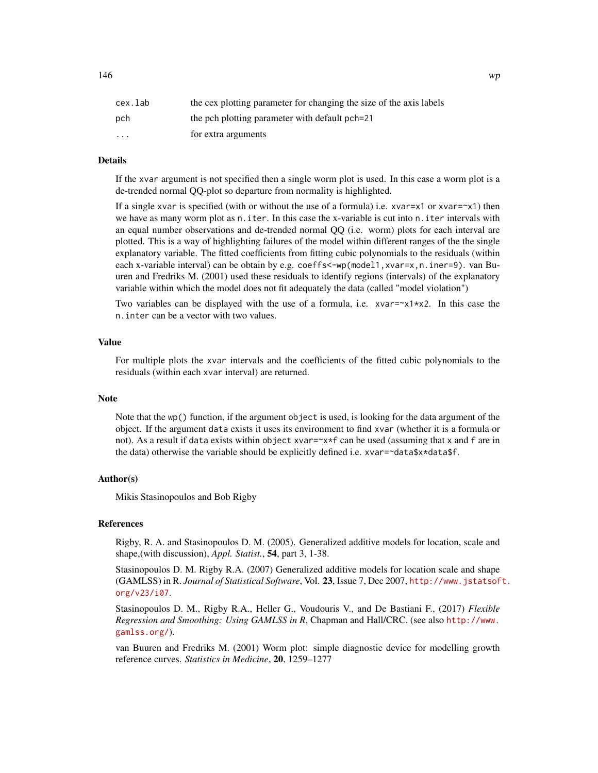| cex.lab                 | the cex plotting parameter for changing the size of the axis labels |
|-------------------------|---------------------------------------------------------------------|
| pch                     | the pch plotting parameter with default pch=21                      |
| $\cdot$ $\cdot$ $\cdot$ | for extra arguments                                                 |

# Details

If the xvar argument is not specified then a single worm plot is used. In this case a worm plot is a de-trended normal QQ-plot so departure from normality is highlighted.

If a single xvar is specified (with or without the use of a formula) i.e. xvar=x1 or xvar= $\alpha$ 1) then we have as many worm plot as n. iter. In this case the x-variable is cut into n. iter intervals with an equal number observations and de-trended normal QQ (i.e. worm) plots for each interval are plotted. This is a way of highlighting failures of the model within different ranges of the the single explanatory variable. The fitted coefficients from fitting cubic polynomials to the residuals (within each x-variable interval) can be obtain by e.g. coeffs<-wp(model1,xvar=x,n.iner=9). van Buuren and Fredriks M. (2001) used these residuals to identify regions (intervals) of the explanatory variable within which the model does not fit adequately the data (called "model violation")

Two variables can be displayed with the use of a formula, i.e.  $x \vee a = x \vee x \vee x$ ? In this case the n.inter can be a vector with two values.

# Value

For multiple plots the xvar intervals and the coefficients of the fitted cubic polynomials to the residuals (within each xvar interval) are returned.

#### Note

Note that the wp() function, if the argument object is used, is looking for the data argument of the object. If the argument data exists it uses its environment to find xvar (whether it is a formula or not). As a result if data exists within object xvar=~x\*f can be used (assuming that x and f are in the data) otherwise the variable should be explicitly defined i.e.  $xvar= \text{data} \$ 

#### Author(s)

Mikis Stasinopoulos and Bob Rigby

## **References**

Rigby, R. A. and Stasinopoulos D. M. (2005). Generalized additive models for location, scale and shape,(with discussion), *Appl. Statist.*, 54, part 3, 1-38.

Stasinopoulos D. M. Rigby R.A. (2007) Generalized additive models for location scale and shape (GAMLSS) in R. *Journal of Statistical Software*, Vol. 23, Issue 7, Dec 2007, [http://www.jstatsof](http://www.jstatsoft.org/v23/i07)t. [org/v23/i07](http://www.jstatsoft.org/v23/i07).

Stasinopoulos D. M., Rigby R.A., Heller G., Voudouris V., and De Bastiani F., (2017) *Flexible Regression and Smoothing: Using GAMLSS in R*, Chapman and Hall/CRC. (see also [http://www.](http://www.gamlss.org/) [gamlss.org/](http://www.gamlss.org/)).

van Buuren and Fredriks M. (2001) Worm plot: simple diagnostic device for modelling growth reference curves. *Statistics in Medicine*, 20, 1259–1277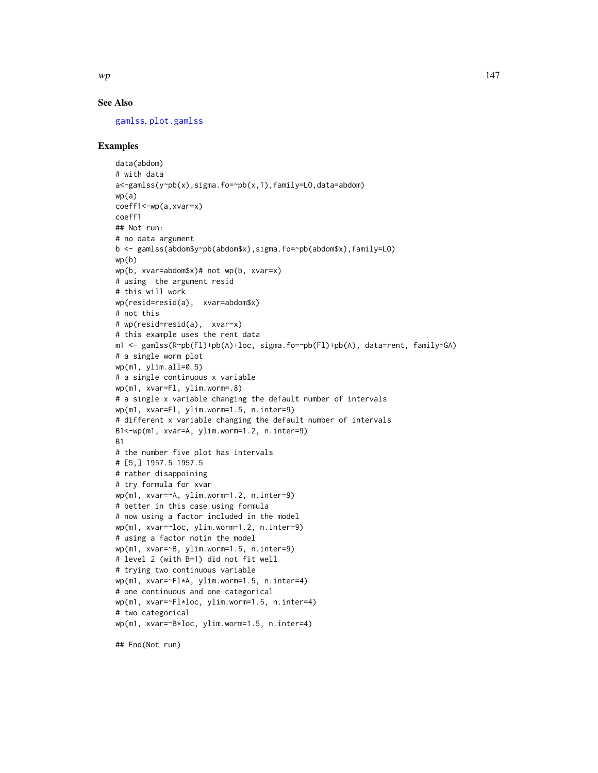<span id="page-146-0"></span>

# See Also

[gamlss](#page-40-0), [plot.gamlss](#page-94-0)

# Examples

```
data(abdom)
# with data
a<-gamlss(y~pb(x),sigma.fo=~pb(x,1),family=LO,data=abdom)
wp(a)
coeff1<-wp(a,xvar=x)
coeff1
## Not run:
# no data argument
b <- gamlss(abdom$y~pb(abdom$x),sigma.fo=~pb(abdom$x),family=LO)
wp(b)
wp(b, xvar=abdom$x)# not wp(b, xvar=x)
# using the argument resid
# this will work
wp(resid=resid(a), xvar=abdom$x)
# not this
# wp(resid=resid(a), xvar=x)
# this example uses the rent data
m1 <- gamlss(R~pb(Fl)+pb(A)+loc, sigma.fo=~pb(Fl)+pb(A), data=rent, family=GA)
# a single worm plot
wp(m1, ylim.all=0.5)
# a single continuous x variable
wp(m1, xvar=Fl, ylim.worm=.8)
# a single x variable changing the default number of intervals
wp(m1, xvar=Fl, ylim.worm=1.5, n.inter=9)
# different x variable changing the default number of intervals
B1<-wp(m1, xvar=A, ylim.worm=1.2, n.inter=9)
B1
# the number five plot has intervals
# [5,] 1957.5 1957.5
# rather disappoining
# try formula for xvar
wp(m1, xvar=~A, ylim.worm=1.2, n.inter=9)
# better in this case using formula
# now using a factor included in the model
wp(m1, xvar=~loc, ylim.worm=1.2, n.inter=9)
# using a factor notin the model
wp(m1, xvar=~B, ylim.worm=1.5, n.inter=9)
# level 2 (with B=1) did not fit well
# trying two continuous variable
wp(m1, xvar=~Fl*A, ylim.worm=1.5, n.inter=4)
# one continuous and one categorical
wp(m1, xvar=~Fl*loc, ylim.worm=1.5, n.inter=4)
# two categorical
wp(m1, xvar=~B*loc, ylim.worm=1.5, n.inter=4)
```
## End(Not run)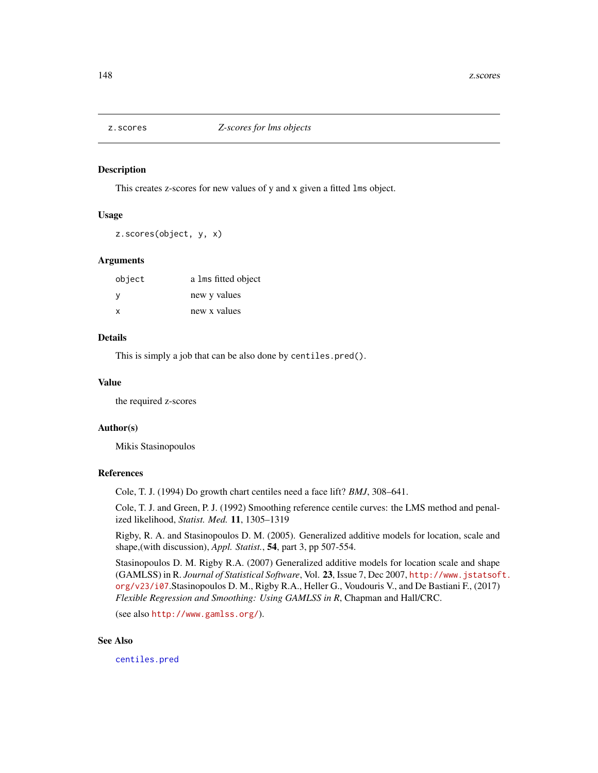<span id="page-147-0"></span>

## Description

This creates z-scores for new values of y and x given a fitted lms object.

# Usage

z.scores(object, y, x)

## Arguments

| object | a lms fitted object |
|--------|---------------------|
| -V     | new y values        |
| x      | new x values        |

# Details

This is simply a job that can be also done by centiles.pred().

# Value

the required z-scores

## Author(s)

Mikis Stasinopoulos

### References

Cole, T. J. (1994) Do growth chart centiles need a face lift? *BMJ*, 308–641.

Cole, T. J. and Green, P. J. (1992) Smoothing reference centile curves: the LMS method and penalized likelihood, *Statist. Med.* 11, 1305–1319

Rigby, R. A. and Stasinopoulos D. M. (2005). Generalized additive models for location, scale and shape,(with discussion), *Appl. Statist.*, 54, part 3, pp 507-554.

Stasinopoulos D. M. Rigby R.A. (2007) Generalized additive models for location scale and shape (GAMLSS) in R. *Journal of Statistical Software*, Vol. 23, Issue 7, Dec 2007, [http://www.jstatsof](http://www.jstatsoft.org/v23/i07)t. [org/v23/i07](http://www.jstatsoft.org/v23/i07).Stasinopoulos D. M., Rigby R.A., Heller G., Voudouris V., and De Bastiani F., (2017) *Flexible Regression and Smoothing: Using GAMLSS in R*, Chapman and Hall/CRC.

(see also <http://www.gamlss.org/>).

# See Also

[centiles.pred](#page-16-0)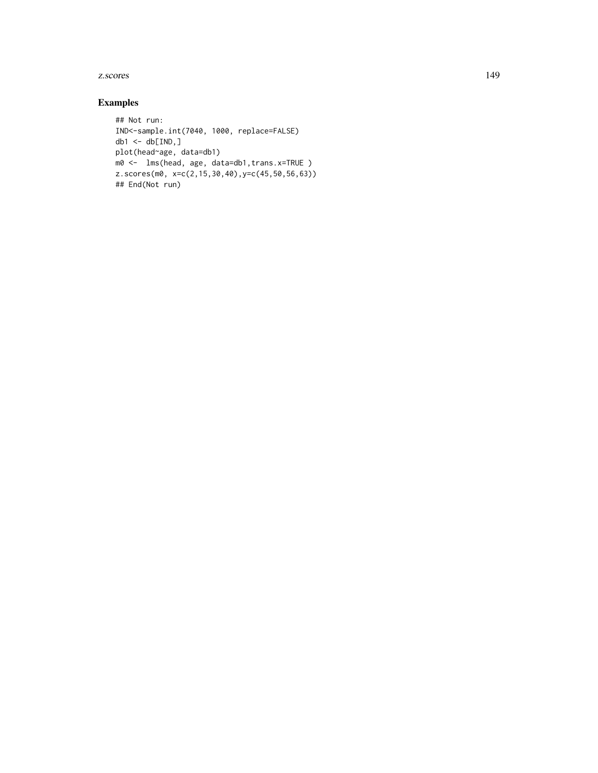#### z.scores and the set of the set of the set of the set of the set of the set of the set of the set of the set of the set of the set of the set of the set of the set of the set of the set of the set of the set of the set of

# Examples

```
## Not run:
IND<-sample.int(7040, 1000, replace=FALSE)
db1 < - db[IND, ]plot(head~age, data=db1)
m0 <- lms(head, age, data=db1,trans.x=TRUE )
z.scores(m0, x=c(2,15,30,40),y=c(45,50,56,63))
## End(Not run)
```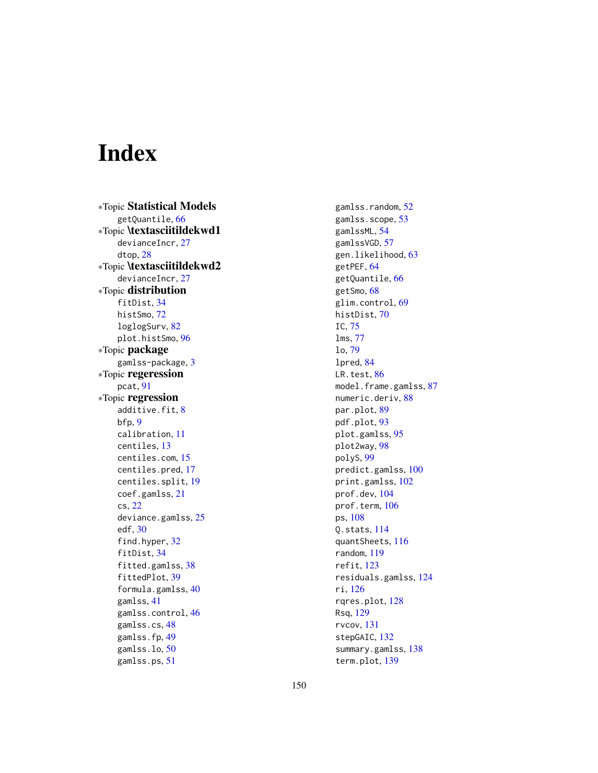# Index

∗Topic Statistical Models getQuantile, [66](#page-65-0) ∗Topic \textasciitildekwd1 devianceIncr, [27](#page-26-0) dtop, [28](#page-27-0) ∗Topic \textasciitildekwd2 devianceIncr, [27](#page-26-0) ∗Topic distribution fitDist, [34](#page-33-0) histSmo, [72](#page-71-0) loglogSurv, [82](#page-81-0) plot.histSmo, [96](#page-95-0) ∗Topic package gamlss-package, [3](#page-2-0) ∗Topic regeression pcat, [91](#page-90-0) ∗Topic regression additive.fit, [8](#page-7-0) bfp, [9](#page-8-0) calibration, [11](#page-10-0) centiles, [13](#page-12-0) centiles.com, [15](#page-14-0) centiles.pred, [17](#page-16-1) centiles.split, [19](#page-18-0) coef.gamlss, [21](#page-20-0) cs, [22](#page-21-0) deviance.gamlss, [25](#page-24-0) edf, [30](#page-29-0) find.hyper, [32](#page-31-0) fitDist, [34](#page-33-0) fitted.gamlss, [38](#page-37-0) fittedPlot, [39](#page-38-0) formula.gamlss, [40](#page-39-0) gamlss, [41](#page-40-1) gamlss.control, [46](#page-45-0) gamlss.cs, [48](#page-47-0) gamlss.fp, [49](#page-48-0) gamlss.lo, [50](#page-49-0) gamlss.ps, [51](#page-50-0)

gamlss.random, [52](#page-51-0) gamlss.scope, [53](#page-52-0) gamlssML, [54](#page-53-0) gamlssVGD, [57](#page-56-0) gen.likelihood, [63](#page-62-0) getPEF, [64](#page-63-0) getQuantile, [66](#page-65-0) getSmo, [68](#page-67-0) glim.control, [69](#page-68-0) histDist, [70](#page-69-0) IC, [75](#page-74-0) lms, [77](#page-76-0) lo, [79](#page-78-0) lpred, [84](#page-83-0) LR.test, [86](#page-85-0) model.frame.gamlss, [87](#page-86-0) numeric.deriv, [88](#page-87-0) par.plot, [89](#page-88-0) pdf.plot, [93](#page-92-0) plot.gamlss, [95](#page-94-1) plot2way, [98](#page-97-0) polyS, [99](#page-98-0) predict.gamlss, [100](#page-99-0) print.gamlss, [102](#page-101-0) prof.dev, [104](#page-103-0) prof.term, [106](#page-105-0) ps, [108](#page-107-0) Q.stats, [114](#page-113-0) quantSheets, [116](#page-115-0) random, [119](#page-118-0) refit, [123](#page-122-0) residuals.gamlss, [124](#page-123-0) ri, [126](#page-125-0) rqres.plot, [128](#page-127-0) Rsq, [129](#page-128-0) rvcov, [131](#page-130-0) stepGAIC, [132](#page-131-0) summary.gamlss, [138](#page-137-0) term.plot, [139](#page-138-0)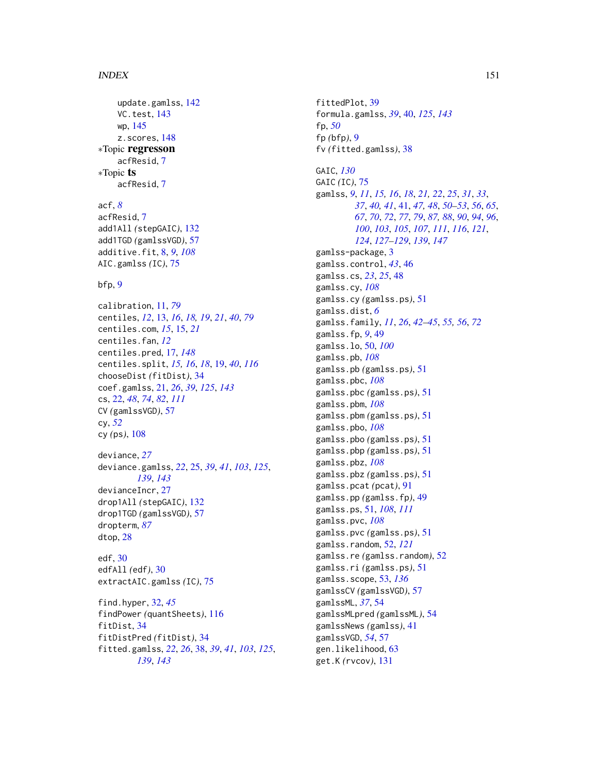# $INDEX$  151

update.gamlss, [142](#page-141-0) VC.test, [143](#page-142-0) wp, [145](#page-144-0) z.scores, [148](#page-147-0) ∗Topic regresson acfResid, [7](#page-6-0) ∗Topic ts acfResid, [7](#page-6-0) acf, *[8](#page-7-0)* acfResid, [7](#page-6-0) add1All *(*stepGAIC*)*, [132](#page-131-0) add1TGD *(*gamlssVGD*)*, [57](#page-56-0) additive.fit, [8,](#page-7-0) *[9](#page-8-0)*, *[108](#page-107-0)* AIC.gamlss *(*IC*)*, [75](#page-74-0)

 $bfp, 9$  $bfp, 9$ 

calibration, [11,](#page-10-0) *[79](#page-78-0)* centiles, *[12](#page-11-0)*, [13,](#page-12-0) *[16](#page-15-0)*, *[18,](#page-17-0) [19](#page-18-0)*, *[21](#page-20-0)*, *[40](#page-39-0)*, *[79](#page-78-0)* centiles.com, *[15](#page-14-0)*, [15,](#page-14-0) *[21](#page-20-0)* centiles.fan, *[12](#page-11-0)* centiles.pred, [17,](#page-16-1) *[148](#page-147-0)* centiles.split, *[15,](#page-14-0) [16](#page-15-0)*, *[18](#page-17-0)*, [19,](#page-18-0) *[40](#page-39-0)*, *[116](#page-115-0)* chooseDist *(*fitDist*)*, [34](#page-33-0) coef.gamlss, [21,](#page-20-0) *[26](#page-25-0)*, *[39](#page-38-0)*, *[125](#page-124-0)*, *[143](#page-142-0)* cs, [22,](#page-21-0) *[48](#page-47-0)*, *[74](#page-73-0)*, *[82](#page-81-0)*, *[111](#page-110-0)* CV *(*gamlssVGD*)*, [57](#page-56-0) cy, *[52](#page-51-0)* cy *(*ps*)*, [108](#page-107-0) deviance, *[27](#page-26-0)* deviance.gamlss, *[22](#page-21-0)*, [25,](#page-24-0) *[39](#page-38-0)*, *[41](#page-40-1)*, *[103](#page-102-0)*, *[125](#page-124-0)*, *[139](#page-138-0)*, *[143](#page-142-0)* devianceIncr, [27](#page-26-0) drop1All *(*stepGAIC*)*, [132](#page-131-0) drop1TGD *(*gamlssVGD*)*, [57](#page-56-0) dropterm, *[87](#page-86-0)* dtop, [28](#page-27-0) edf, [30](#page-29-0) edfAll *(*edf*)*, [30](#page-29-0) extractAIC.gamlss *(*IC*)*, [75](#page-74-0) find.hyper, [32,](#page-31-0) *[45](#page-44-0)* findPower *(*quantSheets*)*, [116](#page-115-0) fitDist, [34](#page-33-0) fitDistPred *(*fitDist*)*, [34](#page-33-0) fitted.gamlss, *[22](#page-21-0)*, *[26](#page-25-0)*, [38,](#page-37-0) *[39](#page-38-0)*, *[41](#page-40-1)*, *[103](#page-102-0)*, *[125](#page-124-0)*, *[139](#page-138-0)*, *[143](#page-142-0)*

fittedPlot, [39](#page-38-0) formula.gamlss, *[39](#page-38-0)*, [40,](#page-39-0) *[125](#page-124-0)*, *[143](#page-142-0)* fp, *[50](#page-49-0)* fp *(*bfp*)*, [9](#page-8-0) fv *(*fitted.gamlss*)*, [38](#page-37-0) GAIC, *[130](#page-129-0)* GAIC *(*IC*)*, [75](#page-74-0) gamlss, *[9](#page-8-0)*, *[11](#page-10-0)*, *[15,](#page-14-0) [16](#page-15-0)*, *[18](#page-17-0)*, *[21,](#page-20-0) [22](#page-21-0)*, *[25](#page-24-0)*, *[31](#page-30-0)*, *[33](#page-32-0)*, *[37](#page-36-0)*, *[40,](#page-39-0) [41](#page-40-1)*, [41,](#page-40-1) *[47,](#page-46-0) [48](#page-47-0)*, *[50](#page-49-0)[–53](#page-52-0)*, *[56](#page-55-0)*, *[65](#page-64-0)*, *[67](#page-66-0)*, *[70](#page-69-0)*, *[72](#page-71-0)*, *[77](#page-76-0)*, *[79](#page-78-0)*, *[87,](#page-86-0) [88](#page-87-0)*, *[90](#page-89-0)*, *[94](#page-93-0)*, *[96](#page-95-0)*, *[100](#page-99-0)*, *[103](#page-102-0)*, *[105](#page-104-0)*, *[107](#page-106-0)*, *[111](#page-110-0)*, *[116](#page-115-0)*, *[121](#page-120-0)*, *[124](#page-123-0)*, *[127](#page-126-0)[–129](#page-128-0)*, *[139](#page-138-0)*, *[147](#page-146-0)* gamlss-package, [3](#page-2-0) gamlss.control, *[43](#page-42-0)*, [46](#page-45-0) gamlss.cs, *[23](#page-22-0)*, *[25](#page-24-0)*, [48](#page-47-0) gamlss.cy, *[108](#page-107-0)* gamlss.cy *(*gamlss.ps*)*, [51](#page-50-0) gamlss.dist, *[6](#page-5-0)* gamlss.family, *[11](#page-10-0)*, *[26](#page-25-0)*, *[42](#page-41-0)[–45](#page-44-0)*, *[55,](#page-54-0) [56](#page-55-0)*, *[72](#page-71-0)* gamlss.fp, *[9](#page-8-0)*, [49](#page-48-0) gamlss.lo, [50,](#page-49-0) *[100](#page-99-0)* gamlss.pb, *[108](#page-107-0)* gamlss.pb *(*gamlss.ps*)*, [51](#page-50-0) gamlss.pbc, *[108](#page-107-0)* gamlss.pbc *(*gamlss.ps*)*, [51](#page-50-0) gamlss.pbm, *[108](#page-107-0)* gamlss.pbm *(*gamlss.ps*)*, [51](#page-50-0) gamlss.pbo, *[108](#page-107-0)* gamlss.pbo *(*gamlss.ps*)*, [51](#page-50-0) gamlss.pbp *(*gamlss.ps*)*, [51](#page-50-0) gamlss.pbz, *[108](#page-107-0)* gamlss.pbz *(*gamlss.ps*)*, [51](#page-50-0) gamlss.pcat *(*pcat*)*, [91](#page-90-0) gamlss.pp *(*gamlss.fp*)*, [49](#page-48-0) gamlss.ps, [51,](#page-50-0) *[108](#page-107-0)*, *[111](#page-110-0)* gamlss.pvc, *[108](#page-107-0)* gamlss.pvc *(*gamlss.ps*)*, [51](#page-50-0) gamlss.random, [52,](#page-51-0) *[121](#page-120-0)* gamlss.re *(*gamlss.random*)*, [52](#page-51-0) gamlss.ri *(*gamlss.ps*)*, [51](#page-50-0) gamlss.scope, [53,](#page-52-0) *[136](#page-135-0)* gamlssCV *(*gamlssVGD*)*, [57](#page-56-0) gamlssML, *[37](#page-36-0)*, [54](#page-53-0) gamlssMLpred *(*gamlssML*)*, [54](#page-53-0) gamlssNews *(*gamlss*)*, [41](#page-40-1) gamlssVGD, *[54](#page-53-0)*, [57](#page-56-0) gen.likelihood, [63](#page-62-0) get.K *(*rvcov*)*, [131](#page-130-0)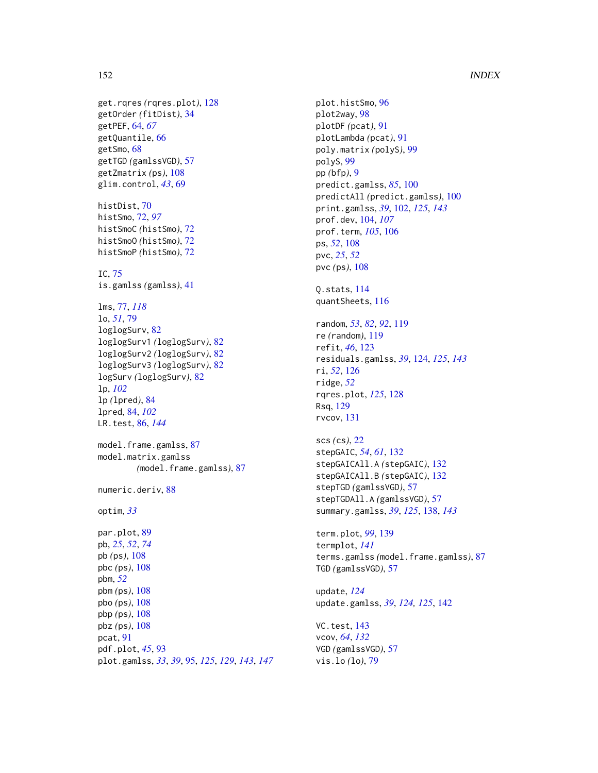# 152 INDEX

```
get.rqres (rqres.plot), 128
getOrder (fitDist), 34
getPEF, 64, 67
getQuantile, 66
getSmo, 68
getTGD (gamlssVGD), 57
getZmatrix (ps), 108
glim.control, 43, 69
histDist, 70
histSmo, 72, 97
histSmoC (histSmo), 72
histSmoO (histSmo), 72
histSmoP (histSmo), 72
IC, 75
is.gamlss (gamlss), 41
lms, 77, 118
lo, 51, 79
loglogSurv, 82
loglogSurv1 (loglogSurv), 82
loglogSurv2 (loglogSurv), 82
loglogSurv3 (loglogSurv), 82
logSurv (loglogSurv), 82
lp, 102
lp (lpred), 84
lpred, 84, 102
LR.test, 86, 144
model.frame.gamlss, 87
model.matrix.gamlss
         (model.frame.gamlss), 87
numeric.deriv, 88
optim, 33
par.plot, 89
pb, 25, 52, 74
pb (ps), 108
pbc (ps), 108
pbm, 52
pbm (ps), 108
pbo (ps), 108
pbp (ps), 108
pbz (ps), 108
pcat, 91
pdf.plot, 45, 93
plot.gamlss, 33, 39, 95, 125, 129, 143, 147
```
plot.histSmo, [96](#page-95-0) plot2way, [98](#page-97-0) plotDF *(*pcat*)*, [91](#page-90-0) plotLambda *(*pcat*)*, [91](#page-90-0) poly.matrix *(*polyS*)*, [99](#page-98-0) polyS, [99](#page-98-0) pp *(*bfp*)*, [9](#page-8-0) predict.gamlss, *[85](#page-84-0)*, [100](#page-99-0) predictAll *(*predict.gamlss*)*, [100](#page-99-0) print.gamlss, *[39](#page-38-0)*, [102,](#page-101-0) *[125](#page-124-0)*, *[143](#page-142-0)* prof.dev, [104,](#page-103-0) *[107](#page-106-0)* prof.term, *[105](#page-104-0)*, [106](#page-105-0) ps, *[52](#page-51-0)*, [108](#page-107-0) pvc, *[25](#page-24-0)*, *[52](#page-51-0)* pvc *(*ps*)*, [108](#page-107-0) Q.stats, [114](#page-113-0) quantSheets, [116](#page-115-0) random, *[53](#page-52-0)*, *[82](#page-81-0)*, *[92](#page-91-0)*, [119](#page-118-0) re *(*random*)*, [119](#page-118-0) refit, *[46](#page-45-0)*, [123](#page-122-0) residuals.gamlss, *[39](#page-38-0)*, [124,](#page-123-0) *[125](#page-124-0)*, *[143](#page-142-0)* ri, *[52](#page-51-0)*, [126](#page-125-0) ridge, *[52](#page-51-0)* rqres.plot, *[125](#page-124-0)*, [128](#page-127-0) Rsq, [129](#page-128-0) rvcov, [131](#page-130-0) scs *(*cs*)*, [22](#page-21-0) stepGAIC, *[54](#page-53-0)*, *[61](#page-60-0)*, [132](#page-131-0) stepGAICAll.A *(*stepGAIC*)*, [132](#page-131-0) stepGAICAll.B *(*stepGAIC*)*, [132](#page-131-0) stepTGD *(*gamlssVGD*)*, [57](#page-56-0) stepTGDAll.A *(*gamlssVGD*)*, [57](#page-56-0) summary.gamlss, *[39](#page-38-0)*, *[125](#page-124-0)*, [138,](#page-137-0) *[143](#page-142-0)* term.plot, *[99](#page-98-0)*, [139](#page-138-0) termplot, *[141](#page-140-0)* terms.gamlss *(*model.frame.gamlss*)*, [87](#page-86-0) TGD *(*gamlssVGD*)*, [57](#page-56-0) update, *[124](#page-123-0)* update.gamlss, *[39](#page-38-0)*, *[124,](#page-123-0) [125](#page-124-0)*, [142](#page-141-0) VC.test, [143](#page-142-0) vcov, *[64](#page-63-0)*, *[132](#page-131-0)* VGD *(*gamlssVGD*)*, [57](#page-56-0) vis.lo *(*lo*)*, [79](#page-78-0)